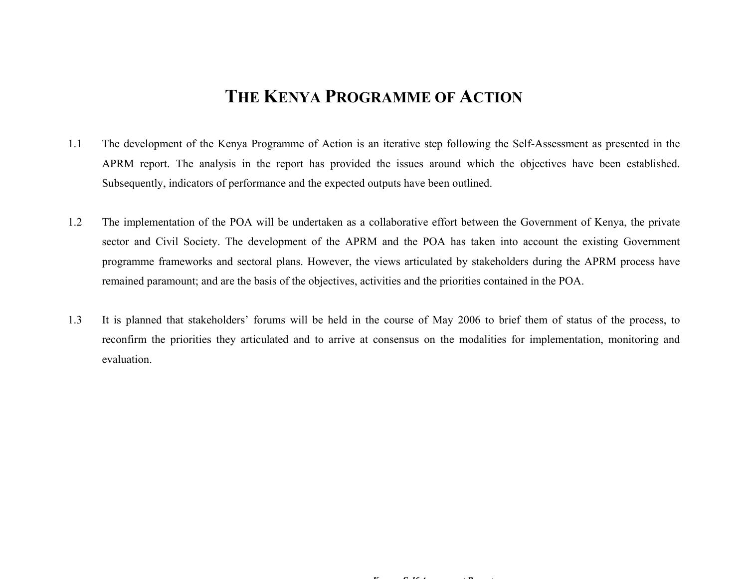# **THE KENYA PROGRAMME OF ACTION**

- 1.1 The development of the Kenya Programme of Action is an iterative step following the Self-Assessment as presented in the APRM report. The analysis in the report has provided the issues around which the objectives have been established. Subsequently, indicators of performance and the expected outputs have been outlined.
- 1.2 The implementation of the POA will be undertaken as a collaborative effort between the Government of Kenya, the private sector and Civil Society. The development of the APRM and the POA has taken into account the existing Government programme frameworks and sectoral plans. However, the views articulated by stakeholders during the APRM process have remained paramount; and are the basis of the objectives, activities and the priorities contained in the POA.
- 1.3 It is planned that stakeholders' forums will be held in the course of May 2006 to brief them of status of the process, to reconfirm the priorities they articulated and to arrive at consensus on the modalities for implementation, monitoring and evaluation.

 $\mathbf{r}$  *C C C C C C C C C C C C C*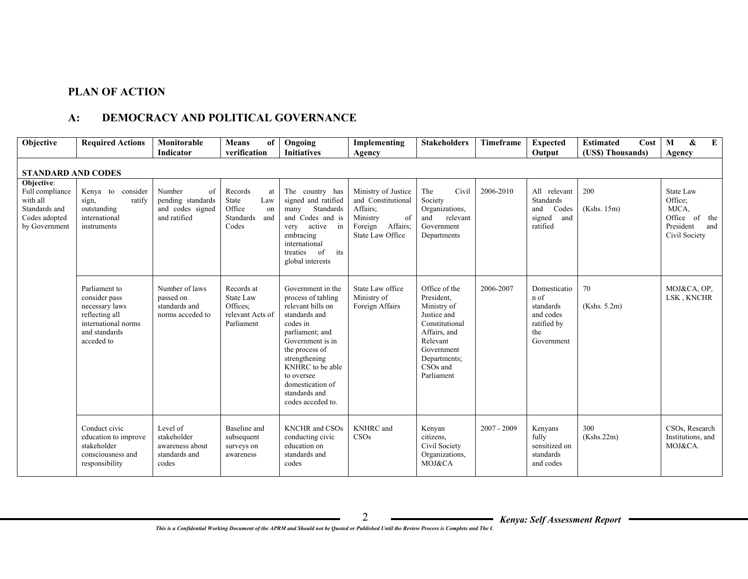## **PLAN OF ACTION**

## **A: DEMOCRACY AND POLITICAL GOVERNANCE**

| Objective                                                                                    | <b>Required Actions</b>                                                                                                  | Monitorable<br><b>Indicator</b>                                       | <b>Means</b><br>of<br>verification                                         | Ongoing<br><b>Initiatives</b>                                                                                                                                                                                                                                   | Implementing<br>Agency                                                                                                    | <b>Stakeholders</b>                                                                                                                                               | Timeframe     | <b>Expected</b><br>Output                                                          | <b>Estimated</b><br>Cost<br>(US\$) Thousands) | &<br>E<br>M<br>Agency                                                               |
|----------------------------------------------------------------------------------------------|--------------------------------------------------------------------------------------------------------------------------|-----------------------------------------------------------------------|----------------------------------------------------------------------------|-----------------------------------------------------------------------------------------------------------------------------------------------------------------------------------------------------------------------------------------------------------------|---------------------------------------------------------------------------------------------------------------------------|-------------------------------------------------------------------------------------------------------------------------------------------------------------------|---------------|------------------------------------------------------------------------------------|-----------------------------------------------|-------------------------------------------------------------------------------------|
| <b>STANDARD AND CODES</b>                                                                    |                                                                                                                          |                                                                       |                                                                            |                                                                                                                                                                                                                                                                 |                                                                                                                           |                                                                                                                                                                   |               |                                                                                    |                                               |                                                                                     |
| Objective:<br>Full compliance<br>with all<br>Standards and<br>Codes adopted<br>by Government | Kenya to consider<br>sign,<br>ratify<br>outstanding<br>international<br>instruments                                      | Number<br>of<br>pending standards<br>and codes signed<br>and ratified | Records<br>at<br>State<br>Law<br>Office<br>on<br>Standards<br>and<br>Codes | The country has<br>signed and ratified<br>Standards<br>many<br>and Codes and is<br>active<br>in<br>very<br>embracing<br>international<br><sub>of</sub><br>treaties<br>its<br>global interests                                                                   | Ministry of Justice<br>and Constitutional<br>Affairs;<br>Ministry<br>of<br>Affairs;<br>Foreign<br><b>State Law Office</b> | The<br>Civil<br>Society<br>Organizations,<br>relevant<br>and<br>Government<br>Departments                                                                         | 2006-2010     | All relevant<br><b>Standards</b><br>Codes<br>and<br>and<br>signed<br>ratified      | 200<br>(Kshs. 15m)                            | State Law<br>Office:<br>MJCA,<br>Office of the<br>President<br>and<br>Civil Society |
|                                                                                              | Parliament to<br>consider pass<br>necessary laws<br>reflecting all<br>international norms<br>and standards<br>acceded to | Number of laws<br>passed on<br>standards and<br>norms acceded to      | Records at<br>State Law<br>Offices:<br>relevant Acts of<br>Parliament      | Government in the<br>process of tabling<br>relevant bills on<br>standards and<br>codes in<br>parliament; and<br>Government is in<br>the process of<br>strengthening<br>KNHRC to be able<br>to oversee<br>domestication of<br>standards and<br>codes acceded to. | State Law office<br>Ministry of<br>Foreign Affairs                                                                        | Office of the<br>President,<br>Ministry of<br>Justice and<br>Constitutional<br>Affairs, and<br>Relevant<br>Government<br>Departments;<br>$CSOs$ and<br>Parliament | 2006-2007     | Domesticatio<br>n of<br>standards<br>and codes<br>ratified by<br>the<br>Government | 70<br>(Kshs. 5.2m)                            | MOJ&CA, OP.<br>LSK, KNCHR                                                           |
|                                                                                              | Conduct civic<br>education to improve<br>stakeholder<br>consciousness and<br>responsibility                              | Level of<br>stakeholder<br>awareness about<br>standards and<br>codes  | Baseline and<br>subsequent<br>surveys on<br>awareness                      | <b>KNCHR</b> and CSOs<br>conducting civic<br>education on<br>standards and<br>codes                                                                                                                                                                             | <b>KNHRC</b> and<br>CSOs                                                                                                  | Kenyan<br>citizens,<br>Civil Society<br>Organizations,<br>MOJ&CA                                                                                                  | $2007 - 2009$ | Kenyans<br>fully<br>sensitized on<br>standards<br>and codes                        | 300<br>(Kshs.22m)                             | CSOs, Research<br>Institutions, and<br>MOJ&CA.                                      |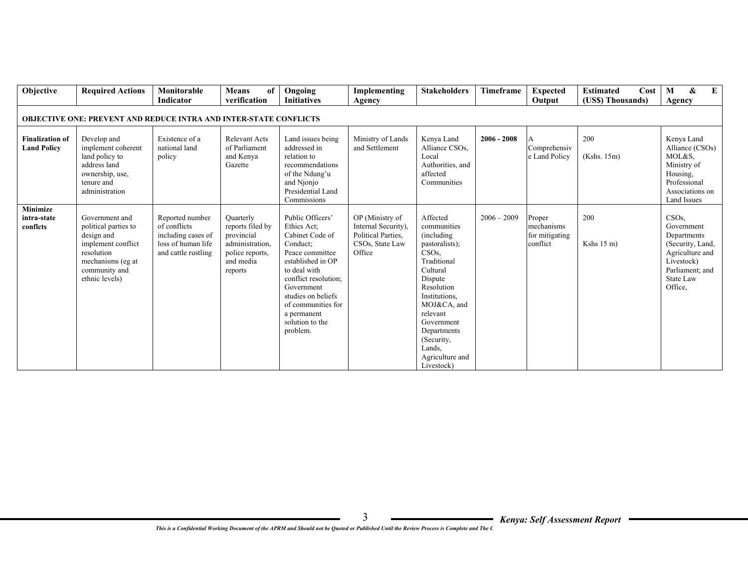| Objective                                    | <b>Required Actions</b>                                                                                                                          | Monitorable<br>Indicator                                                                           | of<br><b>Means</b><br>verification                                                                        | Ongoing<br><b>Initiatives</b>                                                                                                                                                                                                                          | Implementing<br>Agency                                                                    | <b>Stakeholders</b>                                                                                                                                                                                                                                                  | Timeframe     | <b>Expected</b><br>Output                          | <b>Estimated</b><br>Cost<br>(US\$) Thousands) | $\bf{E}$<br>&<br>M<br>Agency                                                                                                                  |
|----------------------------------------------|--------------------------------------------------------------------------------------------------------------------------------------------------|----------------------------------------------------------------------------------------------------|-----------------------------------------------------------------------------------------------------------|--------------------------------------------------------------------------------------------------------------------------------------------------------------------------------------------------------------------------------------------------------|-------------------------------------------------------------------------------------------|----------------------------------------------------------------------------------------------------------------------------------------------------------------------------------------------------------------------------------------------------------------------|---------------|----------------------------------------------------|-----------------------------------------------|-----------------------------------------------------------------------------------------------------------------------------------------------|
|                                              | <b>OBJECTIVE ONE: PREVENT AND REDUCE INTRA AND INTER-STATE CONFLICTS</b>                                                                         |                                                                                                    |                                                                                                           |                                                                                                                                                                                                                                                        |                                                                                           |                                                                                                                                                                                                                                                                      |               |                                                    |                                               |                                                                                                                                               |
| <b>Finalization of</b><br><b>Land Policy</b> | Develop and<br>implement coherent<br>land policy to<br>address land<br>ownership, use,<br>tenure and<br>administration                           | Existence of a<br>national land<br>policy                                                          | <b>Relevant Acts</b><br>of Parliament<br>and Kenya<br>Gazette                                             | Land issues being<br>addressed in<br>relation to<br>recommendations<br>of the Ndung'u<br>and Njonjo<br>Presidential Land<br>Commissions                                                                                                                | Ministry of Lands<br>and Settlement                                                       | Kenya Land<br>Alliance CSOs.<br>Local<br>Authorities, and<br>affected<br>Communities                                                                                                                                                                                 | $2006 - 2008$ | Comprehensiv<br>e Land Policy                      | 200<br>(Kshs. 15m)                            | Kenya Land<br>Alliance (CSOs)<br>MOL&S.<br>Ministry of<br>Housing,<br>Professional<br>Associations on<br><b>Land Issues</b>                   |
| <b>Minimize</b><br>intra-state<br>conflcts   | Government and<br>political parties to<br>design and<br>implement conflict<br>resolution<br>mechanisms (eg at<br>community and<br>ethnic levels) | Reported number<br>of conflicts<br>including cases of<br>loss of human life<br>and cattle rustling | Quarterly<br>reports filed by<br>provincial<br>administration,<br>police reports,<br>and media<br>reports | Public Officers'<br>Ethics Act;<br>Cabinet Code of<br>Conduct:<br>Peace committee<br>established in OP<br>to deal with<br>conflict resolution;<br>Government<br>studies on beliefs<br>of communities for<br>a permanent<br>solution to the<br>problem. | OP (Ministry of<br>Internal Security),<br>Political Parties.<br>CSOs, State Law<br>Office | Affected<br>communities<br>(including)<br>pastoralists);<br>CSO <sub>s</sub> .<br>Traditional<br>Cultural<br>Dispute<br>Resolution<br>Institutions,<br>MOJ&CA, and<br>relevant<br>Government<br>Departments<br>(Security,<br>Lands.<br>Agriculture and<br>Livestock) | $2006 - 2009$ | Proper<br>mechanisms<br>for mitigating<br>conflict | 200<br>Kshs $15 \text{ m}$ )                  | CSO <sub>s</sub><br>Government<br>Departments<br>(Security, Land,<br>Agriculture and<br>Livestock)<br>Parliament; and<br>State Law<br>Office, |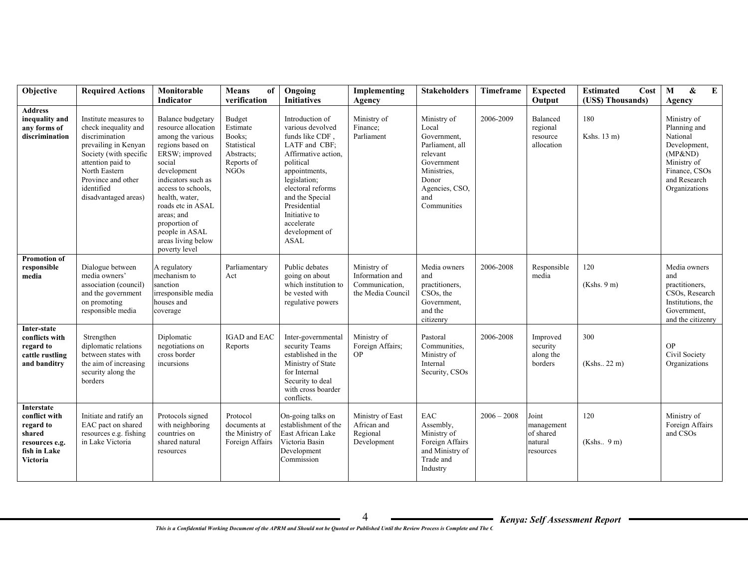| Objective                                                                                        | <b>Required Actions</b>                                                                                                                                                                                             | Monitorable                                                                                                                                                                                                                                                                                             | Means<br>of                                                                     | Ongoing                                                                                                                                                                                                                                                              | Implementing                                                          | <b>Stakeholders</b>                                                                                                                              | Timeframe     | <b>Expected</b>                                          | <b>Estimated</b><br>Cost | E<br>$\mathbf{M}$<br>$\boldsymbol{\&}$                                                                                              |
|--------------------------------------------------------------------------------------------------|---------------------------------------------------------------------------------------------------------------------------------------------------------------------------------------------------------------------|---------------------------------------------------------------------------------------------------------------------------------------------------------------------------------------------------------------------------------------------------------------------------------------------------------|---------------------------------------------------------------------------------|----------------------------------------------------------------------------------------------------------------------------------------------------------------------------------------------------------------------------------------------------------------------|-----------------------------------------------------------------------|--------------------------------------------------------------------------------------------------------------------------------------------------|---------------|----------------------------------------------------------|--------------------------|-------------------------------------------------------------------------------------------------------------------------------------|
|                                                                                                  |                                                                                                                                                                                                                     | <b>Indicator</b>                                                                                                                                                                                                                                                                                        | verification                                                                    | <b>Initiatives</b>                                                                                                                                                                                                                                                   | Agency                                                                |                                                                                                                                                  |               | Output                                                   | (US\$) Thousands)        | Agency                                                                                                                              |
| <b>Address</b><br>inequality and<br>any forms of<br>discrimination                               | Institute measures to<br>check inequality and<br>discrimination<br>prevailing in Kenyan<br>Society (with specific<br>attention paid to<br>North Eastern<br>Province and other<br>identified<br>disadvantaged areas) | Balance budgetary<br>resource allocation<br>among the various<br>regions based on<br>ERSW; improved<br>social<br>development<br>indicators such as<br>access to schools.<br>health, water,<br>roads etc in ASAL<br>areas; and<br>proportion of<br>people in ASAL<br>areas living below<br>poverty level | Budget<br>Estimate<br>Books;<br>Statistical<br>Abstracts;<br>Reports of<br>NGOs | Introduction of<br>various devolved<br>funds like CDF,<br>LATF and CBF;<br>Affirmative action,<br>political<br>appointments,<br>legislation;<br>electoral reforms<br>and the Special<br>Presidential<br>Initiative to<br>accelerate<br>development of<br><b>ASAL</b> | Ministry of<br>Finance:<br>Parliament                                 | Ministry of<br>Local<br>Government,<br>Parliament, all<br>relevant<br>Government<br>Ministries.<br>Donor<br>Agencies, CSO,<br>and<br>Communities | 2006-2009     | Balanced<br>regional<br>resource<br>allocation           | 180<br>Kshs. 13 m)       | Ministry of<br>Planning and<br>National<br>Development,<br>(MP&ND)<br>Ministry of<br>Finance, CSOs<br>and Research<br>Organizations |
| Promotion of<br>responsible<br>media                                                             | Dialogue between<br>media owners'<br>association (council)<br>and the government<br>on promoting<br>responsible media                                                                                               | A regulatory<br>mechanism to<br>sanction<br>irresponsible media<br>houses and<br>coverage                                                                                                                                                                                                               | Parliamentary<br>Act                                                            | Public debates<br>going on about<br>which institution to<br>be vested with<br>regulative powers                                                                                                                                                                      | Ministry of<br>Information and<br>Communication,<br>the Media Council | Media owners<br>and<br>practitioners,<br>CSO <sub>s</sub> , the<br>Government,<br>and the<br>citizenry                                           | 2006-2008     | Responsible<br>media                                     | 120<br>(Kshs. 9 m)       | Media owners<br>and<br>practitioners,<br>CSOs, Research<br>Institutions, the<br>Government,<br>and the citizenry                    |
| Inter-state<br>conflicts with<br>regard to<br>cattle rustling<br>and banditry                    | Strengthen<br>diplomatic relations<br>between states with<br>the aim of increasing<br>security along the<br>borders                                                                                                 | Diplomatic<br>negotiations on<br>cross border<br>incursions                                                                                                                                                                                                                                             | IGAD and EAC<br>Reports                                                         | Inter-governmental<br>security Teams<br>established in the<br>Ministry of State<br>for Internal<br>Security to deal<br>with cross boarder<br>conflicts.                                                                                                              | Ministry of<br>Foreign Affairs:<br><b>OP</b>                          | Pastoral<br>Communities,<br>Ministry of<br>Internal<br>Security, CSOs                                                                            | 2006-2008     | Improved<br>security<br>along the<br>borders             | 300<br>(Kshs., 22 m)     | <b>OP</b><br>Civil Society<br>Organizations                                                                                         |
| Interstate<br>conflict with<br>regard to<br>shared<br>resources e.g.<br>fish in Lake<br>Victoria | Initiate and ratify an<br>EAC pact on shared<br>resources e.g. fishing<br>in Lake Victoria                                                                                                                          | Protocols signed<br>with neighboring<br>countries on<br>shared natural<br>resources                                                                                                                                                                                                                     | Protocol<br>documents at<br>the Ministry of<br>Foreign Affairs                  | On-going talks on<br>establishment of the<br>East African Lake<br>Victoria Basin<br>Development<br>Commission                                                                                                                                                        | Ministry of East<br>African and<br>Regional<br>Development            | EAC<br>Assembly,<br>Ministry of<br>Foreign Affairs<br>and Ministry of<br>Trade and<br>Industry                                                   | $2006 - 2008$ | Joint<br>management<br>of shared<br>natural<br>resources | 120<br>(Kshs. 9 m)       | Ministry of<br>Foreign Affairs<br>and CSOs                                                                                          |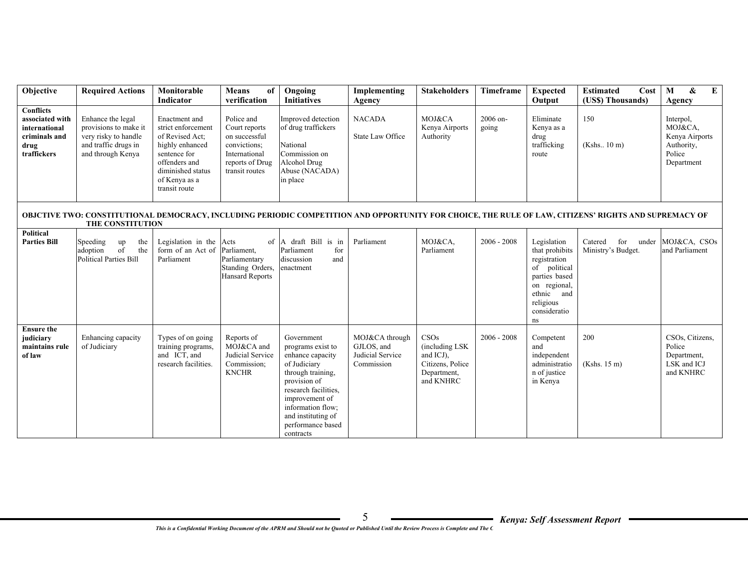| Objective                                                                                    | <b>Required Actions</b>                                                                                         | Monitorable                                                                                                                                                       | Means<br>of                                                                                                        | Ongoing                                                                                                                                                                                                                         | Implementing                                                   | <b>Stakeholders</b>                                                                  | Timeframe         | <b>Expected</b>                                                                                                                                 | Cost<br><b>Estimated</b>                                                                                                                              | $\boldsymbol{\&}$<br>$\bf{E}$<br>M                                           |
|----------------------------------------------------------------------------------------------|-----------------------------------------------------------------------------------------------------------------|-------------------------------------------------------------------------------------------------------------------------------------------------------------------|--------------------------------------------------------------------------------------------------------------------|---------------------------------------------------------------------------------------------------------------------------------------------------------------------------------------------------------------------------------|----------------------------------------------------------------|--------------------------------------------------------------------------------------|-------------------|-------------------------------------------------------------------------------------------------------------------------------------------------|-------------------------------------------------------------------------------------------------------------------------------------------------------|------------------------------------------------------------------------------|
|                                                                                              |                                                                                                                 | Indicator                                                                                                                                                         | verification                                                                                                       | <b>Initiatives</b>                                                                                                                                                                                                              | Agency                                                         |                                                                                      |                   | Output                                                                                                                                          | (US\$) Thousands)                                                                                                                                     | Agency                                                                       |
| <b>Conflicts</b><br>associated with<br>international<br>criminals and<br>drug<br>traffickers | Enhance the legal<br>provisions to make it<br>very risky to handle<br>and traffic drugs in<br>and through Kenya | Enactment and<br>strict enforcement<br>of Revised Act;<br>highly enhanced<br>sentence for<br>offenders and<br>diminished status<br>of Kenya as a<br>transit route | Police and<br>Court reports<br>on successful<br>convictions;<br>International<br>reports of Drug<br>transit routes | Improved detection<br>of drug traffickers<br>National<br>Commission on<br>Alcohol Drug<br>Abuse (NACADA)<br>in place                                                                                                            | <b>NACADA</b><br>State Law Office                              | MOJ&CA<br>Kenya Airports<br>Authority                                                | 2006 on-<br>going | Eliminate<br>Kenya as a<br>drug<br>trafficking<br>route                                                                                         | 150<br>(Kshs. 10 m)                                                                                                                                   | Interpol,<br>MOJ&CA,<br>Kenya Airports<br>Authority,<br>Police<br>Department |
|                                                                                              | THE CONSTITUTION                                                                                                |                                                                                                                                                                   |                                                                                                                    |                                                                                                                                                                                                                                 |                                                                |                                                                                      |                   |                                                                                                                                                 | OBJCTIVE TWO: CONSTITUTIONAL DEMOCRACY, INCLUDING PERIODIC COMPETITION AND OPPORTUNITY FOR CHOICE, THE RULE OF LAW, CITIZENS' RIGHTS AND SUPREMACY OF |                                                                              |
| <b>Political</b><br><b>Parties Bill</b>                                                      | the<br>Speeding<br>up<br>the<br>adoption<br>of<br><b>Political Parties Bill</b>                                 | Legislation in the Acts<br>form of an Act of<br>Parliament                                                                                                        | Parliament,<br>Parliamentary<br>Standing Orders,<br><b>Hansard Reports</b>                                         | of A draft Bill is in<br>Parliament<br>for<br>discussion<br>and<br>enactment                                                                                                                                                    | Parliament                                                     | MOJ&CA,<br>Parliament                                                                | $2006 - 2008$     | Legislation<br>that prohibits<br>registration<br>of political<br>parties based<br>on regional,<br>ethnic and<br>religious<br>consideratio<br>ns | for<br>Catered<br>Ministry's Budget.                                                                                                                  | under MOJ&CA, CSOs<br>and Parliament                                         |
| <b>Ensure the</b><br>judiciary<br>maintains rule<br>of law                                   | Enhancing capacity<br>of Judiciary                                                                              | Types of on going<br>training programs,<br>and ICT, and<br>research facilities.                                                                                   | Reports of<br>MOJ&CA and<br>Judicial Service<br>Commission;<br><b>KNCHR</b>                                        | Government<br>programs exist to<br>enhance capacity<br>of Judiciary<br>through training,<br>provision of<br>research facilities,<br>improvement of<br>information flow;<br>and instituting of<br>performance based<br>contracts | MOJ&CA through<br>GJLOS, and<br>Judicial Service<br>Commission | CSOs<br>(including LSK)<br>and ICJ),<br>Citizens, Police<br>Department,<br>and KNHRC | $2006 - 2008$     | Competent<br>and<br>independent<br>administratio<br>n of justice<br>in Kenya                                                                    | 200<br>(Kshs. 15 m)                                                                                                                                   | CSOs, Citizens,<br>Police<br>Department,<br>LSK and ICJ<br>and KNHRC         |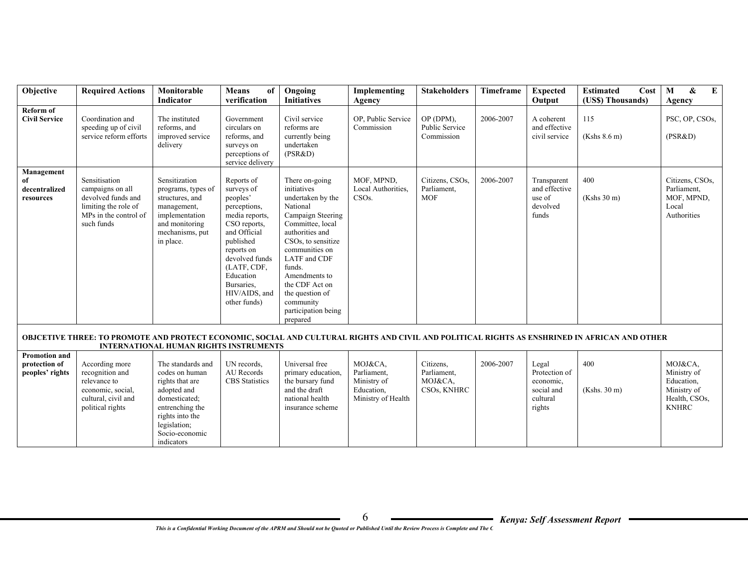| Objective                                                | <b>Required Actions</b>                                                                                                | Monitorable<br>Indicator                                                                                                                                       | <b>Means</b><br>of<br>verification                                                                                                                                                                                             | Ongoing<br><b>Initiatives</b>                                                                                                                                                                                                                                                                             | Implementing<br>Agency                                                    | <b>Stakeholders</b>                                | Timeframe | <b>Expected</b><br>Output                                               | Cost<br><b>Estimated</b><br>(US\$) Thousands)                                                                                                 | $\boldsymbol{\&}$<br>E<br>M<br>Agency                                                |
|----------------------------------------------------------|------------------------------------------------------------------------------------------------------------------------|----------------------------------------------------------------------------------------------------------------------------------------------------------------|--------------------------------------------------------------------------------------------------------------------------------------------------------------------------------------------------------------------------------|-----------------------------------------------------------------------------------------------------------------------------------------------------------------------------------------------------------------------------------------------------------------------------------------------------------|---------------------------------------------------------------------------|----------------------------------------------------|-----------|-------------------------------------------------------------------------|-----------------------------------------------------------------------------------------------------------------------------------------------|--------------------------------------------------------------------------------------|
| Reform of<br><b>Civil Service</b>                        | Coordination and<br>speeding up of civil<br>service reform efforts                                                     | The instituted<br>reforms, and<br>improved service<br>delivery                                                                                                 | Government<br>circulars on<br>reforms, and<br>surveys on<br>perceptions of<br>service delivery                                                                                                                                 | Civil service<br>reforms are<br>currently being<br>undertaken<br>(PSR&D)                                                                                                                                                                                                                                  | OP, Public Service<br>Commission                                          | OP (DPM),<br>Public Service<br>Commission          | 2006-2007 | A coherent<br>and effective<br>civil service                            | 115<br>(Kshs 8.6 m)                                                                                                                           | PSC, OP, CSOs,<br>(PSR&D)                                                            |
| Management<br>of<br>decentralized<br>resources           | Sensitisation<br>campaigns on all<br>devolved funds and<br>limiting the role of<br>MPs in the control of<br>such funds | Sensitization<br>programs, types of<br>structures, and<br>management,<br>implementation<br>and monitoring<br>mechanisms, put<br>in place.                      | Reports of<br>surveys of<br>peoples'<br>perceptions,<br>media reports,<br>CSO reports,<br>and Official<br>published<br>reports on<br>devolved funds<br>(LATF, CDF,<br>Education<br>Bursaries.<br>HIV/AIDS, and<br>other funds) | There on-going<br>initiatives<br>undertaken by the<br>National<br>Campaign Steering<br>Committee, local<br>authorities and<br>CSOs, to sensitize<br>communities on<br><b>LATF</b> and CDF<br>funds.<br>Amendments to<br>the CDF Act on<br>the question of<br>community<br>participation being<br>prepared | MOF, MPND,<br>Local Authorities,<br>CSO <sub>s</sub> .                    | Citizens, CSOs,<br>Parliament,<br><b>MOF</b>       | 2006-2007 | Transparent<br>and effective<br>use of<br>devolved<br>funds             | 400<br>(Kshs 30 m)                                                                                                                            | Citizens, CSOs,<br>Parliament.<br>MOF, MPND,<br>Local<br>Authorities                 |
|                                                          |                                                                                                                        | <b>INTERNATIONAL HUMAN RIGHTS INSTRUMENTS</b>                                                                                                                  |                                                                                                                                                                                                                                |                                                                                                                                                                                                                                                                                                           |                                                                           |                                                    |           |                                                                         | OBJCETIVE THREE: TO PROMOTE AND PROTECT ECONOMIC, SOCIAL AND CULTURAL RIGHTS AND CIVIL AND POLITICAL RIGHTS AS ENSHRINED IN AFRICAN AND OTHER |                                                                                      |
| <b>Promotion and</b><br>protection of<br>peoples' rights | According more<br>recognition and<br>relevance to<br>economic, social,<br>cultural, civil and<br>political rights      | The standards and<br>codes on human<br>rights that are<br>adopted and<br>domesticated;<br>entrenching the<br>rights into the<br>legislation;<br>Socio-economic | UN records.<br>AU Records<br><b>CBS</b> Statistics                                                                                                                                                                             | Universal free<br>primary education,<br>the bursary fund<br>and the draft<br>national health<br>insurance scheme                                                                                                                                                                                          | MOJ&CA.<br>Parliament,<br>Ministry of<br>Education,<br>Ministry of Health | Citizens.<br>Parliament,<br>MOJ&CA.<br>CSOs, KNHRC | 2006-2007 | Legal<br>Protection of<br>economic.<br>social and<br>cultural<br>rights | 400<br>(Kshs. 30 m)                                                                                                                           | MOJ&CA,<br>Ministry of<br>Education,<br>Ministry of<br>Health, CSOs,<br><b>KNHRC</b> |

indicators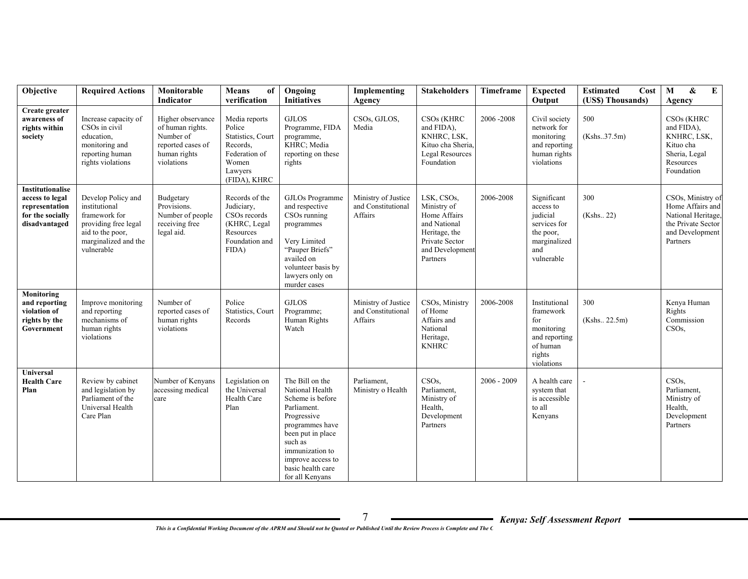| Objective                                                                                         | <b>Required Actions</b>                                                                                                                | Monitorable                                                                                           | <b>Means</b><br>of                                                                                            | Ongoing                                                                                                                                                                                                                 | Implementing                                         | <b>Stakeholders</b>                                                                                                         | Timeframe     | <b>Expected</b>                                                                                        | <b>Estimated</b><br>Cost | $\mathbf M$<br>$\pmb{\&}$<br>$\bf{E}$                                                                            |
|---------------------------------------------------------------------------------------------------|----------------------------------------------------------------------------------------------------------------------------------------|-------------------------------------------------------------------------------------------------------|---------------------------------------------------------------------------------------------------------------|-------------------------------------------------------------------------------------------------------------------------------------------------------------------------------------------------------------------------|------------------------------------------------------|-----------------------------------------------------------------------------------------------------------------------------|---------------|--------------------------------------------------------------------------------------------------------|--------------------------|------------------------------------------------------------------------------------------------------------------|
|                                                                                                   |                                                                                                                                        | Indicator                                                                                             | verification                                                                                                  | <b>Initiatives</b>                                                                                                                                                                                                      | Agency                                               |                                                                                                                             |               | Output                                                                                                 | (US\$) Thousands)        | Agency                                                                                                           |
| Create greater<br>awareness of<br>rights within<br>society                                        | Increase capacity of<br>CSOs in civil<br>education.<br>monitoring and<br>reporting human<br>rights violations                          | Higher observance<br>of human rights.<br>Number of<br>reported cases of<br>human rights<br>violations | Media reports<br>Police<br>Statistics, Court<br>Records,<br>Federation of<br>Women<br>Lawyers<br>(FIDA), KHRC | <b>GJLOS</b><br>Programme, FIDA<br>programme,<br>KHRC; Media<br>reporting on these<br>rights                                                                                                                            | CSOs, GJLOS,<br>Media                                | CSO <sub>s</sub> (KHRC<br>and FIDA),<br>KNHRC, LSK,<br>Kituo cha Sheria,<br>Legal Resources<br>Foundation                   | 2006-2008     | Civil society<br>network for<br>monitoring<br>and reporting<br>human rights<br>violations              | 500<br>(Kshs.37.5m)      | CSO <sub>s</sub> (KHRC<br>and FIDA),<br>KNHRC, LSK,<br>Kituo cha<br>Sheria, Legal<br>Resources<br>Foundation     |
| <b>Institutionalise</b><br>access to legal<br>representation<br>for the socially<br>disadvantaged | Develop Policy and<br>institutional<br>framework for<br>providing free legal<br>aid to the poor,<br>marginalized and the<br>vulnerable | Budgetary<br>Provisions.<br>Number of people<br>receiving free<br>legal aid.                          | Records of the<br>Judiciary,<br>CSOs records<br>(KHRC, Legal<br>Resources<br>Foundation and<br>FIDA)          | GJLOs Programme<br>and respective<br>CSO <sub>s</sub> running<br>programmes<br>Very Limited<br>"Pauper Briefs"<br>availed on<br>volunteer basis by<br>lawyers only on<br>murder cases                                   | Ministry of Justice<br>and Constitutional<br>Affairs | LSK, CSOs,<br>Ministry of<br>Home Affairs<br>and National<br>Heritage, the<br>Private Sector<br>and Development<br>Partners | 2006-2008     | Significant<br>access to<br>judicial<br>services for<br>the poor,<br>marginalized<br>and<br>vulnerable | 300<br>(Kshs., 22)       | CSOs, Ministry of<br>Home Affairs and<br>National Heritage,<br>the Private Sector<br>and Development<br>Partners |
| Monitoring<br>and reporting<br>violation of<br>rights by the<br>Government                        | Improve monitoring<br>and reporting<br>mechanisms of<br>human rights<br>violations                                                     | Number of<br>reported cases of<br>human rights<br>violations                                          | Police<br>Statistics, Court<br>Records                                                                        | <b>GJLOS</b><br>Programme;<br>Human Rights<br>Watch                                                                                                                                                                     | Ministry of Justice<br>and Constitutional<br>Affairs | CSOs, Ministry<br>of Home<br>Affairs and<br>National<br>Heritage,<br><b>KNHRC</b>                                           | 2006-2008     | Institutional<br>framework<br>for<br>monitoring<br>and reporting<br>of human<br>rights<br>violations   | 300<br>(Kshs., 22.5m)    | Kenya Human<br>Rights<br>Commission<br>CSO <sub>s</sub>                                                          |
| Universal<br><b>Health Care</b><br>Plan                                                           | Review by cabinet<br>and legislation by<br>Parliament of the<br>Universal Health<br>Care Plan                                          | Number of Kenyans<br>accessing medical<br>care                                                        | Legislation on<br>the Universal<br>Health Care<br>Plan                                                        | The Bill on the<br>National Health<br>Scheme is before<br>Parliament.<br>Progressive<br>programmes have<br>been put in place<br>such as<br>immunization to<br>improve access to<br>basic health care<br>for all Kenyans | Parliament.<br>Ministry o Health                     | CSO <sub>s</sub><br>Parliament.<br>Ministry of<br>Health,<br>Development<br>Partners                                        | $2006 - 2009$ | A health care<br>system that<br>is accessible<br>to all<br>Kenyans                                     |                          | CSO <sub>s</sub><br>Parliament,<br>Ministry of<br>Health,<br>Development<br>Partners                             |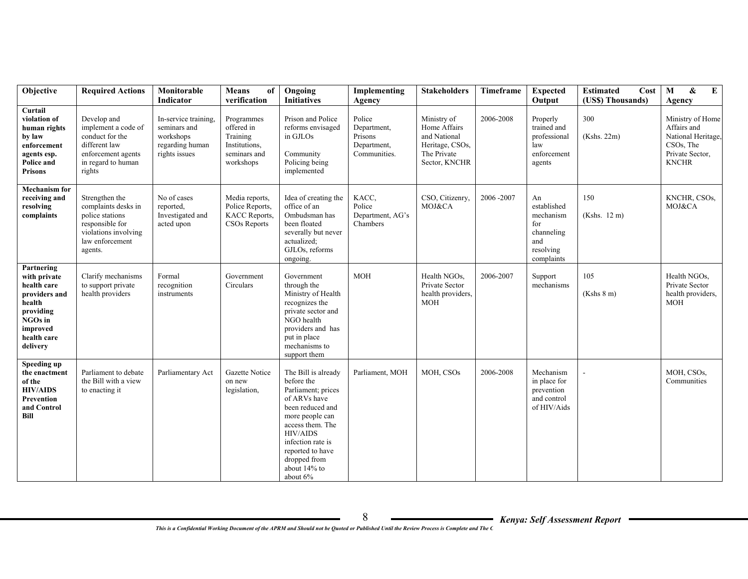| Objective                                                                                                                           | <b>Required Actions</b>                                                                                                           | Monitorable<br><b>Indicator</b>                                                       | <b>Means</b><br>of<br>verification                                                 | Ongoing<br><b>Initiatives</b>                                                                                                                                                                                                              | Implementing<br>Agency                                          | <b>Stakeholders</b>                                                                            | Timeframe | <b>Expected</b><br>Output                                                             | Cost<br><b>Estimated</b><br>(US\$) Thousands) | E<br>$\mathbf{M}$<br>&<br>Agency                                                                      |
|-------------------------------------------------------------------------------------------------------------------------------------|-----------------------------------------------------------------------------------------------------------------------------------|---------------------------------------------------------------------------------------|------------------------------------------------------------------------------------|--------------------------------------------------------------------------------------------------------------------------------------------------------------------------------------------------------------------------------------------|-----------------------------------------------------------------|------------------------------------------------------------------------------------------------|-----------|---------------------------------------------------------------------------------------|-----------------------------------------------|-------------------------------------------------------------------------------------------------------|
| Curtail<br>violation of<br>human rights<br>by law<br>enforcement<br>agents esp.<br>Police and<br><b>Prisons</b>                     | Develop and<br>implement a code of<br>conduct for the<br>different law<br>enforcement agents<br>in regard to human<br>rights      | In-service training,<br>seminars and<br>workshops<br>regarding human<br>rights issues | Programmes<br>offered in<br>Training<br>Institutions,<br>seminars and<br>workshops | Prison and Police<br>reforms envisaged<br>in GJLOs<br>Community<br>Policing being<br>implemented                                                                                                                                           | Police<br>Department,<br>Prisons<br>Department,<br>Communities. | Ministry of<br>Home Affairs<br>and National<br>Heritage, CSOs,<br>The Private<br>Sector, KNCHR | 2006-2008 | Properly<br>trained and<br>professional<br>law<br>enforcement<br>agents               | 300<br>(Kshs. 22m)                            | Ministry of Home<br>Affairs and<br>National Heritage,<br>CSOs, The<br>Private Sector,<br><b>KNCHR</b> |
| <b>Mechanism for</b><br>receiving and<br>resolving<br>complaints                                                                    | Strengthen the<br>complaints desks in<br>police stations<br>responsible for<br>violations involving<br>law enforcement<br>agents. | No of cases<br>reported.<br>Investigated and<br>acted upon                            | Media reports,<br>Police Reports,<br>KACC Reports,<br>CSOs Reports                 | Idea of creating the<br>office of an<br>Ombudsman has<br>been floated<br>severally but never<br>actualized;<br>GJLOs, reforms<br>ongoing.                                                                                                  | KACC.<br>Police<br>Department, AG's<br>Chambers                 | CSO, Citizenry,<br>MOJ&CA                                                                      | 2006-2007 | An<br>established<br>mechanism<br>for<br>channeling<br>and<br>resolving<br>complaints | 150<br>(Kshs. 12 m)                           | KNCHR, CSOs,<br>MOJ&CA                                                                                |
| Partnering<br>with private<br>health care<br>providers and<br>health<br>providing<br>NGOs in<br>improved<br>health care<br>delivery | Clarify mechanisms<br>to support private<br>health providers                                                                      | Formal<br>recognition<br>instruments                                                  | Government<br>Circulars                                                            | Government<br>through the<br>Ministry of Health<br>recognizes the<br>private sector and<br>NGO health<br>providers and has<br>put in place<br>mechanisms to<br>support them                                                                | <b>MOH</b>                                                      | Health NGOs,<br>Private Sector<br>health providers,<br><b>MOH</b>                              | 2006-2007 | Support<br>mechanisms                                                                 | 105<br>(Kshs 8 m)                             | Health NGOs,<br>Private Sector<br>health providers,<br><b>MOH</b>                                     |
| Speeding up<br>the enactment<br>of the<br><b>HIV/AIDS</b><br>Prevention<br>and Control<br>Bill                                      | Parliament to debate<br>the Bill with a view<br>to enacting it                                                                    | Parliamentary Act                                                                     | Gazette Notice<br>on new<br>legislation,                                           | The Bill is already<br>before the<br>Parliament; prices<br>of ARVs have<br>been reduced and<br>more people can<br>access them. The<br><b>HIV/AIDS</b><br>infection rate is<br>reported to have<br>dropped from<br>about 14% to<br>about 6% | Parliament, MOH                                                 | MOH, CSOs                                                                                      | 2006-2008 | Mechanism<br>in place for<br>prevention<br>and control<br>of HIV/Aids                 |                                               | MOH, CSOs,<br>Communities                                                                             |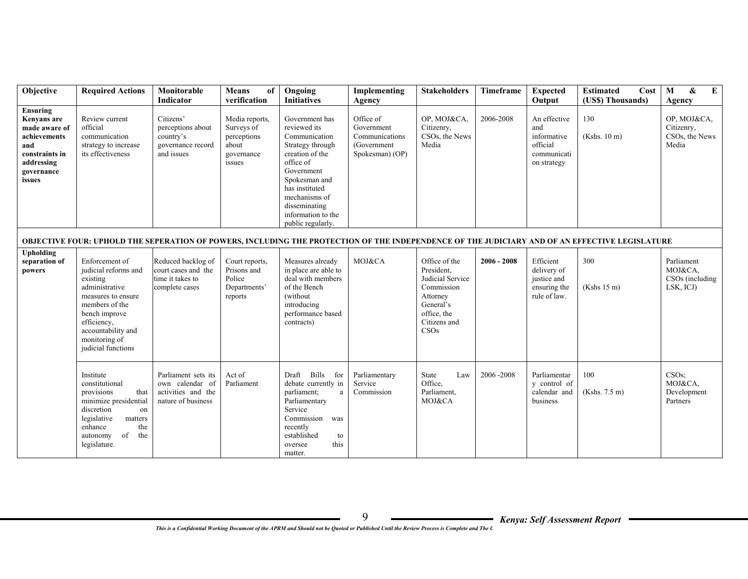| Objective                                                                                                               | <b>Required Actions</b>                                                                                                                                                                                   | Monitorable                                                                        | <b>Means</b><br>of                                                           | Ongoing                                                                                                                                                                                                                           | Implementing                                                                | <b>Stakeholders</b>                                                                                                           | Timeframe     | <b>Expected</b>                                                              | <b>Estimated</b><br>Cost                                                                                                                       | $\bf{E}$<br>M<br>&                                       |
|-------------------------------------------------------------------------------------------------------------------------|-----------------------------------------------------------------------------------------------------------------------------------------------------------------------------------------------------------|------------------------------------------------------------------------------------|------------------------------------------------------------------------------|-----------------------------------------------------------------------------------------------------------------------------------------------------------------------------------------------------------------------------------|-----------------------------------------------------------------------------|-------------------------------------------------------------------------------------------------------------------------------|---------------|------------------------------------------------------------------------------|------------------------------------------------------------------------------------------------------------------------------------------------|----------------------------------------------------------|
|                                                                                                                         |                                                                                                                                                                                                           | Indicator                                                                          | verification                                                                 | <b>Initiatives</b>                                                                                                                                                                                                                | Agency                                                                      |                                                                                                                               |               | Output                                                                       | (US\$) Thousands)                                                                                                                              | Agency                                                   |
| Ensuring<br>Kenyans are<br>made aware of<br>achievements<br>and<br>constraints in<br>addressing<br>governance<br>issues | Review current<br>official<br>communication<br>strategy to increase<br>its effectiveness                                                                                                                  | Citizens'<br>perceptions about<br>country's<br>governance record<br>and issues     | Media reports,<br>Surveys of<br>perceptions<br>about<br>governance<br>issues | Government has<br>reviewed its<br>Communication<br>Strategy through<br>creation of the<br>office of<br>Government<br>Spokesman and<br>has instituted<br>mechanisms of<br>disseminating<br>information to the<br>public regularly. | Office of<br>Government<br>Communications<br>(Government<br>Spokesman) (OP) | OP, MOJ&CA,<br>Citizenry,<br>CSOs, the News<br>Media                                                                          | 2006-2008     | An effective<br>and<br>informative<br>official<br>communicati<br>on strategy | 130<br>(Kshs. 10 m)                                                                                                                            | OP, MOJ&CA,<br>Citizenry,<br>CSOs, the News<br>Media     |
|                                                                                                                         |                                                                                                                                                                                                           |                                                                                    |                                                                              |                                                                                                                                                                                                                                   |                                                                             |                                                                                                                               |               |                                                                              | OBJECTIVE FOUR: UPHOLD THE SEPERATION OF POWERS, INCLUDING THE PROTECTION OF THE INDEPENDENCE OF THE JUDICIARY AND OF AN EFFECTIVE LEGISLATURE |                                                          |
| Upholding<br>separation of<br>powers                                                                                    | Enforcement of<br>judicial reforms and<br>existing<br>administrative<br>measures to ensure<br>members of the<br>bench improve<br>efficiency,<br>accountability and<br>monitoring of<br>judicial functions | Reduced backlog of<br>court cases and the<br>time it takes to<br>complete cases    | Court reports,<br>Prisons and<br>Police<br>Departments'<br>reports           | Measures already<br>in place are able to<br>deal with members<br>of the Bench<br>(without<br>introducing<br>performance based<br>contracts)                                                                                       | MOJ&CA                                                                      | Office of the<br>President,<br>Judicial Service<br>Commission<br>Attorney<br>General's<br>office, the<br>Citizens and<br>CSOs | $2006 - 2008$ | Efficient<br>delivery of<br>justice and<br>ensuring the<br>rule of law.      | 300<br>(Kshs 15 m)                                                                                                                             | Parliament<br>MOJ&CA.<br>CSOs (including<br>LSK, ICJ)    |
|                                                                                                                         | Institute<br>constitutional<br>provisions<br>that<br>minimize presidential<br>discretion<br>on<br>legislative<br>matters<br>the<br>enhance<br>of<br>the<br>autonomy<br>legislature.                       | Parliament sets its<br>own calendar of<br>activities and the<br>nature of business | Act of<br>Parliament                                                         | Draft Bills for<br>debate currently in<br>parliament;<br>a<br>Parliamentary<br>Service<br>Commission was<br>recently<br>established<br>to<br>this<br>oversee<br>matter.                                                           | Parliamentary<br>Service<br>Commission                                      | State<br>Law<br>Office.<br>Parliament,<br>MOJ&CA                                                                              | 2006 - 2008   | Parliamentar<br>y control of<br>calendar and<br>business                     | 100<br>(Kshs. 7.5 m)                                                                                                                           | CSO <sub>s</sub> :<br>MOJ&CA,<br>Development<br>Partners |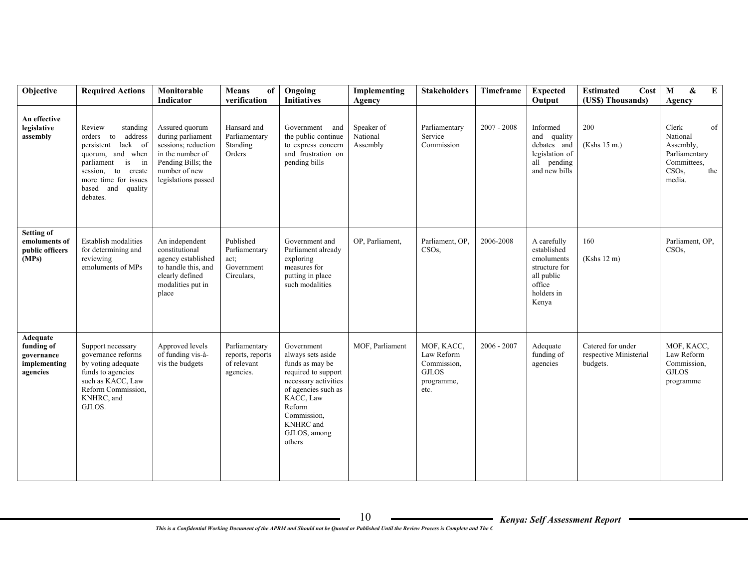| Objective                                                        | <b>Required Actions</b>                                                                                                                                                                       | Monitorable<br>Indicator                                                                                                                     | <b>Means</b><br>of<br>verification                             | Ongoing<br><b>Initiatives</b>                                                                                                                                                                                | Implementing<br>Agency             | <b>Stakeholders</b>                                                           | Timeframe     | <b>Expected</b><br>Output                                                                                | <b>Estimated</b><br>Cost<br>(US\$) Thousands)           | $\mathbf{M}$<br>&<br>$\bf{E}$<br>Agency                                                                   |
|------------------------------------------------------------------|-----------------------------------------------------------------------------------------------------------------------------------------------------------------------------------------------|----------------------------------------------------------------------------------------------------------------------------------------------|----------------------------------------------------------------|--------------------------------------------------------------------------------------------------------------------------------------------------------------------------------------------------------------|------------------------------------|-------------------------------------------------------------------------------|---------------|----------------------------------------------------------------------------------------------------------|---------------------------------------------------------|-----------------------------------------------------------------------------------------------------------|
| An effective<br>legislative<br>assembly                          | Review<br>standing<br>orders to<br>address<br>persistent lack of<br>quorum, and when<br>is<br>parliament<br>in<br>session, to create<br>more time for issues<br>based and quality<br>debates. | Assured quorum<br>during parliament<br>sessions; reduction<br>in the number of<br>Pending Bills; the<br>number of new<br>legislations passed | Hansard and<br>Parliamentary<br>Standing<br>Orders             | Government and<br>the public continue<br>to express concern<br>and frustration on<br>pending bills                                                                                                           | Speaker of<br>National<br>Assembly | Parliamentary<br>Service<br>Commission                                        | $2007 - 2008$ | Informed<br>and quality<br>debates and<br>legislation of<br>all pending<br>and new bills                 | 200<br>(Kshs 15 m.)                                     | Clerk<br>of<br>National<br>Assembly,<br>Parliamentary<br>Committees,<br>CSO <sub>s</sub><br>the<br>media. |
| <b>Setting of</b><br>emoluments of<br>public officers<br>(MPs)   | Establish modalities<br>for determining and<br>reviewing<br>emoluments of MPs                                                                                                                 | An independent<br>constitutional<br>agency established<br>to handle this, and<br>clearly defined<br>modalities put in<br>place               | Published<br>Parliamentary<br>act;<br>Government<br>Circulars, | Government and<br>Parliament already<br>exploring<br>measures for<br>putting in place<br>such modalities                                                                                                     | OP, Parliament,                    | Parliament, OP,<br>CSO <sub>s</sub>                                           | 2006-2008     | A carefully<br>established<br>emoluments<br>structure for<br>all public<br>office<br>holders in<br>Kenya | 160<br>(Kshs 12 m)                                      | Parliament, OP,<br>CSO <sub>s</sub>                                                                       |
| Adequate<br>funding of<br>governance<br>implementing<br>agencies | Support necessary<br>governance reforms<br>by voting adequate<br>funds to agencies<br>such as KACC, Law<br>Reform Commission,<br>KNHRC, and<br>GJLOS.                                         | Approved levels<br>of funding vis-à-<br>vis the budgets                                                                                      | Parliamentary<br>reports, reports<br>of relevant<br>agencies.  | Government<br>always sets aside<br>funds as may be<br>required to support<br>necessary activities<br>of agencies such as<br>KACC, Law<br>Reform<br>Commission,<br><b>KNHRC</b> and<br>GJLOS, among<br>others | MOF, Parliament                    | MOF, KACC,<br>Law Reform<br>Commission,<br><b>GJLOS</b><br>programme,<br>etc. | $2006 - 2007$ | Adequate<br>funding of<br>agencies                                                                       | Catered for under<br>respective Ministerial<br>budgets. | MOF, KACC,<br>Law Reform<br>Commission,<br><b>GJLOS</b><br>programme                                      |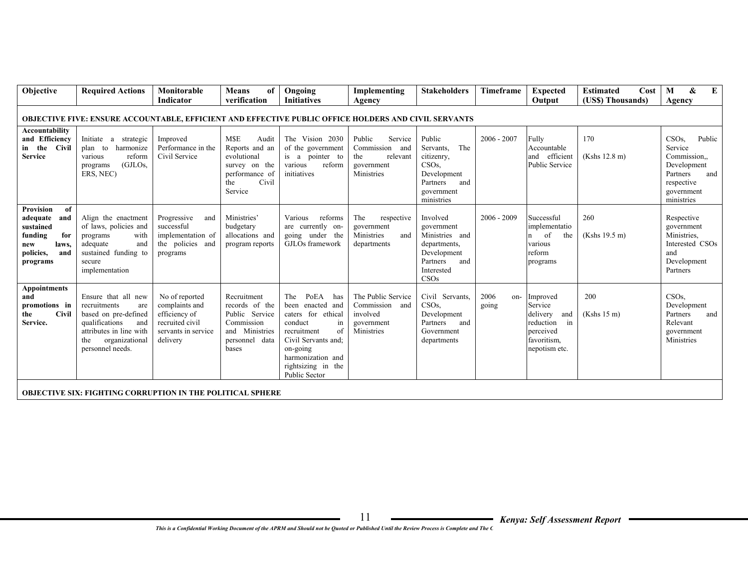| Objective                                                                                                         | <b>Required Actions</b>                                                                                                                                             | Monitorable                                                                                             | <b>Means</b><br>of                                                                                                 | Ongoing<br><b>Initiatives</b>                                                                                                                                                                            | Implementing                                                                          | <b>Stakeholders</b>                                                                                                        | Timeframe     | <b>Expected</b>                                                                                           | <b>Estimated</b><br>Cost | $\boldsymbol{\&}$<br>Е<br>M                                                                                         |
|-------------------------------------------------------------------------------------------------------------------|---------------------------------------------------------------------------------------------------------------------------------------------------------------------|---------------------------------------------------------------------------------------------------------|--------------------------------------------------------------------------------------------------------------------|----------------------------------------------------------------------------------------------------------------------------------------------------------------------------------------------------------|---------------------------------------------------------------------------------------|----------------------------------------------------------------------------------------------------------------------------|---------------|-----------------------------------------------------------------------------------------------------------|--------------------------|---------------------------------------------------------------------------------------------------------------------|
|                                                                                                                   |                                                                                                                                                                     | Indicator                                                                                               | verification                                                                                                       |                                                                                                                                                                                                          | Agency                                                                                |                                                                                                                            |               | Output                                                                                                    | (US\$) Thousands)        | Agency                                                                                                              |
|                                                                                                                   | <b>OBJECTIVE FIVE: ENSURE ACCOUNTABLE, EFFICIENT AND EFFECTIVE PUBLIC OFFICE HOLDERS AND CIVIL SERVANTS</b>                                                         |                                                                                                         |                                                                                                                    |                                                                                                                                                                                                          |                                                                                       |                                                                                                                            |               |                                                                                                           |                          |                                                                                                                     |
| Accountability<br>and Efficiency<br>in the Civil<br><b>Service</b>                                                | Initiate a strategic<br>plan to harmonize<br>various<br>reform<br>(GJLOs.<br>programs<br>ERS, NEC)                                                                  | Improved<br>Performance in the<br>Civil Service                                                         | <b>MSE</b><br>Audit<br>Reports and an<br>evolutional<br>survey on the<br>performance of<br>Civil<br>the<br>Service | The Vision 2030<br>of the government<br>is a pointer to<br>various<br>reform<br>initiatives                                                                                                              | Public<br>Service<br>Commission<br>and<br>the<br>relevant<br>government<br>Ministries | Public<br>The<br>Servants.<br>citizenry,<br>CSO <sub>s</sub><br>Development<br>Partners<br>and<br>government<br>ministries | $2006 - 2007$ | Fully<br>Accountable<br>and efficient<br><b>Public Service</b>                                            | 170<br>(Kshs 12.8 m)     | CSOs<br>Public<br>Service<br>Commission<br>Development<br>Partners<br>and<br>respective<br>government<br>ministries |
| Provision<br>of<br>adequate<br>and<br>sustained<br>funding<br>for<br>laws,<br>new<br>policies,<br>and<br>programs | Align the enactment<br>of laws, policies and<br>with<br>programs<br>adequate<br>and<br>sustained funding to<br>secure<br>implementation                             | Progressive<br>and<br>successful<br>implementation of<br>the policies and<br>programs                   | <b>Ministries</b><br>budgetary<br>allocations and<br>program reports                                               | Various<br>reforms<br>are currently on-<br>going under the<br>GJLOs framework                                                                                                                            | The<br>respective<br>government<br>Ministries<br>and<br>departments                   | Involved<br>government<br>Ministries and<br>departments,<br>Development<br>Partners<br>and<br>Interested<br>CSOs           | $2006 - 2009$ | Successful<br>implementatio<br>of<br>the<br>n<br>various<br>reform<br>programs                            | 260<br>(Kshs 19.5 m)     | Respective<br>government<br>Ministries.<br>Interested CSOs<br>and<br>Development<br>Partners                        |
| Appointments<br>and<br>promotions in<br><b>Civil</b><br>the<br>Service.                                           | Ensure that all new<br>recruitments<br>are<br>based on pre-defined<br>qualifications<br>and<br>attributes in line with<br>organizational<br>the<br>personnel needs. | No of reported<br>complaints and<br>efficiency of<br>recruited civil<br>servants in service<br>delivery | Recruitment<br>records of the<br>Public Service<br>Commission<br>and Ministries<br>personnel data<br>bases         | PoEA<br>The<br>has<br>been enacted and<br>caters for ethical<br>conduct<br>in<br>of<br>recruitment<br>Civil Servants and:<br>on-going<br>harmonization and<br>rightsizing in the<br><b>Public Sector</b> | The Public Service<br>Commission and<br>involved<br>government<br>Ministries          | Civil Servants,<br>CSO <sub>s</sub><br>Development<br>Partners<br>and<br>Government<br>departments                         | 2006<br>going | on-Improved<br>Service<br>delivery<br>and<br>reduction<br>in<br>perceived<br>favoritism,<br>nepotism etc. | 200<br>(Kshs 15 m)       | CSO <sub>s</sub> .<br>Development<br>Partners<br>and<br>Relevant<br>government<br>Ministries                        |
|                                                                                                                   | OB IECTIVE CIV. EICHTIMC COBBIDTION IN THE BOL ITICAL CBHEBE                                                                                                        |                                                                                                         |                                                                                                                    |                                                                                                                                                                                                          |                                                                                       |                                                                                                                            |               |                                                                                                           |                          |                                                                                                                     |

**OBJECTIVE SIX: FIGHTING CORRUPTION IN THE POLITICAL SPHERE**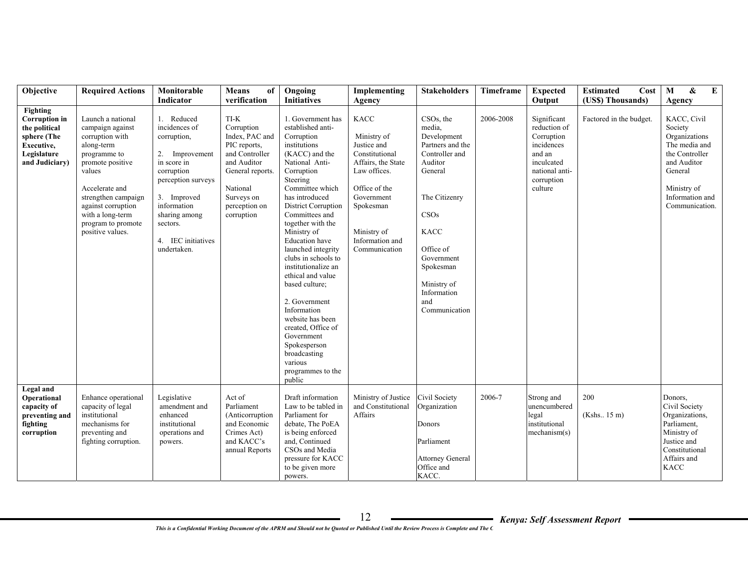| Objective                                                                                                       | <b>Required Actions</b>                                                                                                                                                                                                                           | Monitorable<br>Indicator                                                                                                                                                                                        | <b>Means</b><br>of<br>verification                                                                                                                                 | Ongoing<br><b>Initiatives</b>                                                                                                                                                                                                                                                                                                                                                                                                                                                                                                                                     | Implementing<br>Agency                                                                                                                                                                           | <b>Stakeholders</b>                                                                                                                                                                                                                               | Timeframe | <b>Expected</b><br>Output                                                                                                  | <b>Estimated</b><br>Cost<br>(US\$) Thousands) | $\mathbf{M}$<br>$\pmb{\&}$<br>$\bf{E}$<br>Agency                                                                                                         |
|-----------------------------------------------------------------------------------------------------------------|---------------------------------------------------------------------------------------------------------------------------------------------------------------------------------------------------------------------------------------------------|-----------------------------------------------------------------------------------------------------------------------------------------------------------------------------------------------------------------|--------------------------------------------------------------------------------------------------------------------------------------------------------------------|-------------------------------------------------------------------------------------------------------------------------------------------------------------------------------------------------------------------------------------------------------------------------------------------------------------------------------------------------------------------------------------------------------------------------------------------------------------------------------------------------------------------------------------------------------------------|--------------------------------------------------------------------------------------------------------------------------------------------------------------------------------------------------|---------------------------------------------------------------------------------------------------------------------------------------------------------------------------------------------------------------------------------------------------|-----------|----------------------------------------------------------------------------------------------------------------------------|-----------------------------------------------|----------------------------------------------------------------------------------------------------------------------------------------------------------|
| Fighting<br><b>Corruption</b> in<br>the political<br>sphere (The<br>Executive,<br>Legislature<br>and Judiciary) | Launch a national<br>campaign against<br>corruption with<br>along-term<br>programme to<br>promote positive<br>values<br>Accelerate and<br>strengthen campaign<br>against corruption<br>with a long-term<br>program to promote<br>positive values. | 1. Reduced<br>incidences of<br>corruption,<br>2. Improvement<br>in score in<br>corruption<br>perception surveys<br>3. Improved<br>information<br>sharing among<br>sectors.<br>4. IEC initiatives<br>undertaken. | TI-K<br>Corruption<br>Index. PAC and<br>PIC reports,<br>and Controller<br>and Auditor<br>General reports.<br>National<br>Surveys on<br>perception on<br>corruption | 1. Government has<br>established anti-<br>Corruption<br>institutions<br>(KACC) and the<br>National Anti-<br>Corruption<br>Steering<br>Committee which<br>has introduced<br><b>District Corruption</b><br>Committees and<br>together with the<br>Ministry of<br><b>Education</b> have<br>launched integrity<br>clubs in schools to<br>institutionalize an<br>ethical and value<br>based culture;<br>2. Government<br>Information<br>website has been<br>created, Office of<br>Government<br>Spokesperson<br>broadcasting<br>various<br>programmes to the<br>public | <b>KACC</b><br>Ministry of<br>Justice and<br>Constitutional<br>Affairs, the State<br>Law offices.<br>Office of the<br>Government<br>Spokesman<br>Ministry of<br>Information and<br>Communication | CSO <sub>s</sub> , the<br>media.<br>Development<br>Partners and the<br>Controller and<br>Auditor<br>General<br>The Citizenry<br>CSOs<br><b>KACC</b><br>Office of<br>Government<br>Spokesman<br>Ministry of<br>Information<br>and<br>Communication | 2006-2008 | Significant<br>reduction of<br>Corruption<br>incidences<br>and an<br>inculcated<br>national anti-<br>corruption<br>culture | Factored in the budget.                       | KACC, Civil<br>Society<br>Organizations<br>The media and<br>the Controller<br>and Auditor<br>General<br>Ministry of<br>Information and<br>Communication. |
| Legal and<br>Operational<br>capacity of<br>preventing and<br>fighting<br>corruption                             | Enhance operational<br>capacity of legal<br>institutional<br>mechanisms for<br>preventing and<br>fighting corruption.                                                                                                                             | Legislative<br>amendment and<br>enhanced<br>institutional<br>operations and<br>powers.                                                                                                                          | Act of<br>Parliament<br>(Anticorruption<br>and Economic<br>Crimes Act)<br>and KACC's<br>annual Reports                                                             | Draft information<br>Law to be tabled in<br>Parliament for<br>debate, The PoEA<br>is being enforced<br>and, Continued<br>CSOs and Media<br>pressure for KACC<br>to be given more<br>powers.                                                                                                                                                                                                                                                                                                                                                                       | Ministry of Justice<br>and Constitutional<br>Affairs                                                                                                                                             | Civil Society<br>Organization<br>Donors<br>Parliament<br><b>Attorney General</b><br>Office and<br>KACC.                                                                                                                                           | 2006-7    | Strong and<br>unencumbered<br>legal<br>institutional<br>mechanism(s)                                                       | 200<br>(Kshs. 15 m)                           | Donors,<br>Civil Society<br>Organizations,<br>Parliament,<br>Ministry of<br>Justice and<br>Constitutional<br>Affairs and<br><b>KACC</b>                  |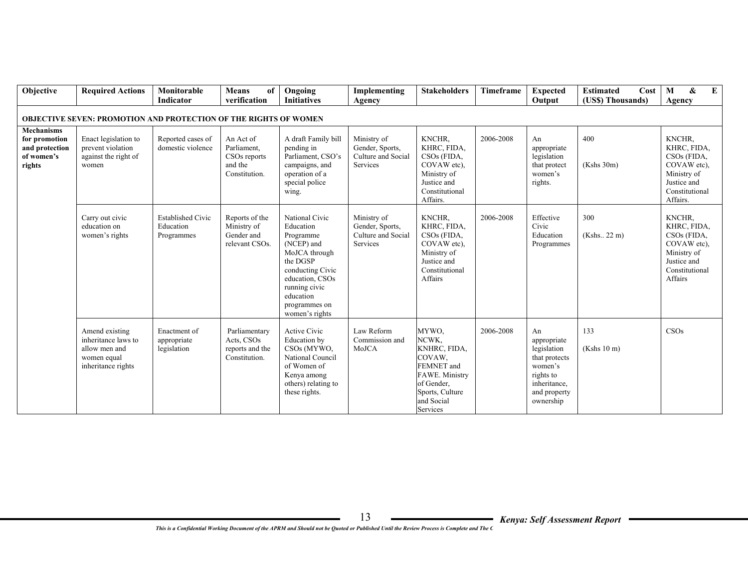| Objective                                                                    | <b>Required Actions</b>                                                                     | Monitorable<br><b>Indicator</b>                     | <b>Means</b><br>of<br>verification                                               | Ongoing<br><b>Initiatives</b>                                                                                                                                                               | Implementing<br>Agency                                           | <b>Stakeholders</b>                                                                                                                        | Timeframe | <b>Expected</b><br>Output                                                                                              | <b>Estimated</b><br>Cost<br>(US\$) Thousands) | $\boldsymbol{\&}$<br>M<br>E<br>Agency                                                                                      |
|------------------------------------------------------------------------------|---------------------------------------------------------------------------------------------|-----------------------------------------------------|----------------------------------------------------------------------------------|---------------------------------------------------------------------------------------------------------------------------------------------------------------------------------------------|------------------------------------------------------------------|--------------------------------------------------------------------------------------------------------------------------------------------|-----------|------------------------------------------------------------------------------------------------------------------------|-----------------------------------------------|----------------------------------------------------------------------------------------------------------------------------|
|                                                                              | <b>OBJECTIVE SEVEN: PROMOTION AND PROTECTION OF THE RIGHTS OF WOMEN</b>                     |                                                     |                                                                                  |                                                                                                                                                                                             |                                                                  |                                                                                                                                            |           |                                                                                                                        |                                               |                                                                                                                            |
| <b>Mechanisms</b><br>for promotion<br>and protection<br>of women's<br>rights | Enact legislation to<br>prevent violation<br>against the right of<br>women                  | Reported cases of<br>domestic violence              | An Act of<br>Parliament.<br>CSO <sub>s</sub> reports<br>and the<br>Constitution. | A draft Family bill<br>pending in<br>Parliament, CSO's<br>campaigns, and<br>operation of a<br>special police<br>wing.                                                                       | Ministry of<br>Gender, Sports,<br>Culture and Social<br>Services | KNCHR.<br>KHRC, FIDA,<br>CSO <sub>s</sub> (FIDA,<br>COVAW etc).<br>Ministry of<br>Justice and<br>Constitutional<br>Affairs.                | 2006-2008 | An<br>appropriate<br>legislation<br>that protect<br>women's<br>rights.                                                 | 400<br>(Kshs 30m)                             | KNCHR.<br>KHRC, FIDA,<br>$CSOs$ (FIDA,<br>COVAW etc),<br>Ministry of<br>Justice and<br>Constitutional<br>Affairs.          |
|                                                                              | Carry out civic<br>education on<br>women's rights                                           | <b>Established Civic</b><br>Education<br>Programmes | Reports of the<br>Ministry of<br>Gender and<br>relevant CSOs.                    | National Civic<br>Education<br>Programme<br>(NCEP) and<br>MoJCA through<br>the DGSP<br>conducting Civic<br>education, CSOs<br>running civic<br>education<br>programmes on<br>women's rights | Ministry of<br>Gender, Sports,<br>Culture and Social<br>Services | KNCHR.<br>KHRC, FIDA,<br>CSO <sub>s</sub> (FIDA,<br>COVAW etc).<br>Ministry of<br>Justice and<br>Constitutional<br>Affairs                 | 2006-2008 | Effective<br>Civic<br>Education<br>Programmes                                                                          | 300<br>(Kshs., 22 m)                          | KNCHR.<br>KHRC, FIDA,<br>CSO <sub>s</sub> (FIDA,<br>COVAW etc),<br>Ministry of<br>Justice and<br>Constitutional<br>Affairs |
|                                                                              | Amend existing<br>inheritance laws to<br>allow men and<br>women equal<br>inheritance rights | Enactment of<br>appropriate<br>legislation          | Parliamentary<br>Acts, CSOs<br>reports and the<br>Constitution.                  | Active Civic<br>Education by<br>CSOs (MYWO,<br>National Council<br>of Women of<br>Kenya among<br>others) relating to<br>these rights.                                                       | Law Reform<br>Commission and<br>MoJCA                            | MYWO,<br>NCWK,<br>KNHRC, FIDA,<br>COVAW,<br>FEMNET and<br><b>FAWE. Ministry</b><br>of Gender.<br>Sports, Culture<br>and Social<br>Services | 2006-2008 | An<br>appropriate<br>legislation<br>that protects<br>women's<br>rights to<br>inheritance,<br>and property<br>ownership | 133<br>(Kshs 10 m)                            | CSOs                                                                                                                       |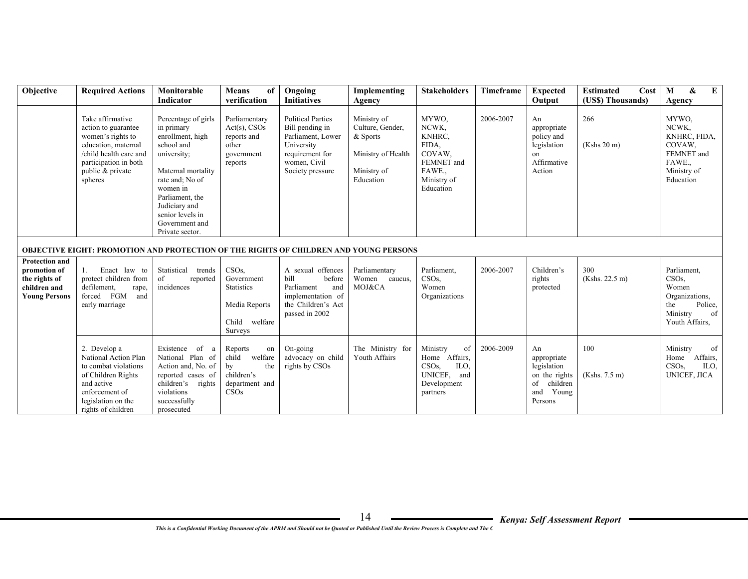| Objective                                                                                      | <b>Required Actions</b>                                                                                                                                               | Monitorable                                                                                                                                                                                                                                       | <b>Means</b><br>of<br>verification                                                                  | Ongoing                                                                                                                                                     | Implementing                                                                                            | <b>Stakeholders</b>                                                                                      | <b>Timeframe</b> | <b>Expected</b>                                                                                | Cost<br><b>Estimated</b>                | $\bf{E}$<br>$\boldsymbol{\&}$<br>M                                                                               |
|------------------------------------------------------------------------------------------------|-----------------------------------------------------------------------------------------------------------------------------------------------------------------------|---------------------------------------------------------------------------------------------------------------------------------------------------------------------------------------------------------------------------------------------------|-----------------------------------------------------------------------------------------------------|-------------------------------------------------------------------------------------------------------------------------------------------------------------|---------------------------------------------------------------------------------------------------------|----------------------------------------------------------------------------------------------------------|------------------|------------------------------------------------------------------------------------------------|-----------------------------------------|------------------------------------------------------------------------------------------------------------------|
|                                                                                                | Take affirmative<br>action to guarantee<br>women's rights to<br>education, maternal<br>/child health care and<br>participation in both<br>public & private<br>spheres | Indicator<br>Percentage of girls<br>in primary<br>enrollment, high<br>school and<br>university;<br>Maternal mortality<br>rate and; No of<br>women in<br>Parliament, the<br>Judiciary and<br>senior levels in<br>Government and<br>Private sector. | Parliamentary<br>$Act(s)$ , CSOs<br>reports and<br>other<br>government<br>reports                   | <b>Initiatives</b><br><b>Political Parties</b><br>Bill pending in<br>Parliament, Lower<br>University<br>requirement for<br>women, Civil<br>Society pressure | Agency<br>Ministry of<br>Culture, Gender,<br>& Sports<br>Ministry of Health<br>Ministry of<br>Education | MYWO.<br>NCWK,<br>KNHRC.<br>FIDA.<br>COVAW.<br>FEMNET and<br>FAWE.<br>Ministry of<br>Education           | 2006-2007        | Output<br>An<br>appropriate<br>policy and<br>legislation<br>on<br>Affirmative<br>Action        | (US\$) Thousands)<br>266<br>(Kshs 20 m) | Agency<br>MYWO.<br>NCWK,<br>KNHRC, FIDA,<br>COVAW.<br>FEMNET and<br>FAWE.<br>Ministry of<br>Education            |
|                                                                                                | <b>OBJECTIVE EIGHT: PROMOTION AND PROTECTION OF THE RIGHTS OF CHILDREN AND YOUNG PERSONS</b>                                                                          |                                                                                                                                                                                                                                                   |                                                                                                     |                                                                                                                                                             |                                                                                                         |                                                                                                          |                  |                                                                                                |                                         |                                                                                                                  |
| <b>Protection and</b><br>promotion of<br>the rights of<br>children and<br><b>Young Persons</b> | Enact law to<br>protect children from<br>defilement,<br>rape,<br>forced FGM<br>and<br>early marriage                                                                  | Statistical trends<br>of<br>reported<br>incidences                                                                                                                                                                                                | CSO <sub>s</sub><br>Government<br><b>Statistics</b><br>Media Reports<br>Child<br>welfare<br>Surveys | A sexual offences<br>bill<br>before<br>Parliament<br>and<br>implementation of<br>the Children's Act<br>passed in 2002                                       | Parliamentary<br>Women caucus,<br>MOJ&CA                                                                | Parliament,<br>CSO <sub>s</sub><br>Women<br>Organizations                                                | 2006-2007        | Children's<br>rights<br>protected                                                              | 300<br>(Kshs. 22.5 m)                   | Parliament,<br>CSO <sub>s</sub><br>Women<br>Organizations,<br>Police,<br>the<br>Ministry<br>of<br>Youth Affairs, |
|                                                                                                | 2. Develop a<br>National Action Plan<br>to combat violations<br>of Children Rights<br>and active<br>enforcement of<br>legislation on the<br>rights of children        | Existence of a<br>National Plan of<br>Action and, No. of<br>reported cases of<br>children's rights<br>violations<br>successfully<br>prosecuted                                                                                                    | Reports<br>on<br>welfare<br>child<br>the<br>by<br>children's<br>department and<br>CSOs              | On-going<br>advocacy on child<br>rights by CSOs                                                                                                             | The Ministry for<br>Youth Affairs                                                                       | Ministry<br>of<br>Home Affairs,<br>CSO <sub>s</sub><br>ILO.<br>UNICEF,<br>and<br>Development<br>partners | 2006-2009        | An<br>appropriate<br>legislation<br>on the rights<br>of<br>children<br>Young<br>and<br>Persons | 100<br>(Kshs. 7.5 m)                    | of<br>Ministry<br>Home<br>Affairs,<br>CSO <sub>s</sub><br>ILO.<br>UNICEF, JICA                                   |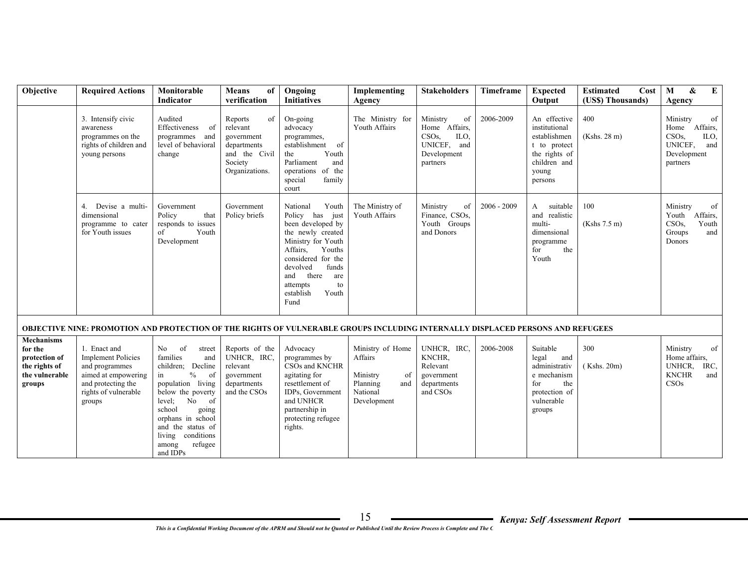| Objective                                                                                  | <b>Required Actions</b>                                                                                                                    | Monitorable<br><b>Indicator</b>                                                                                                                                                                                                                                              | <b>Means</b><br>of<br>verification                                                                   | Ongoing<br><b>Initiatives</b>                                                                                                                                                                                                                   | Implementing<br>Agency                                                                      | <b>Stakeholders</b>                                                                                   | Timeframe     | <b>Expected</b><br>Output                                                                                          | <b>Estimated</b><br>Cost<br>(US\$) Thousands) | &<br>E<br>M<br>Agency                                                                                    |
|--------------------------------------------------------------------------------------------|--------------------------------------------------------------------------------------------------------------------------------------------|------------------------------------------------------------------------------------------------------------------------------------------------------------------------------------------------------------------------------------------------------------------------------|------------------------------------------------------------------------------------------------------|-------------------------------------------------------------------------------------------------------------------------------------------------------------------------------------------------------------------------------------------------|---------------------------------------------------------------------------------------------|-------------------------------------------------------------------------------------------------------|---------------|--------------------------------------------------------------------------------------------------------------------|-----------------------------------------------|----------------------------------------------------------------------------------------------------------|
|                                                                                            | 3. Intensify civic<br>awareness<br>programmes on the<br>rights of children and<br>young persons                                            | Audited<br>Effectiveness<br>- of<br>programmes and<br>level of behavioral<br>change                                                                                                                                                                                          | Reports<br>of<br>relevant<br>government<br>departments<br>and the Civil<br>Society<br>Organizations. | On-going<br>advocacy<br>programmes,<br>establishment of<br>the<br>Youth<br>Parliament<br>and<br>operations of the<br>special<br>family<br>court                                                                                                 | The Ministry for<br>Youth Affairs                                                           | Ministry<br>of<br>Home Affairs,<br>CSO <sub>s</sub><br>ILO.<br>UNICEF, and<br>Development<br>partners | 2006-2009     | An effective<br>institutional<br>establishmen<br>t to protect<br>the rights of<br>children and<br>young<br>persons | 400<br>(Kshs. 28 m)                           | of<br>Ministry<br>Affairs,<br>Home<br>CSO <sub>s</sub><br>ILO.<br>UNICEF, and<br>Development<br>partners |
|                                                                                            | Devise a multi-<br>4.<br>dimensional<br>programme to cater<br>for Youth issues                                                             | Government<br>Policy<br>that<br>responds to issues<br>of<br>Youth<br>Development                                                                                                                                                                                             | Government<br>Policy briefs                                                                          | Youth<br>National<br>Policy has<br>just<br>been developed by<br>the newly created<br>Ministry for Youth<br>Affairs.<br>Youths<br>considered for the<br>devolved<br>funds<br>there<br>and<br>are<br>attempts<br>to<br>establish<br>Youth<br>Fund | The Ministry of<br>Youth Affairs                                                            | Ministry<br>of<br>Finance, CSOs,<br>Youth Groups<br>and Donors                                        | $2006 - 2009$ | suitable<br>A<br>and realistic<br>multi-<br>dimensional<br>programme<br>the<br>for<br>Youth                        | 100<br>(Kshs 7.5 m)                           | Ministry<br>of<br>Youth Affairs,<br>CSO <sub>s</sub><br>Youth<br>Groups<br>and<br><b>Donors</b>          |
|                                                                                            | OBJECTIVE NINE: PROMOTION AND PROTECTION OF THE RIGHTS OF VULNERABLE GROUPS INCLUDING INTERNALLY DISPLACED PERSONS AND REFUGEES            |                                                                                                                                                                                                                                                                              |                                                                                                      |                                                                                                                                                                                                                                                 |                                                                                             |                                                                                                       |               |                                                                                                                    |                                               |                                                                                                          |
| <b>Mechanisms</b><br>for the<br>protection of<br>the rights of<br>the vulnerable<br>groups | 1. Enact and<br><b>Implement Policies</b><br>and programmes<br>aimed at empowering<br>and protecting the<br>rights of vulnerable<br>groups | N <sub>0</sub><br>of<br>street<br>families<br>and<br>children; Decline<br>$\%$<br>of<br>in<br>population living<br>below the poverty<br>level:<br>No<br>of<br>school<br>going<br>orphans in school<br>and the status of<br>living conditions<br>refugee<br>among<br>and IDPs | Reports of the<br>UNHCR, IRC,<br>relevant<br>government<br>departments<br>and the CSOs               | Advocacy<br>programmes by<br>CSOs and KNCHR<br>agitating for<br>resettlement of<br>IDPs, Government<br>and UNHCR<br>partnership in<br>protecting refugee<br>rights.                                                                             | Ministry of Home<br>Affairs<br>Ministry<br>0f<br>Planning<br>and<br>National<br>Development | UNHCR, IRC,<br>KNCHR.<br>Relevant<br>government<br>departments<br>and CSOs                            | 2006-2008     | Suitable<br>legal<br>and<br>administrativ<br>e mechanism<br>for<br>the<br>protection of<br>vulnerable<br>groups    | 300<br>(Kshs. 20m)                            | Ministry<br>of<br>Home affairs,<br>UNHCR,<br>IRC,<br><b>KNCHR</b><br>and<br>CSOs                         |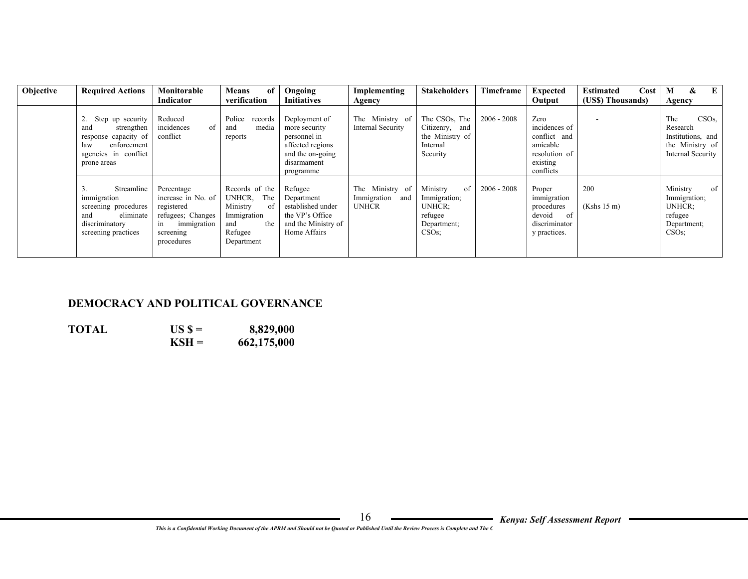| Objective | <b>Required Actions</b>                                                                                                    | Monitorable                                                                                                         | <b>Means</b><br>of                                                                                      | Ongoing                                                                                                            | Implementing                                          | <b>Stakeholders</b>                                                           | <b>Timeframe</b> | <b>Expected</b>                                                                             | Cost<br><b>Estimated</b> | $\bf{E}$<br>&<br>M                                                                    |
|-----------|----------------------------------------------------------------------------------------------------------------------------|---------------------------------------------------------------------------------------------------------------------|---------------------------------------------------------------------------------------------------------|--------------------------------------------------------------------------------------------------------------------|-------------------------------------------------------|-------------------------------------------------------------------------------|------------------|---------------------------------------------------------------------------------------------|--------------------------|---------------------------------------------------------------------------------------|
|           |                                                                                                                            | Indicator                                                                                                           | verification                                                                                            | <b>Initiatives</b>                                                                                                 | Agency                                                |                                                                               |                  | Output                                                                                      | (US\$) Thousands)        | Agency                                                                                |
|           | Step up security<br>strengthen<br>and<br>response capacity of<br>enforcement<br>law<br>agencies in conflict<br>prone areas | Reduced<br>incidences<br>of<br>conflict                                                                             | Police<br>records<br>media<br>and<br>reports                                                            | Deployment of<br>more security<br>personnel in<br>affected regions<br>and the on-going<br>disarmament<br>programme | The Ministry of<br>Internal Security                  | The CSOs, The<br>Citizenry,<br>and<br>the Ministry of<br>Internal<br>Security | $2006 - 2008$    | Zero<br>incidences of<br>conflict and<br>amicable<br>resolution of<br>existing<br>conflicts |                          | CSOs.<br>The<br>Research<br>Institutions, and<br>the Ministry of<br>Internal Security |
|           | Streamline<br>immigration<br>screening procedures<br>eliminate<br>and<br>discriminatory<br>screening practices             | Percentage<br>increase in No. of<br>registered<br>refugees; Changes<br>immigration<br>1n<br>screening<br>procedures | Records of the<br>The<br>UNHCR.<br>Ministry<br>of<br>Immigration<br>and<br>the<br>Refugee<br>Department | Refugee<br>Department<br>established under<br>the VP's Office<br>and the Ministry of<br>Home Affairs               | The Ministry of<br>Immigration<br>and<br><b>UNHCR</b> | of<br>Ministry<br>Immigration;<br>UNHCR:<br>refugee<br>Department;<br>CSOs    | $2006 - 2008$    | Proper<br>immigration<br>procedures<br>devoid<br>- of<br>discriminator<br>y practices.      | 200<br>(Kshs 15 m)       | Ministry<br>of<br>Immigration;<br>UNHCR:<br>refugee<br>Department;<br>CSOs            |

### **DEMOCRACY AND POLITICAL GOVERNANCE**

**TOTAL** US  $\$ =$  8,829,000<br>**KSH** = 662,175,000  **KSH = 662,175,000**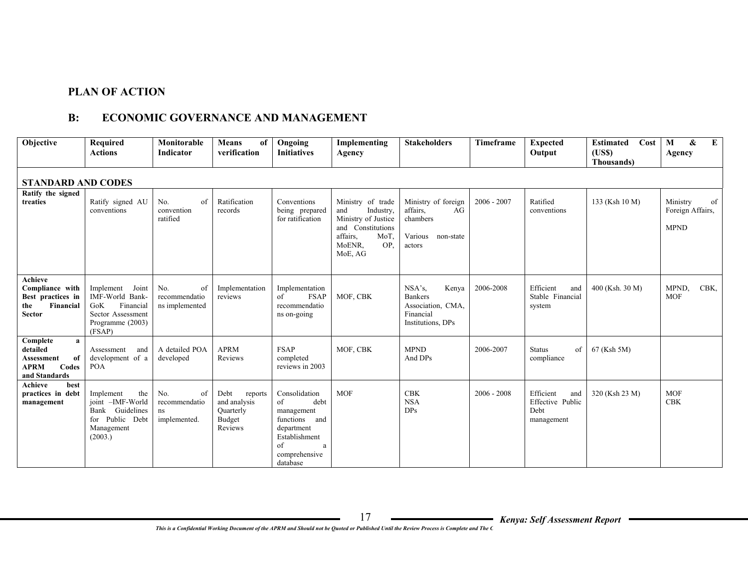## **PLAN OF ACTION**

## **B: ECONOMIC GOVERNANCE AND MANAGEMENT**

| Objective                                                                                         | <b>Required</b><br><b>Actions</b>                                                                            | Monitorable<br><b>Indicator</b>                  | <b>Means</b><br>of<br>verification                                | Ongoing<br><b>Initiatives</b>                                                                                                     | Implementing<br>Agency                                                                                                            | <b>Stakeholders</b>                                                                         | Timeframe     | <b>Expected</b><br>Output                                  | <b>Estimated</b><br>Cost<br>(US\$)<br>Thousands) | $\bf{E}$<br>&<br>M<br><b>Agency</b>               |
|---------------------------------------------------------------------------------------------------|--------------------------------------------------------------------------------------------------------------|--------------------------------------------------|-------------------------------------------------------------------|-----------------------------------------------------------------------------------------------------------------------------------|-----------------------------------------------------------------------------------------------------------------------------------|---------------------------------------------------------------------------------------------|---------------|------------------------------------------------------------|--------------------------------------------------|---------------------------------------------------|
| <b>STANDARD AND CODES</b>                                                                         |                                                                                                              |                                                  |                                                                   |                                                                                                                                   |                                                                                                                                   |                                                                                             |               |                                                            |                                                  |                                                   |
| Ratify the signed<br>treaties                                                                     | Ratify signed AU<br>conventions                                                                              | No.<br>of<br>convention<br>ratified              | Ratification<br>records                                           | Conventions<br>being prepared<br>for ratification                                                                                 | Ministry of trade<br>Industry,<br>and<br>Ministry of Justice<br>and Constitutions<br>affairs,<br>MoT.<br>MoENR,<br>OP.<br>MoE, AG | Ministry of foreign<br>affairs.<br>AG<br>chambers<br>Various<br>non-state<br>actors         | $2006 - 2007$ | Ratified<br>conventions                                    | 133 (Ksh 10 M)                                   | Ministry<br>of<br>Foreign Affairs,<br><b>MPND</b> |
| Achieve<br>Compliance with<br>Best practices in<br>Financial<br>the<br><b>Sector</b>              | Implement<br>Joint<br>IMF-World Bank-<br>GoK<br>Financial<br>Sector Assessment<br>Programme (2003)<br>(FSAP) | No.<br>of<br>recommendatio<br>ns implemented     | Implementation<br>reviews                                         | Implementation<br>of<br><b>FSAP</b><br>recommendatio<br>ns on-going                                                               | MOF, CBK                                                                                                                          | $NSA's$ ,<br>Kenya<br><b>Bankers</b><br>Association, CMA,<br>Financial<br>Institutions, DPs | 2006-2008     | Efficient<br>and<br>Stable Financial<br>system             | 400 (Ksh. 30 M)                                  | MPND,<br>CBK,<br><b>MOF</b>                       |
| Complete<br>$\mathbf{a}$<br>detailed<br>of<br>Assessment<br><b>APRM</b><br>Codes<br>and Standards | Assessment<br>and<br>development of a<br><b>POA</b>                                                          | A detailed POA<br>developed                      | <b>APRM</b><br>Reviews                                            | <b>FSAP</b><br>completed<br>reviews in 2003                                                                                       | MOF, CBK                                                                                                                          | <b>MPND</b><br>And DPs                                                                      | 2006-2007     | <b>Status</b><br>of<br>compliance                          | 67 (Ksh 5M)                                      |                                                   |
| Achieve<br>best<br>practices in debt<br>management                                                | Implement<br>the<br>joint -IMF-World<br>Bank Guidelines<br>for Public Debt<br>Management<br>(2003.)          | No.<br>of<br>recommendatio<br>ns<br>implemented. | Debt<br>reports<br>and analysis<br>Quarterly<br>Budget<br>Reviews | Consolidation<br>debt<br>of<br>management<br>functions and<br>department<br>Establishment<br>of<br>a<br>comprehensive<br>database | <b>MOF</b>                                                                                                                        | <b>CBK</b><br><b>NSA</b><br><b>DPs</b>                                                      | $2006 - 2008$ | Efficient<br>and<br>Effective Public<br>Debt<br>management | 320 (Ksh 23 M)                                   | <b>MOF</b><br><b>CBK</b>                          |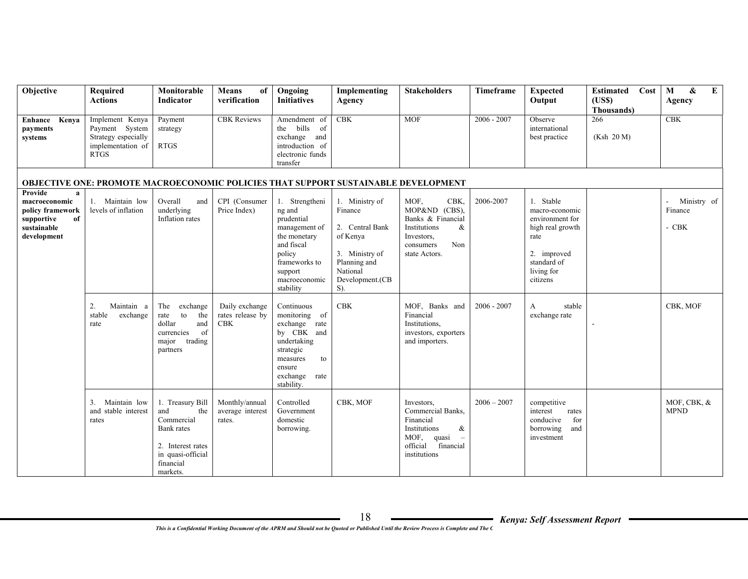| Objective                                                                                                      | Required<br><b>Actions</b>                                                                   | Monitorable<br>Indicator                                                                                                      | <b>Means</b><br>of<br>verification               | Ongoing<br><b>Initiatives</b>                                                                                                                             | Implementing<br>Agency                                                                                                           | <b>Stakeholders</b>                                                                                                                                     | Timeframe     | <b>Expected</b><br>Output                                                                                                          | <b>Estimated</b><br>Cost<br>(USS)<br>Thousands) | &<br>$\bf{E}$<br>M<br>Agency      |
|----------------------------------------------------------------------------------------------------------------|----------------------------------------------------------------------------------------------|-------------------------------------------------------------------------------------------------------------------------------|--------------------------------------------------|-----------------------------------------------------------------------------------------------------------------------------------------------------------|----------------------------------------------------------------------------------------------------------------------------------|---------------------------------------------------------------------------------------------------------------------------------------------------------|---------------|------------------------------------------------------------------------------------------------------------------------------------|-------------------------------------------------|-----------------------------------|
| <b>Enhance Kenya</b><br>payments<br>systems                                                                    | Implement Kenya<br>Payment System<br>Strategy especially<br>implementation of<br><b>RTGS</b> | Payment<br>strategy<br><b>RTGS</b>                                                                                            | <b>CBK</b> Reviews                               | Amendment of<br>the bills of<br>exchange<br>and<br>introduction of<br>electronic funds<br>transfer                                                        | CBK                                                                                                                              | MOF                                                                                                                                                     | $2006 - 2007$ | Observe<br>international<br>best practice                                                                                          | 266<br>(Ksh 20 M)                               | CBK                               |
|                                                                                                                | <b>OBJECTIVE ONE: PROMOTE MACROECONOMIC POLICIES THAT SUPPORT SUSTAINABLE DEVELOPMENT</b>    |                                                                                                                               |                                                  |                                                                                                                                                           |                                                                                                                                  |                                                                                                                                                         |               |                                                                                                                                    |                                                 |                                   |
| Provide<br>$\mathbf{a}$<br>macroeconomic<br>policy framework<br>supportive<br>of<br>sustainable<br>development | 1. Maintain low<br>levels of inflation                                                       | Overall<br>and<br>underlying<br>Inflation rates                                                                               | CPI (Consumer<br>Price Index)                    | 1. Strengtheni<br>ng and<br>prudential<br>management of<br>the monetary<br>and fiscal<br>policy<br>frameworks to<br>support<br>macroeconomic<br>stability | 1. Ministry of<br>Finance<br>2. Central Bank<br>of Kenya<br>3. Ministry of<br>Planning and<br>National<br>Development.(CB<br>S). | MOF.<br>CBK.<br>MOP&ND (CBS),<br>Banks & Financial<br>Institutions<br>&<br>Investors,<br>Non<br>consumers<br>state Actors.                              | 2006-2007     | 1. Stable<br>macro-economic<br>environment for<br>high real growth<br>rate<br>2. improved<br>standard of<br>living for<br>citizens |                                                 | Ministry of<br>Finance<br>$-$ CBK |
|                                                                                                                | 2.<br>Maintain a<br>exchange<br>stable<br>rate                                               | The<br>exchange<br>to<br>the<br>rate<br>dollar<br>and<br>of<br>currencies<br>trading<br>major<br>partners                     | Daily exchange<br>rates release by<br><b>CBK</b> | Continuous<br>monitoring<br>of<br>exchange rate<br>by CBK and<br>undertaking<br>strategic<br>measures<br>to<br>ensure<br>exchange<br>rate<br>stability.   | <b>CBK</b>                                                                                                                       | MOF, Banks and<br>Financial<br>Institutions,<br>investors, exporters<br>and importers.                                                                  | $2006 - 2007$ | stable<br>A<br>exchange rate                                                                                                       |                                                 | CBK, MOF                          |
|                                                                                                                | Maintain low<br>3.<br>and stable interest<br>rates                                           | 1. Treasury Bill<br>and<br>the<br>Commercial<br>Bank rates<br>2. Interest rates<br>in quasi-official<br>financial<br>markets. | Monthly/annual<br>average interest<br>rates.     | Controlled<br>Government<br>domestic<br>borrowing.                                                                                                        | CBK, MOF                                                                                                                         | Investors,<br>Commercial Banks.<br>Financial<br>Institutions<br>&<br>MOF,<br>quasi<br>$\overline{\phantom{a}}$<br>official<br>financial<br>institutions | $2006 - 2007$ | competitive<br>interest<br>rates<br>conducive<br>for<br>borrowing<br>and<br>investment                                             |                                                 | MOF, CBK, &<br><b>MPND</b>        |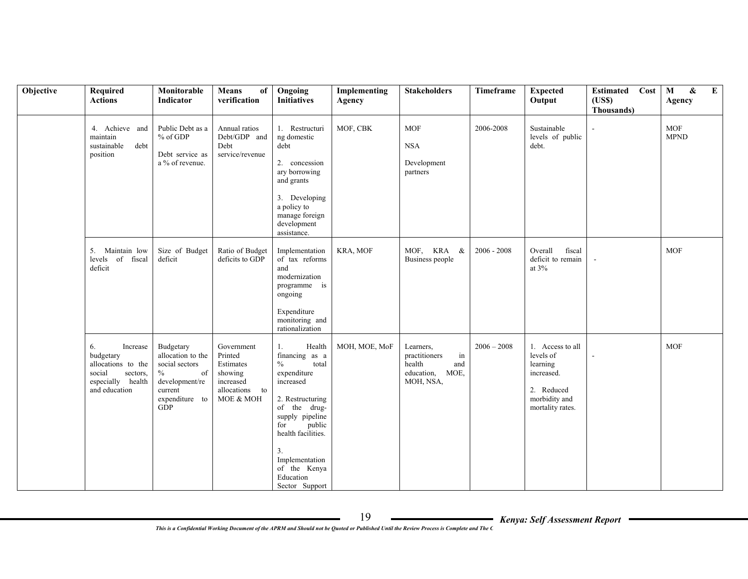| Objective | Required<br><b>Actions</b>                                                                                    | Monitorable<br>Indicator                                                                                                    | <b>Means</b><br>of<br>verification                                                        | Ongoing<br><b>Initiatives</b>                                                                                                                                                                                                                             | Implementing<br><b>Agency</b> | <b>Stakeholders</b>                                                                  | Timeframe     | <b>Expected</b><br>Output                                                                                  | <b>Estimated</b> Cost<br>(USS)<br>Thousands) | E<br>$\mathbf{M}$<br>&<br>Agency |
|-----------|---------------------------------------------------------------------------------------------------------------|-----------------------------------------------------------------------------------------------------------------------------|-------------------------------------------------------------------------------------------|-----------------------------------------------------------------------------------------------------------------------------------------------------------------------------------------------------------------------------------------------------------|-------------------------------|--------------------------------------------------------------------------------------|---------------|------------------------------------------------------------------------------------------------------------|----------------------------------------------|----------------------------------|
|           | 4. Achieve and<br>maintain<br>debt<br>sustainable<br>position                                                 | Public Debt as a<br>% of GDP<br>Debt service as<br>a % of revenue.                                                          | Annual ratios<br>Debt/GDP and<br>Debt<br>service/revenue                                  | 1. Restructuri<br>ng domestic<br>debt<br>2. concession<br>ary borrowing<br>and grants<br>3. Developing<br>a policy to<br>manage foreign<br>development<br>assistance.                                                                                     | MOF, CBK                      | <b>MOF</b><br><b>NSA</b><br>Development<br>partners                                  | 2006-2008     | Sustainable<br>levels of public<br>debt.                                                                   |                                              | <b>MOF</b><br><b>MPND</b>        |
|           | 5. Maintain low<br>levels of fiscal<br>deficit                                                                | Size of Budget<br>deficit                                                                                                   | Ratio of Budget<br>deficits to GDP                                                        | Implementation<br>of tax reforms<br>and<br>modernization<br>programme is<br>ongoing<br>Expenditure<br>monitoring and<br>rationalization                                                                                                                   | KRA, MOF                      | MOF, KRA &<br>Business people                                                        | $2006 - 2008$ | Overall<br>fiscal<br>deficit to remain<br>at 3%                                                            |                                              | <b>MOF</b>                       |
|           | 6.<br>Increase<br>budgetary<br>allocations to the<br>social<br>sectors,<br>especially health<br>and education | Budgetary<br>allocation to the<br>social sectors<br>$\%$<br>of<br>development/re<br>current<br>expenditure to<br><b>GDP</b> | Government<br>Printed<br>Estimates<br>showing<br>increased<br>allocations to<br>MOE & MOH | Health<br>1.<br>financing as a<br>$\frac{0}{0}$<br>total<br>expenditure<br>increased<br>2. Restructuring<br>of the drug-<br>supply pipeline<br>public<br>for<br>health facilities.<br>3.<br>Implementation<br>of the Kenya<br>Education<br>Sector Support | MOH, MOE, MoF                 | Learners,<br>practitioners<br>in<br>health<br>and<br>education,<br>MOE,<br>MOH, NSA, | $2006 - 2008$ | 1. Access to all<br>levels of<br>learning<br>increased.<br>2. Reduced<br>morbidity and<br>mortality rates. |                                              | <b>MOF</b>                       |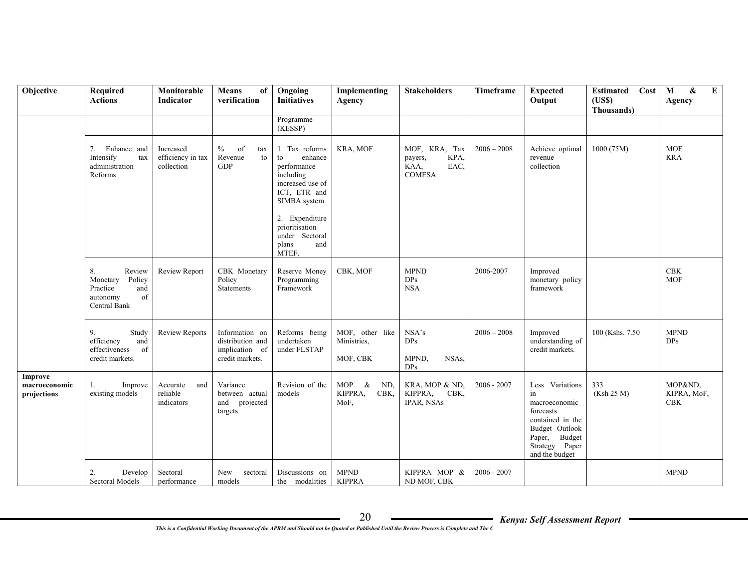| Objective                               | Required<br><b>Actions</b>                                                              | Monitorable<br><b>Indicator</b>              | <b>Means</b><br>of<br>verification                                      | Ongoing<br><b>Initiatives</b>                                                                                                                                                                   | Implementing<br>Agency                                   | <b>Stakeholders</b>                                               | Timeframe     | <b>Expected</b><br>Output                                                                                                                      | <b>Estimated</b><br>Cost<br>(USS)<br>Thousands) | M<br>&<br>${\bf E}$<br>Agency |
|-----------------------------------------|-----------------------------------------------------------------------------------------|----------------------------------------------|-------------------------------------------------------------------------|-------------------------------------------------------------------------------------------------------------------------------------------------------------------------------------------------|----------------------------------------------------------|-------------------------------------------------------------------|---------------|------------------------------------------------------------------------------------------------------------------------------------------------|-------------------------------------------------|-------------------------------|
|                                         |                                                                                         |                                              |                                                                         | Programme<br>(KESSP)                                                                                                                                                                            |                                                          |                                                                   |               |                                                                                                                                                |                                                 |                               |
|                                         | 7.<br>Enhance and<br>Intensify<br>tax<br>administration<br>Reforms                      | Increased<br>efficiency in tax<br>collection | $\%$<br>of<br>tax<br>Revenue<br>to<br><b>GDP</b>                        | 1. Tax reforms<br>enhance<br>to<br>performance<br>including<br>increased use of<br>ICT, ETR and<br>SIMBA system.<br>2. Expenditure<br>prioritisation<br>under Sectoral<br>and<br>plans<br>MTEF. | KRA, MOF                                                 | MOF, KRA, Tax<br>KPA,<br>payers,<br>KAA,<br>EAC,<br><b>COMESA</b> | $2006 - 2008$ | Achieve optimal<br>revenue<br>collection                                                                                                       | 1000 (75M)                                      | <b>MOF</b><br><b>KRA</b>      |
|                                         | 8.<br>Review<br>Monetary<br>Policy<br>Practice<br>and<br>of<br>autonomy<br>Central Bank | Review Report                                | CBK Monetary<br>Policy<br>Statements                                    | Reserve Money<br>Programming<br>Framework                                                                                                                                                       | CBK, MOF                                                 | <b>MPND</b><br>DPs<br><b>NSA</b>                                  | 2006-2007     | Improved<br>monetary policy<br>framework                                                                                                       |                                                 | $\rm{CBK}$<br><b>MOF</b>      |
|                                         | Study<br>9.<br>efficiency<br>and<br>effectiveness<br>of<br>credit markets.              | <b>Review Reports</b>                        | Information on<br>distribution and<br>implication of<br>credit markets. | Reforms being<br>undertaken<br>under FLSTAP                                                                                                                                                     | MOF, other like<br>Ministries,<br>MOF, CBK               | NSA's<br>DPs<br>MPND,<br>NSAs,<br>DPs                             | $2006 - 2008$ | Improved<br>understanding of<br>credit markets.                                                                                                | 100 (Kshs. 7.50)                                | <b>MPND</b><br>DPs            |
| Improve<br>macroeconomic<br>projections | Improve<br>1.<br>existing models                                                        | Accurate<br>and<br>reliable<br>indicators    | Variance<br>between actual<br>and projected<br>targets                  | Revision of the<br>models                                                                                                                                                                       | <b>MOP</b><br>$\alpha$<br>ND.<br>KIPPRA,<br>CBK,<br>MoF, | KRA, MOP & ND.<br>KIPPRA,<br>CBK,<br>IPAR, NSAs                   | $2006 - 2007$ | Less Variations<br>in<br>macroeconomic<br>forecasts<br>contained in the<br>Budget Outlook<br>Paper, Budget<br>Strategy Paper<br>and the budget | 333<br>(Ksh 25 M)                               | MOP&ND.<br>KIPRA, MoF,<br>CBK |
|                                         | 2.<br>Develop<br>Sectoral Models                                                        | Sectoral<br>performance                      | New<br>sectoral<br>models                                               | Discussions on<br>the modalities                                                                                                                                                                | <b>MPND</b><br><b>KIPPRA</b>                             | KIPPRA MOP &<br>ND MOF, CBK                                       | $2006 - 2007$ |                                                                                                                                                |                                                 | <b>MPND</b>                   |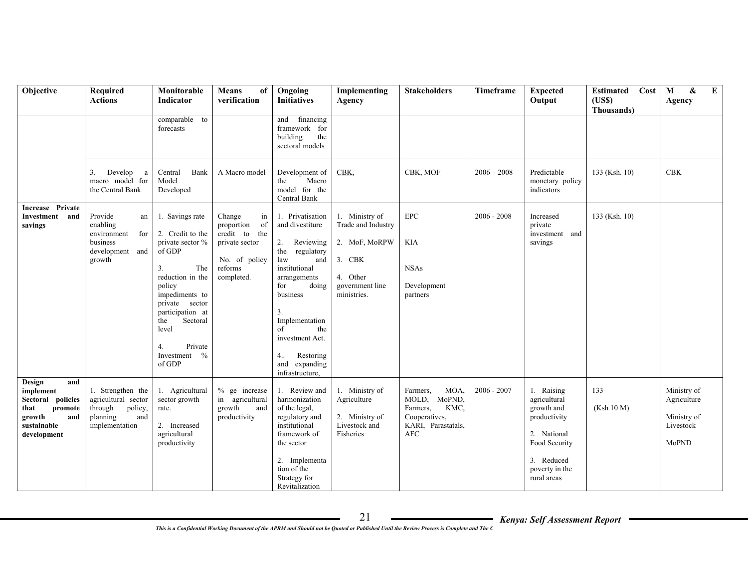| Objective                                                                                                         | Required<br><b>Actions</b>                                                                          | Monitorable<br>Indicator                                                                                                                                                                                                                    | <b>Means</b><br>of<br>verification                                                                            | Ongoing<br><b>Initiatives</b>                                                                                                                                                                                                                                       | Implementing<br>Agency                                                                                        | <b>Stakeholders</b>                                                                                          | Timeframe     | <b>Expected</b><br>Output                                                                                                               | Cost<br><b>Estimated</b><br>(USS)<br>Thousands) | E<br>$\mathbf M$<br>&<br>Agency                                 |
|-------------------------------------------------------------------------------------------------------------------|-----------------------------------------------------------------------------------------------------|---------------------------------------------------------------------------------------------------------------------------------------------------------------------------------------------------------------------------------------------|---------------------------------------------------------------------------------------------------------------|---------------------------------------------------------------------------------------------------------------------------------------------------------------------------------------------------------------------------------------------------------------------|---------------------------------------------------------------------------------------------------------------|--------------------------------------------------------------------------------------------------------------|---------------|-----------------------------------------------------------------------------------------------------------------------------------------|-------------------------------------------------|-----------------------------------------------------------------|
|                                                                                                                   |                                                                                                     | comparable to<br>forecasts                                                                                                                                                                                                                  |                                                                                                               | and financing<br>framework for<br>building<br>the<br>sectoral models                                                                                                                                                                                                |                                                                                                               |                                                                                                              |               |                                                                                                                                         |                                                 |                                                                 |
|                                                                                                                   | Develop<br>3.<br>a<br>macro model for<br>the Central Bank                                           | Bank<br>Central<br>Model<br>Developed                                                                                                                                                                                                       | A Macro model                                                                                                 | Development of<br>Macro<br>the<br>model for the<br>Central Bank                                                                                                                                                                                                     | CBK.                                                                                                          | CBK, MOF                                                                                                     | $2006 - 2008$ | Predictable<br>monetary policy<br>indicators                                                                                            | 133 (Ksh. 10)                                   | <b>CBK</b>                                                      |
| Increase Private<br>Investment and<br>savings                                                                     | Provide<br>an<br>enabling<br>environment<br>for<br>business<br>development<br>and<br>growth         | 1. Savings rate<br>2. Credit to the<br>private sector %<br>of GDP<br>3.<br>The<br>reduction in the<br>policy<br>impediments to<br>private sector<br>participation at<br>Sectoral<br>the<br>level<br>Private<br>4.<br>Investment %<br>of GDP | Change<br>in<br>proportion<br>of<br>credit to the<br>private sector<br>No. of policy<br>reforms<br>completed. | 1. Privatisation<br>and divestiture<br>Reviewing<br>2.<br>the regulatory<br>law<br>and<br>institutional<br>arrangements<br>doing<br>for<br>business<br>3.<br>Implementation<br>of<br>the<br>investment Act.<br>4.1<br>Restoring<br>and expanding<br>infrastructure, | 1. Ministry of<br>Trade and Industry<br>2. MoF, MoRPW<br>3. CBK<br>4. Other<br>government line<br>ministries. | <b>EPC</b><br><b>KIA</b><br><b>NSAs</b><br>Development<br>partners                                           | $2006 - 2008$ | Increased<br>private<br>investment and<br>savings                                                                                       | 133 (Ksh. 10)                                   |                                                                 |
| and<br>Design<br>implement<br>Sectoral policies<br>that<br>promote<br>growth<br>and<br>sustainable<br>development | 1. Strengthen the<br>agricultural sector<br>through<br>policy,<br>planning<br>and<br>implementation | 1. Agricultural<br>sector growth<br>rate.<br>2. Increased<br>agricultural<br>productivity                                                                                                                                                   | $%$ ge increase<br>agricultural<br>in<br>growth<br>and<br>productivity                                        | 1. Review and<br>harmonization<br>of the legal,<br>regulatory and<br>institutional<br>framework of<br>the sector<br>2. Implementa<br>tion of the<br>Strategy for<br>Revitalization                                                                                  | 1. Ministry of<br>Agriculture<br>2. Ministry of<br>Livestock and<br>Fisheries                                 | MOA,<br>Farmers.<br>MoPND,<br>MOLD,<br>KMC,<br>Farmers,<br>Cooperatives,<br>KARI, Parastatals,<br><b>AFC</b> | $2006 - 2007$ | 1. Raising<br>agricultural<br>growth and<br>productivity<br>2. National<br>Food Security<br>3. Reduced<br>poverty in the<br>rural areas | 133<br>(Ksh 10 M)                               | Ministry of<br>Agriculture<br>Ministry of<br>Livestock<br>MoPND |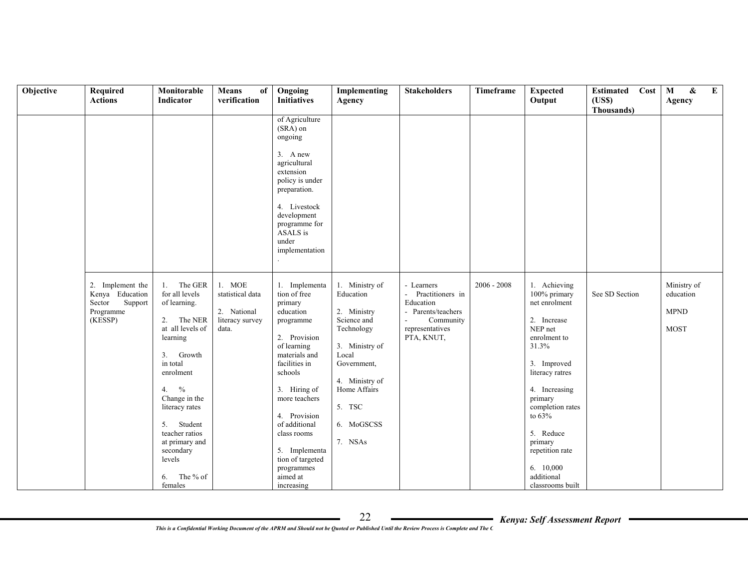| Objective | Required<br><b>Actions</b>                                                       | Monitorable<br>Indicator                                                                                                                                                                                                                                                                                     | <b>Means</b><br>of<br>verification                                    | Ongoing<br><b>Initiatives</b>                                                                                                                                                                                                                                                                                | Implementing<br>Agency                                                                                                                                                                 | <b>Stakeholders</b>                                                                                                                                      | Timeframe     | <b>Expected</b><br>Output                                                                                                                                                                                                                                                                 | Cost<br><b>Estimated</b><br>(USS) | E<br>$\mathbf{M}$<br>$\pmb{\&}$<br>Agency              |
|-----------|----------------------------------------------------------------------------------|--------------------------------------------------------------------------------------------------------------------------------------------------------------------------------------------------------------------------------------------------------------------------------------------------------------|-----------------------------------------------------------------------|--------------------------------------------------------------------------------------------------------------------------------------------------------------------------------------------------------------------------------------------------------------------------------------------------------------|----------------------------------------------------------------------------------------------------------------------------------------------------------------------------------------|----------------------------------------------------------------------------------------------------------------------------------------------------------|---------------|-------------------------------------------------------------------------------------------------------------------------------------------------------------------------------------------------------------------------------------------------------------------------------------------|-----------------------------------|--------------------------------------------------------|
|           |                                                                                  |                                                                                                                                                                                                                                                                                                              |                                                                       |                                                                                                                                                                                                                                                                                                              |                                                                                                                                                                                        |                                                                                                                                                          |               |                                                                                                                                                                                                                                                                                           | Thousands)                        |                                                        |
|           |                                                                                  |                                                                                                                                                                                                                                                                                                              |                                                                       | of Agriculture<br>$(SRA)$ on<br>ongoing<br>$3.$ A new<br>agricultural<br>extension<br>policy is under<br>preparation.<br>4. Livestock<br>development<br>programme for<br>ASALS is<br>under<br>implementation                                                                                                 |                                                                                                                                                                                        |                                                                                                                                                          |               |                                                                                                                                                                                                                                                                                           |                                   |                                                        |
|           | 2. Implement the<br>Kenya Education<br>Support<br>Sector<br>Programme<br>(KESSP) | The GER<br>1.<br>for all levels<br>of learning.<br>2. The NER<br>at all levels of<br>learning<br>Growth<br>3 <sub>1</sub><br>in total<br>enrolment<br>$\%$<br>4.<br>Change in the<br>literacy rates<br>Student<br>5.<br>teacher ratios<br>at primary and<br>secondary<br>levels<br>The % of<br>6.<br>females | 1. MOE<br>statistical data<br>2. National<br>literacy survey<br>data. | 1. Implementa<br>tion of free<br>primary<br>education<br>programme<br>2. Provision<br>of learning<br>materials and<br>facilities in<br>schools<br>3. Hiring of<br>more teachers<br>4. Provision<br>of additional<br>class rooms<br>5. Implementa<br>tion of targeted<br>programmes<br>aimed at<br>increasing | 1. Ministry of<br>Education<br>2. Ministry<br>Science and<br>Technology<br>3. Ministry of<br>Local<br>Government,<br>4. Ministry of<br>Home Affairs<br>5. TSC<br>6. MoGSCSS<br>7. NSAs | - Learners<br>Practitioners in<br>$\omega_{\rm{eff}}$<br>Education<br>- Parents/teachers<br>Community<br>$\blacksquare$<br>representatives<br>PTA, KNUT, | $2006 - 2008$ | 1. Achieving<br>100% primary<br>net enrolment<br>2. Increase<br>NEP net<br>enrolment to<br>31.3%<br>3. Improved<br>literacy ratres<br>4. Increasing<br>primary<br>completion rates<br>to $63\%$<br>5. Reduce<br>primary<br>repetition rate<br>6. 10,000<br>additional<br>classrooms built | See SD Section                    | Ministry of<br>education<br><b>MPND</b><br><b>MOST</b> |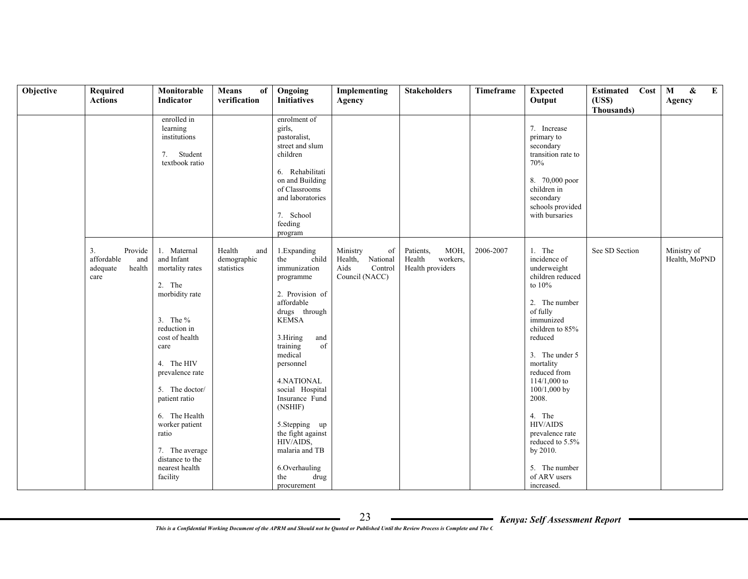| Objective | Required<br><b>Actions</b>                                       | Monitorable<br>Indicator                                                                                                                                                                                                                                                                                             | <b>Means</b><br>of<br>verification         | Ongoing<br><b>Initiatives</b>                                                                                                                                                                                                                                                                                                                                              | Implementing<br>Agency                                                     | <b>Stakeholders</b>                                         | Timeframe | <b>Expected</b><br>Output                                                                                                                                                                                                                                                                                                                                              | Estimated<br>Cost<br>(USS) | E<br>$\mathbf M$<br>$\pmb{\&}$<br>Agency |
|-----------|------------------------------------------------------------------|----------------------------------------------------------------------------------------------------------------------------------------------------------------------------------------------------------------------------------------------------------------------------------------------------------------------|--------------------------------------------|----------------------------------------------------------------------------------------------------------------------------------------------------------------------------------------------------------------------------------------------------------------------------------------------------------------------------------------------------------------------------|----------------------------------------------------------------------------|-------------------------------------------------------------|-----------|------------------------------------------------------------------------------------------------------------------------------------------------------------------------------------------------------------------------------------------------------------------------------------------------------------------------------------------------------------------------|----------------------------|------------------------------------------|
|           |                                                                  | enrolled in<br>learning<br>institutions<br>Student<br>7.<br>textbook ratio                                                                                                                                                                                                                                           |                                            | enrolment of<br>girls,<br>pastoralist,<br>street and slum<br>children<br>6. Rehabilitati<br>on and Building<br>of Classrooms<br>and laboratories<br>7. School<br>feeding<br>program                                                                                                                                                                                        |                                                                            |                                                             |           | 7. Increase<br>primary to<br>secondary<br>transition rate to<br>70%<br>8. 70,000 poor<br>children in<br>secondary<br>schools provided<br>with bursaries                                                                                                                                                                                                                | Thousands)                 |                                          |
|           | 3.<br>Provide<br>affordable<br>and<br>health<br>adequate<br>care | 1. Maternal<br>and Infant<br>mortality rates<br>2. The<br>morbidity rate<br>3. The $\%$<br>reduction in<br>cost of health<br>care<br>4. The HIV<br>prevalence rate<br>5. The doctor/<br>patient ratio<br>6. The Health<br>worker patient<br>ratio<br>7. The average<br>distance to the<br>nearest health<br>facility | Health<br>and<br>demographic<br>statistics | 1. Expanding<br>the<br>child<br>immunization<br>programme<br>2. Provision of<br>affordable<br>drugs through<br><b>KEMSA</b><br>3.Hiring<br>and<br>training<br>of<br>medical<br>personnel<br>4.NATIONAL<br>social Hospital<br>Insurance Fund<br>(NSHIF)<br>5.Stepping up<br>the fight against<br>HIV/AIDS,<br>malaria and TB<br>6.Overhauling<br>drug<br>the<br>procurement | Ministry<br>of<br>Health,<br>National<br>Control<br>Aids<br>Council (NACC) | MOH,<br>Patients,<br>Health<br>workers,<br>Health providers | 2006-2007 | 1. The<br>incidence of<br>underweight<br>children reduced<br>to $10\%$<br>2. The number<br>of fully<br>immunized<br>children to 85%<br>reduced<br>3. The under 5<br>mortality<br>reduced from<br>$114/1,000$ to<br>100/1,000 by<br>2008.<br>4. The<br><b>HIV/AIDS</b><br>prevalence rate<br>reduced to 5.5%<br>by 2010.<br>5. The number<br>of ARV users<br>increased. | See SD Section             | Ministry of<br>Health, MoPND             |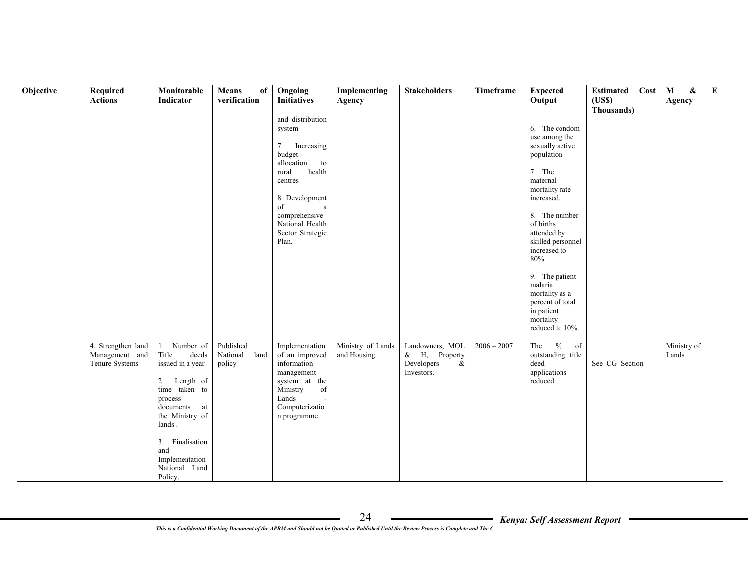| Objective | Required<br><b>Actions</b>                             | Monitorable<br>Indicator                                                                                                                                                                                                  | <b>Means</b><br>of<br>verification      | Ongoing<br><b>Initiatives</b>                                                                                                                                                                         | Implementing                      | <b>Stakeholders</b>                                                  | Timeframe     | <b>Expected</b><br>Output                                                                                                                                                                                                                                                                                                       | Estimated Cost<br>(USS) | E<br>$\mathbf M$<br>&<br>Agency |
|-----------|--------------------------------------------------------|---------------------------------------------------------------------------------------------------------------------------------------------------------------------------------------------------------------------------|-----------------------------------------|-------------------------------------------------------------------------------------------------------------------------------------------------------------------------------------------------------|-----------------------------------|----------------------------------------------------------------------|---------------|---------------------------------------------------------------------------------------------------------------------------------------------------------------------------------------------------------------------------------------------------------------------------------------------------------------------------------|-------------------------|---------------------------------|
|           |                                                        |                                                                                                                                                                                                                           |                                         |                                                                                                                                                                                                       | Agency                            |                                                                      |               |                                                                                                                                                                                                                                                                                                                                 | Thousands)              |                                 |
|           |                                                        |                                                                                                                                                                                                                           |                                         | and distribution<br>system<br>7. Increasing<br>budget<br>allocation<br>to<br>health<br>rural<br>centres<br>8. Development<br>of<br>a<br>comprehensive<br>National Health<br>Sector Strategic<br>Plan. |                                   |                                                                      |               | 6. The condom<br>use among the<br>sexually active<br>population<br>7. The<br>maternal<br>mortality rate<br>increased.<br>8. The number<br>of births<br>attended by<br>skilled personnel<br>increased to<br>80%<br>9. The patient<br>malaria<br>mortality as a<br>percent of total<br>in patient<br>mortality<br>reduced to 10%. |                         |                                 |
|           | 4. Strengthen land<br>Management and<br>Tenure Systems | 1. Number of<br>Title<br>deeds<br>issued in a year<br>Length of<br>2.<br>time taken to<br>process<br>documents<br>at<br>the Ministry of<br>lands.<br>3. Finalisation<br>and<br>Implementation<br>National Land<br>Policy. | Published<br>National<br>land<br>policy | Implementation<br>of an improved<br>information<br>management<br>system at the<br>Ministry<br>of<br>Lands<br>Computerizatio<br>n programme.                                                           | Ministry of Lands<br>and Housing. | Landowners, MOL<br>& H, Property<br>Developers<br>$\&$<br>Investors. | $2006 - 2007$ | The $\%$<br>of<br>outstanding title<br>deed<br>applications<br>reduced.                                                                                                                                                                                                                                                         | See CG Section          | Ministry of<br>Lands            |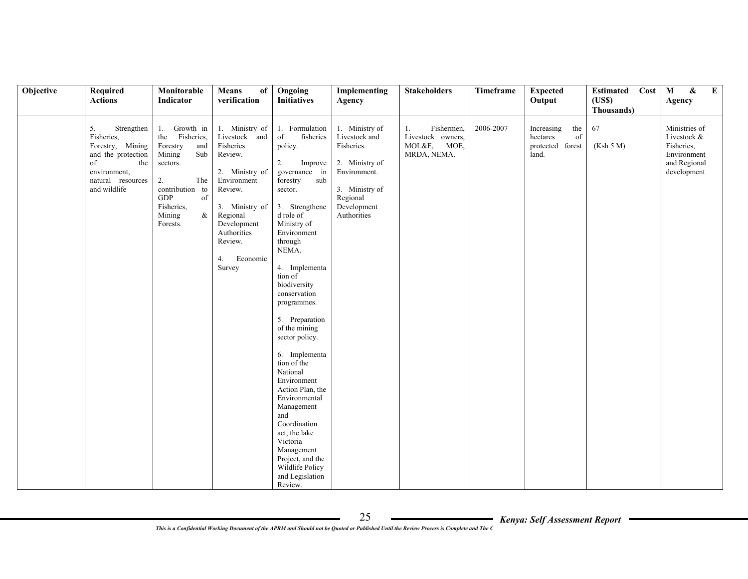| Objective | Required                                                                                                                                   | Monitorable                                                                                                                                                                       | Means<br>of                                                                                                                                                                                            | Ongoing                                                                                                                                                                                                                                                                                                                                                                                                                                                                                                                           | Implementing                                                                                                                                | <b>Stakeholders</b>                                                    | Timeframe | <b>Expected</b>                                                  | Cost<br>Estimated             | $\mathbf{E}$<br>$\mathbf M$<br>&                                                         |
|-----------|--------------------------------------------------------------------------------------------------------------------------------------------|-----------------------------------------------------------------------------------------------------------------------------------------------------------------------------------|--------------------------------------------------------------------------------------------------------------------------------------------------------------------------------------------------------|-----------------------------------------------------------------------------------------------------------------------------------------------------------------------------------------------------------------------------------------------------------------------------------------------------------------------------------------------------------------------------------------------------------------------------------------------------------------------------------------------------------------------------------|---------------------------------------------------------------------------------------------------------------------------------------------|------------------------------------------------------------------------|-----------|------------------------------------------------------------------|-------------------------------|------------------------------------------------------------------------------------------|
|           | <b>Actions</b>                                                                                                                             | Indicator                                                                                                                                                                         | verification                                                                                                                                                                                           | <b>Initiatives</b>                                                                                                                                                                                                                                                                                                                                                                                                                                                                                                                | Agency                                                                                                                                      |                                                                        |           | Output                                                           | (USS)                         | Agency                                                                                   |
|           |                                                                                                                                            |                                                                                                                                                                                   |                                                                                                                                                                                                        |                                                                                                                                                                                                                                                                                                                                                                                                                                                                                                                                   |                                                                                                                                             |                                                                        |           |                                                                  |                               |                                                                                          |
|           | 5.<br>Strengthen<br>Fisheries,<br>Forestry, Mining<br>and the protection<br>of<br>the<br>environment,<br>natural resources<br>and wildlife | Growth in<br>1.<br>the Fisheries,<br>Forestry<br>and<br>Sub<br>Mining<br>sectors.<br>2.<br>The<br>contribution to<br><b>GDP</b><br>of<br>Fisheries,<br>$\&$<br>Mining<br>Forests. | 1. Ministry of<br>Livestock and<br>Fisheries<br>Review.<br>2. Ministry of<br>Environment<br>Review.<br>3. Ministry of<br>Regional<br>Development<br>Authorities<br>Review.<br>Economic<br>4.<br>Survey | 1. Formulation<br>of<br>fisheries<br>policy.<br>2.<br>Improve<br>governance in<br>forestry<br>sub<br>sector.<br>3. Strengthene<br>d role of<br>Ministry of<br>Environment<br>through<br>NEMA.<br>4. Implementa<br>tion of<br>biodiversity<br>conservation<br>programmes.<br>5. Preparation<br>of the mining<br>sector policy.<br>6. Implementa<br>tion of the<br>National<br>Environment<br>Action Plan, the<br>Environmental<br>Management<br>and<br>Coordination<br>act, the lake<br>Victoria<br>Management<br>Project, and the | 1. Ministry of<br>Livestock and<br>Fisheries.<br>2. Ministry of<br>Environment.<br>3. Ministry of<br>Regional<br>Development<br>Authorities | Fishermen,<br>1.<br>Livestock owners,<br>MOL&F,<br>MOE,<br>MRDA, NEMA. | 2006-2007 | Increasing<br>the<br>of<br>hectares<br>protected forest<br>land. | Thousands)<br>67<br>(Ksh 5 M) | Ministries of<br>Livestock &<br>Fisheries,<br>Environment<br>and Regional<br>development |
|           |                                                                                                                                            |                                                                                                                                                                                   |                                                                                                                                                                                                        | Wildlife Policy<br>and Legislation<br>Review.                                                                                                                                                                                                                                                                                                                                                                                                                                                                                     |                                                                                                                                             |                                                                        |           |                                                                  |                               |                                                                                          |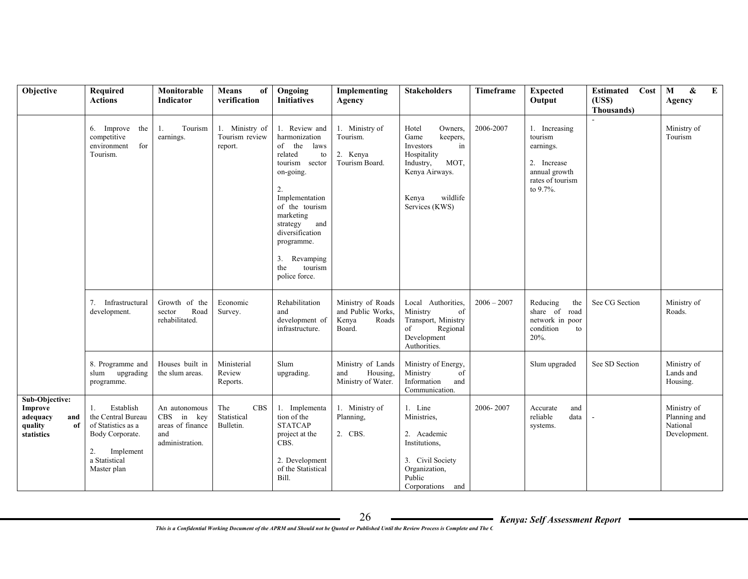| Objective                                                                   | Required<br><b>Actions</b>                                                                                                        | Monitorable<br>Indicator                                                            | <b>Means</b><br>of<br>verification            | Ongoing<br><b>Initiatives</b>                                                                                                                                                                                                                                     | Implementing<br>Agency                                             | <b>Stakeholders</b>                                                                                                                                  | Timeframe     | <b>Expected</b><br>Output                                                                             | Cost<br><b>Estimated</b><br>(USS)<br>Thousands) | $\mathbf M$<br>&<br>$\bf{E}$<br>Agency                  |
|-----------------------------------------------------------------------------|-----------------------------------------------------------------------------------------------------------------------------------|-------------------------------------------------------------------------------------|-----------------------------------------------|-------------------------------------------------------------------------------------------------------------------------------------------------------------------------------------------------------------------------------------------------------------------|--------------------------------------------------------------------|------------------------------------------------------------------------------------------------------------------------------------------------------|---------------|-------------------------------------------------------------------------------------------------------|-------------------------------------------------|---------------------------------------------------------|
|                                                                             | 6. Improve the<br>competitive<br>environment<br>for<br>Tourism.                                                                   | Tourism<br>1.<br>earnings.                                                          | 1. Ministry of<br>Tourism review<br>report.   | 1. Review and<br>harmonization<br>of the<br>laws<br>related<br>to<br>tourism sector<br>on-going.<br>2.<br>Implementation<br>of the tourism<br>marketing<br>strategy<br>and<br>diversification<br>programme.<br>3.<br>Revamping<br>the<br>tourism<br>police force. | 1. Ministry of<br>Tourism.<br>2. Kenya<br>Tourism Board.           | Hotel<br>Owners.<br>Game<br>keepers,<br>Investors<br>in<br>Hospitality<br>MOT,<br>Industry,<br>Kenya Airways.<br>wildlife<br>Kenya<br>Services (KWS) | 2006-2007     | 1. Increasing<br>tourism<br>earnings.<br>2. Increase<br>annual growth<br>rates of tourism<br>to 9.7%. |                                                 | Ministry of<br>Tourism                                  |
|                                                                             | 7. Infrastructural<br>development.                                                                                                | Growth of the<br>Road<br>sector<br>rehabilitated.                                   | Economic<br>Survey.                           | Rehabilitation<br>and<br>development of<br>infrastructure.                                                                                                                                                                                                        | Ministry of Roads<br>and Public Works.<br>Kenya<br>Roads<br>Board. | Local Authorities.<br>Ministry<br>of<br>Transport, Ministry<br>Regional<br>of<br>Development<br>Authorities.                                         | $2006 - 2007$ | Reducing<br>the<br>share of road<br>network in poor<br>condition<br>to<br>20%.                        | See CG Section                                  | Ministry of<br>Roads.                                   |
|                                                                             | 8. Programme and<br>slum upgrading<br>programme.                                                                                  | Houses built in<br>the slum areas.                                                  | Ministerial<br>Review<br>Reports.             | Slum<br>upgrading.                                                                                                                                                                                                                                                | Ministry of Lands<br>Housing,<br>and<br>Ministry of Water.         | Ministry of Energy,<br>Ministry<br>of<br>Information<br>and<br>Communication.                                                                        |               | Slum upgraded                                                                                         | See SD Section                                  | Ministry of<br>Lands and<br>Housing.                    |
| Sub-Objective:<br>Improve<br>adequacy<br>and<br>quality<br>of<br>statistics | Establish<br>1.<br>the Central Bureau<br>of Statistics as a<br>Body Corporate.<br>2.<br>Implement<br>a Statistical<br>Master plan | An autonomous<br><b>CBS</b><br>in key<br>areas of finance<br>and<br>administration. | The<br><b>CBS</b><br>Statistical<br>Bulletin. | Implementa<br>1.<br>tion of the<br><b>STATCAP</b><br>project at the<br>CBS.<br>2. Development<br>of the Statistical<br>Bill.                                                                                                                                      | 1. Ministry of<br>Planning,<br>2. CBS.                             | 1. Line<br>Ministries,<br>2. Academic<br>Institutions,<br>3. Civil Society<br>Organization,<br>Public<br>Corporations and                            | 2006-2007     | Accurate<br>and<br>reliable<br>data<br>systems.                                                       |                                                 | Ministry of<br>Planning and<br>National<br>Development. |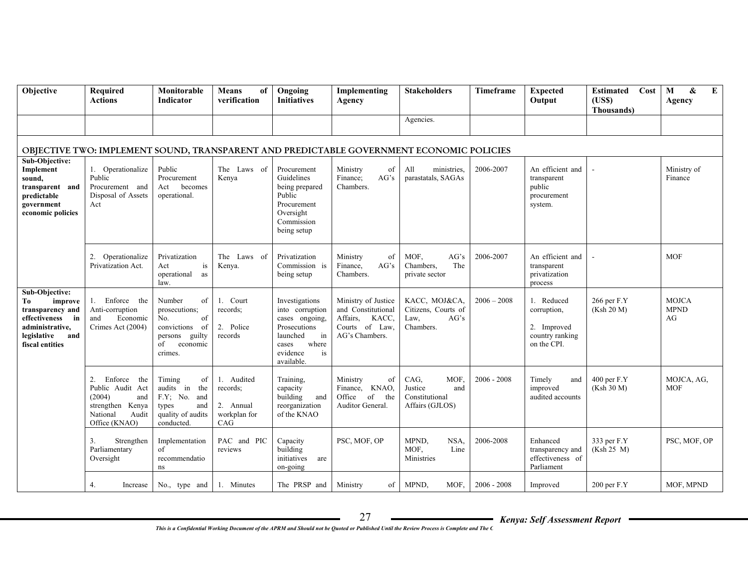| Objective                                                                                                                              | Required<br><b>Actions</b>                                                                                          | Monitorable<br><b>Indicator</b>                                                                                  | <b>Means</b><br>of<br>verification                         | Ongoing<br><b>Initiatives</b>                                                                                                           | Implementing<br>Agency                                                                             | <b>Stakeholders</b>                                                                      | Timeframe     | <b>Expected</b><br>Output                                                  | Cost<br><b>Estimated</b><br>(USS)<br>Thousands) | $\mathbf{M}$<br>E<br>&<br>Agency  |
|----------------------------------------------------------------------------------------------------------------------------------------|---------------------------------------------------------------------------------------------------------------------|------------------------------------------------------------------------------------------------------------------|------------------------------------------------------------|-----------------------------------------------------------------------------------------------------------------------------------------|----------------------------------------------------------------------------------------------------|------------------------------------------------------------------------------------------|---------------|----------------------------------------------------------------------------|-------------------------------------------------|-----------------------------------|
|                                                                                                                                        |                                                                                                                     |                                                                                                                  |                                                            |                                                                                                                                         |                                                                                                    | Agencies.                                                                                |               |                                                                            |                                                 |                                   |
|                                                                                                                                        |                                                                                                                     |                                                                                                                  |                                                            |                                                                                                                                         |                                                                                                    | OBJECTIVE TWO: IMPLEMENT SOUND, TRANSPARENT AND PREDICTABLE GOVERNMENT ECONOMIC POLICIES |               |                                                                            |                                                 |                                   |
| Sub-Objective:<br>Implement<br>sound,<br>transparent and<br>predictable<br>government<br>economic policies                             | 1. Operationalize<br>Public<br>Procurement and<br>Disposal of Assets<br>Act                                         | Public<br>Procurement<br>becomes<br>Act<br>operational.                                                          | The Laws of<br>Kenya                                       | Procurement<br>Guidelines<br>being prepared<br>Public<br>Procurement<br>Oversight<br>Commission<br>being setup                          | Ministry<br>of<br>Finance:<br>AG's<br>Chambers.                                                    | All<br>ministries.<br>parastatals, SAGAs                                                 | 2006-2007     | An efficient and<br>transparent<br>public<br>procurement<br>system.        |                                                 | Ministry of<br>Finance            |
|                                                                                                                                        | 2.<br>Operationalize<br>Privatization Act.                                                                          | Privatization<br>Act<br>is<br>operational<br>as<br>law.                                                          | The Laws of<br>Kenya.                                      | Privatization<br>Commission is<br>being setup                                                                                           | Ministry<br>of<br>Finance,<br>AG's<br>Chambers.                                                    | MOF,<br>AG's<br>Chambers.<br>The<br>private sector                                       | 2006-2007     | An efficient and<br>transparent<br>privatization<br>process                |                                                 | <b>MOF</b>                        |
| Sub-Objective:<br>Tо<br>improve<br>transparency and<br>effectiveness<br>in<br>administrative,<br>legislative<br>and<br>fiscal entities | 1. Enforce the<br>Anti-corruption<br>and<br>Economic<br>Crimes Act (2004)                                           | Number<br>of<br>prosecutions;<br>of<br>No.<br>convictions<br>- of<br>persons guilty<br>of<br>economic<br>crimes. | 1. Court<br>records:<br>2. Police<br>records               | Investigations<br>into corruption<br>cases ongoing,<br>Prosecutions<br>launched<br>in<br>where<br>cases<br>evidence<br>is<br>available. | Ministry of Justice<br>and Constitutional<br>Affairs,<br>KACC.<br>Courts of Law,<br>AG's Chambers. | KACC, MOJ&CA,<br>Citizens, Courts of<br>AG's<br>Law.<br>Chambers.                        | $2006 - 2008$ | 1. Reduced<br>corruption,<br>2. Improved<br>country ranking<br>on the CPI. | 266 per F.Y<br>(Ksh 20 M)                       | <b>MOJCA</b><br><b>MPND</b><br>AG |
|                                                                                                                                        | 2.<br>Enforce<br>the<br>Public Audit Act<br>(2004)<br>and<br>strengthen Kenya<br>Audit<br>National<br>Office (KNAO) | Timing<br>of<br>audits in<br>the<br>F.Y; No. and<br>types<br>and<br>quality of audits<br>conducted               | 1. Audited<br>records;<br>2. Annual<br>workplan for<br>CAG | Training,<br>capacity<br>building<br>and<br>reorganization<br>of the KNAO                                                               | Ministry<br>of<br>Finance, KNAO,<br>Office<br>of<br>the<br>Auditor General.                        | CAG.<br>MOF.<br>Justice<br>and<br>Constitutional<br>Affairs (GJLOS)                      | $2006 - 2008$ | Timely<br>and<br>improved<br>audited accounts                              | 400 per F.Y<br>(Ksh 30 M)                       | MOJCA, AG,<br><b>MOF</b>          |
|                                                                                                                                        | 3.<br>Strengthen<br>Parliamentary<br>Oversight                                                                      | Implementation<br>of<br>recommendatio<br>ns                                                                      | PAC and PIC<br>reviews                                     | Capacity<br>building<br>initiatives<br>are<br>on-going                                                                                  | PSC, MOF, OP                                                                                       | MPND,<br>NSA,<br>MOF,<br>Line<br>Ministries                                              | 2006-2008     | Enhanced<br>transparency and<br>effectiveness of<br>Parliament             | 333 per F.Y<br>(Ksh 25 M)                       | PSC, MOF, OP                      |
|                                                                                                                                        | 4.<br>Increase                                                                                                      | No., type and                                                                                                    | 1. Minutes                                                 | The PRSP and                                                                                                                            | Ministry<br>of                                                                                     | MPND.<br>MOF.                                                                            | $2006 - 2008$ | Improved                                                                   | $200$ per F.Y                                   | MOF, MPND                         |

*This is a Confidential Working Document of the APRM and Should not be Quoted or Published Until the Review Process is Complete and The C*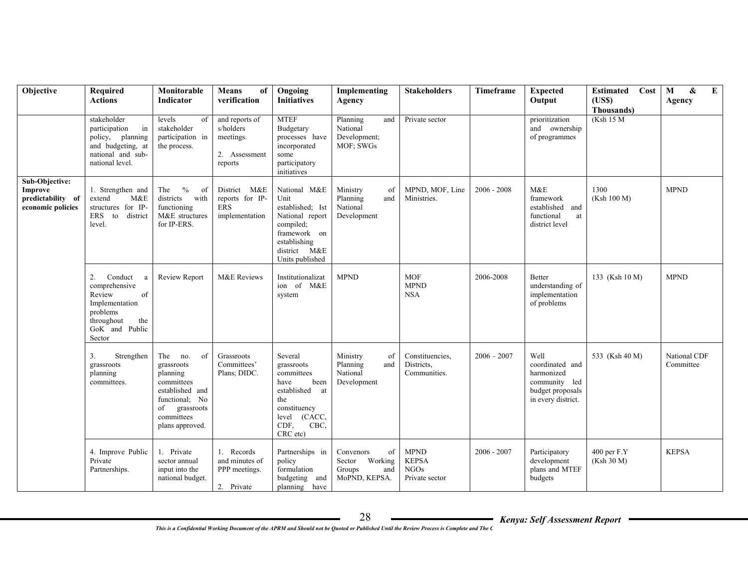| Objective                                                           | <b>Required</b><br><b>Actions</b>                                                                                                  | Monitorable<br><b>Indicator</b>                                                                                                                   | <b>Means</b><br>of<br>verification                                   | Ongoing<br><b>Initiatives</b>                                                                                                                  | Implementing<br>Agency                                                 | <b>Stakeholders</b>                                          | Timeframe     | <b>Expected</b><br>Output                                                                        | <b>Estimated</b> Cost<br>(USS)<br>Thousands) | E<br>&<br>M<br>Agency     |
|---------------------------------------------------------------------|------------------------------------------------------------------------------------------------------------------------------------|---------------------------------------------------------------------------------------------------------------------------------------------------|----------------------------------------------------------------------|------------------------------------------------------------------------------------------------------------------------------------------------|------------------------------------------------------------------------|--------------------------------------------------------------|---------------|--------------------------------------------------------------------------------------------------|----------------------------------------------|---------------------------|
|                                                                     | stakeholder<br>participation<br>in<br>policy, planning<br>and budgeting, at<br>national and sub-<br>national level.                | levels<br>of<br>stakeholder<br>participation in<br>the process.                                                                                   | and reports of<br>s/holders<br>meetings.<br>2. Assessment<br>reports | <b>MTEF</b><br>Budgetary<br>processes have<br>incorporated<br>some<br>participatory<br>initiatives                                             | Planning<br>and<br>National<br>Development;<br>MOF; SWGs               | Private sector                                               |               | prioritization<br>and ownership<br>of programmes                                                 | (Ksh 15 M                                    |                           |
| Sub-Objective:<br>Improve<br>predictability of<br>economic policies | 1. Strengthen and<br>extend<br>M&E<br>structures for IP-<br>ERS to<br>district<br>level.                                           | $\%$<br>The<br>of<br>districts<br>with<br>functioning<br>M&E structures<br>for IP-ERS.                                                            | District M&E<br>reports for IP-<br>ERS<br>implementation             | National M&E<br>Unit<br>established; Ist<br>National report<br>compiled;<br>framework on<br>establishing<br>district M&E<br>Units published    | Ministry<br>of<br>Planning<br>and<br>National<br>Development           | MPND, MOF, Line<br>Ministries.                               | $2006 - 2008$ | M&E<br>framework<br>established and<br>functional<br>at<br>district level                        | 1300<br>(Ksh 100 M)                          | <b>MPND</b>               |
|                                                                     | 2.<br>Conduct<br>a<br>comprehensive<br>Review<br>of<br>Implementation<br>problems<br>throughout<br>the<br>GoK and Public<br>Sector | <b>Review Report</b>                                                                                                                              | M&E Reviews                                                          | Institutionalizat<br>ion of M&E<br>system                                                                                                      | <b>MPND</b>                                                            | <b>MOF</b><br><b>MPND</b><br><b>NSA</b>                      | 2006-2008     | Better<br>understanding of<br>implementation<br>of problems                                      | 133 (Ksh 10 M)                               | <b>MPND</b>               |
|                                                                     | 3.<br>Strengthen<br>grassroots<br>planning<br>committees.                                                                          | The no.<br>- of<br>grassroots<br>planning<br>committees<br>established and<br>functional; No<br>grassroots<br>of<br>committees<br>plans approved. | Grassroots<br>Committees'<br>Plans; DIDC.                            | Several<br>grassroots<br>committees<br>have<br>been<br>established<br>at<br>the<br>constituency<br>(CACC,<br>level<br>CDF.<br>CBC,<br>CRC etc) | Ministry<br>of<br>Planning<br>and<br>National<br>Development           | Constituencies,<br>Districts.<br>Communities.                | $2006 - 2007$ | Well<br>coordinated and<br>harmonized<br>community led<br>budget proposals<br>in every district. | 533 (Ksh 40 M)                               | National CDF<br>Committee |
|                                                                     | 4. Improve Public<br>Private<br>Partnerships.                                                                                      | 1. Private<br>sector annual<br>input into the<br>national budget.                                                                                 | Records<br>and minutes of<br>PPP meetings.<br>2. Private             | Partnerships in<br>policy<br>formulation<br>budgeting and<br>planning have                                                                     | Convenors<br>of<br>Sector<br>Working<br>Groups<br>and<br>MoPND, KEPSA. | <b>MPND</b><br><b>KEPSA</b><br><b>NGOs</b><br>Private sector | $2006 - 2007$ | Participatory<br>development<br>plans and MTEF<br>budgets                                        | $400$ per $F.Y$<br>(Ksh 30 M)                | <b>KEPSA</b>              |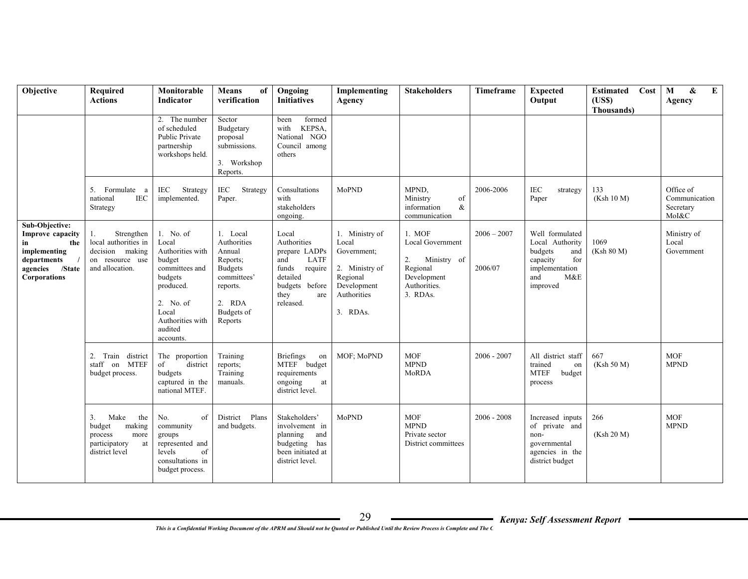| Objective                                                                                                                | Required<br><b>Actions</b>                                                                        | Monitorable<br>Indicator                                                                                                                                     | <b>Means</b><br>of<br>verification                                                                                            | Ongoing<br><b>Initiatives</b>                                                                                                      | Implementing<br>Agency                                                                                         | <b>Stakeholders</b>                                                                                             | Timeframe                | <b>Expected</b><br>Output                                                                                           | Cost<br>Estimated<br>(USS)<br>Thousands) | $\bf{E}$<br>M<br>&<br>Agency                     |
|--------------------------------------------------------------------------------------------------------------------------|---------------------------------------------------------------------------------------------------|--------------------------------------------------------------------------------------------------------------------------------------------------------------|-------------------------------------------------------------------------------------------------------------------------------|------------------------------------------------------------------------------------------------------------------------------------|----------------------------------------------------------------------------------------------------------------|-----------------------------------------------------------------------------------------------------------------|--------------------------|---------------------------------------------------------------------------------------------------------------------|------------------------------------------|--------------------------------------------------|
|                                                                                                                          |                                                                                                   | 2. The number<br>of scheduled<br><b>Public Private</b><br>partnership<br>workshops held.                                                                     | Sector<br>Budgetary<br>proposal<br>submissions.<br>3. Workshop<br>Reports.                                                    | formed<br>been<br>KEPSA,<br>with<br>National NGO<br>Council among<br>others                                                        |                                                                                                                |                                                                                                                 |                          |                                                                                                                     |                                          |                                                  |
|                                                                                                                          | 5.<br>Formulate a<br><b>IEC</b><br>national<br>Strategy                                           | IEC<br>Strategy<br>implemented.                                                                                                                              | IEC<br>Strategy<br>Paper.                                                                                                     | Consultations<br>with<br>stakeholders<br>ongoing.                                                                                  | MoPND                                                                                                          | MPND,<br>Ministry<br>of<br>&<br>information<br>communication                                                    | 2006-2006                | <b>IEC</b><br>strategy<br>Paper                                                                                     | 133<br>(Ksh 10 M)                        | Office of<br>Communication<br>Secretary<br>MoI&C |
| Sub-Objective:<br>Improve capacity<br>in<br>the<br>implementing<br>departments<br>agencies /State<br><b>Corporations</b> | Strengthen<br>1.<br>local authorities in<br>decision making<br>on resource use<br>and allocation. | 1. No. of<br>Local<br>Authorities with<br>budget<br>committees and<br>budgets<br>produced.<br>2. No. of<br>Local<br>Authorities with<br>audited<br>accounts. | 1. Local<br>Authorities<br>Annual<br>Reports;<br><b>Budgets</b><br>committees'<br>reports.<br>2. RDA<br>Budgets of<br>Reports | Local<br>Authorities<br>prepare LADPs<br>and<br>LATF<br>funds<br>require<br>detailed<br>budgets before<br>they<br>are<br>released. | 1. Ministry of<br>Local<br>Government:<br>2. Ministry of<br>Regional<br>Development<br>Authorities<br>3. RDAs. | $1.$ MOF<br><b>Local Government</b><br>2.<br>Ministry of<br>Regional<br>Development<br>Authorities.<br>3. RDAs. | $2006 - 2007$<br>2006/07 | Well formulated<br>Local Authority<br>budgets<br>and<br>capacity<br>for<br>implementation<br>M&E<br>and<br>improved | 1069<br>(Ksh 80 M)                       | Ministry of<br>Local<br>Government               |
|                                                                                                                          | 2. Train district<br>staff on MTEF<br>budget process.                                             | The proportion<br>of<br>district<br>budgets<br>captured in the<br>national MTEF.                                                                             | Training<br>reports;<br>Training<br>manuals.                                                                                  | <b>Briefings</b><br>on<br>MTEF budget<br>requirements<br>ongoing<br>at<br>district level.                                          | MOF: MoPND                                                                                                     | <b>MOF</b><br><b>MPND</b><br>MoRDA                                                                              | $2006 - 2007$            | All district staff<br>trained<br>on<br><b>MTEF</b><br>budget<br>process                                             | 667<br>(Ksh 50 M)                        | <b>MOF</b><br><b>MPND</b>                        |
|                                                                                                                          | 3.<br>Make<br>the<br>budget<br>making<br>process<br>more<br>participatory<br>at<br>district level | No.<br>of<br>community<br>groups<br>represented and<br>levels<br>of<br>consultations in<br>budget process.                                                   | District<br>Plans<br>and budgets.                                                                                             | Stakeholders'<br>involvement in<br>planning<br>and<br>budgeting<br>has<br>been initiated at<br>district level.                     | MoPND                                                                                                          | <b>MOF</b><br><b>MPND</b><br>Private sector<br>District committees                                              | $2006 - 2008$            | Increased inputs<br>of private and<br>non-<br>governmental<br>agencies in the<br>district budget                    | 266<br>(Ksh 20 M)                        | <b>MOF</b><br><b>MPND</b>                        |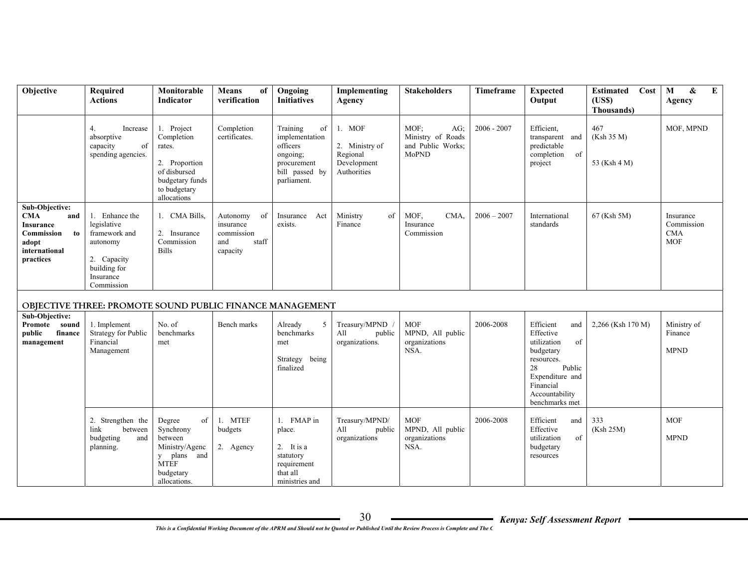| Objective                                                                                                   | Required<br><b>Actions</b>                                                                                           | Monitorable<br><b>Indicator</b>                                                                                                 | <b>Means</b><br>of<br>verification                                    | Ongoing<br><b>Initiatives</b>                                                                            | Implementing<br>Agency                                             | <b>Stakeholders</b>                                            | Timeframe     | <b>Expected</b><br>Output                                                                                                                                         | Cost<br><b>Estimated</b><br>(USS)<br>Thousands) | M<br>&<br>$\mathbf{E}$<br>Agency                    |
|-------------------------------------------------------------------------------------------------------------|----------------------------------------------------------------------------------------------------------------------|---------------------------------------------------------------------------------------------------------------------------------|-----------------------------------------------------------------------|----------------------------------------------------------------------------------------------------------|--------------------------------------------------------------------|----------------------------------------------------------------|---------------|-------------------------------------------------------------------------------------------------------------------------------------------------------------------|-------------------------------------------------|-----------------------------------------------------|
|                                                                                                             | 4.<br>Increase<br>absorptive<br>capacity<br>of<br>spending agencies.                                                 | 1. Project<br>Completion<br>rates.<br>2. Proportion<br>of disbursed<br>budgetary funds<br>to budgetary<br>allocations           | Completion<br>certificates.                                           | Training<br>of<br>implementation<br>officers<br>ongoing;<br>procurement<br>bill passed by<br>parliament. | 1. MOF<br>2. Ministry of<br>Regional<br>Development<br>Authorities | MOF:<br>AG:<br>Ministry of Roads<br>and Public Works;<br>MoPND | $2006 - 2007$ | Efficient.<br>transparent and<br>predictable<br>completion<br>of<br>project                                                                                       | 467<br>(Ksh 35 M)<br>53 (Ksh 4 M)               | MOF, MPND                                           |
| Sub-Objective:<br><b>CMA</b><br>and<br>Insurance<br>Commission<br>to<br>adopt<br>international<br>practices | 1. Enhance the<br>legislative<br>framework and<br>autonomy<br>2. Capacity<br>building for<br>Insurance<br>Commission | 1. CMA Bills,<br>2. Insurance<br>Commission<br><b>Bills</b>                                                                     | Autonomy<br>of<br>insurance<br>commission<br>and<br>staff<br>capacity | Insurance<br>Act<br>exists.                                                                              | Ministry<br>of<br>Finance                                          | MOF,<br>CMA.<br>Insurance<br>Commission                        | $2006 - 2007$ | International<br>standards                                                                                                                                        | 67 (Ksh 5M)                                     | Insurance<br>Commission<br><b>CMA</b><br><b>MOF</b> |
|                                                                                                             | <b>OBJECTIVE THREE: PROMOTE SOUND PUBLIC FINANCE MANAGEMENT</b>                                                      |                                                                                                                                 |                                                                       |                                                                                                          |                                                                    |                                                                |               |                                                                                                                                                                   |                                                 |                                                     |
| <b>Sub-Objective:</b><br>Promote sound<br>public<br>finance<br>management                                   | 1. Implement<br>Strategy for Public<br>Financial<br>Management                                                       | No. of<br>benchmarks<br>met                                                                                                     | Bench marks                                                           | Already<br>5<br>benchmarks<br>met<br>Strategy being<br>finalized                                         | Treasury/MPND<br>All<br>public<br>organizations.                   | <b>MOF</b><br>MPND, All public<br>organizations<br>NSA.        | 2006-2008     | Efficient<br>and<br>Effective<br>utilization<br>of<br>budgetary<br>resources.<br>28<br>Public<br>Expenditure and<br>Financial<br>Accountability<br>benchmarks met | 2,266 (Ksh 170 M)                               | Ministry of<br>Finance<br><b>MPND</b>               |
|                                                                                                             | 2. Strengthen the<br>link<br>between<br>budgeting<br>and<br>planning.                                                | of<br>Degree<br>Synchrony<br>between<br>Ministry/Agenc<br>plans and<br>$\mathbf{y}$<br><b>MTEF</b><br>budgetary<br>allocations. | 1. MTEF<br>budgets<br>2. Agency                                       | 1. FMAP in<br>place.<br>2. It is a<br>statutory<br>requirement<br>that all<br>ministries and             | Treasury/MPND/<br>All<br>public<br>organizations                   | <b>MOF</b><br>MPND, All public<br>organizations<br>NSA.        | 2006-2008     | Efficient<br>and<br>Effective<br>utilization<br>of<br>budgetary<br>resources                                                                                      | 333<br>(Ksh 25M)                                | <b>MOF</b><br><b>MPND</b>                           |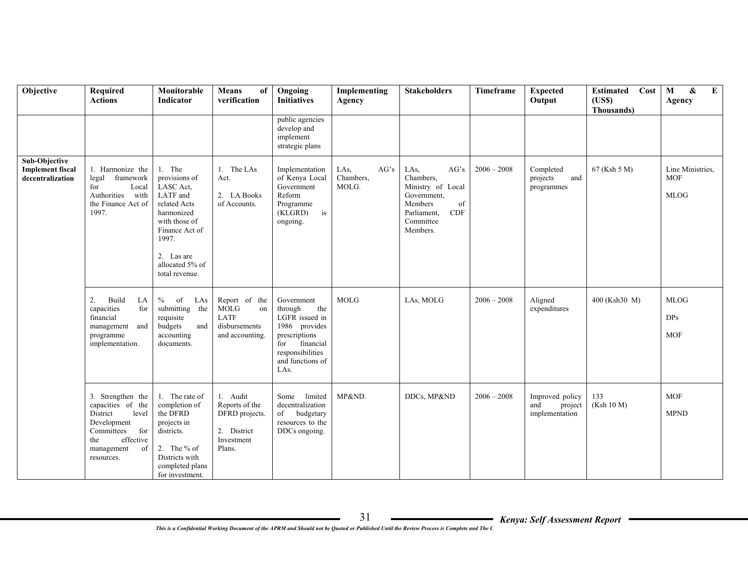| Objective                                                    | Required<br><b>Actions</b>                                                                                                                            | Monitorable<br><b>Indicator</b>                                                                                                                                               | Means<br>of<br>verification                                                         | Ongoing<br><b>Initiatives</b>                                                                                                                        | Implementing<br>Agency             | <b>Stakeholders</b>                                                                                                                  | Timeframe     | <b>Expected</b><br>Output                           | Cost<br>Estimated<br>(US\$)<br>Thousands) | E<br>&<br>M<br>Agency                         |
|--------------------------------------------------------------|-------------------------------------------------------------------------------------------------------------------------------------------------------|-------------------------------------------------------------------------------------------------------------------------------------------------------------------------------|-------------------------------------------------------------------------------------|------------------------------------------------------------------------------------------------------------------------------------------------------|------------------------------------|--------------------------------------------------------------------------------------------------------------------------------------|---------------|-----------------------------------------------------|-------------------------------------------|-----------------------------------------------|
|                                                              |                                                                                                                                                       |                                                                                                                                                                               |                                                                                     | public agencies<br>develop and<br>implement<br>strategic plans                                                                                       |                                    |                                                                                                                                      |               |                                                     |                                           |                                               |
| Sub-Objective<br><b>Implement</b> fiscal<br>decentralization | 1. Harmonize the<br>legal<br>framework<br>for<br>Local<br>Authorities<br>with<br>the Finance Act of<br>1997.                                          | 1. The<br>provisions of<br>LASC Act,<br>LATF and<br>related Acts<br>harmonized<br>with those of<br>Finance Act of<br>1997.<br>2. Las are<br>allocated 5% of<br>total revenue. | 1. The LAs<br>Act.<br>2. LA Books<br>of Accounts.                                   | Implementation<br>of Kenya Local<br>Government<br>Reform<br>Programme<br>(KLGRD)<br>is<br>ongoing.                                                   | AG's<br>LAs,<br>Chambers,<br>MOLG. | LAs,<br>AG's<br>Chambers.<br>Ministry of Local<br>Government,<br>of<br>Members<br><b>CDF</b><br>Parliament,<br>Committee<br>Members. | $2006 - 2008$ | Completed<br>projects<br>and<br>programmes          | 67 (Ksh 5 M)                              | Line Ministries.<br><b>MOF</b><br><b>MLOG</b> |
|                                                              | 2.<br>Build<br>LA<br>for<br>capacities<br>financial<br>management and<br>programme<br>implementation.                                                 | $\%$<br>of<br>LAs<br>submitting the<br>requisite<br>budgets<br>and<br>accounting<br>documents.                                                                                | Report of the<br>MOLG<br>on<br>LATF<br>disbursements<br>and accounting.             | Government<br>through<br>the<br>LGFR issued in<br>1986 provides<br>prescriptions<br>financial<br>for<br>responsibilities<br>and functions of<br>LAs. | <b>MOLG</b>                        | LAs, MOLG                                                                                                                            | $2006 - 2008$ | Aligned<br>expenditures                             | 400 (Ksh30 M)                             | <b>MLOG</b><br>DPs<br><b>MOF</b>              |
|                                                              | 3. Strengthen the<br>capacities of the<br>District<br>level<br>Development<br>for<br>Committees<br>effective<br>the<br>management<br>of<br>resources. | 1. The rate of<br>completion of<br>the DFRD<br>projects in<br>districts.<br>2. The % of<br>Districts with<br>completed plans<br>for investment.                               | 1. Audit<br>Reports of the<br>DFRD projects.<br>2. District<br>Investment<br>Plans. | limited<br>Some<br>decentralization<br>of<br>budgetary<br>resources to the<br>DDCs ongoing.                                                          | MP&ND.                             | DDCs, MP&ND                                                                                                                          | $2006 - 2008$ | Improved policy<br>project<br>and<br>implementation | 133<br>(Ksh 10 M)                         | <b>MOF</b><br><b>MPND</b>                     |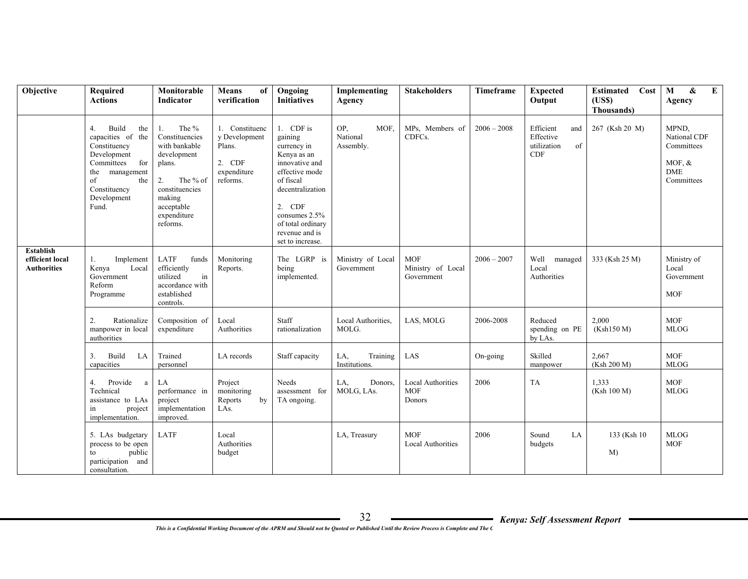| Objective                                          | Required<br><b>Actions</b>                                                                                                                                            | Monitorable<br><b>Indicator</b>                                                                                                                                | <b>Means</b><br>of<br>verification                                             | Ongoing<br><b>Initiatives</b>                                                                                                                                                                                 | Implementing<br>Agency               | <b>Stakeholders</b>                              | Timeframe     | <b>Expected</b><br>Output                                        | Cost<br><b>Estimated</b><br>(USS)<br>Thousands) | $\pmb{\&}$<br>$\mathbf{M}$<br>$\bf{E}$<br>Agency                            |
|----------------------------------------------------|-----------------------------------------------------------------------------------------------------------------------------------------------------------------------|----------------------------------------------------------------------------------------------------------------------------------------------------------------|--------------------------------------------------------------------------------|---------------------------------------------------------------------------------------------------------------------------------------------------------------------------------------------------------------|--------------------------------------|--------------------------------------------------|---------------|------------------------------------------------------------------|-------------------------------------------------|-----------------------------------------------------------------------------|
|                                                    | 4.<br>Build<br>the<br>capacities of the<br>Constituency<br>Development<br>for<br>Committees<br>management<br>the<br>of<br>the<br>Constituency<br>Development<br>Fund. | The %<br>1.<br>Constituencies<br>with bankable<br>development<br>plans.<br>The % of<br>2.<br>constituencies<br>making<br>acceptable<br>expenditure<br>reforms. | 1. Constituenc<br>v Development<br>Plans.<br>2. CDF<br>expenditure<br>reforms. | 1. CDF is<br>gaining<br>currency in<br>Kenya as an<br>innovative and<br>effective mode<br>of fiscal<br>decentralization<br>2. CDF<br>consumes 2.5%<br>of total ordinary<br>revenue and is<br>set to increase. | OP,<br>MOF.<br>National<br>Assembly. | MPs, Members of<br>CDFCs.                        | $2006 - 2008$ | Efficient<br>and<br>Effective<br>utilization<br>of<br><b>CDF</b> | 267 (Ksh 20 M)                                  | MPND,<br>National CDF<br>Committees<br>MOF, $&$<br><b>DME</b><br>Committees |
| Establish<br>efficient local<br><b>Authorities</b> | 1.<br>Implement<br>Kenya<br>Local<br>Government<br>Reform<br>Programme                                                                                                | LATF<br>funds<br>efficiently<br>utilized<br>in<br>accordance with<br>established<br>controls.                                                                  | Monitoring<br>Reports.                                                         | The LGRP is<br>being<br>implemented.                                                                                                                                                                          | Ministry of Local<br>Government      | <b>MOF</b><br>Ministry of Local<br>Government    | $2006 - 2007$ | Well<br>managed<br>Local<br>Authorities                          | 333 (Ksh 25 M)                                  | Ministry of<br>Local<br>Government<br><b>MOF</b>                            |
|                                                    | 2.<br>Rationalize<br>manpower in local<br>authorities                                                                                                                 | Composition of<br>expenditure                                                                                                                                  | Local<br>Authorities                                                           | Staff<br>rationalization                                                                                                                                                                                      | Local Authorities,<br>MOLG.          | LAS, MOLG                                        | 2006-2008     | Reduced<br>spending on PE<br>by LAs.                             | 2,000<br>(Ksh150 M)                             | <b>MOF</b><br><b>MLOG</b>                                                   |
|                                                    | LA<br>3.<br>Build<br>capacities                                                                                                                                       | Trained<br>personnel                                                                                                                                           | LA records                                                                     | Staff capacity                                                                                                                                                                                                | Training<br>LA,<br>Institutions.     | LAS                                              | On-going      | Skilled<br>manpower                                              | 2,667<br>(Ksh 200 M)                            | <b>MOF</b><br><b>MLOG</b>                                                   |
|                                                    | Provide<br>4.<br>a<br>Technical<br>assistance to LAs<br>in<br>project<br>implementation.                                                                              | LA<br>performance in<br>project<br>implementation<br>improved                                                                                                  | Project<br>monitoring<br>Reports<br>by<br>LAs.                                 | Needs<br>assessment for<br>TA ongoing.                                                                                                                                                                        | LA.<br>Donors.<br>MOLG, LAs.         | <b>Local Authorities</b><br><b>MOF</b><br>Donors | 2006          | <b>TA</b>                                                        | 1.333<br>(Ksh 100 M)                            | <b>MOF</b><br><b>MLOG</b>                                                   |
|                                                    | 5. LAs budgetary<br>process to be open<br>public<br>to<br>participation and<br>consultation.                                                                          | <b>LATF</b>                                                                                                                                                    | Local<br>Authorities<br>budget                                                 |                                                                                                                                                                                                               | LA, Treasury                         | <b>MOF</b><br><b>Local Authorities</b>           | 2006          | Sound<br>LA<br>budgets                                           | 133 (Ksh 10)<br>M                               | <b>MLOG</b><br><b>MOF</b>                                                   |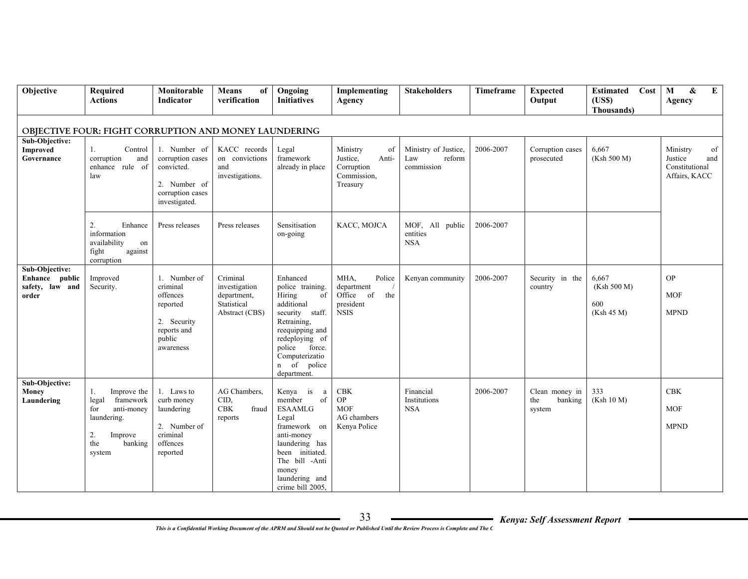| Objective                                                    | <b>Required</b><br><b>Actions</b>                                                                                        | Monitorable<br>Indicator                                                                              | <b>Means</b><br>of<br>verification                                        | Ongoing<br><b>Initiatives</b>                                                                                                                                                                         | Implementing<br>Agency                                                          | <b>Stakeholders</b>                                 | Timeframe | <b>Expected</b><br>Output                  | Cost<br><b>Estimated</b><br>(USS)<br>Thousands) | M<br>&<br>$\bf{E}$<br>Agency                                        |
|--------------------------------------------------------------|--------------------------------------------------------------------------------------------------------------------------|-------------------------------------------------------------------------------------------------------|---------------------------------------------------------------------------|-------------------------------------------------------------------------------------------------------------------------------------------------------------------------------------------------------|---------------------------------------------------------------------------------|-----------------------------------------------------|-----------|--------------------------------------------|-------------------------------------------------|---------------------------------------------------------------------|
|                                                              | OBJECTIVE FOUR: FIGHT CORRUPTION AND MONEY LAUNDERING                                                                    |                                                                                                       |                                                                           |                                                                                                                                                                                                       |                                                                                 |                                                     |           |                                            |                                                 |                                                                     |
| Sub-Objective:<br><b>Improved</b><br>Governance              | Control<br>1.<br>corruption<br>and<br>enhance rule of<br>law                                                             | 1. Number of<br>corruption cases<br>convicted.<br>2. Number of<br>corruption cases<br>investigated.   | KACC records<br>on convictions<br>and<br>investigations.                  | Legal<br>framework<br>already in place                                                                                                                                                                | Ministry<br>of<br>Justice,<br>Anti-<br>Corruption<br>Commission,<br>Treasury    | Ministry of Justice,<br>reform<br>Law<br>commission | 2006-2007 | Corruption cases<br>prosecuted             | 6,667<br>(Ksh 500 M)                            | Ministry<br>of<br>Justice<br>and<br>Constitutional<br>Affairs, KACC |
|                                                              | 2.<br>Enhance<br>information<br>availability<br>on<br>fight<br>against<br>corruption                                     | Press releases                                                                                        | Press releases                                                            | Sensitisation<br>on-going                                                                                                                                                                             | KACC, MOJCA                                                                     | MOF, All public<br>entities<br><b>NSA</b>           | 2006-2007 |                                            |                                                 |                                                                     |
| Sub-Objective:<br>Enhance public<br>safety, law and<br>order | Improved<br>Security.                                                                                                    | 1. Number of<br>criminal<br>offences<br>reported<br>2. Security<br>reports and<br>public<br>awareness | Criminal<br>investigation<br>department,<br>Statistical<br>Abstract (CBS) | Enhanced<br>police training.<br>Hiring<br>of<br>additional<br>security<br>staff.<br>Retraining,<br>reequipping and<br>redeploying of<br>police force.<br>Computerizatio<br>n of police<br>department. | MHA.<br>Police<br>department<br>Office<br>the<br>of<br>president<br><b>NSIS</b> | Kenyan community                                    | 2006-2007 | Security in the<br>country                 | 6,667<br>(Ksh 500 M)<br>600<br>(Ksh 45 M)       | <b>OP</b><br><b>MOF</b><br><b>MPND</b>                              |
| Sub-Objective:<br>Money<br>Laundering                        | Improve the<br>1.<br>legal<br>framework<br>anti-money<br>for<br>laundering.<br>2.<br>Improve<br>the<br>banking<br>system | 1. Laws to<br>curb money<br>laundering<br>2. Number of<br>criminal<br>offences<br>reported            | AG Chambers.<br>CID,<br>CBK<br>fraud<br>reports                           | Kenya<br>is<br>a<br>member<br>of<br><b>ESAAMLG</b><br>Legal<br>framework on<br>anti-money<br>laundering has<br>been initiated.<br>The bill -Anti<br>money<br>laundering and<br>crime bill 2005,       | CBK<br><b>OP</b><br><b>MOF</b><br>AG chambers<br>Kenya Police                   | Financial<br>Institutions<br><b>NSA</b>             | 2006-2007 | Clean money in<br>the<br>banking<br>system | 333<br>(Ksh 10 M)                               | CBK<br><b>MOF</b><br><b>MPND</b>                                    |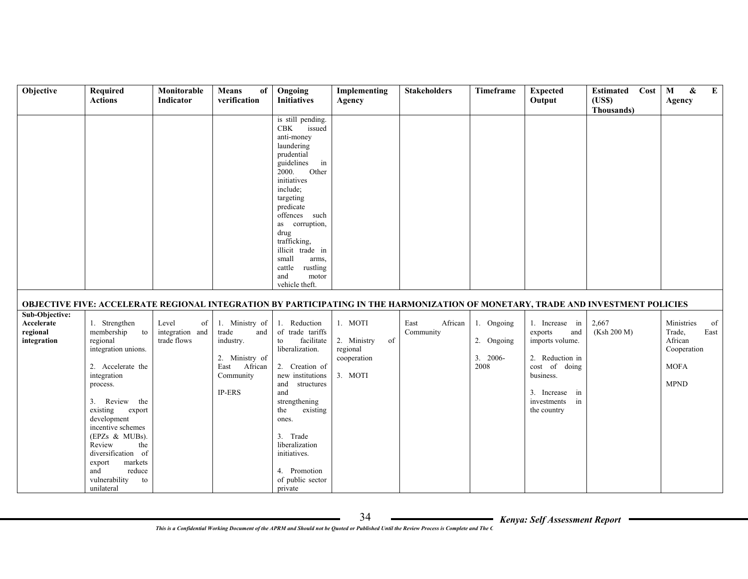| Objective                                               | Required<br><b>Actions</b>                                                                                                                                                                                                                                                                                                                | Monitorable<br><b>Indicator</b>               | <b>Means</b><br>of<br>verification                                                                          | Ongoing<br><b>Initiatives</b>                                                                                                                                                                                                                                                                                                           | Implementing<br>Agency                                             | <b>Stakeholders</b>          | Timeframe                                     | <b>Expected</b><br>Output                                                                                                                                  | Cost<br><b>Estimated</b><br>(USS)                                                                                                | M<br>$\pmb{\&}$<br>$\bf{E}$<br>Agency                                                      |
|---------------------------------------------------------|-------------------------------------------------------------------------------------------------------------------------------------------------------------------------------------------------------------------------------------------------------------------------------------------------------------------------------------------|-----------------------------------------------|-------------------------------------------------------------------------------------------------------------|-----------------------------------------------------------------------------------------------------------------------------------------------------------------------------------------------------------------------------------------------------------------------------------------------------------------------------------------|--------------------------------------------------------------------|------------------------------|-----------------------------------------------|------------------------------------------------------------------------------------------------------------------------------------------------------------|----------------------------------------------------------------------------------------------------------------------------------|--------------------------------------------------------------------------------------------|
|                                                         |                                                                                                                                                                                                                                                                                                                                           |                                               |                                                                                                             |                                                                                                                                                                                                                                                                                                                                         |                                                                    |                              |                                               |                                                                                                                                                            | Thousands)                                                                                                                       |                                                                                            |
|                                                         |                                                                                                                                                                                                                                                                                                                                           |                                               |                                                                                                             | is still pending.<br><b>CBK</b><br>issued<br>anti-money<br>laundering<br>prudential<br>guidelines<br>in<br>2000.<br>Other<br>initiatives<br>include;<br>targeting<br>predicate<br>offences such<br>as corruption,<br>drug<br>trafficking,<br>illicit trade in<br>small<br>arms,<br>rustling<br>cattle<br>and<br>motor<br>vehicle theft. |                                                                    |                              |                                               |                                                                                                                                                            |                                                                                                                                  |                                                                                            |
|                                                         |                                                                                                                                                                                                                                                                                                                                           |                                               |                                                                                                             |                                                                                                                                                                                                                                                                                                                                         |                                                                    |                              |                                               |                                                                                                                                                            | OBJECTIVE FIVE: ACCELERATE REGIONAL INTEGRATION BY PARTICIPATING IN THE HARMONIZATION OF MONETARY, TRADE AND INVESTMENT POLICIES |                                                                                            |
| Sub-Objective:<br>Accelerate<br>regional<br>integration | 1. Strengthen<br>membership<br>to<br>regional<br>integration unions.<br>2. Accelerate the<br>integration<br>process.<br>3. Review<br>the<br>existing<br>export<br>development<br>incentive schemes<br>$(EPZs & MUBs)$ .<br>Review<br>the<br>diversification of<br>markets<br>export<br>reduce<br>and<br>vulnerability<br>to<br>unilateral | Level<br>of<br>integration and<br>trade flows | 1. Ministry of<br>trade<br>and<br>industry.<br>2. Ministry of<br>East African<br>Community<br><b>IP-ERS</b> | 1. Reduction<br>of trade tariffs<br>facilitate<br>to<br>liberalization.<br>2. Creation of<br>new institutions<br>structures<br>and<br>and<br>strengthening<br>the<br>existing<br>ones.<br>3. Trade<br>liberalization<br>initiatives.<br>4. Promotion<br>of public sector<br>private                                                     | 1. MOTI<br>2. Ministry<br>of<br>regional<br>cooperation<br>3. MOTI | African<br>East<br>Community | 1. Ongoing<br>2. Ongoing<br>$3.2006-$<br>2008 | 1. Increase in<br>exports<br>and<br>imports volume.<br>2. Reduction in<br>cost of doing<br>business.<br>3. Increase in<br>investments<br>in<br>the country | 2,667<br>(Ksh 200 M)                                                                                                             | Ministries<br>of<br>Trade.<br>East<br>African<br>Cooperation<br><b>MOFA</b><br><b>MPND</b> |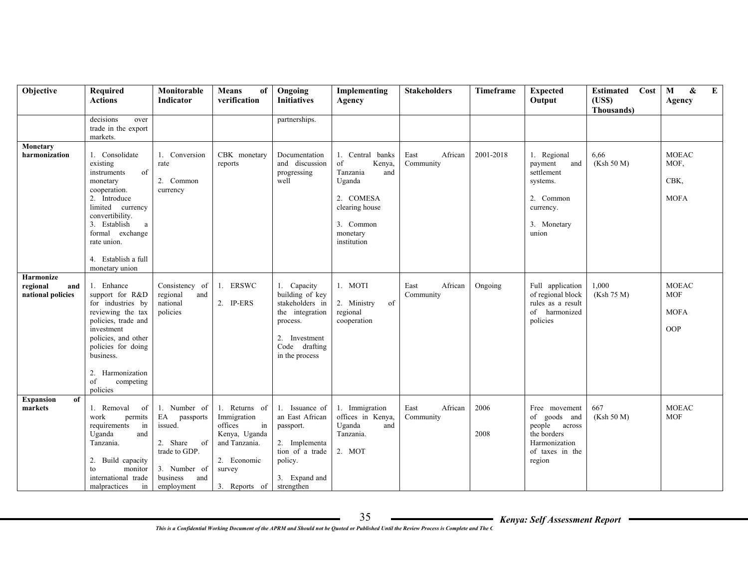| Objective              | Required<br><b>Actions</b>         | Monitorable<br><b>Indicator</b> | <b>Means</b><br>of<br>verification | Ongoing<br><b>Initiatives</b> | Implementing<br>Agency          | <b>Stakeholders</b> | Timeframe | <b>Expected</b><br>Output    | <b>Estimated</b><br>Cost<br>(USS) | $\pmb{\&}$<br>$\bf{E}$<br>M<br>Agency |
|------------------------|------------------------------------|---------------------------------|------------------------------------|-------------------------------|---------------------------------|---------------------|-----------|------------------------------|-----------------------------------|---------------------------------------|
|                        |                                    |                                 |                                    |                               |                                 |                     |           |                              | Thousands)                        |                                       |
|                        | decisions<br>over                  |                                 |                                    | partnerships.                 |                                 |                     |           |                              |                                   |                                       |
|                        | trade in the export                |                                 |                                    |                               |                                 |                     |           |                              |                                   |                                       |
|                        | markets.                           |                                 |                                    |                               |                                 |                     |           |                              |                                   |                                       |
| Monetary               |                                    |                                 |                                    |                               |                                 |                     |           |                              |                                   |                                       |
| harmonization          | 1. Consolidate                     | 1. Conversion                   | CBK monetary                       | Documentation                 | 1. Central banks                | East<br>African     | 2001-2018 | 1. Regional                  | 6,66                              | <b>MOEAC</b>                          |
|                        | existing<br>of<br>instruments      | rate                            | reports                            | and discussion                | of<br>Kenya,<br>Tanzania<br>and | Community           |           | payment<br>and<br>settlement | (Ksh 50 M)                        | MOF.                                  |
|                        | monetary                           | 2. Common                       |                                    | progressing<br>well           | Uganda                          |                     |           | systems.                     |                                   | CBK,                                  |
|                        | cooperation.                       | currency                        |                                    |                               |                                 |                     |           |                              |                                   |                                       |
|                        | 2. Introduce                       |                                 |                                    |                               | 2. COMESA                       |                     |           | 2. Common                    |                                   | <b>MOFA</b>                           |
|                        | limited currency                   |                                 |                                    |                               | clearing house                  |                     |           | currency.                    |                                   |                                       |
|                        | convertibility.                    |                                 |                                    |                               |                                 |                     |           |                              |                                   |                                       |
|                        | 3. Establish<br>a                  |                                 |                                    |                               | 3. Common                       |                     |           | 3. Monetary                  |                                   |                                       |
|                        | formal exchange                    |                                 |                                    |                               | monetary                        |                     |           | union                        |                                   |                                       |
|                        | rate union.                        |                                 |                                    |                               | institution                     |                     |           |                              |                                   |                                       |
|                        | 4. Establish a full                |                                 |                                    |                               |                                 |                     |           |                              |                                   |                                       |
|                        | monetary union                     |                                 |                                    |                               |                                 |                     |           |                              |                                   |                                       |
| Harmonize              |                                    |                                 |                                    |                               |                                 |                     |           |                              |                                   |                                       |
| regional<br>and        | 1. Enhance                         | Consistency of                  | 1. ERSWC                           | 1. Capacity                   | 1. MOTI                         | East<br>African     | Ongoing   | Full application             | 1,000                             | <b>MOEAC</b>                          |
| national policies      | support for R&D                    | regional<br>and                 |                                    | building of key               |                                 | Community           |           | of regional block            | (Ksh 75 M)                        | <b>MOF</b>                            |
|                        | for industries by                  | national                        | $2.$ IP-ERS                        | stakeholders in               | 2. Ministry<br>of               |                     |           | rules as a result            |                                   |                                       |
|                        | reviewing the tax                  | policies                        |                                    | the integration               | regional                        |                     |           | of harmonized                |                                   | <b>MOFA</b>                           |
|                        | policies, trade and<br>investment  |                                 |                                    | process.                      | cooperation                     |                     |           | policies                     |                                   | OOP                                   |
|                        | policies, and other                |                                 |                                    | 2. Investment                 |                                 |                     |           |                              |                                   |                                       |
|                        | policies for doing                 |                                 |                                    | Code drafting                 |                                 |                     |           |                              |                                   |                                       |
|                        | business.                          |                                 |                                    | in the process                |                                 |                     |           |                              |                                   |                                       |
|                        |                                    |                                 |                                    |                               |                                 |                     |           |                              |                                   |                                       |
|                        | 2. Harmonization                   |                                 |                                    |                               |                                 |                     |           |                              |                                   |                                       |
|                        | of<br>competing                    |                                 |                                    |                               |                                 |                     |           |                              |                                   |                                       |
| <b>Expansion</b><br>of | policies                           |                                 |                                    |                               |                                 |                     |           |                              |                                   |                                       |
| markets                | 1. Removal<br>of                   | 1. Number of                    | 1. Returns of                      | 1. Issuance of                | 1. Immigration                  | African<br>East     | 2006      | Free movement                | 667                               | <b>MOEAC</b>                          |
|                        | work<br>permits                    | EA<br>passports                 | Immigration                        | an East African               | offices in Kenya,               | Community           |           | of goods and                 | (Ksh 50 M)                        | <b>MOF</b>                            |
|                        | in<br>requirements                 | issued.                         | in<br>offices                      | passport.                     | Uganda<br>and                   |                     |           | people across                |                                   |                                       |
|                        | Uganda<br>and                      |                                 | Kenya, Uganda                      |                               | Tanzania.                       |                     | 2008      | the borders                  |                                   |                                       |
|                        | Tanzania.                          | 2. Share<br>of                  | and Tanzania.                      | 2. Implementa                 |                                 |                     |           | Harmonization                |                                   |                                       |
|                        |                                    | trade to GDP.                   |                                    | tion of a trade               | 2. MOT                          |                     |           | of taxes in the              |                                   |                                       |
|                        | 2. Build capacity<br>to<br>monitor | 3. Number of                    | 2. Economic                        | policy.                       |                                 |                     |           | region                       |                                   |                                       |
|                        | international trade                | business<br>and                 | survey                             | 3. Expand and                 |                                 |                     |           |                              |                                   |                                       |
|                        | in<br>malpractices                 | employment                      | 3. Reports of                      | strengthen                    |                                 |                     |           |                              |                                   |                                       |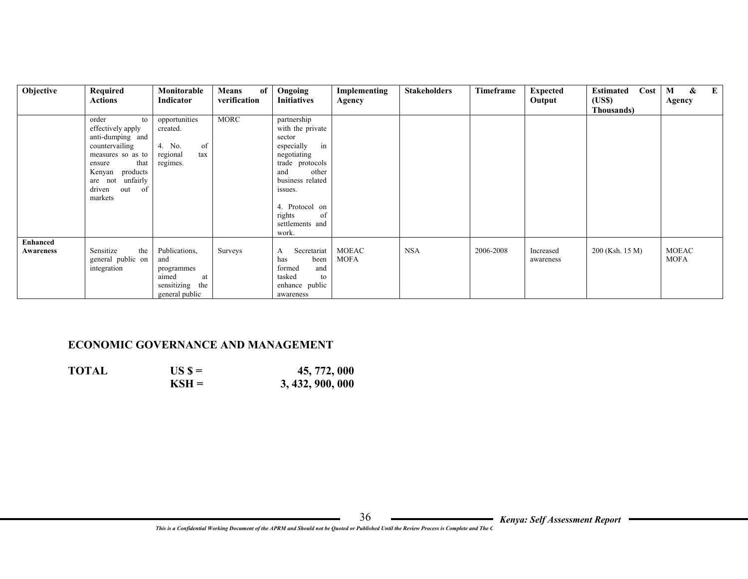| Objective       | Required            | Monitorable        | of<br><b>Means</b> | Ongoing            | Implementing | <b>Stakeholders</b> | Timeframe | <b>Expected</b> | Cost<br><b>Estimated</b> | $\boldsymbol{\&}$<br>$\bf{E}$<br>M |
|-----------------|---------------------|--------------------|--------------------|--------------------|--------------|---------------------|-----------|-----------------|--------------------------|------------------------------------|
|                 | Actions             | Indicator          | verification       | <b>Initiatives</b> | Agency       |                     |           | Output          | (US\$)                   | Agency                             |
|                 |                     |                    |                    |                    |              |                     |           |                 | Thousands)               |                                    |
|                 | order<br>to         | opportunities      | <b>MORC</b>        | partnership        |              |                     |           |                 |                          |                                    |
|                 | effectively apply   | created.           |                    | with the private   |              |                     |           |                 |                          |                                    |
|                 | anti-dumping and    |                    |                    | sector             |              |                     |           |                 |                          |                                    |
|                 | countervailing      | 4. No.<br>of       |                    | in<br>especially   |              |                     |           |                 |                          |                                    |
|                 | measures so as to   | regional<br>tax    |                    | negotiating        |              |                     |           |                 |                          |                                    |
|                 | that<br>ensure      | regimes.           |                    | trade protocols    |              |                     |           |                 |                          |                                    |
|                 | products<br>Kenyan  |                    |                    | other<br>and       |              |                     |           |                 |                          |                                    |
|                 | unfairly<br>are not |                    |                    | business related   |              |                     |           |                 |                          |                                    |
|                 | driven<br>out<br>of |                    |                    | issues.            |              |                     |           |                 |                          |                                    |
|                 | markets             |                    |                    |                    |              |                     |           |                 |                          |                                    |
|                 |                     |                    |                    | 4. Protocol on     |              |                     |           |                 |                          |                                    |
|                 |                     |                    |                    | rights<br>of       |              |                     |           |                 |                          |                                    |
|                 |                     |                    |                    | settlements and    |              |                     |           |                 |                          |                                    |
|                 |                     |                    |                    | work.              |              |                     |           |                 |                          |                                    |
| <b>Enhanced</b> |                     |                    |                    |                    |              |                     |           |                 |                          |                                    |
| Awareness       | Sensitize<br>the    | Publications,      | Surveys            | Secretariat<br>A   | <b>MOEAC</b> | <b>NSA</b>          | 2006-2008 | Increased       | 200 (Ksh. 15 M)          | <b>MOEAC</b>                       |
|                 | general public on   | and                |                    | been<br>has        | <b>MOFA</b>  |                     |           | awareness       |                          | <b>MOFA</b>                        |
|                 | integration         | programmes         |                    | formed<br>and      |              |                     |           |                 |                          |                                    |
|                 |                     | aimed<br>at        |                    | tasked<br>to       |              |                     |           |                 |                          |                                    |
|                 |                     | sensitizing<br>the |                    | enhance public     |              |                     |           |                 |                          |                                    |
|                 |                     | general public     |                    | awareness          |              |                     |           |                 |                          |                                    |

#### **ECONOMIC GOVERNANCE AND MANAGEMENT**

| <b>TOTAL</b> | $USS =$ | 45, 772, 000     |
|--------------|---------|------------------|
|              | $KSH =$ | 3, 432, 900, 000 |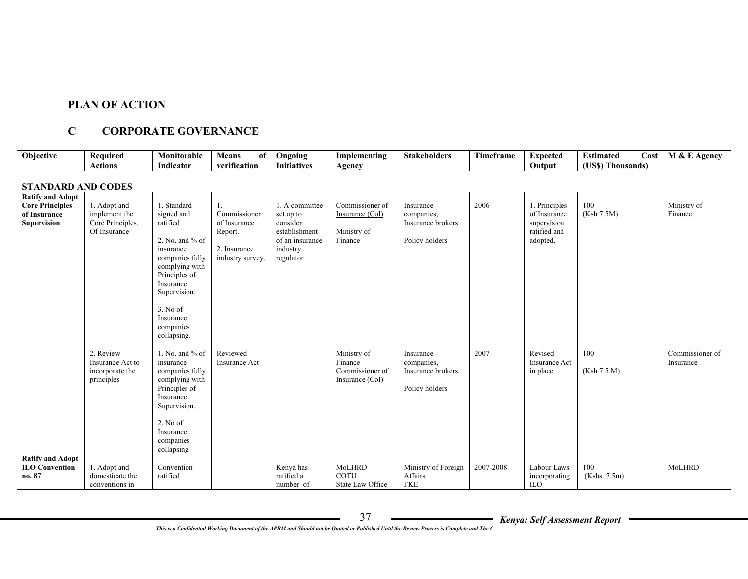#### **PLAN OF ACTION**

# **C CORPORATE GOVERNANCE**

| Objective                                                                               | Required<br><b>Actions</b>                                        | Monitorable<br>Indicator                                                                                                                                                                                        | <b>Means</b><br>of<br>verification                                                | Ongoing<br><b>Initiatives</b>                                                                        | Implementing<br>Agency                                       | <b>Stakeholders</b>                                             | Timeframe | <b>Expected</b><br>Output                                                | <b>Estimated</b><br>Cost<br>(US\$) Thousands) | M & E Agency                 |
|-----------------------------------------------------------------------------------------|-------------------------------------------------------------------|-----------------------------------------------------------------------------------------------------------------------------------------------------------------------------------------------------------------|-----------------------------------------------------------------------------------|------------------------------------------------------------------------------------------------------|--------------------------------------------------------------|-----------------------------------------------------------------|-----------|--------------------------------------------------------------------------|-----------------------------------------------|------------------------------|
| <b>STANDARD AND CODES</b>                                                               |                                                                   |                                                                                                                                                                                                                 |                                                                                   |                                                                                                      |                                                              |                                                                 |           |                                                                          |                                               |                              |
| <b>Ratify and Adopt</b><br><b>Core Principles</b><br>of Insurance<br><b>Supervision</b> | 1. Adopt and<br>implement the<br>Core Principles.<br>Of Insurance | 1. Standard<br>signed and<br>ratified<br>2. No. and $%$ of<br>insurance<br>companies fully<br>complying with<br>Principles of<br>Insurance<br>Supervision.<br>3. No of<br>Insurance<br>companies<br>collapsing. | 1.<br>Commissioner<br>of Insurance<br>Report.<br>2. Insurance<br>industry survey. | 1. A committee<br>set up to<br>consider<br>establishment<br>of an insurance<br>industry<br>regulator | Commissioner of<br>Insurance (CoI)<br>Ministry of<br>Finance | Insurance<br>companies,<br>Insurance brokers.<br>Policy holders | 2006      | 1. Principles<br>of Insurance<br>supervision<br>ratified and<br>adopted. | 100<br>(Ksh 7.5M)                             | Ministry of<br>Finance       |
|                                                                                         | 2. Review<br>Insurance Act to<br>incorporate the<br>principles    | 1. No. and $%$ of<br>insurance<br>companies fully<br>complying with<br>Principles of<br>Insurance<br>Supervision.<br>2. No of<br>Insurance<br>companies<br>collapsing                                           | Reviewed<br><b>Insurance Act</b>                                                  |                                                                                                      | Ministry of<br>Finance<br>Commissioner of<br>Insurance (CoI) | Insurance<br>companies,<br>Insurance brokers.<br>Policy holders | 2007      | Revised<br><b>Insurance Act</b><br>in place                              | 100<br>(Ksh 7.5 M)                            | Commissioner of<br>Insurance |
| <b>Ratify and Adopt</b><br><b>ILO Convention</b><br>no. 87                              | 1. Adopt and<br>domesticate the<br>conventions in                 | Convention<br>ratified                                                                                                                                                                                          |                                                                                   | Kenya has<br>ratified a<br>number of                                                                 | MoLHRD<br>COTU<br>State Law Office                           | Ministry of Foreign<br>Affairs<br><b>FKE</b>                    | 2007-2008 | Labour Laws<br>incorporating<br>ILO <sub></sub>                          | 100<br>(Kshs. 7.5m)                           | MoLHRD                       |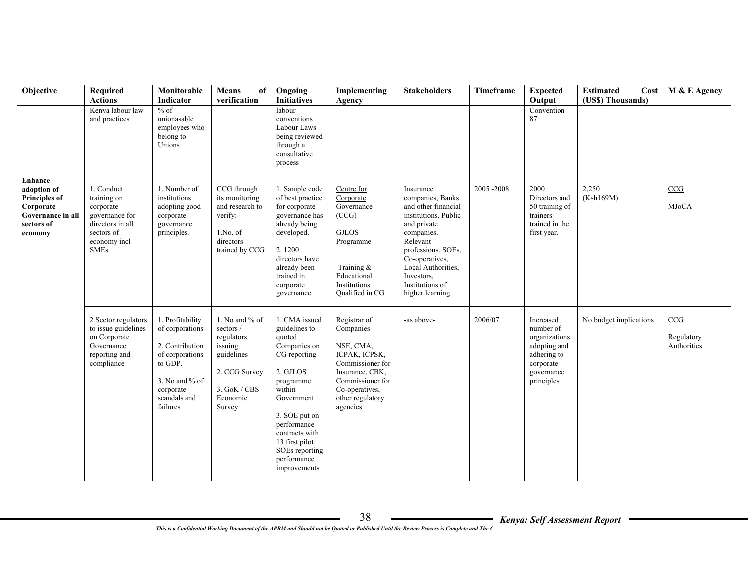| Objective                                                                                                 | <b>Required</b><br><b>Actions</b>                                                                                                | Monitorable<br>Indicator                                                                                                                          | Means<br>of<br>verification                                                                                               | Ongoing<br><b>Initiatives</b>                                                                                                                                                                                                                  | Implementing<br>Agency                                                                                                                                               | <b>Stakeholders</b>                                                                                                                                                                                                                      | Timeframe | <b>Expected</b><br>Output                                                                                       | <b>Estimated</b><br>Cost<br>(US\$) Thousands) | M & E Agency                     |
|-----------------------------------------------------------------------------------------------------------|----------------------------------------------------------------------------------------------------------------------------------|---------------------------------------------------------------------------------------------------------------------------------------------------|---------------------------------------------------------------------------------------------------------------------------|------------------------------------------------------------------------------------------------------------------------------------------------------------------------------------------------------------------------------------------------|----------------------------------------------------------------------------------------------------------------------------------------------------------------------|------------------------------------------------------------------------------------------------------------------------------------------------------------------------------------------------------------------------------------------|-----------|-----------------------------------------------------------------------------------------------------------------|-----------------------------------------------|----------------------------------|
|                                                                                                           | Kenya labour law<br>and practices                                                                                                | $%$ of<br>unionasable<br>employees who<br>belong to<br>Unions                                                                                     |                                                                                                                           | labour<br>conventions<br>Labour Laws<br>being reviewed<br>through a<br>consultative<br>process                                                                                                                                                 |                                                                                                                                                                      |                                                                                                                                                                                                                                          |           | Convention<br>87.                                                                                               |                                               |                                  |
| Enhance<br>adoption of<br><b>Principles of</b><br>Corporate<br>Governance in all<br>sectors of<br>economy | 1. Conduct<br>training on<br>corporate<br>governance for<br>directors in all<br>sectors of<br>economy incl<br>SME <sub>s</sub> . | 1. Number of<br>institutions<br>adopting good<br>corporate<br>governance<br>principles.                                                           | CCG through<br>its monitoring<br>and research to<br>verify:<br>$1.No.$ of<br>directors<br>trained by CCG                  | 1. Sample code<br>of best practice<br>for corporate<br>governance has<br>already being<br>developed.<br>2.1200<br>directors have<br>already been<br>trained in<br>corporate<br>governance.                                                     | Centre for<br>Corporate<br>Governance<br>(CCG)<br><b>GJLOS</b><br>Programme<br>Training $\&$<br>Educational<br>Institutions<br><b>Oualified</b> in CG                | Insurance<br>companies, Banks<br>and other financial<br>institutions. Public<br>and private<br>companies.<br>Relevant<br>professions. SOEs,<br>Co-operatives,<br>Local Authorities,<br>Investors,<br>Institutions of<br>higher learning. | 2005-2008 | 2000<br>Directors and<br>50 training of<br>trainers<br>trained in the<br>first year.                            | 2,250<br>(Ksh169M)                            | CCG<br><b>MJoCA</b>              |
|                                                                                                           | 2 Sector regulators<br>to issue guidelines<br>on Corporate<br>Governance<br>reporting and<br>compliance                          | 1. Profitability<br>of corporations<br>2. Contribution<br>of corporations<br>to GDP.<br>3. No and $%$ of<br>corporate<br>scandals and<br>failures | 1. No and % of<br>sectors /<br>regulators<br>issuing<br>guidelines<br>2. CCG Survey<br>3. GoK / CBS<br>Economic<br>Survey | 1. CMA issued<br>guidelines to<br>quoted<br>Companies on<br>CG reporting<br>2. GJLOS<br>programme<br>within<br>Government<br>3. SOE put on<br>performance<br>contracts with<br>13 first pilot<br>SOEs reporting<br>performance<br>improvements | Registrar of<br>Companies<br>NSE, CMA,<br>ICPAK, ICPSK,<br>Commissioner for<br>Insurance, CBK,<br>Commissioner for<br>Co-operatives,<br>other regulatory<br>agencies | -as above-                                                                                                                                                                                                                               | 2006/07   | Increased<br>number of<br>organizations<br>adopting and<br>adhering to<br>corporate<br>governance<br>principles | No budget implications                        | CCG<br>Regulatory<br>Authorities |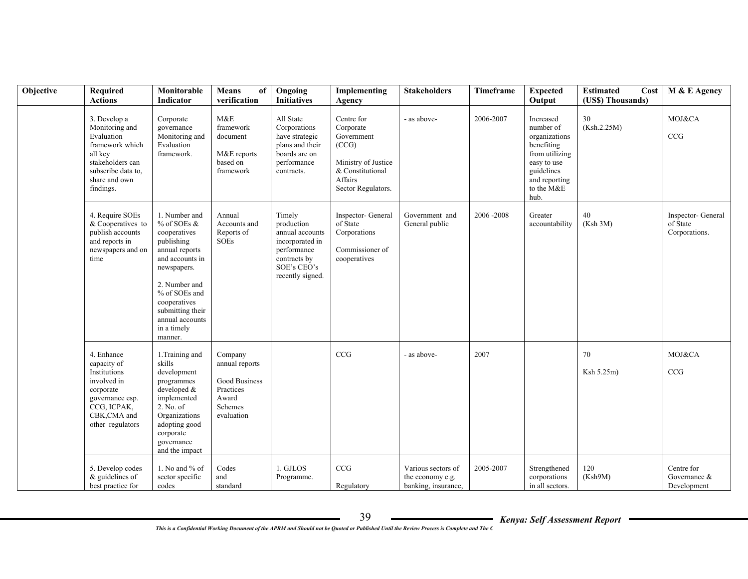| Objective | Required<br><b>Actions</b>                                                                                                                         | Monitorable<br>Indicator                                                                                                                                                                                                          | Means<br>of<br>verification                                                               | Ongoing<br><b>Initiatives</b>                                                                                                | Implementing<br>Agency                                                                                                     | <b>Stakeholders</b>                                           | Timeframe | <b>Expected</b><br>Output                                                                                                                   | <b>Estimated</b><br>Cost<br>(US\$) Thousands) | M & E Agency                                    |
|-----------|----------------------------------------------------------------------------------------------------------------------------------------------------|-----------------------------------------------------------------------------------------------------------------------------------------------------------------------------------------------------------------------------------|-------------------------------------------------------------------------------------------|------------------------------------------------------------------------------------------------------------------------------|----------------------------------------------------------------------------------------------------------------------------|---------------------------------------------------------------|-----------|---------------------------------------------------------------------------------------------------------------------------------------------|-----------------------------------------------|-------------------------------------------------|
|           | 3. Develop a<br>Monitoring and<br>Evaluation<br>framework which<br>all key<br>stakeholders can<br>subscribe data to.<br>share and own<br>findings. | Corporate<br>governance<br>Monitoring and<br>Evaluation<br>framework.                                                                                                                                                             | M&E<br>framework<br>document<br>M&E reports<br>based on<br>framework                      | All State<br>Corporations<br>have strategic<br>plans and their<br>boards are on<br>performance<br>contracts.                 | Centre for<br>Corporate<br>Government<br>(CCG)<br>Ministry of Justice<br>& Constitutional<br>Affairs<br>Sector Regulators. | - as above-                                                   | 2006-2007 | Increased<br>number of<br>organizations<br>benefiting<br>from utilizing<br>easy to use<br>guidelines<br>and reporting<br>to the M&E<br>hub. | 30<br>(Ksh.2.25M)                             | MOJ&CA<br>CCG                                   |
|           | 4. Require SOEs<br>& Cooperatives to<br>publish accounts<br>and reports in<br>newspapers and on<br>time                                            | 1. Number and<br>% of SOEs &<br>cooperatives<br>publishing<br>annual reports<br>and accounts in<br>newspapers.<br>2. Number and<br>% of SOEs and<br>cooperatives<br>submitting their<br>annual accounts<br>in a timely<br>manner. | Annual<br>Accounts and<br>Reports of<br><b>SOEs</b>                                       | Timely<br>production<br>annual accounts<br>incorporated in<br>performance<br>contracts by<br>SOE's CEO's<br>recently signed. | Inspector- General<br>of State<br>Corporations<br>Commissioner of<br>cooperatives                                          | Government and<br>General public                              | 2006-2008 | Greater<br>accountability                                                                                                                   | 40<br>(Ksh 3M)                                | Inspector- General<br>of State<br>Corporations. |
|           | 4. Enhance<br>capacity of<br>Institutions<br>involved in<br>corporate<br>governance esp.<br>CCG, ICPAK,<br>CBK, CMA and<br>other regulators        | 1. Training and<br>skills<br>development<br>programmes<br>developed &<br>implemented<br>2. No. of<br>Organizations<br>adopting good<br>corporate<br>governance<br>and the impact                                                  | Company<br>annual reports<br>Good Business<br>Practices<br>Award<br>Schemes<br>evaluation |                                                                                                                              | CCG                                                                                                                        | - as above-                                                   | 2007      |                                                                                                                                             | 70<br>Ksh 5.25m)                              | MOJ&CA<br>CCG                                   |
|           | 5. Develop codes<br>$&$ guidelines of<br>best practice for                                                                                         | 1. No and $%$ of<br>sector specific<br>codes                                                                                                                                                                                      | Codes<br>and<br>standard                                                                  | 1. GJLOS<br>Programme.                                                                                                       | CCG<br>Regulatory                                                                                                          | Various sectors of<br>the economy e.g.<br>banking, insurance, | 2005-2007 | Strengthened<br>corporations<br>in all sectors.                                                                                             | 120<br>(Ksh9M)                                | Centre for<br>Governance &<br>Development       |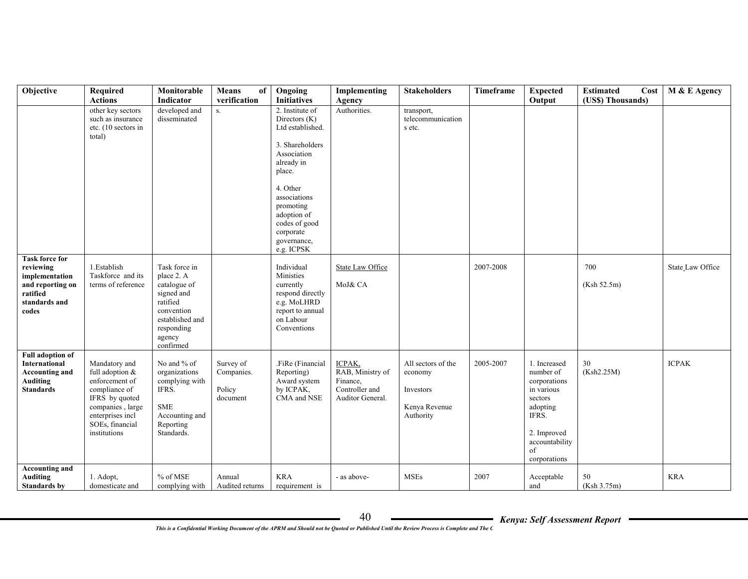| Objective                                                                                                       | Required<br><b>Actions</b>                                                                                                                                       | Monitorable<br>Indicator                                                                                                                    | Means<br>of<br>verification                   | Ongoing<br><b>Initiatives</b>                                                                                                                                                                                                     | Implementing<br>Agency                                                       | <b>Stakeholders</b>                                                      | Timeframe | <b>Expected</b><br>Output                                                                                                                      | <b>Estimated</b><br>Cost<br>(US\$) Thousands) | M & E Agency     |
|-----------------------------------------------------------------------------------------------------------------|------------------------------------------------------------------------------------------------------------------------------------------------------------------|---------------------------------------------------------------------------------------------------------------------------------------------|-----------------------------------------------|-----------------------------------------------------------------------------------------------------------------------------------------------------------------------------------------------------------------------------------|------------------------------------------------------------------------------|--------------------------------------------------------------------------|-----------|------------------------------------------------------------------------------------------------------------------------------------------------|-----------------------------------------------|------------------|
|                                                                                                                 | other key sectors<br>such as insurance<br>etc. (10 sectors in<br>total)                                                                                          | developed and<br>disseminated                                                                                                               | S <sub>z</sub>                                | 2. Institute of<br>Directors (K)<br>Ltd established.<br>3. Shareholders<br>Association<br>already in<br>place.<br>4. Other<br>associations<br>promoting<br>adoption of<br>codes of good<br>corporate<br>governance,<br>e.g. ICPSK | Authorities.                                                                 | transport,<br>telecommunication<br>s etc.                                |           |                                                                                                                                                |                                               |                  |
| <b>Task force for</b><br>reviewing<br>implementation<br>and reporting on<br>ratified<br>standards and<br>codes  | 1.Establish<br>Taskforce and its<br>terms of reference                                                                                                           | Task force in<br>place 2. A<br>catalogue of<br>signed and<br>ratified<br>convention<br>established and<br>responding<br>agency<br>confirmed |                                               | Individual<br>Ministies<br>currently<br>respond directly<br>e.g. MoLHRD<br>report to annual<br>on Labour<br>Conventions                                                                                                           | State Law Office<br>MoJ& CA                                                  |                                                                          | 2007-2008 |                                                                                                                                                | 700<br>(Ksh 52.5m)                            | State_Law Office |
| <b>Full adoption of</b><br><b>International</b><br><b>Accounting and</b><br><b>Auditing</b><br><b>Standards</b> | Mandatory and<br>full adoption &<br>enforcement of<br>compliance of<br>IFRS by quoted<br>companies, large<br>enterprises incl<br>SOEs, financial<br>institutions | No and % of<br>organizations<br>complying with<br>IFRS.<br>${\rm SME}$<br>Accounting and<br>Reporting<br>Standards.                         | Survey of<br>Companies.<br>Policy<br>document | .FiRe (Financial<br>Reporting)<br>Award system<br>by ICPAK,<br>CMA and NSE                                                                                                                                                        | ICPAK,<br>RAB, Ministry of<br>Finance.<br>Controller and<br>Auditor General. | All sectors of the<br>economy<br>Investors<br>Kenya Revenue<br>Authority | 2005-2007 | 1. Increased<br>number of<br>corporations<br>in various<br>sectors<br>adopting<br>IFRS.<br>2. Improved<br>accountability<br>of<br>corporations | 30<br>(Ksh2.25M)                              | <b>ICPAK</b>     |
| <b>Accounting and</b><br><b>Auditing</b><br><b>Standards by</b>                                                 | 1. Adopt,<br>domesticate and                                                                                                                                     | % of MSE<br>complying with                                                                                                                  | Annual<br>Audited returns                     | <b>KRA</b><br>requirement is                                                                                                                                                                                                      | - as above-                                                                  | <b>MSEs</b>                                                              | 2007      | Acceptable<br>and                                                                                                                              | 50<br>(Ksh 3.75m)                             | <b>KRA</b>       |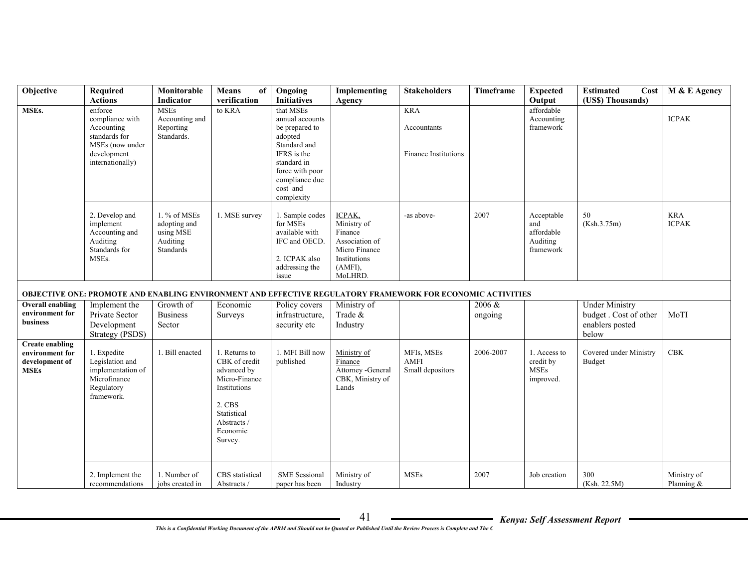| Objective                                                                  | Required<br><b>Actions</b>                                                                                      | Monitorable<br>Indicator                                           | <b>Means</b><br>of<br>verification                                                                                                            | Ongoing<br><b>Initiatives</b>                                                                                                                                          | Implementing<br>Agency                                                                                       | <b>Stakeholders</b>                                                                                        | Timeframe         | <b>Expected</b><br>Output                                | <b>Estimated</b><br>Cost<br>(US\$) Thousands)                              | M & E Agency                 |
|----------------------------------------------------------------------------|-----------------------------------------------------------------------------------------------------------------|--------------------------------------------------------------------|-----------------------------------------------------------------------------------------------------------------------------------------------|------------------------------------------------------------------------------------------------------------------------------------------------------------------------|--------------------------------------------------------------------------------------------------------------|------------------------------------------------------------------------------------------------------------|-------------------|----------------------------------------------------------|----------------------------------------------------------------------------|------------------------------|
| MSEs.                                                                      | enforce<br>compliance with<br>Accounting<br>standards for<br>MSEs (now under<br>development<br>internationally) | <b>MSEs</b><br>Accounting and<br>Reporting<br>Standards.           | to KRA                                                                                                                                        | that MSEs<br>annual accounts<br>be prepared to<br>adopted<br>Standard and<br>IFRS is the<br>standard in<br>force with poor<br>compliance due<br>cost and<br>complexity |                                                                                                              | <b>KRA</b><br>Accountants<br><b>Finance Institutions</b>                                                   |                   | affordable<br>Accounting<br>framework                    |                                                                            | <b>ICPAK</b>                 |
|                                                                            | 2. Develop and<br>implement<br>Accounting and<br>Auditing<br>Standards for<br>MSE <sub>s</sub> .                | 1. % of MSEs<br>adopting and<br>using MSE<br>Auditing<br>Standards | 1. MSE survey                                                                                                                                 | 1. Sample codes<br>for MSEs<br>available with<br>IFC and OECD<br>2. ICPAK also<br>addressing the<br>issue                                                              | ICPAK,<br>Ministry of<br>Finance<br>Association of<br>Micro Finance<br>Institutions<br>$(AMFI)$ ,<br>MoLHRD. | -as above-                                                                                                 | 2007              | Acceptable<br>and<br>affordable<br>Auditing<br>framework | 50<br>(Ksh.3.75m)                                                          | <b>KRA</b><br><b>ICPAK</b>   |
|                                                                            |                                                                                                                 |                                                                    |                                                                                                                                               |                                                                                                                                                                        |                                                                                                              | OBJECTIVE ONE: PROMOTE AND ENABLING ENVIRONMENT AND EFFECTIVE REGULATORY FRAMEWORK FOR ECONOMIC ACTIVITIES |                   |                                                          |                                                                            |                              |
| <b>Overall enabling</b><br>environment for<br><b>business</b>              | Implement the<br>Private Sector<br>Development<br>Strategy (PSDS)                                               | Growth of<br><b>Business</b><br>Sector                             | Economic<br>Surveys                                                                                                                           | Policy covers<br>infrastructure,<br>security etc                                                                                                                       | Ministry of<br>Trade &<br>Industry                                                                           |                                                                                                            | 2006 &<br>ongoing |                                                          | <b>Under Ministry</b><br>budget. Cost of other<br>enablers posted<br>below | MoTI                         |
| <b>Create enabling</b><br>environment for<br>development of<br><b>MSEs</b> | 1. Expedite<br>Legislation and<br>implementation of<br>Microfinance<br>Regulatory<br>framework.                 | 1. Bill enacted                                                    | 1. Returns to<br>CBK of credit<br>advanced by<br>Micro-Finance<br>Institutions<br>2. CBS<br>Statistical<br>Abstracts /<br>Economic<br>Survey. | 1. MFI Bill now<br>published                                                                                                                                           | Ministry of<br>Finance<br>Attorney - General<br>CBK, Ministry of<br>Lands                                    | MFIs, MSEs<br><b>AMFI</b><br>Small depositors                                                              | 2006-2007         | 1. Access to<br>credit by<br><b>MSEs</b><br>improved.    | Covered under Ministry<br>Budget                                           | <b>CBK</b>                   |
|                                                                            | 2. Implement the<br>recommendations                                                                             | 1. Number of<br>jobs created in                                    | CBS statistical<br>Abstracts /                                                                                                                | <b>SME</b> Sessional<br>paper has been                                                                                                                                 | Ministry of<br>Industry                                                                                      | <b>MSEs</b>                                                                                                | 2007              | Job creation                                             | 300<br>(Ksh. 22.5M)                                                        | Ministry of<br>Planning $\&$ |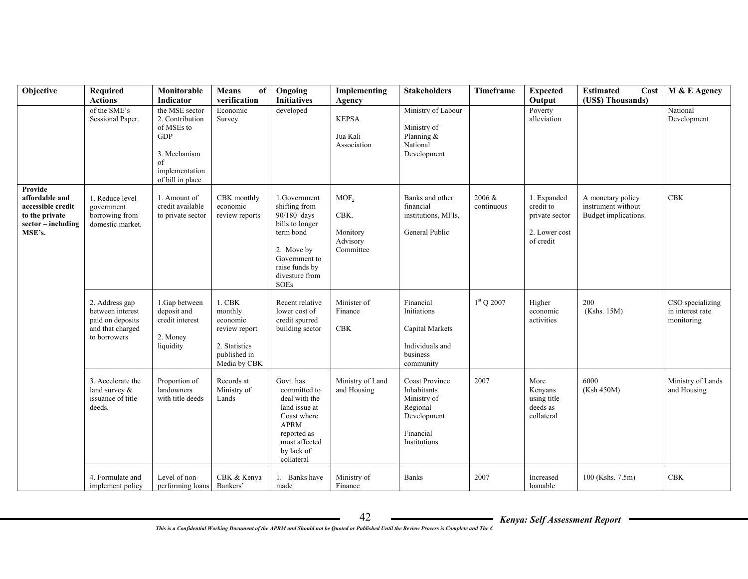| Objective                                                                                          | Required<br><b>Actions</b>                                                                 | Monitorable<br><b>Indicator</b>                                                                                           | <b>Means</b><br>of<br>verification                                                                 | Ongoing<br><b>Initiatives</b>                                                                                                                                  | Implementing<br>Agency                            | <b>Stakeholders</b>                                                                                         | <b>Timeframe</b>     | <b>Expected</b><br>Output                                                | <b>Estimated</b><br>Cost<br>(US\$) Thousands)                   | M & E Agency                                       |
|----------------------------------------------------------------------------------------------------|--------------------------------------------------------------------------------------------|---------------------------------------------------------------------------------------------------------------------------|----------------------------------------------------------------------------------------------------|----------------------------------------------------------------------------------------------------------------------------------------------------------------|---------------------------------------------------|-------------------------------------------------------------------------------------------------------------|----------------------|--------------------------------------------------------------------------|-----------------------------------------------------------------|----------------------------------------------------|
|                                                                                                    | of the SME's<br>Sessional Paper.                                                           | the MSE sector<br>2. Contribution<br>of MSEs to<br><b>GDP</b><br>3. Mechanism<br>of<br>implementation<br>of bill in place | Economic<br>Survey                                                                                 | developed                                                                                                                                                      | <b>KEPSA</b><br>Jua Kali<br>Association           | Ministry of Labour<br>Ministry of<br>Planning &<br>National<br>Development                                  |                      | Poverty<br>alleviation                                                   |                                                                 | National<br>Development                            |
| Provide<br>affordable and<br>accessible credit<br>to the private<br>$sector - including$<br>MSE's. | 1. Reduce level<br>government<br>borrowing from<br>domestic market.                        | 1. Amount of<br>credit available<br>to private sector                                                                     | CBK monthly<br>economic<br>review reports                                                          | 1.Government<br>shifting from<br>90/180 days<br>bills to longer<br>term bond<br>2. Move by<br>Government to<br>raise funds by<br>divesture from<br><b>SOEs</b> | MOF.<br>CBK.<br>Monitory<br>Advisory<br>Committee | Banks and other<br>financial<br>institutions, MFIs,<br>General Public                                       | 2006 &<br>continuous | 1. Expanded<br>credit to<br>private sector<br>2. Lower cost<br>of credit | A monetary policy<br>instrument without<br>Budget implications. | <b>CBK</b>                                         |
|                                                                                                    | 2. Address gap<br>between interest<br>paid on deposits<br>and that charged<br>to borrowers | 1.Gap between<br>deposit and<br>credit interest<br>2. Money<br>liquidity                                                  | $1$ . CBK<br>monthly<br>economic<br>review report<br>2. Statistics<br>published in<br>Media by CBK | Recent relative<br>lower cost of<br>credit spurred<br>building sector                                                                                          | Minister of<br>Finance<br><b>CBK</b>              | Financial<br>Initiations<br>Capital Markets<br>Individuals and<br>business<br>community                     | $1st$ Q 2007         | Higher<br>economic<br>activities                                         | 200<br>(Kshs. 15M)                                              | CSO specializing<br>in interest rate<br>monitoring |
|                                                                                                    | 3. Accelerate the<br>land survey $\&$<br>issuance of title<br>deeds.                       | Proportion of<br>landowners<br>with title deeds                                                                           | Records at<br>Ministry of<br>Lands                                                                 | Govt. has<br>committed to<br>deal with the<br>land issue at<br>Coast where<br><b>APRM</b><br>reported as<br>most affected<br>by lack of<br>collateral          | Ministry of Land<br>and Housing                   | <b>Coast Province</b><br>Inhabitants<br>Ministry of<br>Regional<br>Development<br>Financial<br>Institutions | 2007                 | More<br>Kenyans<br>using title<br>deeds as<br>collateral                 | 6000<br>(Ksh 450M)                                              | Ministry of Lands<br>and Housing                   |
|                                                                                                    | 4. Formulate and<br>implement policy                                                       | Level of non-<br>performing loans                                                                                         | CBK & Kenya<br>Bankers'                                                                            | 1. Banks have<br>made                                                                                                                                          | Ministry of<br>Finance                            | <b>Banks</b>                                                                                                | 2007                 | Increased<br>loanable                                                    | 100 (Kshs. 7.5m)                                                | CBK                                                |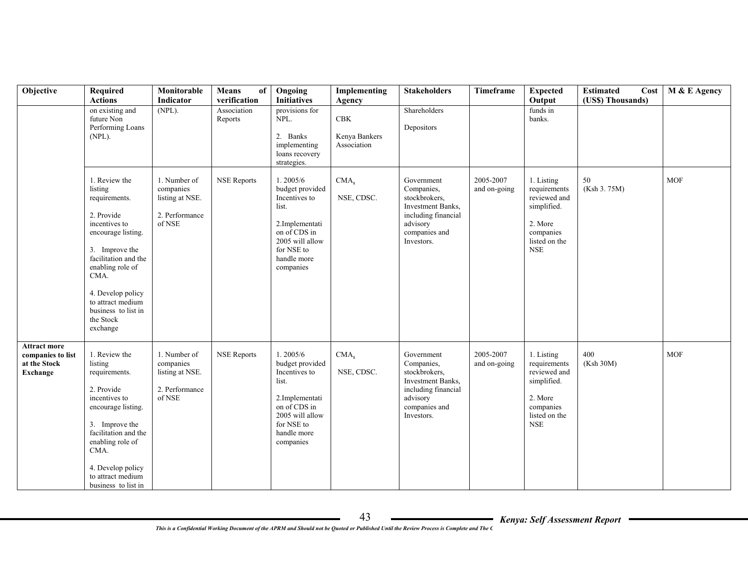| Objective                                                                   | <b>Required</b><br><b>Actions</b>                                                                                                                                                                                                                              | Monitorable<br>Indicator                                                 | of<br>Means<br>verification | Ongoing<br><b>Initiatives</b>                                                                                                                        | Implementing<br>Agency              | <b>Stakeholders</b>                                                                                                                     | Timeframe                 | <b>Expected</b><br>Output                                                                                        | <b>Estimated</b><br>Cost<br>(US\$) Thousands) | M & E Agency |
|-----------------------------------------------------------------------------|----------------------------------------------------------------------------------------------------------------------------------------------------------------------------------------------------------------------------------------------------------------|--------------------------------------------------------------------------|-----------------------------|------------------------------------------------------------------------------------------------------------------------------------------------------|-------------------------------------|-----------------------------------------------------------------------------------------------------------------------------------------|---------------------------|------------------------------------------------------------------------------------------------------------------|-----------------------------------------------|--------------|
|                                                                             | on existing and<br>future Non<br>Performing Loans<br>(NPL).                                                                                                                                                                                                    | $(NPL)$ .                                                                | Association<br>Reports      | provisions for<br>NPL.<br>2. Banks<br>implementing<br>loans recovery<br>strategies.                                                                  | CBK<br>Kenya Bankers<br>Association | Shareholders<br>Depositors                                                                                                              |                           | funds in<br>banks.                                                                                               |                                               |              |
|                                                                             | 1. Review the<br>listing<br>requirements.<br>2. Provide<br>incentives to<br>encourage listing.<br>3. Improve the<br>facilitation and the<br>enabling role of<br>CMA.<br>4. Develop policy<br>to attract medium<br>business to list in<br>the Stock<br>exchange | 1. Number of<br>companies<br>listing at NSE.<br>2. Performance<br>of NSE | <b>NSE Reports</b>          | 1.2005/6<br>budget provided<br>Incentives to<br>list.<br>2.Implementati<br>on of CDS in<br>2005 will allow<br>for NSE to<br>handle more<br>companies | CMA <sub>2</sub><br>NSE, CDSC.      | Government<br>Companies,<br>stockbrokers,<br>Investment Banks,<br>including financial<br>advisory<br>companies and<br>Investors.        | 2005-2007<br>and on-going | 1. Listing<br>requirements<br>reviewed and<br>simplified.<br>2. More<br>companies<br>listed on the<br><b>NSE</b> | 50<br>(Ksh 3.75M)                             | <b>MOF</b>   |
| <b>Attract more</b><br>companies to list<br>at the Stock<br><b>Exchange</b> | 1. Review the<br>listing<br>requirements.<br>2. Provide<br>incentives to<br>encourage listing.<br>3. Improve the<br>facilitation and the<br>enabling role of<br>CMA.<br>4. Develop policy<br>to attract medium<br>business to list in                          | 1. Number of<br>companies<br>listing at NSE.<br>2. Performance<br>of NSE | <b>NSE Reports</b>          | 1.2005/6<br>budget provided<br>Incentives to<br>list.<br>2.Implementati<br>on of CDS in<br>2005 will allow<br>for NSE to<br>handle more<br>companies | CMA <sub>2</sub><br>NSE, CDSC.      | Government<br>Companies,<br>stockbrokers.<br><b>Investment Banks.</b><br>including financial<br>advisory<br>companies and<br>Investors. | 2005-2007<br>and on-going | 1. Listing<br>requirements<br>reviewed and<br>simplified.<br>2. More<br>companies<br>listed on the<br><b>NSE</b> | 400<br>(Ksh 30M)                              | <b>MOF</b>   |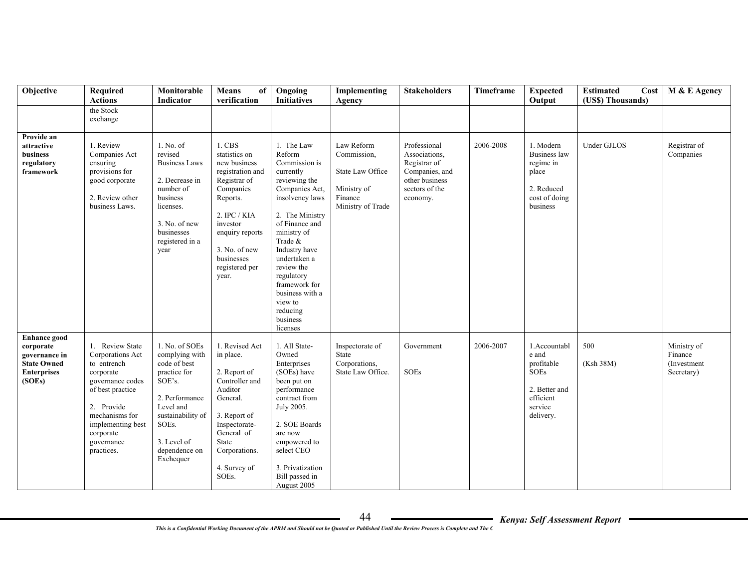| Objective                                                                                               | Required<br><b>Actions</b>                                                                                                                                                                            | Monitorable<br>Indicator                                                                                                                                                             | <b>Means</b><br>of<br>verification                                                                                                                                                                            | Ongoing<br><b>Initiatives</b>                                                                                                                                                                                                                                                                                           | Implementing<br>Agency                                                                       | <b>Stakeholders</b>                                                                                             | Timeframe | <b>Expected</b><br>Output                                                                                | <b>Estimated</b><br>Cost<br>(US\$) Thousands) | M & E Agency                                         |
|---------------------------------------------------------------------------------------------------------|-------------------------------------------------------------------------------------------------------------------------------------------------------------------------------------------------------|--------------------------------------------------------------------------------------------------------------------------------------------------------------------------------------|---------------------------------------------------------------------------------------------------------------------------------------------------------------------------------------------------------------|-------------------------------------------------------------------------------------------------------------------------------------------------------------------------------------------------------------------------------------------------------------------------------------------------------------------------|----------------------------------------------------------------------------------------------|-----------------------------------------------------------------------------------------------------------------|-----------|----------------------------------------------------------------------------------------------------------|-----------------------------------------------|------------------------------------------------------|
|                                                                                                         | the Stock<br>exchange                                                                                                                                                                                 |                                                                                                                                                                                      |                                                                                                                                                                                                               |                                                                                                                                                                                                                                                                                                                         |                                                                                              |                                                                                                                 |           |                                                                                                          |                                               |                                                      |
| Provide an<br>attractive<br>business<br>regulatory<br>framework                                         | 1. Review<br>Companies Act<br>ensuring<br>provisions for<br>good corporate<br>2. Review other<br>business Laws.                                                                                       | 1. No. of<br>revised<br><b>Business Laws</b><br>2. Decrease in<br>number of<br>business<br>licenses.<br>3. No. of new<br>businesses<br>registered in a<br>year                       | 1. CBS<br>statistics on<br>new business<br>registration and<br>Registrar of<br>Companies<br>Reports.<br>2. IPC / KIA<br>investor<br>enquiry reports<br>3. No. of new<br>businesses<br>registered per<br>year. | 1. The Law<br>Reform<br>Commission is<br>currently<br>reviewing the<br>Companies Act,<br>insolvency laws<br>2. The Ministry<br>of Finance and<br>ministry of<br>Trade &<br>Industry have<br>undertaken a<br>review the<br>regulatory<br>framework for<br>business with a<br>view to<br>reducing<br>business<br>licenses | Law Reform<br>Commission,<br>State Law Office<br>Ministry of<br>Finance<br>Ministry of Trade | Professional<br>Associations,<br>Registrar of<br>Companies, and<br>other business<br>sectors of the<br>economy. | 2006-2008 | 1. Modern<br>Business law<br>regime in<br>place<br>2. Reduced<br>cost of doing<br>business               | <b>Under GJLOS</b>                            | Registrar of<br>Companies                            |
| <b>Enhance</b> good<br>corporate<br>governance in<br><b>State Owned</b><br><b>Enterprises</b><br>(SOEs) | 1. Review State<br>Corporations Act<br>to entrench<br>corporate<br>governance codes<br>of best practice<br>2. Provide<br>mechanisms for<br>implementing best<br>corporate<br>governance<br>practices. | 1. No. of SOEs<br>complying with<br>code of best<br>practice for<br>SOE's.<br>2. Performance<br>Level and<br>sustainability of<br>SOEs.<br>3. Level of<br>dependence on<br>Exchequer | 1. Revised Act<br>in place.<br>2. Report of<br>Controller and<br>Auditor<br>General.<br>3. Report of<br>Inspectorate-<br>General of<br>State<br>Corporations.<br>4. Survey of<br>SOEs.                        | 1. All State-<br>Owned<br>Enterprises<br>(SOEs) have<br>been put on<br>performance<br>contract from<br>July 2005.<br>2. SOE Boards<br>are now<br>empowered to<br>select CEO<br>3. Privatization<br>Bill passed in<br>August 2005                                                                                        | Inspectorate of<br>State<br>Corporations,<br>State Law Office.                               | Government<br>SOEs                                                                                              | 2006-2007 | 1.Accountabl<br>e and<br>profitable<br><b>SOEs</b><br>2. Better and<br>efficient<br>service<br>delivery. | 500<br>(Ksh 38M)                              | Ministry of<br>Finance<br>(Investment)<br>Secretary) |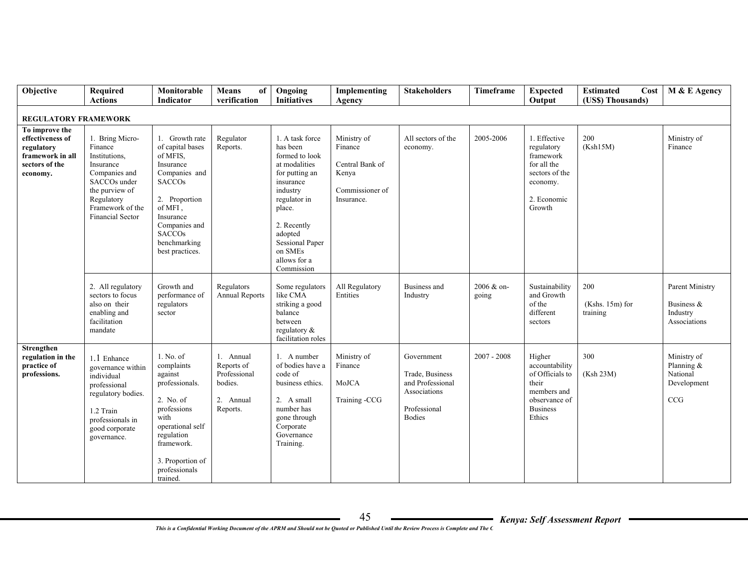| Objective                                                                                          | Required<br><b>Actions</b>                                                                                                                                                           | Monitorable<br>Indicator                                                                                                                                                                                    | Means<br>of<br>verification                                                 | Ongoing<br><b>Initiatives</b>                                                                                                                                                                                                    | Implementing<br>Agency                                                              | <b>Stakeholders</b>                                                                                | Timeframe           | <b>Expected</b><br>Output                                                                                         | <b>Estimated</b><br>Cost<br>(US\$) Thousands) | M & E Agency                                                |
|----------------------------------------------------------------------------------------------------|--------------------------------------------------------------------------------------------------------------------------------------------------------------------------------------|-------------------------------------------------------------------------------------------------------------------------------------------------------------------------------------------------------------|-----------------------------------------------------------------------------|----------------------------------------------------------------------------------------------------------------------------------------------------------------------------------------------------------------------------------|-------------------------------------------------------------------------------------|----------------------------------------------------------------------------------------------------|---------------------|-------------------------------------------------------------------------------------------------------------------|-----------------------------------------------|-------------------------------------------------------------|
|                                                                                                    |                                                                                                                                                                                      |                                                                                                                                                                                                             |                                                                             |                                                                                                                                                                                                                                  |                                                                                     |                                                                                                    |                     |                                                                                                                   |                                               |                                                             |
| REGULATORY FRAMEWORK                                                                               |                                                                                                                                                                                      |                                                                                                                                                                                                             |                                                                             |                                                                                                                                                                                                                                  |                                                                                     |                                                                                                    |                     |                                                                                                                   |                                               |                                                             |
| To improve the<br>effectiveness of<br>regulatory<br>framework in all<br>sectors of the<br>economy. | 1. Bring Micro-<br>Finance<br>Institutions,<br>Insurance<br>Companies and<br>SACCO <sub>s</sub> under<br>the purview of<br>Regulatory<br>Framework of the<br><b>Financial Sector</b> | 1. Growth rate<br>of capital bases<br>of MFIS.<br>Insurance<br>Companies and<br><b>SACCOs</b><br>2. Proportion<br>of MFI,<br>Insurance<br>Companies and<br><b>SACCOs</b><br>benchmarking<br>best practices. | Regulator<br>Reports.                                                       | 1. A task force<br>has been<br>formed to look<br>at modalities<br>for putting an<br>insurance<br>industry<br>regulator in<br>place.<br>2. Recently<br>adopted<br><b>Sessional Paper</b><br>on SMEs<br>allows for a<br>Commission | Ministry of<br>Finance<br>Central Bank of<br>Kenya<br>Commissioner of<br>Insurance. | All sectors of the<br>economy.                                                                     | 2005-2006           | 1. Effective<br>regulatory<br>framework<br>for all the<br>sectors of the<br>economy.<br>2. Economic<br>Growth     | 200<br>(Ksh15M)                               | Ministry of<br>Finance                                      |
|                                                                                                    | 2. All regulatory<br>sectors to focus<br>also on their<br>enabling and<br>facilitation<br>mandate                                                                                    | Growth and<br>performance of<br>regulators<br>sector                                                                                                                                                        | Regulators<br><b>Annual Reports</b>                                         | Some regulators<br>like CMA<br>striking a good<br>balance<br>between<br>regulatory $\&$<br>facilitation roles                                                                                                                    | All Regulatory<br>Entities                                                          | <b>Business</b> and<br>Industry                                                                    | 2006 & on-<br>going | Sustainability<br>and Growth<br>of the<br>different<br>sectors                                                    | 200<br>$(Kshs. 15m)$ for<br>training          | Parent Ministry<br>Business &<br>Industry<br>Associations   |
| Strengthen<br>regulation in the<br>practice of<br>professions.                                     | 1.1 Enhance<br>governance within<br>individual<br>professional<br>regulatory bodies.<br>1.2 Train<br>professionals in<br>good corporate<br>governance.                               | 1. No. of<br>complaints<br>against<br>professionals.<br>2. No. of<br>professions<br>with<br>operational self<br>regulation<br>framework.<br>3. Proportion of<br>professionals<br>trained.                   | 1. Annual<br>Reports of<br>Professional<br>bodies.<br>2. Annual<br>Reports. | 1. A number<br>of bodies have a<br>code of<br>business ethics.<br>2. A small<br>number has<br>gone through<br>Corporate<br>Governance<br>Training.                                                                               | Ministry of<br>Finance<br>MoJCA<br>Training -CCG                                    | Government<br>Trade, Business<br>and Professional<br>Associations<br>Professional<br><b>Bodies</b> | $2007 - 2008$       | Higher<br>accountability<br>of Officials to<br>their<br>members and<br>observance of<br><b>Business</b><br>Ethics | 300<br>(Ksh 23M)                              | Ministry of<br>Planning &<br>National<br>Development<br>CCG |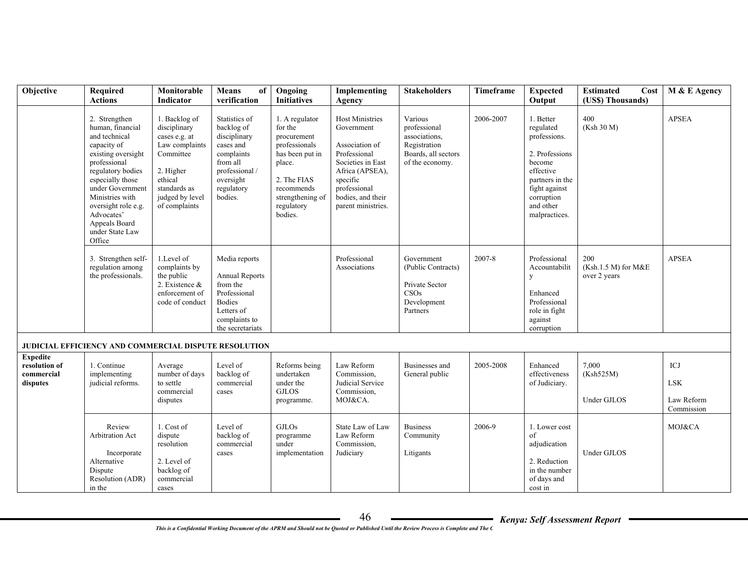| Objective                                                  | Required<br><b>Actions</b>                                                                                                                                                                                                                                                 | Monitorable<br><b>Indicator</b>                                                                                                                           | Means<br>of<br>verification                                                                                                                | Ongoing<br><b>Initiatives</b>                                                                                                                                    | Implementing<br>Agency                                                                                                                                                                | <b>Stakeholders</b>                                                                                | Timeframe | <b>Expected</b><br>Output                                                                                                                                       | <b>Estimated</b><br>Cost<br>(US\$) Thousands) | M & E Agency                                  |
|------------------------------------------------------------|----------------------------------------------------------------------------------------------------------------------------------------------------------------------------------------------------------------------------------------------------------------------------|-----------------------------------------------------------------------------------------------------------------------------------------------------------|--------------------------------------------------------------------------------------------------------------------------------------------|------------------------------------------------------------------------------------------------------------------------------------------------------------------|---------------------------------------------------------------------------------------------------------------------------------------------------------------------------------------|----------------------------------------------------------------------------------------------------|-----------|-----------------------------------------------------------------------------------------------------------------------------------------------------------------|-----------------------------------------------|-----------------------------------------------|
|                                                            | 2. Strengthen<br>human, financial<br>and technical<br>capacity of<br>existing oversight<br>professional<br>regulatory bodies<br>especially those<br>under Government<br>Ministries with<br>oversight role e.g.<br>Advocates'<br>Appeals Board<br>under State Law<br>Office | 1. Backlog of<br>disciplinary<br>cases e.g. at<br>Law complaints<br>Committee<br>2. Higher<br>ethical<br>standards as<br>judged by level<br>of complaints | Statistics of<br>backlog of<br>disciplinary<br>cases and<br>complaints<br>from all<br>professional /<br>oversight<br>regulatory<br>bodies. | 1. A regulator<br>for the<br>procurement<br>professionals<br>has been put in<br>place.<br>2. The FIAS<br>recommends<br>strengthening of<br>regulatory<br>bodies. | <b>Host Ministries</b><br>Government<br>Association of<br>Professional<br>Societies in East<br>Africa (APSEA),<br>specific<br>professional<br>bodies, and their<br>parent ministries. | Various<br>professional<br>associations.<br>Registration<br>Boards, all sectors<br>of the economy. | 2006-2007 | 1. Better<br>regulated<br>professions.<br>2. Professions<br>become<br>effective<br>partners in the<br>fight against<br>corruption<br>and other<br>malpractices. | 400<br>(Ksh 30 M)                             | <b>APSEA</b>                                  |
|                                                            | 3. Strengthen self-<br>regulation among<br>the professionals.                                                                                                                                                                                                              | 1.Level of<br>complaints by<br>the public<br>2. Existence &<br>enforcement of<br>code of conduct                                                          | Media reports<br><b>Annual Reports</b><br>from the<br>Professional<br><b>Bodies</b><br>Letters of<br>complaints to<br>the secretariats     |                                                                                                                                                                  | Professional<br>Associations                                                                                                                                                          | Government<br>(Public Contracts)<br>Private Sector<br>CSOs<br>Development<br>Partners              | 2007-8    | Professional<br>Accountabilit<br>y<br>Enhanced<br>Professional<br>role in fight<br>against<br>corruption                                                        | 200<br>(Ksh.1.5 M) for M&E<br>over 2 years    | <b>APSEA</b>                                  |
|                                                            | <b>JUDICIAL EFFICIENCY AND COMMERCIAL DISPUTE RESOLUTION</b>                                                                                                                                                                                                               |                                                                                                                                                           |                                                                                                                                            |                                                                                                                                                                  |                                                                                                                                                                                       |                                                                                                    |           |                                                                                                                                                                 |                                               |                                               |
| <b>Expedite</b><br>resolution of<br>commercial<br>disputes | 1. Continue<br>implementing<br>judicial reforms.                                                                                                                                                                                                                           | Average<br>number of days<br>to settle<br>commercial<br>disputes                                                                                          | Level of<br>backlog of<br>commercial<br>cases                                                                                              | Reforms being<br>undertaken<br>under the<br><b>GJLOS</b><br>programme.                                                                                           | Law Reform<br>Commission,<br>Judicial Service<br>Commission,<br>MOJ&CA.                                                                                                               | Businesses and<br>General public                                                                   | 2005-2008 | Enhanced<br>effectiveness<br>of Judiciary.                                                                                                                      | 7,000<br>(Ksh525M)<br>Under GJLOS             | ICJ<br><b>LSK</b><br>Law Reform<br>Commission |
|                                                            | Review<br>Arbitration Act<br>Incorporate<br>Alternative<br>Dispute<br>Resolution (ADR)<br>in the                                                                                                                                                                           | 1. Cost of<br>dispute<br>resolution<br>2. Level of<br>backlog of<br>commercial<br>cases                                                                   | Level of<br>backlog of<br>commercial<br>cases                                                                                              | <b>GJLOs</b><br>programme<br>under<br>implementation                                                                                                             | State Law of Law<br>Law Reform<br>Commission,<br>Judiciary                                                                                                                            | <b>Business</b><br>Community<br>Litigants                                                          | 2006-9    | 1. Lower cost<br>of<br>adjudication<br>2. Reduction<br>in the number<br>of days and<br>cost in                                                                  | Under GJLOS                                   | MOJ&CA                                        |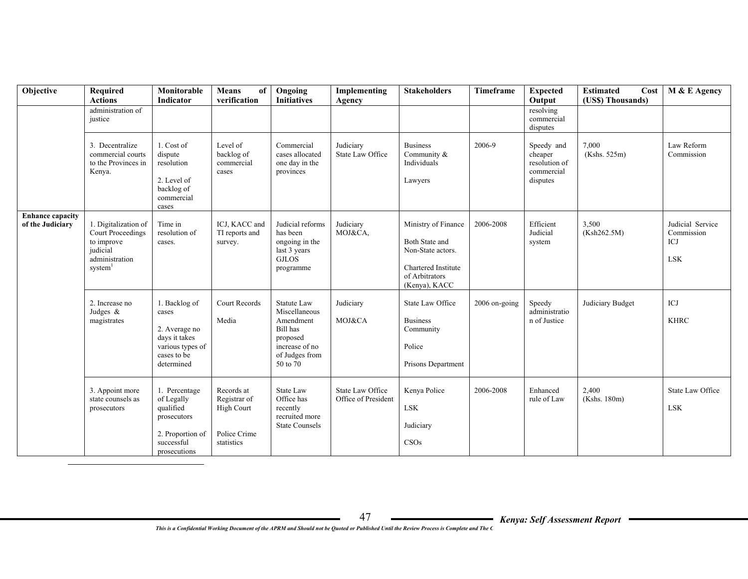| Objective                                   | Required<br><b>Actions</b>                                                                                          | Monitorable<br><b>Indicator</b>                                                                           | <b>Means</b><br>of<br>verification                                            | Ongoing<br><b>Initiatives</b>                                                                                            | Implementing<br>Agency                  | <b>Stakeholders</b>                                                                                                  | Timeframe     | <b>Expected</b><br>Output                                        | <b>Estimated</b><br>Cost<br>(US\$) Thousands) | M & E Agency                                        |
|---------------------------------------------|---------------------------------------------------------------------------------------------------------------------|-----------------------------------------------------------------------------------------------------------|-------------------------------------------------------------------------------|--------------------------------------------------------------------------------------------------------------------------|-----------------------------------------|----------------------------------------------------------------------------------------------------------------------|---------------|------------------------------------------------------------------|-----------------------------------------------|-----------------------------------------------------|
|                                             | administration of<br>justice                                                                                        |                                                                                                           |                                                                               |                                                                                                                          |                                         |                                                                                                                      |               | resolving<br>commercial<br>disputes                              |                                               |                                                     |
|                                             | 3. Decentralize<br>commercial courts<br>to the Provinces in<br>Kenya.                                               | 1. Cost of<br>dispute<br>resolution<br>2. Level of<br>backlog of<br>commercial<br>cases                   | Level of<br>backlog of<br>commercial<br>cases                                 | Commercial<br>cases allocated<br>one day in the<br>provinces                                                             | Judiciary<br>State Law Office           | <b>Business</b><br>Community &<br>Individuals<br>Lawyers                                                             | 2006-9        | Speedy and<br>cheaper<br>resolution of<br>commercial<br>disputes | 7,000<br>(Kshs. 525m)                         | Law Reform<br>Commission                            |
| <b>Enhance capacity</b><br>of the Judiciary | 1. Digitalization of<br><b>Court Proceedings</b><br>to improve<br>judicial<br>administration<br>system <sup>1</sup> | Time in<br>resolution of<br>cases.                                                                        | ICJ, KACC and<br>TI reports and<br>survey.                                    | Judicial reforms<br>has been<br>ongoing in the<br>last 3 years<br><b>GJLOS</b><br>programme                              | Judiciary<br>MOJ&CA,                    | Ministry of Finance<br>Both State and<br>Non-State actors.<br>Chartered Institute<br>of Arbitrators<br>(Kenya), KACC | 2006-2008     | Efficient<br>Judicial<br>system                                  | 3,500<br>(Ksh262.5M)                          | Judicial Service<br>Commission<br>ICJ<br><b>LSK</b> |
|                                             | 2. Increase no<br>Judges $\&$<br>magistrates                                                                        | 1. Backlog of<br>cases<br>2. Average no<br>days it takes<br>various types of<br>cases to be<br>determined | Court Records<br>Media                                                        | <b>Statute Law</b><br>Miscellaneous<br>Amendment<br>Bill has<br>proposed<br>increase of no<br>of Judges from<br>50 to 70 | Judiciary<br>MOJ&CA                     | State Law Office<br><b>Business</b><br>Community<br>Police<br>Prisons Department                                     | 2006 on-going | Speedy<br>administratio<br>n of Justice                          | Judiciary Budget                              | $\rm{ICJ}$<br><b>KHRC</b>                           |
|                                             | 3. Appoint more<br>state counsels as<br>prosecutors                                                                 | 1. Percentage<br>of Legally<br>qualified<br>prosecutors<br>2. Proportion of<br>successful<br>prosecutions | Records at<br>Registrar of<br><b>High Court</b><br>Police Crime<br>statistics | <b>State Law</b><br>Office has<br>recently<br>recruited more<br><b>State Counsels</b>                                    | State Law Office<br>Office of President | Kenya Police<br><b>LSK</b><br>Judiciary<br>CSOs                                                                      | 2006-2008     | Enhanced<br>rule of Law                                          | 2,400<br>(Kshs. 180m)                         | State Law Office<br><b>LSK</b>                      |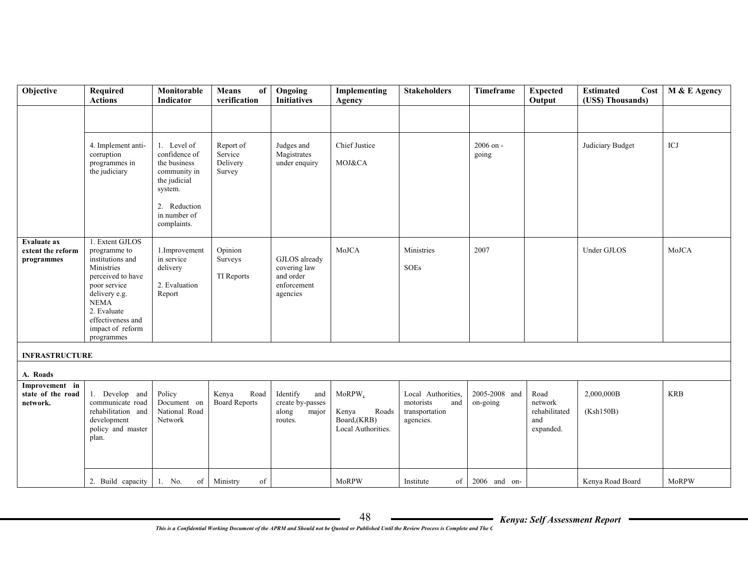| Objective                                       | Required<br><b>Actions</b>                                                                                                                                                                                   | Monitorable<br>Indicator                                                                                                               | Means<br>of<br>verification                | Ongoing<br><b>Initiatives</b>                                         | Implementing<br>Agency                                        | <b>Stakeholders</b>                                                   | Timeframe                 | <b>Expected</b><br>Output                            | <b>Estimated</b><br>Cost<br>(US\$) Thousands) | M & E Agency |
|-------------------------------------------------|--------------------------------------------------------------------------------------------------------------------------------------------------------------------------------------------------------------|----------------------------------------------------------------------------------------------------------------------------------------|--------------------------------------------|-----------------------------------------------------------------------|---------------------------------------------------------------|-----------------------------------------------------------------------|---------------------------|------------------------------------------------------|-----------------------------------------------|--------------|
|                                                 |                                                                                                                                                                                                              |                                                                                                                                        |                                            |                                                                       |                                                               |                                                                       |                           |                                                      |                                               |              |
|                                                 | 4. Implement anti-<br>corruption<br>programmes in<br>the judiciary                                                                                                                                           | 1. Level of<br>confidence of<br>the business<br>community in<br>the judicial<br>system.<br>2. Reduction<br>in number of<br>complaints. | Report of<br>Service<br>Delivery<br>Survey | Judges and<br>Magistrates<br>under enquiry                            | Chief Justice<br>MOJ&CA                                       |                                                                       | 2006 on -<br>going        |                                                      | Judiciary Budget                              | ICJ          |
| Evaluate ax<br>extent the reform<br>programmes  | 1. Extent GJLOS<br>programme to<br>institutions and<br>Ministries<br>perceived to have<br>poor service<br>delivery e.g.<br><b>NEMA</b><br>2. Evaluate<br>effectiveness and<br>impact of reform<br>programmes | 1.Improvement<br>in service<br>delivery<br>2. Evaluation<br>Report                                                                     | Opinion<br>Surveys<br>TI Reports           | GJLOS already<br>covering law<br>and order<br>enforcement<br>agencies | MoJCA                                                         | Ministries<br><b>SOEs</b>                                             | 2007                      |                                                      | Under GJLOS                                   | MoJCA        |
| <b>INFRASTRUCTURE</b>                           |                                                                                                                                                                                                              |                                                                                                                                        |                                            |                                                                       |                                                               |                                                                       |                           |                                                      |                                               |              |
| A. Roads                                        |                                                                                                                                                                                                              |                                                                                                                                        |                                            |                                                                       |                                                               |                                                                       |                           |                                                      |                                               |              |
| Improvement in<br>state of the road<br>network. | 1. Develop and<br>communicate road<br>rehabilitation and<br>development<br>policy and master<br>plan.                                                                                                        | Policy<br>Document on<br>National Road<br>Network                                                                                      | Kenya<br>Road<br><b>Board Reports</b>      | Identify<br>and<br>create by-passes<br>along<br>major<br>routes.      | MoRPW,<br>Kenya<br>Roads<br>Board,(KRB)<br>Local Authorities. | Local Authorities,<br>motorists<br>and<br>transportation<br>agencies. | 2005-2008 and<br>on-going | Road<br>network<br>rehabilitated<br>and<br>expanded. | 2,000,000B<br>(Ksh150B)                       | <b>KRB</b>   |
|                                                 | 2. Build capacity 1. No.                                                                                                                                                                                     |                                                                                                                                        | of Ministry<br>of                          |                                                                       | MoRPW                                                         | of<br>Institute                                                       | $2006$ and on-            |                                                      | Kenya Road Board                              | MoRPW        |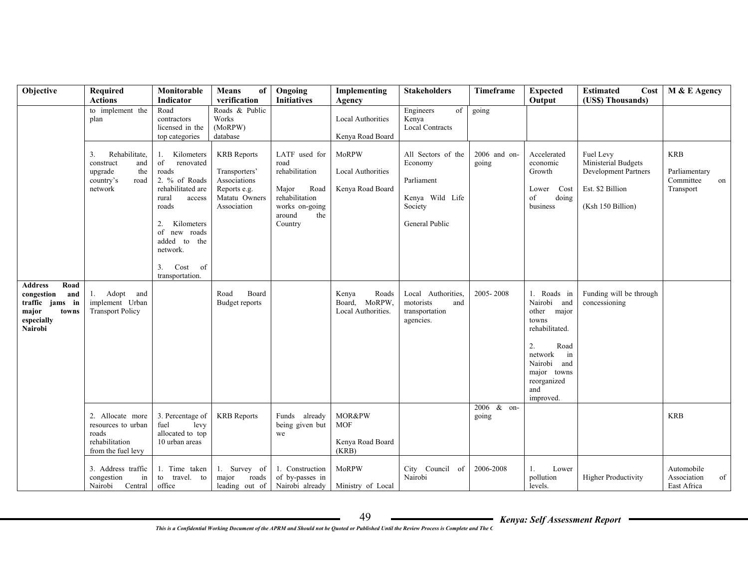| Objective                                                                                                 | Required<br><b>Actions</b>                                                                | Monitorable<br>Indicator                                                                                                                                                                                                    | Means<br>of<br>verification                                                                         | Ongoing<br><b>Initiatives</b>                                                                                            | Implementing<br>Agency                                       | <b>Stakeholders</b>                                                                         | Timeframe             | <b>Expected</b><br>Output                                                                                                                                            | <b>Estimated</b><br>Cost<br>(US\$) Thousands)                                                            | M & E Agency                                                |
|-----------------------------------------------------------------------------------------------------------|-------------------------------------------------------------------------------------------|-----------------------------------------------------------------------------------------------------------------------------------------------------------------------------------------------------------------------------|-----------------------------------------------------------------------------------------------------|--------------------------------------------------------------------------------------------------------------------------|--------------------------------------------------------------|---------------------------------------------------------------------------------------------|-----------------------|----------------------------------------------------------------------------------------------------------------------------------------------------------------------|----------------------------------------------------------------------------------------------------------|-------------------------------------------------------------|
|                                                                                                           | to implement the<br>plan                                                                  | Road<br>contractors<br>licensed in the<br>top categories                                                                                                                                                                    | Roads & Public<br>Works<br>(MoRPW)<br>database                                                      |                                                                                                                          | <b>Local Authorities</b><br>Kenya Road Board                 | of<br>Engineers<br>Kenya<br><b>Local Contracts</b>                                          | going                 |                                                                                                                                                                      |                                                                                                          |                                                             |
|                                                                                                           | Rehabilitate,<br>3.<br>and<br>construct<br>upgrade<br>the<br>country's<br>road<br>network | Kilometers<br>1.<br>of<br>renovated<br>roads<br>2. % of Roads<br>rehabilitated are<br>rural<br>access<br>roads<br>Kilometers<br>2.<br>roads<br>of new<br>added to<br>the<br>network.<br>3.<br>Cost<br>of<br>transportation. | <b>KRB</b> Reports<br>Transporters'<br>Associations<br>Reports e.g.<br>Matatu Owners<br>Association | LATF used for<br>road<br>rehabilitation<br>Major<br>Road<br>rehabilitation<br>works on-going<br>around<br>the<br>Country | MoRPW<br><b>Local Authorities</b><br>Kenya Road Board        | All Sectors of the<br>Economy<br>Parliament<br>Kenya Wild Life<br>Society<br>General Public | 2006 and on-<br>going | Accelerated<br>economic<br>Growth<br>Cost<br>Lower<br>doing<br>of<br>business                                                                                        | Fuel Levy<br>Ministerial Budgets<br><b>Development Partners</b><br>Est. \$2 Billion<br>(Ksh 150 Billion) | <b>KRB</b><br>Parliamentary<br>Committee<br>on<br>Transport |
| <b>Address</b><br>Road<br>congestion<br>and<br>traffic jams in<br>major<br>towns<br>especially<br>Nairobi | 1. Adopt and<br>implement Urban<br><b>Transport Policy</b>                                |                                                                                                                                                                                                                             | Board<br>Road<br>Budget reports                                                                     |                                                                                                                          | Kenya<br>Roads<br>Board, MoRPW,<br>Local Authorities.        | Local Authorities,<br>motorists<br>and<br>transportation<br>agencies.                       | 2005-2008             | 1. Roads in<br>Nairobi and<br>other major<br>towns<br>rehabilitated.<br>2.<br>Road<br>network<br>in<br>Nairobi and<br>major towns<br>reorganized<br>and<br>improved. | Funding will be through<br>concessioning                                                                 |                                                             |
|                                                                                                           | 2. Allocate more<br>resources to urban<br>roads<br>rehabilitation<br>from the fuel levy   | 3. Percentage of<br>fuel<br>levy<br>allocated to top<br>$10$ urban areas $\,$                                                                                                                                               | <b>KRB</b> Reports                                                                                  | Funds already<br>being given but<br>we                                                                                   | <b>MOR&amp;PW</b><br><b>MOF</b><br>Kenya Road Board<br>(KRB) |                                                                                             | 2006 & on-<br>going   |                                                                                                                                                                      |                                                                                                          | <b>KRB</b>                                                  |
|                                                                                                           | 3. Address traffic<br>congestion<br>in<br>Nairobi<br>Central                              | 1. Time taken<br>to travel. to<br>office                                                                                                                                                                                    | 1. Survey of<br>roads<br>major<br>leading out of                                                    | 1. Construction<br>of by-passes in<br>Nairobi already                                                                    | <b>MoRPW</b><br>Ministry of Local                            | City Council of<br>Nairobi                                                                  | 2006-2008             | 1.<br>Lower<br>pollution<br>levels.                                                                                                                                  | <b>Higher Productivity</b>                                                                               | Automobile<br>Association<br>of<br>East Africa              |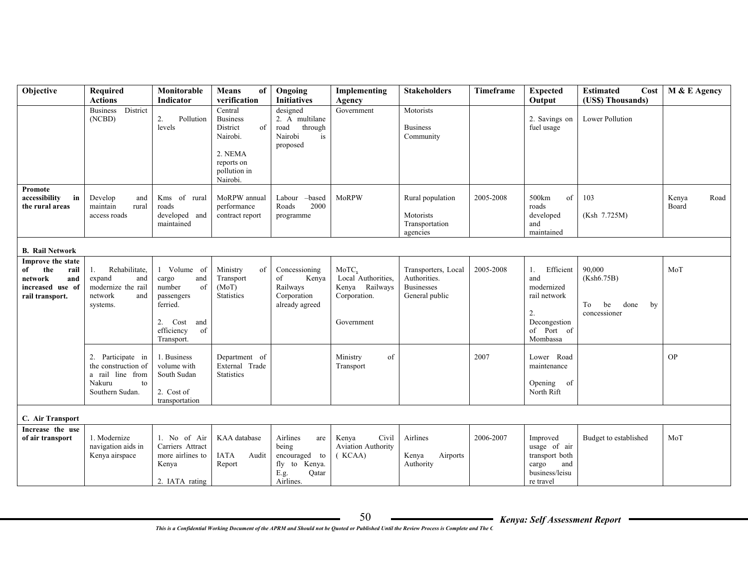| Objective                                                                                       | Required<br><b>Actions</b>                                                                      | Monitorable<br>Indicator                                                                                                  | Means<br>of<br>verification                                                                                   | Ongoing<br><b>Initiatives</b>                                                            | Implementing<br>Agency                                                      | <b>Stakeholders</b>                                                        | Timeframe | <b>Expected</b><br>Output                                                                            | <b>Estimated</b><br>Cost<br>(US\$) Thousands)                  | M & E Agency           |
|-------------------------------------------------------------------------------------------------|-------------------------------------------------------------------------------------------------|---------------------------------------------------------------------------------------------------------------------------|---------------------------------------------------------------------------------------------------------------|------------------------------------------------------------------------------------------|-----------------------------------------------------------------------------|----------------------------------------------------------------------------|-----------|------------------------------------------------------------------------------------------------------|----------------------------------------------------------------|------------------------|
|                                                                                                 | Business District<br>(NCBD)                                                                     | Pollution<br>2.<br>levels                                                                                                 | Central<br><b>Business</b><br>District<br>of<br>Nairobi.<br>2. NEMA<br>reports on<br>pollution in<br>Nairobi. | designed<br>2. A multilane<br>road<br>through<br>Nairobi<br>is<br>proposed               | Government                                                                  | Motorists<br><b>Business</b><br>Community                                  |           | 2. Savings on<br>fuel usage                                                                          | <b>Lower Pollution</b>                                         |                        |
| Promote<br>accessibility<br>in<br>the rural areas                                               | Develop<br>and<br>maintain<br>rural<br>access roads                                             | Kms of rural<br>roads<br>developed and<br>maintained                                                                      | MoRPW annual<br>performance<br>contract report                                                                | Labour -based<br>Roads<br>2000<br>programme                                              | MoRPW                                                                       | Rural population<br>Motorists<br>Transportation<br>agencies                | 2005-2008 | 500km<br>of<br>roads<br>developed<br>and<br>maintained                                               | 103<br>(Ksh 7.725M)                                            | Kenya<br>Road<br>Board |
| <b>B.</b> Rail Network                                                                          |                                                                                                 |                                                                                                                           |                                                                                                               |                                                                                          |                                                                             |                                                                            |           |                                                                                                      |                                                                |                        |
| Improve the state<br>the<br>of<br>rail<br>network<br>and<br>increased use of<br>rail transport. | Rehabilitate,<br>1.<br>expand<br>and<br>modernize the rail<br>network<br>and<br>systems.        | 1 Volume of<br>cargo<br>and<br>number<br>of<br>passengers<br>ferried.<br>2. Cost<br>and<br>efficiency<br>of<br>Transport. | Ministry<br>of<br>Transport<br>(MoT)<br><b>Statistics</b>                                                     | Concessioning<br>of<br>Kenya<br>Railways<br>Corporation<br>already agreed                | MoTC,<br>Local Authorities,<br>Kenya Railways<br>Corporation.<br>Government | Transporters, Local<br>Authorities.<br><b>Businesses</b><br>General public | 2005-2008 | Efficient<br>1.<br>and<br>modernized<br>rail network<br>2.<br>Decongestion<br>of Port of<br>Mombassa | 90,000<br>(Ksh6.75B)<br>To<br>be<br>done<br>by<br>concessioner | MoT                    |
|                                                                                                 | 2. Participate in<br>the construction of<br>a rail line from<br>Nakuru<br>to<br>Southern Sudan. | 1. Business<br>volume with<br>South Sudan<br>2. Cost of<br>transportation                                                 | Department of<br>External Trade<br><b>Statistics</b>                                                          |                                                                                          | of<br>Ministry<br>Transport                                                 |                                                                            | 2007      | Lower Road<br>maintenance<br>Opening of<br>North Rift                                                |                                                                | <b>OP</b>              |
| C. Air Transport                                                                                |                                                                                                 |                                                                                                                           |                                                                                                               |                                                                                          |                                                                             |                                                                            |           |                                                                                                      |                                                                |                        |
| Increase the use<br>of air transport                                                            | 1. Modernize<br>navigation aids in<br>Kenya airspace                                            | 1. No of Air<br>Carriers Attract<br>more airlines to<br>Kenya<br>2. IATA rating                                           | KAA database<br><b>IATA</b><br>Audit<br>Report                                                                | Airlines<br>are<br>being<br>encouraged to<br>fly to Kenya.<br>E.g.<br>Qatar<br>Airlines. | Civil<br>Kenya<br><b>Aviation Authority</b><br>(KCAA)                       | Airlines<br>Kenya<br>Airports<br>Authority                                 | 2006-2007 | Improved<br>usage of air<br>transport both<br>and<br>cargo<br>business/leisu<br>re travel            | Budget to established                                          | MoT                    |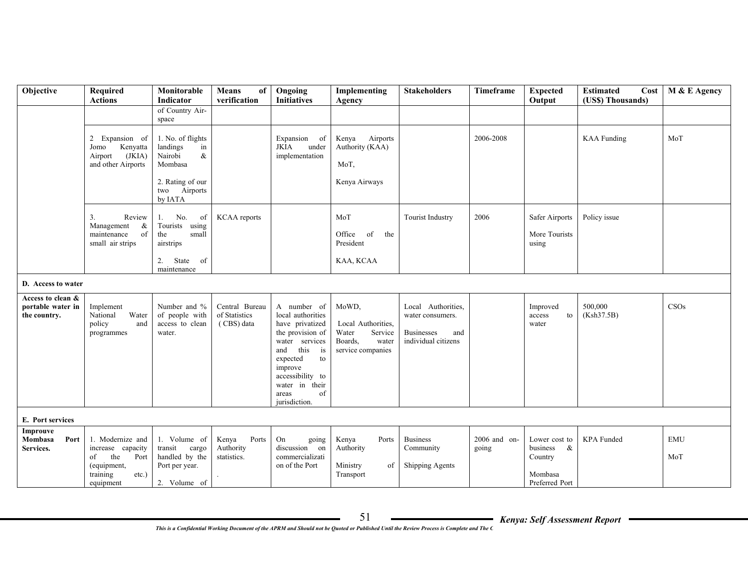| Objective                         | Required                               | Monitorable                    | <b>Means</b><br>of              | Ongoing                          | Implementing                | <b>Stakeholders</b>                    | <b>Timeframe</b> | <b>Expected</b>                       | <b>Estimated</b><br>Cost | M & E Agency |
|-----------------------------------|----------------------------------------|--------------------------------|---------------------------------|----------------------------------|-----------------------------|----------------------------------------|------------------|---------------------------------------|--------------------------|--------------|
|                                   | <b>Actions</b>                         | Indicator                      | verification                    | <b>Initiatives</b>               | Agency                      |                                        |                  | Output                                | (US\$) Thousands)        |              |
|                                   |                                        | of Country Air-<br>space       |                                 |                                  |                             |                                        |                  |                                       |                          |              |
|                                   |                                        |                                |                                 |                                  |                             |                                        |                  |                                       |                          |              |
|                                   | 2 Expansion of                         | 1. No. of flights              |                                 | Expansion of                     | Kenya<br>Airports           |                                        | 2006-2008        |                                       | <b>KAA</b> Funding       | MoT          |
|                                   | Kenyatta<br>Jomo                       | landings<br>in                 |                                 | JKIA<br>under                    | Authority (KAA)             |                                        |                  |                                       |                          |              |
|                                   | (JKIA)<br>Airport                      | Nairobi<br>$\&$                |                                 | implementation                   |                             |                                        |                  |                                       |                          |              |
|                                   | and other Airports                     | Mombasa                        |                                 |                                  | MoT,                        |                                        |                  |                                       |                          |              |
|                                   |                                        | 2. Rating of our               |                                 |                                  | Kenya Airways               |                                        |                  |                                       |                          |              |
|                                   |                                        | Airports<br>two                |                                 |                                  |                             |                                        |                  |                                       |                          |              |
|                                   |                                        | by IATA                        |                                 |                                  |                             |                                        |                  |                                       |                          |              |
|                                   | Review                                 | No.                            | <b>KCAA</b> reports             |                                  | MoT                         |                                        | 2006             | Safer Airports                        | Policy issue             |              |
|                                   | 3.<br>Management<br>&                  | of<br>1.<br>Tourists using     |                                 |                                  |                             | <b>Tourist Industry</b>                |                  |                                       |                          |              |
|                                   | maintenance<br>of                      | the<br>small                   |                                 |                                  | Office<br>of<br>the         |                                        |                  | More Tourists                         |                          |              |
|                                   | small air strips                       | airstrips                      |                                 |                                  | President                   |                                        |                  | using                                 |                          |              |
|                                   |                                        | 2.<br>State<br>of              |                                 |                                  | KAA, KCAA                   |                                        |                  |                                       |                          |              |
|                                   |                                        | maintenance                    |                                 |                                  |                             |                                        |                  |                                       |                          |              |
|                                   |                                        |                                |                                 |                                  |                             |                                        |                  |                                       |                          |              |
| D. Access to water                |                                        |                                |                                 |                                  |                             |                                        |                  |                                       |                          |              |
| Access to clean &                 |                                        |                                |                                 |                                  |                             |                                        |                  |                                       |                          |              |
| portable water in<br>the country. | Implement<br>National<br>Water         | Number and %<br>of people with | Central Bureau<br>of Statistics | A number of<br>local authorities | MoWD,                       | Local Authorities,<br>water consumers. |                  | Improved<br>access<br>to              | 500,000<br>(Ksh37.5B)    | CSOs         |
|                                   | and<br>policy                          | access to clean                | (CBS) data                      | have privatized                  | Local Authorities,          |                                        |                  | water                                 |                          |              |
|                                   | programmes                             | water.                         |                                 | the provision of                 | Water<br>Service            | <b>Businesses</b><br>and               |                  |                                       |                          |              |
|                                   |                                        |                                |                                 | water services                   | Boards.<br>water            | individual citizens                    |                  |                                       |                          |              |
|                                   |                                        |                                |                                 | this<br>and<br>is                | service companies           |                                        |                  |                                       |                          |              |
|                                   |                                        |                                |                                 | expected<br>to<br>improve        |                             |                                        |                  |                                       |                          |              |
|                                   |                                        |                                |                                 | accessibility to                 |                             |                                        |                  |                                       |                          |              |
|                                   |                                        |                                |                                 | water in their                   |                             |                                        |                  |                                       |                          |              |
|                                   |                                        |                                |                                 | of<br>areas                      |                             |                                        |                  |                                       |                          |              |
|                                   |                                        |                                |                                 | jurisdiction.                    |                             |                                        |                  |                                       |                          |              |
| E. Port services                  |                                        |                                |                                 |                                  |                             |                                        |                  |                                       |                          |              |
| Improuve                          |                                        |                                |                                 |                                  |                             |                                        |                  |                                       |                          |              |
| Mombasa<br>Port                   | 1. Modernize and                       | 1. Volume of<br>transit cargo  | Kenya<br>Ports<br>Authority     | On<br>going<br>discussion on     | Ports<br>Kenya<br>Authority | <b>Business</b>                        | 2006 and on-     | Lower cost to<br>business<br>$\alpha$ | KPA Funded               | <b>EMU</b>   |
| Services.                         | increase capacity<br>the<br>Port<br>of | handled by the                 | statistics.                     | commercializati                  |                             | Community                              | going            | Country                               |                          | MoT          |
|                                   | (equipment,                            | Port per year.                 |                                 | on of the Port                   | Ministry<br>of              | <b>Shipping Agents</b>                 |                  |                                       |                          |              |
|                                   | training<br>$etc.$ )                   |                                |                                 |                                  | Transport                   |                                        |                  | Mombasa                               |                          |              |
|                                   | equipment                              | 2. Volume of                   |                                 |                                  |                             |                                        |                  | Preferred Port                        |                          |              |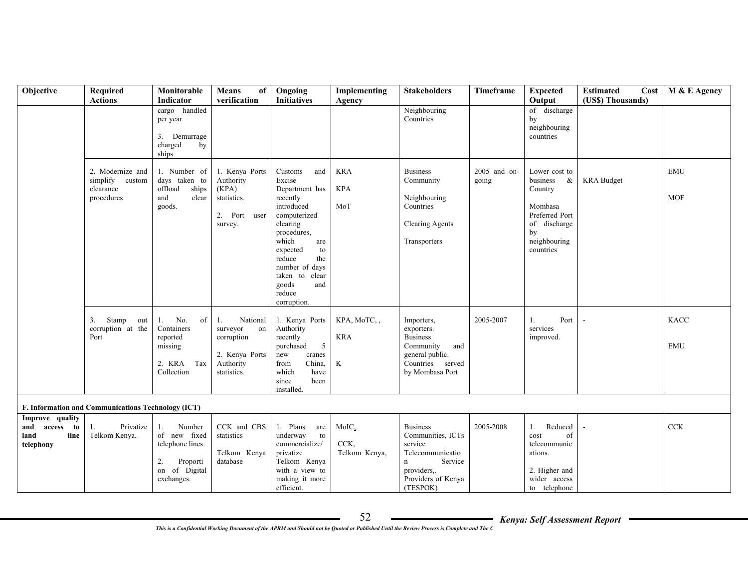| Objective                                                     | Required<br><b>Actions</b>                                     | Monitorable<br>Indicator                                                                          | <b>Means</b><br>of<br>verification                                                           | Ongoing<br><b>Initiatives</b>                                                                                                                                                                                                                   | Implementing<br>Agency                     | <b>Stakeholders</b>                                                                                                                  | Timeframe             | <b>Expected</b><br>Output                                                                                                 | <b>Estimated</b><br>Cost<br>(US\$) Thousands) | M & E Agency              |
|---------------------------------------------------------------|----------------------------------------------------------------|---------------------------------------------------------------------------------------------------|----------------------------------------------------------------------------------------------|-------------------------------------------------------------------------------------------------------------------------------------------------------------------------------------------------------------------------------------------------|--------------------------------------------|--------------------------------------------------------------------------------------------------------------------------------------|-----------------------|---------------------------------------------------------------------------------------------------------------------------|-----------------------------------------------|---------------------------|
|                                                               |                                                                | cargo handled<br>per year<br>3. Demurrage<br>charged<br>by<br>ships                               |                                                                                              |                                                                                                                                                                                                                                                 |                                            | Neighbouring<br>Countries                                                                                                            |                       | of discharge<br>by<br>neighbouring<br>countries                                                                           |                                               |                           |
|                                                               | 2. Modernize and<br>simplify custom<br>clearance<br>procedures | 1. Number of<br>days taken to<br>offload<br>ships<br>and<br>clear<br>goods.                       | 1. Kenya Ports<br>Authority<br>(KPA)<br>statistics.<br>2. Port<br>user<br>survey.            | Customs<br>and<br>Excise<br>Department has<br>recently<br>introduced<br>computerized<br>clearing<br>procedures,<br>which<br>are<br>expected<br>to<br>reduce<br>the<br>number of days<br>taken to clear<br>goods<br>and<br>reduce<br>corruption. | <b>KRA</b><br><b>KPA</b><br>MoT            | <b>Business</b><br>Community<br>Neighbouring<br>Countries<br><b>Clearing Agents</b><br>Transporters                                  | 2005 and on-<br>going | Lower cost to<br>business<br>&<br>Country<br>Mombasa<br>Preferred Port<br>of discharge<br>by<br>neighbouring<br>countries | <b>KRA</b> Budget                             | <b>EMU</b><br><b>MOF</b>  |
|                                                               | Stamp<br>3.<br>out<br>corruption at the<br>Port                | No.<br>of<br>1.<br>Containers<br>reported<br>missing<br>Tax<br>2. KRA<br>Collection               | National<br>1.<br>surveyor<br>on<br>corruption<br>2. Kenya Ports<br>Authority<br>statistics. | 1. Kenya Ports<br>Authority<br>recently<br>purchased<br>5<br>new<br>cranes<br>China,<br>from<br>which<br>have<br>since<br>been<br>installed.                                                                                                    | KPA, MoTC,<br><b>KRA</b><br>$\bf K$        | Importers,<br>exporters.<br><b>Business</b><br>Community<br>and<br>general public.<br>Countries served<br>by Mombasa Port            | 2005-2007             | Port<br>1.<br>services<br>improved.                                                                                       |                                               | <b>KACC</b><br><b>EMU</b> |
|                                                               | F. Information and Communications Technology (ICT)             |                                                                                                   |                                                                                              |                                                                                                                                                                                                                                                 |                                            |                                                                                                                                      |                       |                                                                                                                           |                                               |                           |
| Improve quality<br>and access to<br>land<br>line<br>telephony | Privatize<br>1.<br>Telkom Kenya.                               | Number<br>1.<br>of new fixed<br>telephone lines.<br>Proporti<br>2.<br>on of Digital<br>exchanges. | CCK and CBS<br>statistics<br>Telkom Kenya<br>database                                        | 1. Plans<br>are<br>underway<br>to<br>commercialize/<br>privatize<br>Telkom Kenya<br>with a view to<br>making it more<br>efficient.                                                                                                              | MolC <sub>2</sub><br>CCK,<br>Telkom Kenya, | <b>Business</b><br>Communities, ICTs<br>service<br>Telecommunicatio<br>Service<br>n<br>providers,.<br>Providers of Kenya<br>(TESPOK) | 2005-2008             | Reduced<br>1.<br>cost<br>of<br>telecommunic<br>ations.<br>2. Higher and<br>wider access<br>to telephone                   |                                               | ${\rm CCK}$               |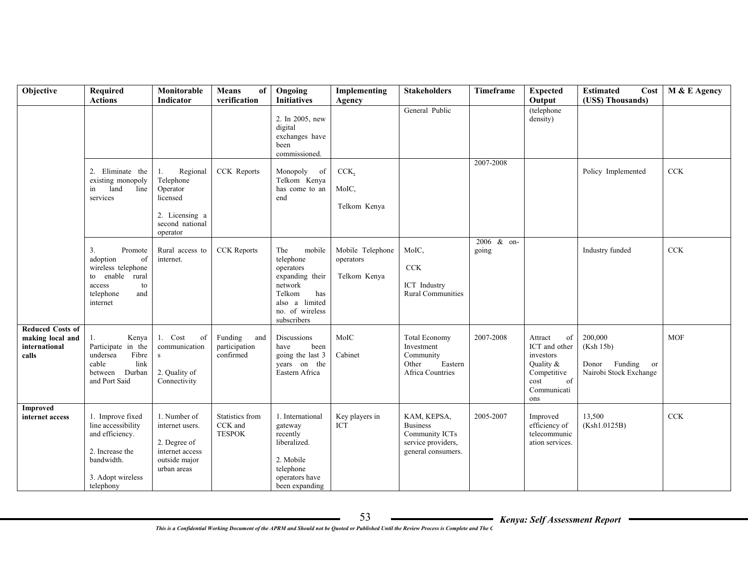| Objective                                                      | Required<br><b>Actions</b>                                                                                                   | Monitorable<br>Indicator                                                                             | <b>Means</b><br>of<br>verification                 | Ongoing<br><b>Initiatives</b>                                                                                                              | Implementing<br>Agency                        | <b>Stakeholders</b>                                                                          | Timeframe           | <b>Expected</b><br>Output                                                                                   | <b>Estimated</b><br>Cost<br>(US\$) Thousands)                         | M & E Agency |
|----------------------------------------------------------------|------------------------------------------------------------------------------------------------------------------------------|------------------------------------------------------------------------------------------------------|----------------------------------------------------|--------------------------------------------------------------------------------------------------------------------------------------------|-----------------------------------------------|----------------------------------------------------------------------------------------------|---------------------|-------------------------------------------------------------------------------------------------------------|-----------------------------------------------------------------------|--------------|
|                                                                |                                                                                                                              |                                                                                                      |                                                    | 2. In 2005, new<br>digital<br>exchanges have<br>been<br>commissioned.                                                                      |                                               | General Public                                                                               | 2007-2008           | (telephone<br>density)                                                                                      |                                                                       |              |
|                                                                | 2. Eliminate the<br>existing monopoly<br>land<br>line<br>in<br>services                                                      | Regional<br>1.<br>Telephone<br>Operator<br>licensed<br>2. Licensing a<br>second national<br>operator | CCK Reports                                        | Monopoly of<br>Telkom Kenya<br>has come to an<br>end                                                                                       | CCK<br>MoIC,<br>Telkom Kenya                  |                                                                                              |                     |                                                                                                             | Policy Implemented                                                    | CCK          |
|                                                                | 3.<br>Promote<br>adoption<br>of<br>wireless telephone<br>to enable rural<br>access<br>to<br>telephone<br>and<br>internet     | Rural access to<br>internet.                                                                         | <b>CCK</b> Reports                                 | The<br>mobile<br>telephone<br>operators<br>expanding their<br>network<br>Telkom<br>has<br>also a limited<br>no. of wireless<br>subscribers | Mobile Telephone<br>operators<br>Telkom Kenya | MoIC,<br><b>CCK</b><br>ICT Industry<br><b>Rural Communities</b>                              | 2006 & on-<br>going |                                                                                                             | Industry funded                                                       | ${\rm CCK}$  |
| Reduced Costs of<br>making local and<br>international<br>calls | Kenya<br>1.<br>Participate in the<br>undersea<br>Fibre<br>cable<br>link<br>Durban<br>between<br>and Port Said                | 1. Cost<br>of<br>communication<br>S<br>2. Quality of<br>Connectivity                                 | Funding<br>and<br>participation<br>confirmed       | Discussions<br>have<br>been<br>going the last 3<br>years on the<br>Eastern Africa                                                          | MoIC<br>Cabinet                               | <b>Total Economy</b><br>Investment<br>Community<br>Eastern<br>Other<br>Africa Countries      | 2007-2008           | Attract<br>of<br>ICT and other<br>investors<br>Quality &<br>Competitive<br>of<br>cost<br>Communicati<br>ons | 200,000<br>(Ksh 15b)<br>Donor Funding<br>or<br>Nairobi Stock Exchange | <b>MOF</b>   |
| <b>Improved</b><br>internet access                             | 1. Improve fixed<br>line accessibility<br>and efficiency.<br>2. Increase the<br>bandwidth.<br>3. Adopt wireless<br>telephony | 1. Number of<br>internet users.<br>2. Degree of<br>internet access<br>outside major<br>urban areas   | <b>Statistics from</b><br>CCK and<br><b>TESPOK</b> | 1. International<br>gateway<br>recently<br>liberalized.<br>2. Mobile<br>telephone<br>operators have<br>been expanding                      | Key players in<br>ICT                         | KAM, KEPSA,<br><b>Business</b><br>Community ICTs<br>service providers,<br>general consumers. | 2005-2007           | Improved<br>efficiency of<br>telecommunic<br>ation services.                                                | 13,500<br>(Ksh1.0125B)                                                | <b>CCK</b>   |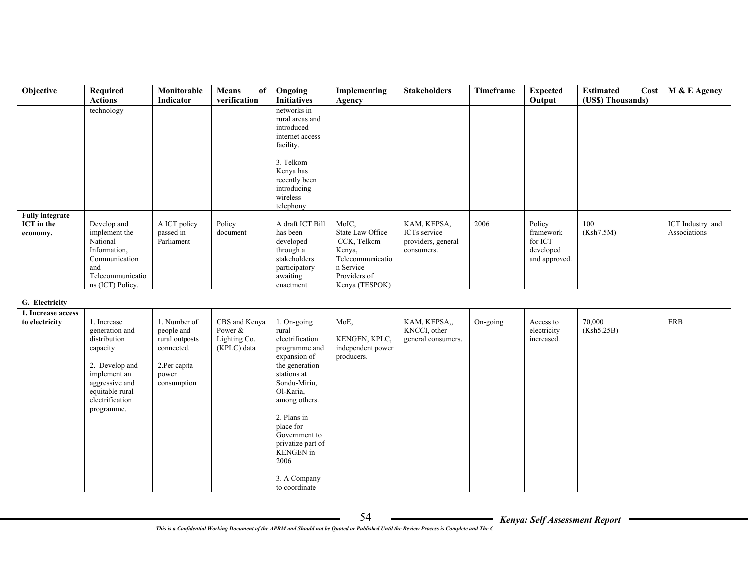| Objective                                               | Required<br><b>Actions</b>                                                                                                                                        | Monitorable<br>Indicator                                                                           | Means<br>of<br>verification                             | Ongoing<br><b>Initiatives</b>                                                                                                                                                                                                                                                   | Implementing<br>Agency                                                                                                | <b>Stakeholders</b>                                             | Timeframe | <b>Expected</b><br>Output                                    | <b>Estimated</b><br>Cost<br>(US\$) Thousands) | M & E Agency                     |
|---------------------------------------------------------|-------------------------------------------------------------------------------------------------------------------------------------------------------------------|----------------------------------------------------------------------------------------------------|---------------------------------------------------------|---------------------------------------------------------------------------------------------------------------------------------------------------------------------------------------------------------------------------------------------------------------------------------|-----------------------------------------------------------------------------------------------------------------------|-----------------------------------------------------------------|-----------|--------------------------------------------------------------|-----------------------------------------------|----------------------------------|
|                                                         | technology                                                                                                                                                        |                                                                                                    |                                                         | networks in<br>rural areas and<br>introduced<br>internet access<br>facility.<br>3. Telkom<br>Kenya has<br>recently been<br>introducing<br>wireless<br>telephony                                                                                                                 |                                                                                                                       |                                                                 |           |                                                              |                                               |                                  |
| <b>Fully integrate</b><br><b>ICT</b> in the<br>economy. | Develop and<br>implement the<br>National<br>Information,<br>Communication<br>and<br>Telecommunicatio<br>ns (ICT) Policy.                                          | A ICT policy<br>passed in<br>Parliament                                                            | Policy<br>document                                      | A draft ICT Bill<br>has been<br>developed<br>through a<br>stakeholders<br>participatory<br>awaiting<br>enactment                                                                                                                                                                | MoIC,<br>State Law Office<br>CCK, Telkom<br>Kenya,<br>Telecommunicatio<br>n Service<br>Providers of<br>Kenya (TESPOK) | KAM, KEPSA,<br>ICTs service<br>providers, general<br>consumers. | 2006      | Policy<br>framework<br>for ICT<br>developed<br>and approved. | 100<br>(Ksh7.5M)                              | ICT Industry and<br>Associations |
| G. Electricity                                          |                                                                                                                                                                   |                                                                                                    |                                                         |                                                                                                                                                                                                                                                                                 |                                                                                                                       |                                                                 |           |                                                              |                                               |                                  |
| 1. Increase access<br>to electricity                    | 1. Increase<br>generation and<br>distribution<br>capacity<br>2. Develop and<br>implement an<br>aggressive and<br>equitable rural<br>electrification<br>programme. | 1. Number of<br>people and<br>rural outposts<br>connected.<br>2.Per capita<br>power<br>consumption | CBS and Kenya<br>Power &<br>Lighting Co.<br>(KPLC) data | 1. On-going<br>rural<br>electrification<br>programme and<br>expansion of<br>the generation<br>stations at<br>Sondu-Miriu,<br>Ol-Karia,<br>among others.<br>2. Plans in<br>place for<br>Government to<br>privatize part of<br>KENGEN in<br>2006<br>3. A Company<br>to coordinate | MoE,<br>KENGEN, KPLC,<br>independent power<br>producers.                                                              | KAM, KEPSA,,<br>KNCCI, other<br>general consumers.              | On-going  | Access to<br>electricity<br>increased.                       | 70,000<br>(Ksh5.25B)                          | ERB                              |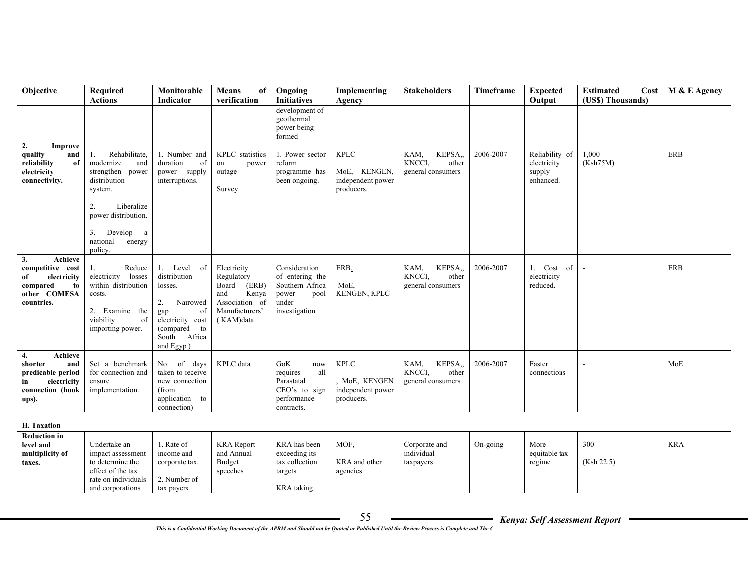| Objective                                                                                                            | <b>Required</b><br><b>Actions</b>                                                                                                                                                        | Monitorable<br>Indicator                                                                                                                | Means<br>of<br>verification                                                                                  | Ongoing<br><b>Initiatives</b>                                                                     | Implementing<br>Agency                                         | <b>Stakeholders</b>                                                | Timeframe | <b>Expected</b><br>Output                            | <b>Estimated</b><br>Cost<br>(US\$) Thousands) | M & E Agency |
|----------------------------------------------------------------------------------------------------------------------|------------------------------------------------------------------------------------------------------------------------------------------------------------------------------------------|-----------------------------------------------------------------------------------------------------------------------------------------|--------------------------------------------------------------------------------------------------------------|---------------------------------------------------------------------------------------------------|----------------------------------------------------------------|--------------------------------------------------------------------|-----------|------------------------------------------------------|-----------------------------------------------|--------------|
|                                                                                                                      |                                                                                                                                                                                          |                                                                                                                                         |                                                                                                              | development of<br>geothermal<br>power being<br>formed                                             |                                                                |                                                                    |           |                                                      |                                               |              |
| 2.<br>Improve<br>quality<br>and<br>reliability<br>of<br>electricity<br>connectivity.                                 | Rehabilitate,<br>1.<br>modernize<br>and<br>strengthen power<br>distribution<br>system.<br>Liberalize<br>2.<br>power distribution.<br>3.<br>Develop<br>a<br>national<br>energy<br>policy. | 1. Number and<br>duration<br>of<br>power supply<br>interruptions.                                                                       | KPLC statistics<br>on<br>power<br>outage<br>Survey                                                           | 1. Power sector<br>reform<br>programme has<br>been ongoing.                                       | <b>KPLC</b><br>MoE, KENGEN,<br>independent power<br>producers. | KAM,<br>KEPSA,<br>KNCCI,<br>other<br>general consumers             | 2006-2007 | Reliability of<br>electricity<br>supply<br>enhanced. | 1,000<br>(Ksh75M)                             | <b>ERB</b>   |
| 3.<br>Achieve<br>competitive cost<br>electricity<br>of<br>compared<br>to<br>other COMESA<br>countries.               | Reduce<br>1.<br>electricity<br>losses<br>within distribution<br>costs.<br>2. Examine the<br>viability<br>of<br>importing power.                                                          | 1. Level of<br>distribution<br>losses.<br>2.<br>Narrowed<br>gap<br>of<br>electricity cost<br>(compared to<br>South Africa<br>and Egypt) | Electricity<br>Regulatory<br>Board<br>(ERB)<br>and<br>Kenya<br>Association of<br>Manufacturers'<br>(KAM)data | Consideration<br>of entering the<br>Southern Africa<br>power<br>pool<br>under<br>investigation    | ERB.<br>MoE,<br>KENGEN, KPLC                                   | KEPSA <sub>.</sub><br>KAM,<br>KNCCI,<br>other<br>general consumers | 2006-2007 | 1. Cost of<br>electricity<br>reduced.                |                                               | <b>ERB</b>   |
| $\overline{4}$ .<br>Achieve<br>shorter<br>and<br>predicable period<br>electricity<br>in<br>connection (hook<br>ups). | Set a benchmark<br>for connection and<br>ensure<br>implementation.                                                                                                                       | No. of days<br>taken to receive<br>new connection<br>(from<br>application to<br>connection)                                             | KPLC data                                                                                                    | ${\rm GoK}$<br>now<br>requires<br>all<br>Parastatal<br>CEO's to sign<br>performance<br>contracts. | <b>KPLC</b><br>MoE, KENGEN<br>independent power<br>producers.  | KAM,<br>KEPSA,,<br>KNCCI,<br>other<br>general consumers            | 2006-2007 | Faster<br>connections                                |                                               | MoE          |
| H. Taxation                                                                                                          |                                                                                                                                                                                          |                                                                                                                                         |                                                                                                              |                                                                                                   |                                                                |                                                                    |           |                                                      |                                               |              |
| <b>Reduction in</b><br>level and<br>multiplicity of<br>taxes.                                                        | Undertake an<br>impact assessment<br>to determine the<br>effect of the tax<br>rate on individuals<br>and corporations                                                                    | 1. Rate of<br>income and<br>corporate tax.<br>2. Number of<br>tax payers                                                                | <b>KRA</b> Report<br>and Annual<br>Budget<br>speeches                                                        | KRA has been<br>exceeding its<br>tax collection<br>targets<br>KRA taking                          | MOF,<br>KRA and other<br>agencies                              | Corporate and<br>individual<br>taxpayers                           | On-going  | More<br>equitable tax<br>regime                      | 300<br>(Ksh 22.5)                             | <b>KRA</b>   |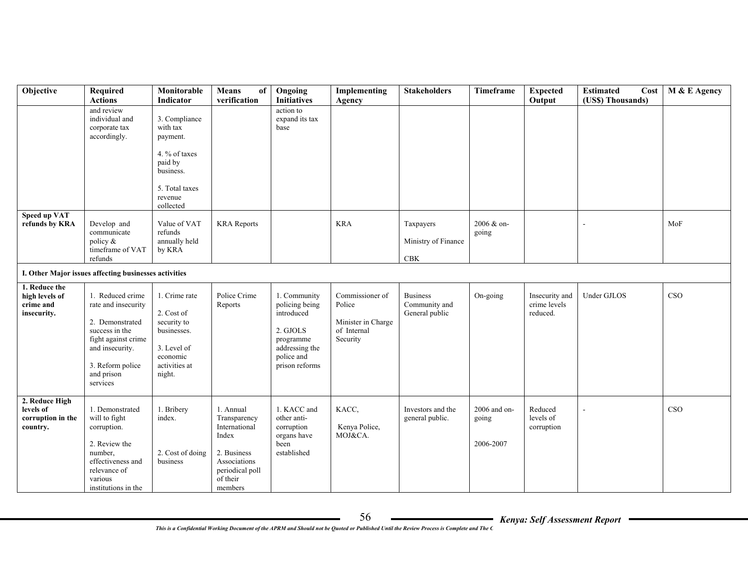| Objective                                                    | Required<br><b>Actions</b>                                                                                                                                           | Monitorable<br>Indicator                                                                                                 | Means<br>of<br>verification                                                                                                  | Ongoing<br><b>Initiatives</b>                                                                                           | Implementing<br>Agency                                                     | <b>Stakeholders</b>                                | <b>Timeframe</b>                   | <b>Expected</b><br>Output                  | <b>Estimated</b><br>Cost<br>(US\$) Thousands) | M & E Agency |
|--------------------------------------------------------------|----------------------------------------------------------------------------------------------------------------------------------------------------------------------|--------------------------------------------------------------------------------------------------------------------------|------------------------------------------------------------------------------------------------------------------------------|-------------------------------------------------------------------------------------------------------------------------|----------------------------------------------------------------------------|----------------------------------------------------|------------------------------------|--------------------------------------------|-----------------------------------------------|--------------|
|                                                              | and review<br>individual and<br>corporate tax<br>accordingly.                                                                                                        | 3. Compliance<br>with tax<br>payment.<br>4. % of taxes<br>paid by<br>business.<br>5. Total taxes<br>revenue<br>collected |                                                                                                                              | action to<br>expand its tax<br>base                                                                                     |                                                                            |                                                    |                                    |                                            |                                               |              |
| <b>Speed up VAT</b><br>refunds by KRA                        | Develop and<br>communicate<br>policy &<br>timeframe of VAT<br>refunds                                                                                                | Value of VAT<br>refunds<br>annually held<br>by KRA                                                                       | <b>KRA</b> Reports                                                                                                           |                                                                                                                         | <b>KRA</b>                                                                 | Taxpayers<br>Ministry of Finance<br>CBK            | 2006 & on-<br>going                |                                            |                                               | MoF          |
|                                                              | I. Other Major issues affecting businesses activities                                                                                                                |                                                                                                                          |                                                                                                                              |                                                                                                                         |                                                                            |                                                    |                                    |                                            |                                               |              |
| 1. Reduce the<br>high levels of<br>crime and<br>insecurity.  | 1. Reduced crime<br>rate and insecurity<br>2. Demonstrated<br>success in the<br>fight against crime<br>and insecurity.<br>3. Reform police<br>and prison<br>services | 1. Crime rate<br>2. Cost of<br>security to<br>businesses.<br>3. Level of<br>economic<br>activities at<br>night.          | Police Crime<br>Reports                                                                                                      | 1. Community<br>policing being<br>introduced<br>2. GJOLS<br>programme<br>addressing the<br>police and<br>prison reforms | Commissioner of<br>Police<br>Minister in Charge<br>of Internal<br>Security | <b>Business</b><br>Community and<br>General public | On-going                           | Insecurity and<br>crime levels<br>reduced. | Under GJLOS                                   | CSO          |
| 2. Reduce High<br>levels of<br>corruption in the<br>country. | 1. Demonstrated<br>will to fight<br>corruption.<br>2. Review the<br>number,<br>effectiveness and<br>relevance of<br>various<br>institutions in the                   | 1. Bribery<br>index.<br>2. Cost of doing<br>business                                                                     | 1. Annual<br>Transparency<br>International<br>Index<br>2. Business<br>Associations<br>periodical poll<br>of their<br>members | 1. KACC and<br>other anti-<br>corruption<br>organs have<br>been<br>established                                          | KACC,<br>Kenya Police,<br>MOJ&CA.                                          | Investors and the<br>general public.               | 2006 and on-<br>going<br>2006-2007 | Reduced<br>levels of<br>corruption         |                                               | CSO          |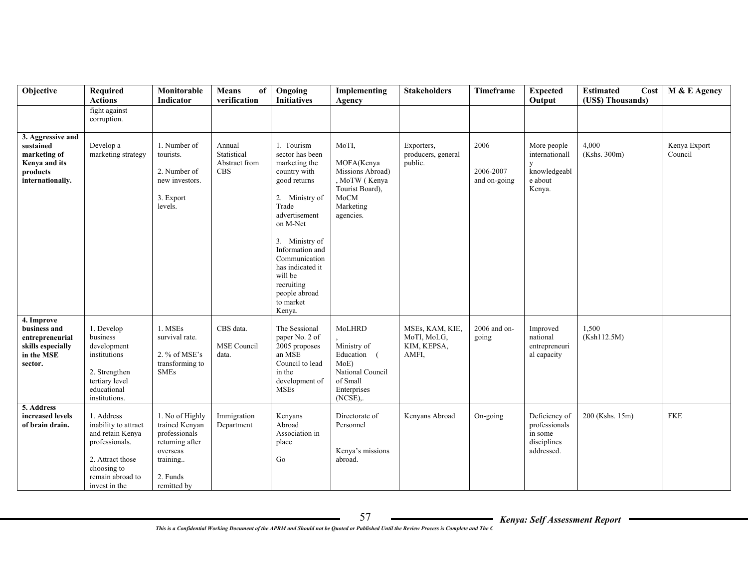| Objective                                                                                       | Required<br><b>Actions</b>                                                                                                                       | Monitorable<br>Indicator                                                                                                 | <b>Means</b><br>of<br>verification                   | Ongoing<br><b>Initiatives</b>                                                                                                                                                                                                                                                     | Implementing<br>Agency                                                                                        | <b>Stakeholders</b>                                    | Timeframe                         | <b>Expected</b><br>Output                                               | <b>Estimated</b><br>Cost<br>(US\$) Thousands) | M & E Agency            |
|-------------------------------------------------------------------------------------------------|--------------------------------------------------------------------------------------------------------------------------------------------------|--------------------------------------------------------------------------------------------------------------------------|------------------------------------------------------|-----------------------------------------------------------------------------------------------------------------------------------------------------------------------------------------------------------------------------------------------------------------------------------|---------------------------------------------------------------------------------------------------------------|--------------------------------------------------------|-----------------------------------|-------------------------------------------------------------------------|-----------------------------------------------|-------------------------|
|                                                                                                 | fight against<br>corruption.                                                                                                                     |                                                                                                                          |                                                      |                                                                                                                                                                                                                                                                                   |                                                                                                               |                                                        |                                   |                                                                         |                                               |                         |
| 3. Aggressive and<br>sustained<br>marketing of<br>Kenya and its<br>products<br>internationally. | Develop a<br>marketing strategy                                                                                                                  | 1. Number of<br>tourists.<br>2. Number of<br>new investors.<br>3. Export<br>levels.                                      | Annual<br>Statistical<br>Abstract from<br><b>CBS</b> | 1. Tourism<br>sector has been<br>marketing the<br>country with<br>good returns<br>2. Ministry of<br>Trade<br>advertisement<br>on M-Net<br>3. Ministry of<br>Information and<br>Communication<br>has indicated it<br>will be<br>recruiting<br>people abroad<br>to market<br>Kenya. | MoTI,<br>MOFA(Kenya<br>Missions Abroad)<br>, MoTW (Kenya<br>Tourist Board),<br>MoCM<br>Marketing<br>agencies. | Exporters,<br>producers, general<br>public.            | 2006<br>2006-2007<br>and on-going | More people<br>internationall<br>y<br>knowledgeabl<br>e about<br>Kenya. | 4,000<br>(Kshs. 300m)                         | Kenya Export<br>Council |
| 4. Improve<br>business and<br>entrepreneurial<br>skills especially<br>in the MSE<br>sector.     | 1. Develop<br>business<br>development<br>institutions<br>2. Strengthen<br>tertiary level<br>educational<br>institutions.                         | 1. MSEs<br>survival rate.<br>2. % of MSE's<br>transforming to<br><b>SMEs</b>                                             | CBS data.<br><b>MSE</b> Council<br>data.             | The Sessional<br>paper No. 2 of<br>2005 proposes<br>an MSE<br>Council to lead<br>in the<br>development of<br><b>MSEs</b>                                                                                                                                                          | MoLHRD<br>Ministry of<br>Education (<br>MoE<br>National Council<br>of Small<br>Enterprises<br>$(NCSE)$ ,.     | MSEs, KAM, KIE,<br>MoTI, MoLG,<br>KIM, KEPSA,<br>AMFI, | 2006 and on-<br>going             | Improved<br>national<br>entrepreneuri<br>al capacity                    | 1.500<br>(Ksh112.5M)                          |                         |
| 5. Address<br>increased levels<br>of brain drain.                                               | 1. Address<br>inability to attract<br>and retain Kenya<br>professionals.<br>2. Attract those<br>choosing to<br>remain abroad to<br>invest in the | 1. No of Highly<br>trained Kenyan<br>professionals<br>returning after<br>overseas<br>training<br>2. Funds<br>remitted by | Immigration<br>Department                            | Kenyans<br>Abroad<br>Association in<br>place<br>Go                                                                                                                                                                                                                                | Directorate of<br>Personnel<br>Kenya's missions<br>abroad.                                                    | Kenyans Abroad                                         | On-going                          | Deficiency of<br>professionals<br>in some<br>disciplines<br>addressed.  | 200 (Kshs. 15m)                               | <b>FKE</b>              |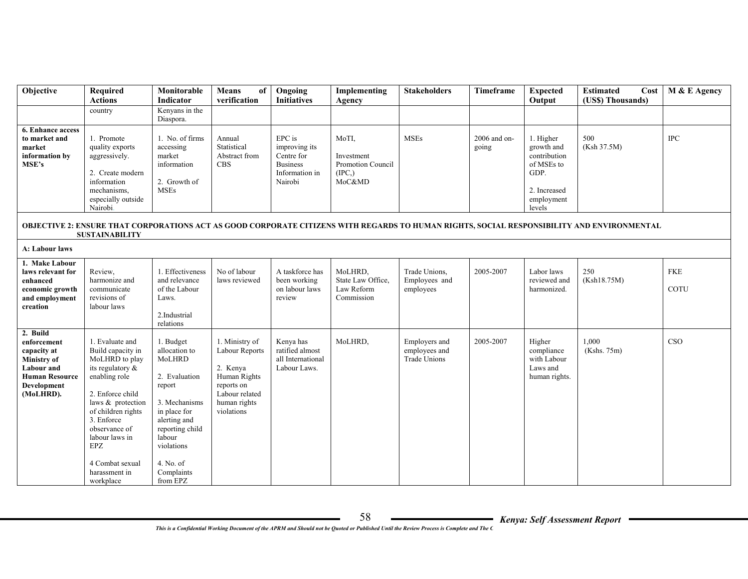| Objective                                                                                                                              | Required<br><b>Actions</b>                                                                                                                                                                                                                                          | Monitorable<br>Indicator                                                                                                                                                                           | Means<br>of<br>verification                                                                                                | Ongoing<br><b>Initiatives</b>                                                         | Implementing<br>Agency                                       | <b>Stakeholders</b>                            | Timeframe             | <b>Expected</b><br>Output                                                                             | <b>Estimated</b><br>Cost<br>(US\$) Thousands)                                                                                              | M & E Agency              |
|----------------------------------------------------------------------------------------------------------------------------------------|---------------------------------------------------------------------------------------------------------------------------------------------------------------------------------------------------------------------------------------------------------------------|----------------------------------------------------------------------------------------------------------------------------------------------------------------------------------------------------|----------------------------------------------------------------------------------------------------------------------------|---------------------------------------------------------------------------------------|--------------------------------------------------------------|------------------------------------------------|-----------------------|-------------------------------------------------------------------------------------------------------|--------------------------------------------------------------------------------------------------------------------------------------------|---------------------------|
|                                                                                                                                        | country                                                                                                                                                                                                                                                             | Kenyans in the<br>Diaspora.                                                                                                                                                                        |                                                                                                                            |                                                                                       |                                                              |                                                |                       |                                                                                                       |                                                                                                                                            |                           |
| <b>6. Enhance access</b><br>to market and<br>market<br>information by<br>MSE's                                                         | 1. Promote<br>quality exports<br>aggressively.<br>2. Create modern<br>information<br>mechanisms.<br>especially outside<br>Nairobi.                                                                                                                                  | 1. No. of firms<br>accessing<br>market<br>information<br>2. Growth of<br><b>MSEs</b>                                                                                                               | Annual<br>Statistical<br>Abstract from<br><b>CBS</b>                                                                       | EPC is<br>improving its<br>Centre for<br><b>Business</b><br>Information in<br>Nairobi | MoTI,<br>Investment<br>Promotion Council<br>(IPC.)<br>MoC&MD | <b>MSEs</b>                                    | 2006 and on-<br>going | 1. Higher<br>growth and<br>contribution<br>of MSEs to<br>GDP.<br>2. Increased<br>employment<br>levels | 500<br>(Ksh 37.5M)                                                                                                                         | <b>IPC</b>                |
|                                                                                                                                        | <b>SUSTAINABILITY</b>                                                                                                                                                                                                                                               |                                                                                                                                                                                                    |                                                                                                                            |                                                                                       |                                                              |                                                |                       |                                                                                                       | OBJECTIVE 2: ENSURE THAT CORPORATIONS ACT AS GOOD CORPORATE CITIZENS WITH REGARDS TO HUMAN RIGHTS, SOCIAL RESPONSIBILITY AND ENVIRONMENTAL |                           |
| A: Labour laws                                                                                                                         |                                                                                                                                                                                                                                                                     |                                                                                                                                                                                                    |                                                                                                                            |                                                                                       |                                                              |                                                |                       |                                                                                                       |                                                                                                                                            |                           |
| 1. Make Labour<br>laws relevant for<br>enhanced<br>economic growth<br>and employment<br>creation                                       | Review,<br>harmonize and<br>communicate<br>revisions of<br>labour laws                                                                                                                                                                                              | 1. Effectiveness<br>and relevance<br>of the Labour<br>Laws.<br>2.Industrial<br>relations                                                                                                           | No of labour<br>laws reviewed                                                                                              | A taskforce has<br>been working<br>on labour laws<br>review                           | MoLHRD,<br>State Law Office.<br>Law Reform<br>Commission     | Trade Unions,<br>Employees and<br>employees    | 2005-2007             | Labor laws<br>reviewed and<br>harmonized.                                                             | 250<br>(Ksh18.75M)                                                                                                                         | <b>FKE</b><br><b>COTU</b> |
| 2. Build<br>enforcement<br>capacity at<br><b>Ministry of</b><br><b>Labour</b> and<br><b>Human Resource</b><br>Development<br>(MoLHRD). | 1. Evaluate and<br>Build capacity in<br>MoLHRD to play<br>its regulatory &<br>enabling role<br>2. Enforce child<br>laws & protection<br>of children rights<br>3. Enforce<br>observance of<br>labour laws in<br>EPZ<br>4 Combat sexual<br>harassment in<br>workplace | 1. Budget<br>allocation to<br>MoLHRD<br>2. Evaluation<br>report<br>3. Mechanisms<br>in place for<br>alerting and<br>reporting child<br>labour<br>violations<br>4. No. of<br>Complaints<br>from EPZ | 1. Ministry of<br>Labour Reports<br>2. Kenya<br>Human Rights<br>reports on<br>Labour related<br>human rights<br>violations | Kenya has<br>ratified almost<br>all International<br>Labour Laws.                     | MoLHRD,                                                      | Employers and<br>employees and<br>Trade Unions | 2005-2007             | Higher<br>compliance<br>with Labour<br>Laws and<br>human rights.                                      | 1,000<br>(Kshs. 75m)                                                                                                                       | CSO                       |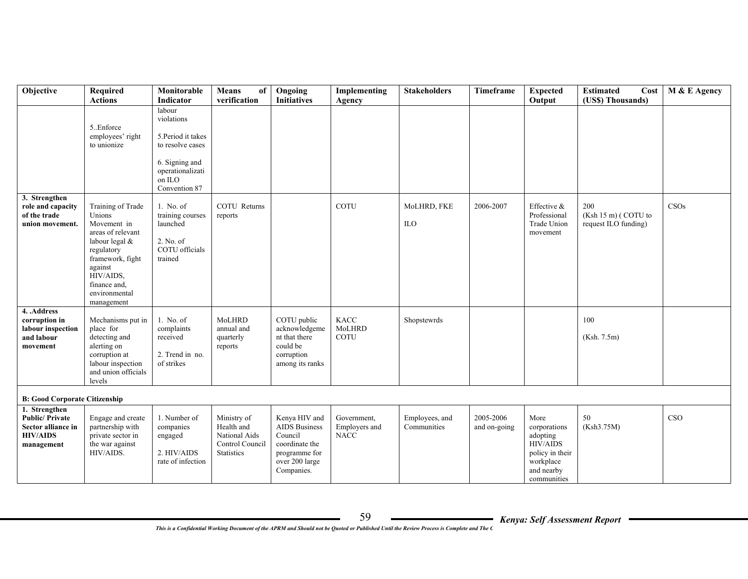| Objective                                                                                                                             | Required<br><b>Actions</b>                                                                                                                                                                 | Monitorable<br>Indicator                                                                                                        | Means<br>of<br>verification                                                        | Ongoing<br><b>Initiatives</b>                                                                                       | Implementing<br>Agency                      | <b>Stakeholders</b>           | Timeframe                 | <b>Expected</b><br>Output                                                                                        | <b>Estimated</b><br>Cost<br>(US\$) Thousands)        | M & E Agency |
|---------------------------------------------------------------------------------------------------------------------------------------|--------------------------------------------------------------------------------------------------------------------------------------------------------------------------------------------|---------------------------------------------------------------------------------------------------------------------------------|------------------------------------------------------------------------------------|---------------------------------------------------------------------------------------------------------------------|---------------------------------------------|-------------------------------|---------------------------|------------------------------------------------------------------------------------------------------------------|------------------------------------------------------|--------------|
|                                                                                                                                       | 5. Enforce<br>employees' right<br>to unionize                                                                                                                                              | labour<br>violations<br>5. Period it takes<br>to resolve cases<br>6. Signing and<br>operationalizati<br>on ILO<br>Convention 87 |                                                                                    |                                                                                                                     |                                             |                               |                           |                                                                                                                  |                                                      |              |
| 3. Strengthen<br>role and capacity<br>of the trade<br>union movement.                                                                 | Training of Trade<br>Unions<br>Movement in<br>areas of relevant<br>labour legal &<br>regulatory<br>framework, fight<br>against<br>HIV/AIDS.<br>finance and,<br>environmental<br>management | 1. No. of<br>training courses<br>launched<br>2. No. of<br>COTU officials<br>trained                                             | COTU Returns<br>reports                                                            |                                                                                                                     | <b>COTU</b>                                 | MoLHRD, FKE<br>ILO            | 2006-2007                 | Effective &<br>Professional<br>Trade Union<br>movement                                                           | 200<br>$(Ksh 15 m)$ (COTU to<br>request ILO funding) | CSOs         |
| 4. .Address<br>corruption in<br>labour inspection<br>and labour<br>movement                                                           | Mechanisms put in<br>place for<br>detecting and<br>alerting on<br>corruption at<br>labour inspection<br>and union officials<br>levels                                                      | 1. No. of<br>complaints<br>received<br>2. Trend in no.<br>of strikes                                                            | MoLHRD<br>annual and<br>quarterly<br>reports                                       | COTU public<br>acknowledgeme<br>nt that there<br>could be<br>corruption<br>among its ranks                          | <b>KACC</b><br>MoLHRD<br><b>COTU</b>        | Shopstewrds                   |                           |                                                                                                                  | 100<br>(Ksh. 7.5m)                                   |              |
| <b>B: Good Corporate Citizenship</b><br>1. Strengthen<br><b>Public/Private</b><br>Sector alliance in<br><b>HIV/AIDS</b><br>management | Engage and create<br>partnership with<br>private sector in<br>the war against<br>HIV/AIDS.                                                                                                 | 1. Number of<br>companies<br>engaged<br>2. HIV/AIDS<br>rate of infection                                                        | Ministry of<br>Health and<br>National Aids<br>Control Council<br><b>Statistics</b> | Kenya HIV and<br><b>AIDS</b> Business<br>Council<br>coordinate the<br>programme for<br>over 200 large<br>Companies. | Government,<br>Employers and<br><b>NACC</b> | Employees, and<br>Communities | 2005-2006<br>and on-going | More<br>corporations<br>adopting<br><b>HIV/AIDS</b><br>policy in their<br>workplace<br>and nearby<br>communities | 50<br>(Ksh3.75M)                                     | CSO          |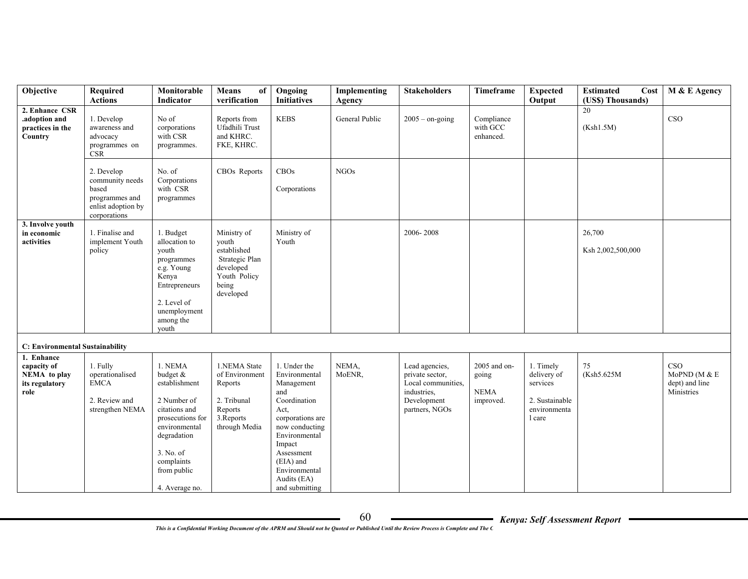| Objective                                                           | Required<br><b>Actions</b>                                                                     | Monitorable<br>Indicator                                                                                                                                                             | <b>Means</b><br>of<br>verification                                                                       | Ongoing<br><b>Initiatives</b>                                                                                                                                                                                            | Implementing<br>Agency | <b>Stakeholders</b>                                                                                     | Timeframe                                         | <b>Expected</b><br>Output                                                        | <b>Estimated</b><br>Cost<br>(US\$) Thousands) | M & E Agency                                         |
|---------------------------------------------------------------------|------------------------------------------------------------------------------------------------|--------------------------------------------------------------------------------------------------------------------------------------------------------------------------------------|----------------------------------------------------------------------------------------------------------|--------------------------------------------------------------------------------------------------------------------------------------------------------------------------------------------------------------------------|------------------------|---------------------------------------------------------------------------------------------------------|---------------------------------------------------|----------------------------------------------------------------------------------|-----------------------------------------------|------------------------------------------------------|
| 2. Enhance CSR<br>.adoption and<br>practices in the<br>Country      | 1. Develop<br>awareness and<br>advocacy<br>programmes on<br><b>CSR</b>                         | No of<br>corporations<br>with CSR<br>programmes.                                                                                                                                     | Reports from<br>Ufadhili Trust<br>and KHRC.<br>FKE, KHRC.                                                | <b>KEBS</b>                                                                                                                                                                                                              | General Public         | $2005 -$ on-going                                                                                       | Compliance<br>with GCC<br>enhanced.               |                                                                                  | 20<br>(Ksh1.5M)                               | CSO                                                  |
|                                                                     | 2. Develop<br>community needs<br>based<br>programmes and<br>enlist adoption by<br>corporations | No. of<br>Corporations<br>with CSR<br>programmes                                                                                                                                     | CBOs Reports                                                                                             | CBOs<br>Corporations                                                                                                                                                                                                     | <b>NGOs</b>            |                                                                                                         |                                                   |                                                                                  |                                               |                                                      |
| 3. Involve youth<br>in economic<br>activities                       | 1. Finalise and<br>implement Youth<br>policy                                                   | 1. Budget<br>allocation to<br>vouth<br>programmes<br>e.g. Young<br>Kenya<br>Entrepreneurs<br>2. Level of<br>unemployment<br>among the<br>vouth                                       | Ministry of<br>youth<br>established<br>Strategic Plan<br>developed<br>Youth Policy<br>being<br>developed | Ministry of<br>Youth                                                                                                                                                                                                     |                        | 2006-2008                                                                                               |                                                   |                                                                                  | 26,700<br>Ksh 2,002,500,000                   |                                                      |
| C: Environmental Sustainability                                     |                                                                                                |                                                                                                                                                                                      |                                                                                                          |                                                                                                                                                                                                                          |                        |                                                                                                         |                                                   |                                                                                  |                                               |                                                      |
| 1. Enhance<br>capacity of<br>NEMA to play<br>its regulatory<br>role | 1. Fully<br>operationalised<br><b>EMCA</b><br>2. Review and<br>strengthen NEMA                 | 1. NEMA<br>budget &<br>establishment<br>2 Number of<br>citations and<br>prosecutions for<br>environmental<br>degradation<br>3. No. of<br>complaints<br>from public<br>4. Average no. | 1.NEMA State<br>of Environment<br>Reports<br>2. Tribunal<br>Reports<br>3. Reports<br>through Media       | 1. Under the<br>Environmental<br>Management<br>and<br>Coordination<br>Act,<br>corporations are<br>now conducting<br>Environmental<br>Impact<br>Assessment<br>(EIA) and<br>Environmental<br>Audits (EA)<br>and submitting | NEMA,<br>MoENR,        | Lead agencies,<br>private sector,<br>Local communities,<br>industries,<br>Development<br>partners, NGOs | 2005 and on-<br>going<br><b>NEMA</b><br>improved. | 1. Timely<br>delivery of<br>services<br>2. Sustainable<br>environmenta<br>1 care | 75<br>(Ksh5.625M                              | CSO<br>MoPND (M $&E$<br>dept) and line<br>Ministries |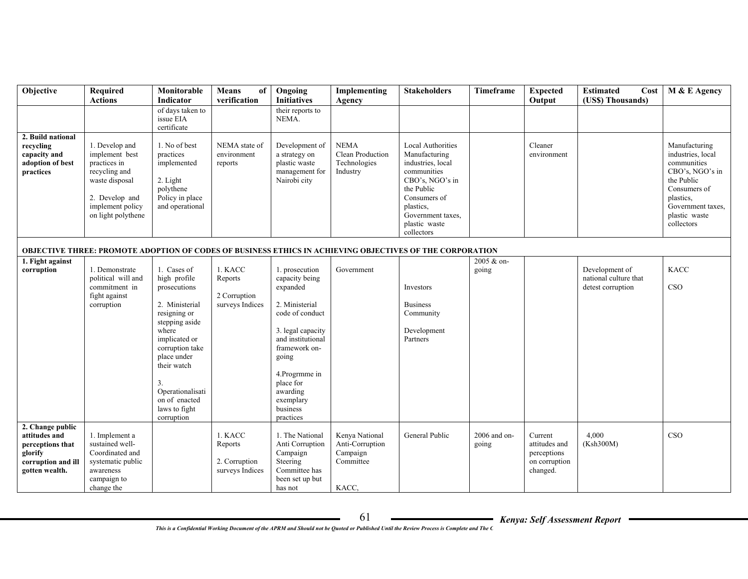| Objective                                                                                                | Required<br><b>Actions</b>                                                                                                                      | Monitorable<br>Indicator                                                                                                                                                                                                                             | <b>Means</b><br>of<br>verification                     | Ongoing<br><b>Initiatives</b>                                                                                                                                                                                                          | Implementing<br>Agency                                              | <b>Stakeholders</b>                                                                                                                                                                             | <b>Timeframe</b>        | <b>Expected</b><br>Output                                            | <b>Estimated</b><br>Cost<br>(US\$) Thousands)                | M & E Agency                                                                                                                                                        |
|----------------------------------------------------------------------------------------------------------|-------------------------------------------------------------------------------------------------------------------------------------------------|------------------------------------------------------------------------------------------------------------------------------------------------------------------------------------------------------------------------------------------------------|--------------------------------------------------------|----------------------------------------------------------------------------------------------------------------------------------------------------------------------------------------------------------------------------------------|---------------------------------------------------------------------|-------------------------------------------------------------------------------------------------------------------------------------------------------------------------------------------------|-------------------------|----------------------------------------------------------------------|--------------------------------------------------------------|---------------------------------------------------------------------------------------------------------------------------------------------------------------------|
|                                                                                                          |                                                                                                                                                 | of days taken to<br>issue EIA<br>certificate                                                                                                                                                                                                         |                                                        | their reports to<br>NEMA.                                                                                                                                                                                                              |                                                                     |                                                                                                                                                                                                 |                         |                                                                      |                                                              |                                                                                                                                                                     |
| 2. Build national<br>recycling<br>capacity and<br>adoption of best<br>practices                          | 1. Develop and<br>implement best<br>practices in<br>recycling and<br>waste disposal<br>2. Develop and<br>implement policy<br>on light polythene | 1. No of best<br>practices<br>implemented<br>2. Light<br>polythene<br>Policy in place<br>and operational                                                                                                                                             | NEMA state of<br>environment<br>reports                | Development of<br>a strategy on<br>plastic waste<br>management for<br>Nairobi city                                                                                                                                                     | <b>NEMA</b><br>Clean Production<br>Technologies<br>Industry         | <b>Local Authorities</b><br>Manufacturing<br>industries, local<br>communities<br>CBO's, NGO's in<br>the Public<br>Consumers of<br>plastics.<br>Government taxes.<br>plastic waste<br>collectors |                         | Cleaner<br>environment                                               |                                                              | Manufacturing<br>industries, local<br>communities<br>CBO's, NGO's in<br>the Public<br>Consumers of<br>plastics.<br>Government taxes.<br>plastic waste<br>collectors |
|                                                                                                          |                                                                                                                                                 |                                                                                                                                                                                                                                                      |                                                        |                                                                                                                                                                                                                                        |                                                                     | <b>OBJECTIVE THREE: PROMOTE ADOPTION OF CODES OF BUSINESS ETHICS IN ACHIEVING OBJECTIVES OF THE CORPORATION</b>                                                                                 |                         |                                                                      |                                                              |                                                                                                                                                                     |
| 1. Fight against<br>corruption                                                                           | 1. Demonstrate<br>political will and<br>commitment in<br>fight against<br>corruption                                                            | 1. Cases of<br>high profile<br>prosecutions<br>2. Ministerial<br>resigning or<br>stepping aside<br>where<br>implicated or<br>corruption take<br>place under<br>their watch<br>3.<br>Operationalisati<br>on of enacted<br>laws to fight<br>corruption | 1. KACC<br>Reports<br>2 Corruption<br>surveys Indices  | 1. prosecution<br>capacity being<br>expanded<br>2. Ministerial<br>code of conduct<br>3. legal capacity<br>and institutional<br>framework on-<br>going<br>4. Progrmme in<br>place for<br>awarding<br>exemplary<br>business<br>practices | Government                                                          | Investors<br><b>Business</b><br>Community<br>Development<br>Partners                                                                                                                            | 2005 & on-<br>going     |                                                                      | Development of<br>national culture that<br>detest corruption | <b>KACC</b><br><b>CSO</b>                                                                                                                                           |
| 2. Change public<br>attitudes and<br>perceptions that<br>glorify<br>corruption and ill<br>gotten wealth. | 1. Implement a<br>sustained well-<br>Coordinated and<br>systematic public<br>awareness<br>campaign to<br>change the                             |                                                                                                                                                                                                                                                      | 1. KACC<br>Reports<br>2. Corruption<br>surveys Indices | 1. The National<br>Anti Corruption<br>Campaign<br>Steering<br>Committee has<br>been set up but<br>has not                                                                                                                              | Kenya National<br>Anti-Corruption<br>Campaign<br>Committee<br>KACC, | General Public                                                                                                                                                                                  | $2006$ and on-<br>going | Current<br>attitudes and<br>perceptions<br>on corruption<br>changed. | 4.000<br>(Ksh300M)                                           | CSO                                                                                                                                                                 |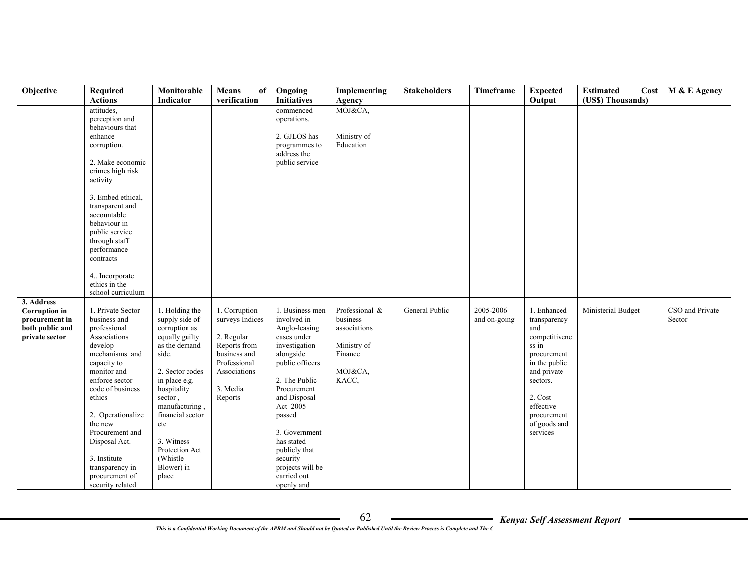| Objective            | Required                   | Monitorable                        | Means<br>of     | Ongoing                      | Implementing   | <b>Stakeholders</b> | Timeframe    | <b>Expected</b>      | <b>Estimated</b>   | Cost   M & E Agency |
|----------------------|----------------------------|------------------------------------|-----------------|------------------------------|----------------|---------------------|--------------|----------------------|--------------------|---------------------|
|                      | <b>Actions</b>             | Indicator                          | verification    | <b>Initiatives</b>           | Agency         |                     |              | Output               | (US\$) Thousands)  |                     |
|                      | attitudes,                 |                                    |                 | commenced                    | MOJ&CA,        |                     |              |                      |                    |                     |
|                      | perception and             |                                    |                 | operations.                  |                |                     |              |                      |                    |                     |
|                      | behaviours that<br>enhance |                                    |                 | 2. GJLOS has                 | Ministry of    |                     |              |                      |                    |                     |
|                      |                            |                                    |                 |                              | Education      |                     |              |                      |                    |                     |
|                      | corruption.                |                                    |                 | programmes to<br>address the |                |                     |              |                      |                    |                     |
|                      | 2. Make economic           |                                    |                 | public service               |                |                     |              |                      |                    |                     |
|                      | crimes high risk           |                                    |                 |                              |                |                     |              |                      |                    |                     |
|                      | activity                   |                                    |                 |                              |                |                     |              |                      |                    |                     |
|                      |                            |                                    |                 |                              |                |                     |              |                      |                    |                     |
|                      | 3. Embed ethical,          |                                    |                 |                              |                |                     |              |                      |                    |                     |
|                      | transparent and            |                                    |                 |                              |                |                     |              |                      |                    |                     |
|                      | accountable                |                                    |                 |                              |                |                     |              |                      |                    |                     |
|                      | behaviour in               |                                    |                 |                              |                |                     |              |                      |                    |                     |
|                      | public service             |                                    |                 |                              |                |                     |              |                      |                    |                     |
|                      | through staff              |                                    |                 |                              |                |                     |              |                      |                    |                     |
|                      | performance                |                                    |                 |                              |                |                     |              |                      |                    |                     |
|                      | contracts                  |                                    |                 |                              |                |                     |              |                      |                    |                     |
|                      | 4. Incorporate             |                                    |                 |                              |                |                     |              |                      |                    |                     |
|                      | ethics in the              |                                    |                 |                              |                |                     |              |                      |                    |                     |
|                      | school curriculum          |                                    |                 |                              |                |                     |              |                      |                    |                     |
| 3. Address           |                            |                                    |                 |                              |                |                     |              |                      |                    |                     |
| <b>Corruption</b> in | 1. Private Sector          | 1. Holding the                     | 1. Corruption   | 1. Business men              | Professional & | General Public      | 2005-2006    | 1. Enhanced          | Ministerial Budget | CSO and Private     |
| procurement in       | business and               | supply side of                     | surveys Indices | involved in                  | business       |                     | and on-going | transparency         |                    | Sector              |
| both public and      | professional               | corruption as                      |                 | Anglo-leasing                | associations   |                     |              | and                  |                    |                     |
| private sector       | Associations               | equally guilty                     | 2. Regular      | cases under                  |                |                     |              | competitivene        |                    |                     |
|                      | develop                    | as the demand                      | Reports from    | investigation                | Ministry of    |                     |              | ss in                |                    |                     |
|                      | mechanisms and             | side.                              | business and    | alongside                    | Finance        |                     |              | procurement          |                    |                     |
|                      | capacity to                |                                    | Professional    | public officers              |                |                     |              | in the public        |                    |                     |
|                      | monitor and                | 2. Sector codes                    | Associations    |                              | MOJ&CA,        |                     |              | and private          |                    |                     |
|                      | enforce sector             | in place e.g.                      |                 | 2. The Public                | KACC,          |                     |              | sectors.             |                    |                     |
|                      | code of business           | hospitality                        | 3. Media        | Procurement                  |                |                     |              |                      |                    |                     |
|                      | ethics                     | sector,                            | Reports         | and Disposal                 |                |                     |              | 2. Cost<br>effective |                    |                     |
|                      | 2. Operationalize          | manufacturing,<br>financial sector |                 | Act 2005<br>passed           |                |                     |              | procurement          |                    |                     |
|                      | the new                    | etc                                |                 |                              |                |                     |              | of goods and         |                    |                     |
|                      | Procurement and            |                                    |                 | 3. Government                |                |                     |              | services             |                    |                     |
|                      | Disposal Act.              | 3. Witness                         |                 | has stated                   |                |                     |              |                      |                    |                     |
|                      |                            | Protection Act                     |                 | publicly that                |                |                     |              |                      |                    |                     |
|                      | 3. Institute               | (Whistle)                          |                 | security                     |                |                     |              |                      |                    |                     |
|                      | transparency in            | Blower) in                         |                 | projects will be             |                |                     |              |                      |                    |                     |
|                      | procurement of             | place                              |                 | carried out                  |                |                     |              |                      |                    |                     |
|                      | security related           |                                    |                 | openly and                   |                |                     |              |                      |                    |                     |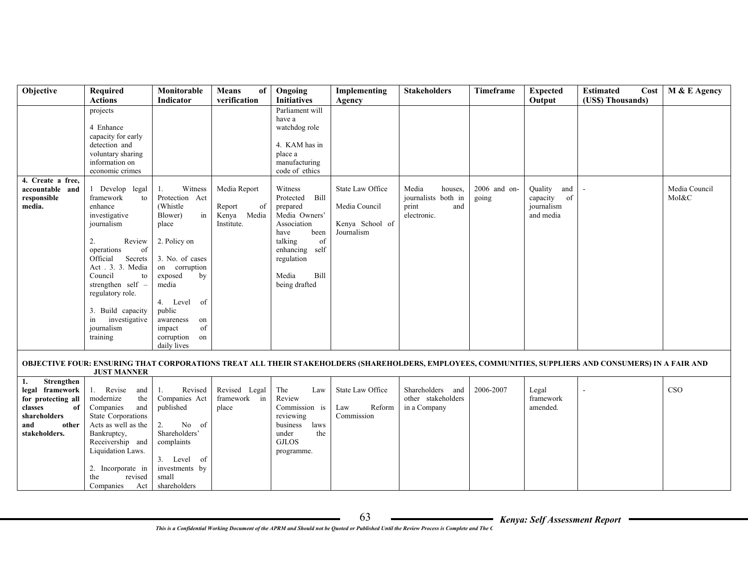| Objective                             | Required<br><b>Actions</b>       | Monitorable<br>Indicator       | Means<br>of<br>verification   | Ongoing<br><b>Initiatives</b>   | Implementing<br>Agency | <b>Stakeholders</b> | Timeframe      | <b>Expected</b><br>Output | <b>Estimated</b><br>(US\$) Thousands)                                                                                                                 | $Cost \mid M & E$ Agency |
|---------------------------------------|----------------------------------|--------------------------------|-------------------------------|---------------------------------|------------------------|---------------------|----------------|---------------------------|-------------------------------------------------------------------------------------------------------------------------------------------------------|--------------------------|
|                                       | projects                         |                                |                               | Parliament will                 |                        |                     |                |                           |                                                                                                                                                       |                          |
|                                       | 4 Enhance                        |                                |                               | have a<br>watchdog role         |                        |                     |                |                           |                                                                                                                                                       |                          |
|                                       | capacity for early               |                                |                               |                                 |                        |                     |                |                           |                                                                                                                                                       |                          |
|                                       | detection and                    |                                |                               | 4. KAM has in                   |                        |                     |                |                           |                                                                                                                                                       |                          |
|                                       | voluntary sharing                |                                |                               | place a                         |                        |                     |                |                           |                                                                                                                                                       |                          |
|                                       | information on                   |                                |                               | manufacturing                   |                        |                     |                |                           |                                                                                                                                                       |                          |
|                                       | economic crimes                  |                                |                               | code of ethics                  |                        |                     |                |                           |                                                                                                                                                       |                          |
| 4. Create a free,<br>accountable and  | 1 Develop legal                  | Witness<br>1.                  | Media Report                  | Witness                         | State Law Office       | Media<br>houses,    | $2006$ and on- | Quality<br>and            |                                                                                                                                                       | Media Council            |
| responsible                           | framework<br>to                  | Protection Act                 |                               | Protected Bill                  |                        | journalists both in | going          | capacity<br>of            |                                                                                                                                                       | MoI&C                    |
| media.                                | enhance                          | (Whistle)                      | Report<br>of                  | prepared                        | Media Council          | print<br>and        |                | journalism                |                                                                                                                                                       |                          |
|                                       | investigative                    | $\operatorname{in}$<br>Blower) | Kenya Media                   | Media Owners'                   |                        | electronic.         |                | and media                 |                                                                                                                                                       |                          |
|                                       | journalism                       | place                          | Institute.                    | Association                     | Kenya School of        |                     |                |                           |                                                                                                                                                       |                          |
|                                       |                                  |                                |                               | been<br>have                    | Journalism             |                     |                |                           |                                                                                                                                                       |                          |
|                                       | 2.<br>Review<br>operations<br>of | 2. Policy on                   |                               | talking<br>of<br>enhancing self |                        |                     |                |                           |                                                                                                                                                       |                          |
|                                       | Secrets<br>Official              | 3. No. of cases                |                               | regulation                      |                        |                     |                |                           |                                                                                                                                                       |                          |
|                                       | Act. 3. 3. Media                 | on corruption                  |                               |                                 |                        |                     |                |                           |                                                                                                                                                       |                          |
|                                       | Council<br>to                    | exposed<br>by                  |                               | Bill<br>Media                   |                        |                     |                |                           |                                                                                                                                                       |                          |
|                                       | strengthen self -                | media                          |                               | being drafted                   |                        |                     |                |                           |                                                                                                                                                       |                          |
|                                       | regulatory role.                 |                                |                               |                                 |                        |                     |                |                           |                                                                                                                                                       |                          |
|                                       | 3. Build capacity                | 4. Level of<br>public          |                               |                                 |                        |                     |                |                           |                                                                                                                                                       |                          |
|                                       | in<br>investigative              | awareness<br>on                |                               |                                 |                        |                     |                |                           |                                                                                                                                                       |                          |
|                                       | journalism                       | of<br>impact                   |                               |                                 |                        |                     |                |                           |                                                                                                                                                       |                          |
|                                       | training                         | corruption<br>on               |                               |                                 |                        |                     |                |                           |                                                                                                                                                       |                          |
|                                       |                                  | daily lives                    |                               |                                 |                        |                     |                |                           |                                                                                                                                                       |                          |
|                                       |                                  |                                |                               |                                 |                        |                     |                |                           | OBJECTIVE FOUR: ENSURING THAT CORPORATIONS TREAT ALL THEIR STAKEHOLDERS (SHAREHOLDERS, EMPLOYEES, COMMUNITIES, SUPPLIERS AND CONSUMERS) IN A FAIR AND |                          |
|                                       | <b>JUST MANNER</b>               |                                |                               |                                 |                        |                     |                |                           |                                                                                                                                                       |                          |
| Strengthen<br>1.                      | 1. Revise                        | Revised<br>1.                  |                               | The<br>Law                      | State Law Office       | Shareholders and    | 2006-2007      | Legal                     |                                                                                                                                                       | <b>CSO</b>               |
| legal framework<br>for protecting all | and<br>modernize<br>the          | Companies Act                  | Revised Legal<br>framework in | Review                          |                        | other stakeholders  |                | framework                 |                                                                                                                                                       |                          |
| classes<br>of                         | Companies<br>and                 | published                      | place                         | Commission is                   | Reform<br>Law          | in a Company        |                | amended.                  |                                                                                                                                                       |                          |
| shareholders                          | <b>State Corporations</b>        |                                |                               | reviewing                       | Commission             |                     |                |                           |                                                                                                                                                       |                          |
| other<br>and                          | Acts as well as the              | 2.<br>No of                    |                               | business<br>laws                |                        |                     |                |                           |                                                                                                                                                       |                          |
| stakeholders.                         | Bankruptcy,                      | Shareholders'                  |                               | the<br>under                    |                        |                     |                |                           |                                                                                                                                                       |                          |
|                                       | Receivership and                 | complaints                     |                               | <b>GJLOS</b>                    |                        |                     |                |                           |                                                                                                                                                       |                          |
|                                       | Liquidation Laws.                | 3. Level of                    |                               | programme.                      |                        |                     |                |                           |                                                                                                                                                       |                          |
|                                       | 2. Incorporate in                | investments by                 |                               |                                 |                        |                     |                |                           |                                                                                                                                                       |                          |
|                                       | revised<br>the                   | small                          |                               |                                 |                        |                     |                |                           |                                                                                                                                                       |                          |
|                                       | Companies<br>Act                 | shareholders                   |                               |                                 |                        |                     |                |                           |                                                                                                                                                       |                          |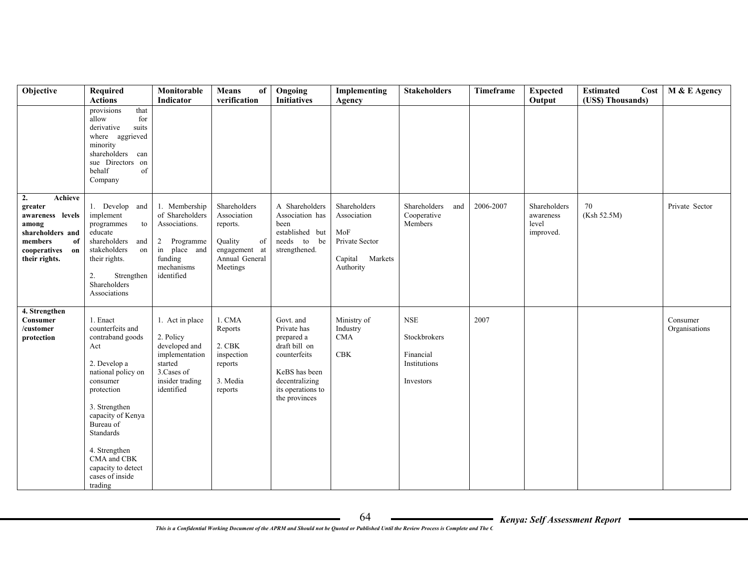| Objective                                                                                                                         | Required<br><b>Actions</b>                                                                                                                                                                                                                                                  | Monitorable<br>Indicator                                                                                                   | <b>Means</b><br>of<br>verification                                                                      | Ongoing<br><b>Initiatives</b>                                                                                                                    | Implementing<br>Agency                                                               | <b>Stakeholders</b>                                                  | Timeframe | <b>Expected</b><br>Output                       | <b>Estimated</b><br>Cost<br>(US\$) Thousands) | M & E Agency              |
|-----------------------------------------------------------------------------------------------------------------------------------|-----------------------------------------------------------------------------------------------------------------------------------------------------------------------------------------------------------------------------------------------------------------------------|----------------------------------------------------------------------------------------------------------------------------|---------------------------------------------------------------------------------------------------------|--------------------------------------------------------------------------------------------------------------------------------------------------|--------------------------------------------------------------------------------------|----------------------------------------------------------------------|-----------|-------------------------------------------------|-----------------------------------------------|---------------------------|
|                                                                                                                                   | provisions<br>that<br>allow<br>for<br>derivative<br>suits<br>where aggrieved<br>minority<br>shareholders can<br>sue Directors on<br>behalf<br>of<br>Company                                                                                                                 |                                                                                                                            |                                                                                                         |                                                                                                                                                  |                                                                                      |                                                                      |           |                                                 |                                               |                           |
| 2.<br>Achieve<br>greater<br>awareness levels<br>among<br>shareholders and<br>members<br>of<br>cooperatives<br>on<br>their rights. | 1. Develop and<br>implement<br>programmes<br>to<br>educate<br>shareholders and<br>stakeholders<br>on<br>their rights.<br>2.<br>Strengthen<br>Shareholders<br>Associations                                                                                                   | 1. Membership<br>of Shareholders<br>Associations.<br>2 Programme<br>in place and<br>funding<br>mechanisms<br>identified    | Shareholders<br>Association<br>reports.<br>Quality<br>of<br>engagement at<br>Annual General<br>Meetings | A Shareholders<br>Association has<br>been<br>established but<br>needs<br>to be<br>strengthened.                                                  | Shareholders<br>Association<br>MoF<br>Private Sector<br>Capital Markets<br>Authority | Shareholders<br>and<br>Cooperative<br>Members                        | 2006-2007 | Shareholders<br>awareness<br>level<br>improved. | 70<br>(Ksh 52.5M)                             | Private Sector            |
| 4. Strengthen<br><b>Consumer</b><br>/customer<br>protection                                                                       | 1. Enact<br>counterfeits and<br>contraband goods<br>Act<br>2. Develop a<br>national policy on<br>consumer<br>protection<br>3. Strengthen<br>capacity of Kenya<br>Bureau of<br>Standards<br>4. Strengthen<br>CMA and CBK<br>capacity to detect<br>cases of inside<br>trading | 1. Act in place<br>2. Policy<br>developed and<br>implementation<br>started<br>3. Cases of<br>insider trading<br>identified | 1. CMA<br>Reports<br>2. CBK<br>inspection<br>reports<br>3. Media<br>reports                             | Govt. and<br>Private has<br>prepared a<br>draft bill on<br>counterfeits<br>KeBS has been<br>decentralizing<br>its operations to<br>the provinces | Ministry of<br>Industry<br><b>CMA</b><br><b>CBK</b>                                  | <b>NSE</b><br>Stockbrokers<br>Financial<br>Institutions<br>Investors | 2007      |                                                 |                                               | Consumer<br>Organisations |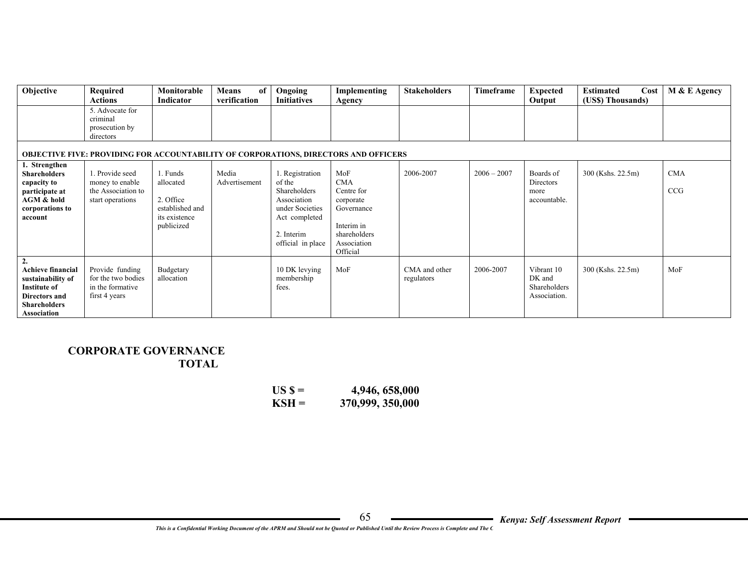| Objective                                                                                                                                              | Required<br><b>Actions</b>                                                                  | Monitorable<br><b>Indicator</b>                                                      | Means<br>of<br>verification | Ongoing<br><b>Initiatives</b>                                                                                                   | Implementing<br>Agency                                                                                              | <b>Stakeholders</b>         | Timeframe     | <b>Expected</b><br>Output                            | <b>Estimated</b><br>Cost<br>(US\$) Thousands) | M & E Agency      |
|--------------------------------------------------------------------------------------------------------------------------------------------------------|---------------------------------------------------------------------------------------------|--------------------------------------------------------------------------------------|-----------------------------|---------------------------------------------------------------------------------------------------------------------------------|---------------------------------------------------------------------------------------------------------------------|-----------------------------|---------------|------------------------------------------------------|-----------------------------------------------|-------------------|
|                                                                                                                                                        | 5. Advocate for<br>criminal<br>prosecution by<br>directors                                  |                                                                                      |                             |                                                                                                                                 |                                                                                                                     |                             |               |                                                      |                                               |                   |
|                                                                                                                                                        | <b>OBJECTIVE FIVE: PROVIDING FOR ACCOUNTABILITY OF CORPORATIONS, DIRECTORS AND OFFICERS</b> |                                                                                      |                             |                                                                                                                                 |                                                                                                                     |                             |               |                                                      |                                               |                   |
| 1. Strengthen<br><b>Shareholders</b><br>capacity to<br>participate at<br>AGM & hold<br>corporations to<br>account                                      | 1. Provide seed<br>money to enable<br>the Association to<br>start operations                | 1. Funds<br>allocated<br>2. Office<br>established and<br>its existence<br>publicized | Media<br>Advertisement      | 1. Registration<br>of the<br>Shareholders<br>Association<br>under Societies<br>Act completed<br>2. Interim<br>official in place | MoF<br><b>CMA</b><br>Centre for<br>corporate<br>Governance<br>Interim in<br>shareholders<br>Association<br>Official | 2006-2007                   | $2006 - 2007$ | Boards of<br>Directors<br>more<br>accountable.       | 300 (Kshs. 22.5m)                             | <b>CMA</b><br>CCG |
| $\overline{2}$ .<br><b>Achieve financial</b><br>sustainability of<br><b>Institute of</b><br><b>Directors and</b><br><b>Shareholders</b><br>Association | Provide funding<br>for the two bodies<br>in the formative<br>first 4 years                  | Budgetary<br>allocation                                                              |                             | 10 DK levying<br>membership<br>fees.                                                                                            | MoF                                                                                                                 | CMA and other<br>regulators | 2006-2007     | Vibrant 10<br>DK and<br>Shareholders<br>Association. | 300 (Kshs. 22.5m)                             | MoF               |

## **CORPORATE GOVERNANCE TOTAL**

| $USS =$ | 4,946, 658,000   |
|---------|------------------|
| $KSH =$ | 370,999, 350,000 |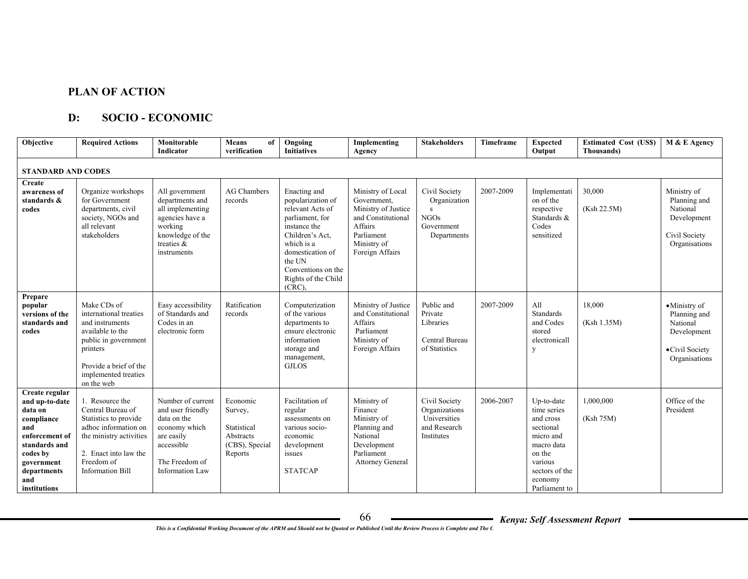### **PLAN OF ACTION**

#### **D: SOCIO - ECONOMIC**

| <b>Objective</b>                                                                                                                                                    | <b>Required Actions</b>                                                                                                                                                            | Monitorable<br>Indicator                                                                                                                       | <b>Means</b><br>of<br>verification                                           | Ongoing<br><b>Initiatives</b>                                                                                                                                                                                     | Implementing<br>Agency                                                                                                                   | <b>Stakeholders</b>                                                             | <b>Timeframe</b> | <b>Expected</b><br>Output                                                                                                                         | <b>Estimated Cost (US\$)</b><br>Thousands) | M & E Agency                                                                               |
|---------------------------------------------------------------------------------------------------------------------------------------------------------------------|------------------------------------------------------------------------------------------------------------------------------------------------------------------------------------|------------------------------------------------------------------------------------------------------------------------------------------------|------------------------------------------------------------------------------|-------------------------------------------------------------------------------------------------------------------------------------------------------------------------------------------------------------------|------------------------------------------------------------------------------------------------------------------------------------------|---------------------------------------------------------------------------------|------------------|---------------------------------------------------------------------------------------------------------------------------------------------------|--------------------------------------------|--------------------------------------------------------------------------------------------|
| <b>STANDARD AND CODES</b>                                                                                                                                           |                                                                                                                                                                                    |                                                                                                                                                |                                                                              |                                                                                                                                                                                                                   |                                                                                                                                          |                                                                                 |                  |                                                                                                                                                   |                                            |                                                                                            |
| Create<br>awareness of<br>standards &<br>codes                                                                                                                      | Organize workshops<br>for Government<br>departments, civil<br>society, NGOs and<br>all relevant<br>stakeholders                                                                    | All government<br>departments and<br>all implementing<br>agencies have a<br>working<br>knowledge of the<br>treaties &<br>instruments           | <b>AG Chambers</b><br>records                                                | Enacting and<br>popularization of<br>relevant Acts of<br>parliament, for<br>instance the<br>Children's Act.<br>which is a<br>domestication of<br>the UN<br>Conventions on the<br>Rights of the Child<br>$(CRC)$ . | Ministry of Local<br>Government,<br>Ministry of Justice<br>and Constitutional<br>Affairs<br>Parliament<br>Ministry of<br>Foreign Affairs | Civil Society<br>Organization<br>S.<br><b>NGOs</b><br>Government<br>Departments | 2007-2009        | Implementati<br>on of the<br>respective<br>Standards &<br>Codes<br>sensitized                                                                     | 30,000<br>(Ksh 22.5M)                      | Ministry of<br>Planning and<br>National<br>Development<br>Civil Society<br>Organisations   |
| Prepare<br>popular<br>versions of the<br>standards and<br>codes                                                                                                     | Make CDs of<br>international treaties<br>and instruments<br>available to the<br>public in government<br>printers<br>Provide a brief of the<br>implemented treaties<br>on the web   | Easy accessibility<br>of Standards and<br>Codes in an<br>electronic form                                                                       | Ratification<br>records                                                      | Computerization<br>of the various<br>departments to<br>ensure electronic<br>information<br>storage and<br>management,<br><b>GJLOS</b>                                                                             | Ministry of Justice<br>and Constitutional<br>Affairs<br>Parliament<br>Ministry of<br>Foreign Affairs                                     | Public and<br>Private<br>Libraries<br>Central Bureau<br>of Statistics           | 2007-2009        | All<br>Standards<br>and Codes<br>stored<br>electronicall<br>y                                                                                     | 18,000<br>(Ksh 1.35M)                      | •Ministry of<br>Planning and<br>National<br>Development<br>•Civil Society<br>Organisations |
| Create regular<br>and up-to-date<br>data on<br>compliance<br>and<br>enforcement of<br>standards and<br>codes by<br>government<br>departments<br>and<br>institutions | 1. Resource the<br>Central Bureau of<br>Statistics to provide<br>adhoc information on<br>the ministry activities<br>2. Enact into law the<br>Freedom of<br><b>Information Bill</b> | Number of current<br>and user friendly<br>data on the<br>economy which<br>are easily<br>accessible<br>The Freedom of<br><b>Information Law</b> | Economic<br>Survey,<br>Statistical<br>Abstracts<br>(CBS), Special<br>Reports | Facilitation of<br>regular<br>assessments on<br>various socio-<br>economic<br>development<br>issues<br><b>STATCAP</b>                                                                                             | Ministry of<br>Finance<br>Ministry of<br>Planning and<br>National<br>Development<br>Parliament<br><b>Attorney General</b>                | Civil Society<br>Organizations<br>Universities<br>and Research<br>Institutes    | 2006-2007        | Up-to-date<br>time series<br>and cross<br>sectional<br>micro and<br>macro data<br>on the<br>various<br>sectors of the<br>economy<br>Parliament to | 1,000,000<br>(Ksh 75M)                     | Office of the<br>President                                                                 |

*Kenya: Self Assessment Report*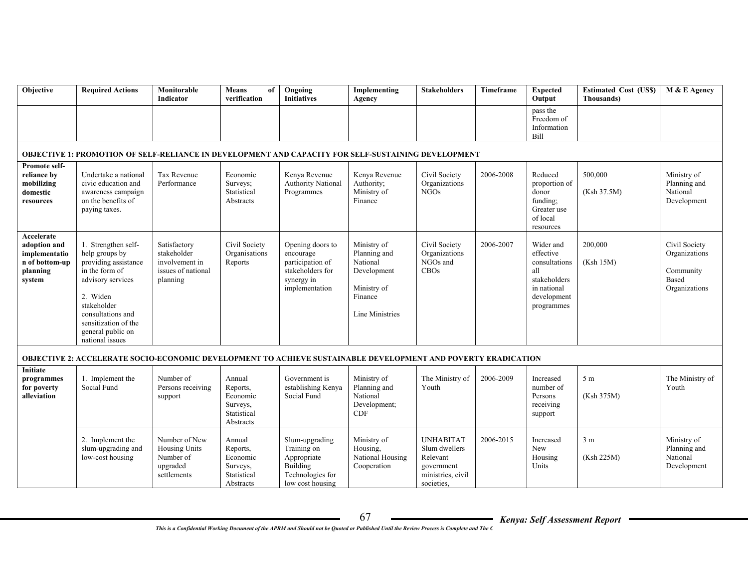| Objective                                                                           | <b>Required Actions</b>                                                                                                                                                                                              | Monitorable<br>Indicator                                                        | <b>Means</b><br>of<br>verification                                     | Ongoing<br><b>Initiatives</b>                                                                         | Implementing<br>Agency                                                                              | <b>Stakeholders</b>                                                              | <b>Timeframe</b> | <b>Expected</b><br>Output                                                                                  | <b>Estimated Cost (USS)</b><br>Thousands) | M & E Agency                                                          |
|-------------------------------------------------------------------------------------|----------------------------------------------------------------------------------------------------------------------------------------------------------------------------------------------------------------------|---------------------------------------------------------------------------------|------------------------------------------------------------------------|-------------------------------------------------------------------------------------------------------|-----------------------------------------------------------------------------------------------------|----------------------------------------------------------------------------------|------------------|------------------------------------------------------------------------------------------------------------|-------------------------------------------|-----------------------------------------------------------------------|
|                                                                                     |                                                                                                                                                                                                                      |                                                                                 |                                                                        |                                                                                                       |                                                                                                     |                                                                                  |                  | pass the<br>Freedom of<br>Information<br>Bill                                                              |                                           |                                                                       |
|                                                                                     | OBJECTIVE 1: PROMOTION OF SELF-RELIANCE IN DEVELOPMENT AND CAPACITY FOR SELF-SUSTAINING DEVELOPMENT                                                                                                                  |                                                                                 |                                                                        |                                                                                                       |                                                                                                     |                                                                                  |                  |                                                                                                            |                                           |                                                                       |
| <b>Promote self-</b><br>reliance by<br>mobilizing<br>$\bf domestic$<br>resources    | Undertake a national<br>civic education and<br>awareness campaign<br>on the benefits of<br>paying taxes.                                                                                                             | <b>Tax Revenue</b><br>Performance                                               | Economic<br>Surveys;<br>Statistical<br>Abstracts                       | Kenya Revenue<br><b>Authority National</b><br>Programmes                                              | Kenya Revenue<br>Authority;<br>Ministry of<br>Finance                                               | Civil Society<br>Organizations<br><b>NGOs</b>                                    | 2006-2008        | Reduced<br>proportion of<br>donor<br>funding;<br>Greater use<br>of local<br>resources                      | 500,000<br>(Ksh 37.5M)                    | Ministry of<br>Planning and<br>National<br>Development                |
| Accelerate<br>adoption and<br>implementatio<br>n of bottom-up<br>planning<br>system | 1. Strengthen self-<br>help groups by<br>providing assistance<br>in the form of<br>advisory services<br>2. Widen<br>stakeholder<br>consultations and<br>sensitization of the<br>general public on<br>national issues | Satisfactory<br>stakeholder<br>involvement in<br>issues of national<br>planning | Civil Society<br>Organisations<br>Reports                              | Opening doors to<br>encourage<br>participation of<br>stakeholders for<br>synergy in<br>implementation | Ministry of<br>Planning and<br>National<br>Development<br>Ministry of<br>Finance<br>Line Ministries | Civil Society<br>Organizations<br>NGOs and<br>CBOs                               | 2006-2007        | Wider and<br>effective<br>consultations<br>all<br>stakeholders<br>in national<br>development<br>programmes | 200,000<br>(Ksh 15M)                      | Civil Society<br>Organizations<br>Community<br>Based<br>Organizations |
|                                                                                     | <b>OBJECTIVE 2: ACCELERATE SOCIO-ECONOMIC DEVELOPMENT TO ACHIEVE SUSTAINABLE DEVELOPMENT AND POVERTY ERADICATION</b>                                                                                                 |                                                                                 |                                                                        |                                                                                                       |                                                                                                     |                                                                                  |                  |                                                                                                            |                                           |                                                                       |
| <b>Initiate</b><br>programmes<br>for poverty<br>alleviation                         | 1. Implement the<br>Social Fund                                                                                                                                                                                      | Number of<br>Persons receiving<br>support                                       | Annual<br>Reports,<br>Economic<br>Surveys.<br>Statistical<br>Abstracts | Government is<br>establishing Kenya<br>Social Fund                                                    | Ministry of<br>Planning and<br>National<br>Development;<br>CDF                                      | The Ministry of<br>Youth                                                         | 2006-2009        | Increased<br>number of<br>Persons<br>receiving<br>support                                                  | 5 <sub>m</sub><br>(Ksh 375M)              | The Ministry of<br>Youth                                              |
|                                                                                     | 2. Implement the<br>slum-upgrading and<br>low-cost housing                                                                                                                                                           | Number of New<br><b>Housing Units</b><br>Number of<br>upgraded<br>settlements   | Annual<br>Reports,<br>Economic<br>Surveys.<br>Statistical              | Slum-upgrading<br>Training on<br>Appropriate<br>Building<br>Technologies for                          | Ministry of<br>Housing.<br>National Housing<br>Cooperation                                          | <b>UNHABITAT</b><br>Slum dwellers<br>Relevant<br>government<br>ministries, civil | 2006-2015        | Increased<br>New<br>Housing<br>Units                                                                       | 3 <sub>m</sub><br>(Ksh 225M)              | Ministry of<br>Planning and<br>National<br>Development                |

ministries, civil societies,

Building Technologies for low cost housing

Abstracts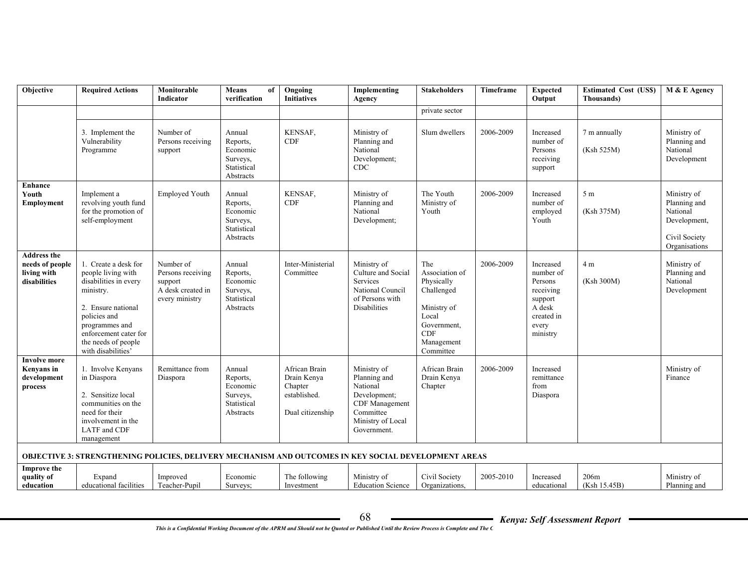| Objective                                                            | <b>Required Actions</b>                                                                                                                                                                                       | Monitorable<br>Indicator                                                         | <b>Means</b><br>of<br>verification                                     | Ongoing<br><b>Initiatives</b>                                               | Implementing<br>Agency                                                                                                     | <b>Stakeholders</b>                                                                                                               | <b>Timeframe</b> | <b>Expected</b><br>Output                                                                              | <b>Estimated Cost (USS)</b><br>Thousands) | M & E Agency                                                                              |
|----------------------------------------------------------------------|---------------------------------------------------------------------------------------------------------------------------------------------------------------------------------------------------------------|----------------------------------------------------------------------------------|------------------------------------------------------------------------|-----------------------------------------------------------------------------|----------------------------------------------------------------------------------------------------------------------------|-----------------------------------------------------------------------------------------------------------------------------------|------------------|--------------------------------------------------------------------------------------------------------|-------------------------------------------|-------------------------------------------------------------------------------------------|
|                                                                      |                                                                                                                                                                                                               |                                                                                  |                                                                        |                                                                             |                                                                                                                            | private sector                                                                                                                    |                  |                                                                                                        |                                           |                                                                                           |
|                                                                      | 3. Implement the<br>Vulnerability<br>Programme                                                                                                                                                                | Number of<br>Persons receiving<br>support                                        | Annual<br>Reports,<br>Economic<br>Surveys,<br>Statistical<br>Abstracts | KENSAF.<br>CDF                                                              | Ministry of<br>Planning and<br>National<br>Development;<br><b>CDC</b>                                                      | Slum dwellers                                                                                                                     | 2006-2009        | Increased<br>number of<br>Persons<br>receiving<br>support                                              | 7 m annually<br>(Ksh 525M)                | Ministry of<br>Planning and<br>National<br>Development                                    |
| <b>Enhance</b><br>Youth<br><b>Employment</b>                         | Implement a<br>revolving youth fund<br>for the promotion of<br>self-employment                                                                                                                                | <b>Employed Youth</b>                                                            | Annual<br>Reports,<br>Economic<br>Surveys,<br>Statistical<br>Abstracts | KENSAF,<br><b>CDF</b>                                                       | Ministry of<br>Planning and<br>National<br>Development;                                                                    | The Youth<br>Ministry of<br>Youth                                                                                                 | 2006-2009        | Increased<br>number of<br>employed<br>Youth                                                            | 5 <sub>m</sub><br>(Ksh 375M)              | Ministry of<br>Planning and<br>National<br>Development,<br>Civil Society<br>Organisations |
| <b>Address the</b><br>needs of people<br>living with<br>disabilities | 1. Create a desk for<br>people living with<br>disabilities in every<br>ministry.<br>2. Ensure national<br>policies and<br>programmes and<br>enforcement cater for<br>the needs of people<br>with disabilities | Number of<br>Persons receiving<br>support<br>A desk created in<br>every ministry | Annual<br>Reports,<br>Economic<br>Surveys,<br>Statistical<br>Abstracts | Inter-Ministerial<br>Committee                                              | Ministry of<br>Culture and Social<br>Services<br>National Council<br>of Persons with<br><b>Disabilities</b>                | The<br>Association of<br>Physically<br>Challenged<br>Ministry of<br>Local<br>Government,<br><b>CDF</b><br>Management<br>Committee | 2006-2009        | Increased<br>number of<br>Persons<br>receiving<br>support<br>A desk<br>created in<br>every<br>ministry | 4 m<br>(Ksh 300M)                         | Ministry of<br>Planning and<br>National<br>Development                                    |
| <b>Involve more</b><br><b>Kenyans</b> in<br>development<br>process   | 1. Involve Kenyans<br>in Diaspora<br>2. Sensitize local<br>communities on the<br>need for their<br>involvement in the<br>LATF and CDF<br>management                                                           | Remittance from<br>Diaspora                                                      | Annual<br>Reports,<br>Economic<br>Surveys,<br>Statistical<br>Abstracts | African Brain<br>Drain Kenya<br>Chapter<br>established.<br>Dual citizenship | Ministry of<br>Planning and<br>National<br>Development;<br>CDF Management<br>Committee<br>Ministry of Local<br>Government. | African Brain<br>Drain Kenya<br>Chapter                                                                                           | 2006-2009        | Increased<br>remittance<br>from<br>Diaspora                                                            |                                           | Ministry of<br>Finance                                                                    |
|                                                                      | <b>OBJECTIVE 3: STRENGTHENING POLICIES, DELIVERY MECHANISM AND OUTCOMES IN KEY SOCIAL DEVELOPMENT AREAS</b>                                                                                                   |                                                                                  |                                                                        |                                                                             |                                                                                                                            |                                                                                                                                   |                  |                                                                                                        |                                           |                                                                                           |
| <b>Improve the</b><br>quality of<br>education                        | Expand<br>educational facilities                                                                                                                                                                              | Improved<br>Teacher-Pupil                                                        | Economic<br>Surveys;                                                   | The following<br>Investment                                                 | Ministry of<br><b>Education Science</b>                                                                                    | Civil Society<br>Organizations,                                                                                                   | 2005-2010        | Increased<br>educational                                                                               | 206m<br>(Ksh 15.45B)                      | Ministry of<br>Planning and                                                               |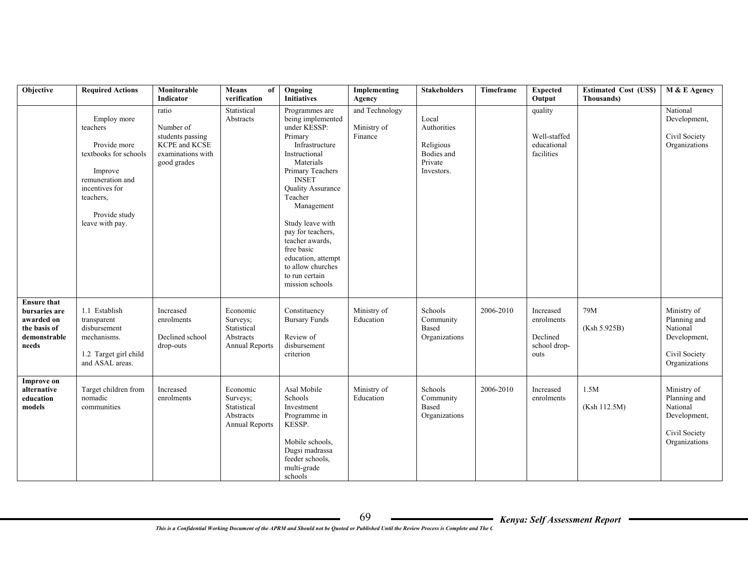| Objective                                                                                  | <b>Required Actions</b>                                                                                                                                            | Monitorable<br>Indicator                                                                    | <b>Means</b><br>of<br>verification                                 | Ongoing<br><b>Initiatives</b>                                                                                                                                                                                                                                                                                                                              | Implementing<br>Agency                   | <b>Stakeholders</b>                                                      | Timeframe | <b>Expected</b><br>Output                                   | <b>Estimated Cost (US\$)</b><br>Thousands) | M & E Agency                                                                              |
|--------------------------------------------------------------------------------------------|--------------------------------------------------------------------------------------------------------------------------------------------------------------------|---------------------------------------------------------------------------------------------|--------------------------------------------------------------------|------------------------------------------------------------------------------------------------------------------------------------------------------------------------------------------------------------------------------------------------------------------------------------------------------------------------------------------------------------|------------------------------------------|--------------------------------------------------------------------------|-----------|-------------------------------------------------------------|--------------------------------------------|-------------------------------------------------------------------------------------------|
|                                                                                            | Employ more<br>teachers<br>Provide more<br>textbooks for schools<br>Improve<br>remuneration and<br>incentives for<br>teachers.<br>Provide study<br>leave with pay. | ratio<br>Number of<br>students passing<br>KCPE and KCSE<br>examinations with<br>good grades | Statistical<br>Abstracts                                           | Programmes are<br>being implemented<br>under KESSP:<br>Primary<br>Infrastructure<br>Instructional<br>Materials<br>Primary Teachers<br><b>INSET</b><br>Quality Assurance<br>Teacher<br>Management<br>Study leave with<br>pay for teachers,<br>teacher awards,<br>free basic<br>education, attempt<br>to allow churches<br>to run certain<br>mission schools | and Technology<br>Ministry of<br>Finance | Local<br>Authorities<br>Religious<br>Bodies and<br>Private<br>Investors. |           | quality<br>Well-staffed<br>educational<br>facilities        |                                            | National<br>Development,<br>Civil Society<br>Organizations                                |
| <b>Ensure that</b><br>bursaries are<br>awarded on<br>the basis of<br>demonstrable<br>needs | 1.1 Establish<br>transparent<br>disbursement<br>mechanisms.<br>1.2 Target girl child<br>and ASAL areas.                                                            | Increased<br>enrolments<br>Declined school<br>drop-outs                                     | Economic<br>Surveys;<br>Statistical<br>Abstracts<br>Annual Reports | Constituency<br><b>Bursary Funds</b><br>Review of<br>disbursement<br>criterion                                                                                                                                                                                                                                                                             | Ministry of<br>Education                 | Schools<br>Community<br>Based<br>Organizations                           | 2006-2010 | Increased<br>enrolments<br>Declined<br>school drop-<br>outs | 79M<br>(Ksh 5.925B)                        | Ministry of<br>Planning and<br>National<br>Development,<br>Civil Society<br>Organizations |
| <b>Improve on</b><br>alternative<br>education<br>models                                    | Target children from<br>nomadic<br>communities                                                                                                                     | Increased<br>enrolments                                                                     | Economic<br>Surveys;<br>Statistical<br>Abstracts<br>Annual Reports | Asal Mobile<br>Schools<br>Investment<br>Programme in<br>KESSP.<br>Mobile schools,<br>Dugsi madrassa<br>feeder schools,<br>multi-grade<br>schools                                                                                                                                                                                                           | Ministry of<br>Education                 | Schools<br>Community<br><b>Based</b><br>Organizations                    | 2006-2010 | Increased<br>enrolments                                     | 1.5M<br>(Ksh 112.5M)                       | Ministry of<br>Planning and<br>National<br>Development,<br>Civil Society<br>Organizations |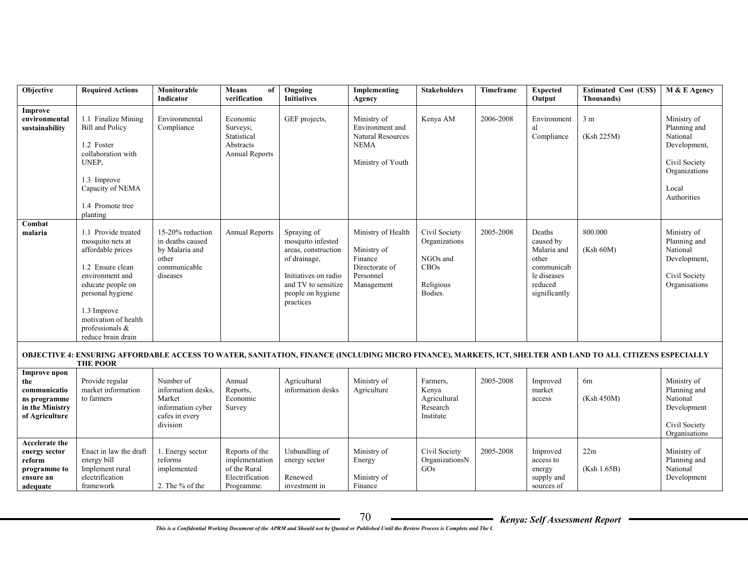| Objective                                                                                       | <b>Required Actions</b>                                                                                                                                                                                                        | Monitorable<br>Indicator                                                                     | <b>Means</b><br>of<br>verification                                                | Ongoing<br><b>Initiatives</b>                                                                                                                            | Implementing<br>Agency                                                                         | <b>Stakeholders</b>                                                        | Timeframe | <b>Expected</b><br>Output                                                                            | <b>Estimated Cost (USS)</b><br>Thousands)                                                                                                                  | M & E Agency                                                                                                      |
|-------------------------------------------------------------------------------------------------|--------------------------------------------------------------------------------------------------------------------------------------------------------------------------------------------------------------------------------|----------------------------------------------------------------------------------------------|-----------------------------------------------------------------------------------|----------------------------------------------------------------------------------------------------------------------------------------------------------|------------------------------------------------------------------------------------------------|----------------------------------------------------------------------------|-----------|------------------------------------------------------------------------------------------------------|------------------------------------------------------------------------------------------------------------------------------------------------------------|-------------------------------------------------------------------------------------------------------------------|
| Improve<br>environmental<br>sustainability                                                      | 1.1 Finalize Mining<br><b>Bill and Policy</b><br>1.2 Foster<br>collaboration with<br>UNEP,<br>1.3 Improve<br>Capacity of NEMA<br>1.4 Promote tree<br>planting                                                                  | Environmental<br>Compliance                                                                  | Economic<br>Surveys;<br>Statistical<br>Abstracts<br><b>Annual Reports</b>         | GEF projects,                                                                                                                                            | Ministry of<br>Environment and<br><b>Natural Resources</b><br><b>NEMA</b><br>Ministry of Youth | Kenya AM                                                                   | 2006-2008 | Environment<br>al<br>Compliance                                                                      | 3 <sub>m</sub><br>(Ksh 225M)                                                                                                                               | Ministry of<br>Planning and<br>National<br>Development,<br>Civil Society<br>Organizations<br>Local<br>Authorities |
| Combat<br>malaria                                                                               | 1.1 Provide treated<br>mosquito nets at<br>affordable prices<br>1.2 Ensure clean<br>environment and<br>educate people on<br>personal hygiene<br>1.3 Improve<br>motivation of health<br>professionals $&$<br>reduce brain drain | 15-20% reduction<br>in deaths caused<br>by Malaria and<br>other<br>communicable<br>diseases  | <b>Annual Reports</b>                                                             | Spraying of<br>mosquito infested<br>areas, construction<br>of drainage,<br>Initiatives on radio<br>and TV to sensitize<br>people on hygiene<br>practices | Ministry of Health<br>Ministry of<br>Finance<br>Directorate of<br>Personnel<br>Management      | Civil Society<br>Organizations<br>NGOs and<br>CBOs<br>Religious<br>Bodies. | 2005-2008 | Deaths<br>caused by<br>Malaria and<br>other<br>communicab<br>le diseases<br>reduced<br>significantly | 800.000<br>(Ksh 60M)                                                                                                                                       | Ministry of<br>Planning and<br>National<br>Development,<br>Civil Society<br>Organisations                         |
|                                                                                                 | <b>THE POOR</b>                                                                                                                                                                                                                |                                                                                              |                                                                                   |                                                                                                                                                          |                                                                                                |                                                                            |           |                                                                                                      | OBJECTIVE 4: ENSURING AFFORDABLE ACCESS TO WATER, SANITATION, FINANCE (INCLUDING MICRO FINANCE), MARKETS, ICT, SHELTER AND LAND TO ALL CITIZENS ESPECIALLY |                                                                                                                   |
| <b>Improve upon</b><br>the<br>communicatio<br>ns programme<br>in the Ministry<br>of Agriculture | Provide regular<br>market information<br>to farmers                                                                                                                                                                            | Number of<br>information desks.<br>Market<br>information cyber<br>cafes in every<br>division | Annual<br>Reports,<br>Economic<br>Survey                                          | Agricultural<br>information desks                                                                                                                        | Ministry of<br>Agriculture                                                                     | Farmers,<br>Kenya<br>Agricultural<br>Research<br>Institute                 | 2005-2008 | Improved<br>market<br>access                                                                         | 6m<br>(Ksh 450M)                                                                                                                                           | Ministry of<br>Planning and<br>National<br>Development<br>Civil Society<br>Organisations                          |
| Accelerate the<br>energy sector<br>reform<br>programme to<br>ensure an<br>adequate              | Enact in law the draft<br>energy bill<br>Implement rural<br>electrification<br>framework                                                                                                                                       | 1. Energy sector<br>reforms<br>implemented<br>2. The % of the                                | Reports of the<br>implementation<br>of the Rural<br>Electrification<br>Programme. | Unbundling of<br>energy sector<br>Renewed<br>investment in                                                                                               | Ministry of<br>Energy<br>Ministry of<br>Finance                                                | Civil Society<br>OrganizationsN<br>GOs                                     | 2005-2008 | Improved<br>access to<br>energy<br>supply and<br>sources of                                          | 22m<br>(Ksh 1.65B)                                                                                                                                         | Ministry of<br>Planning and<br>National<br>Development                                                            |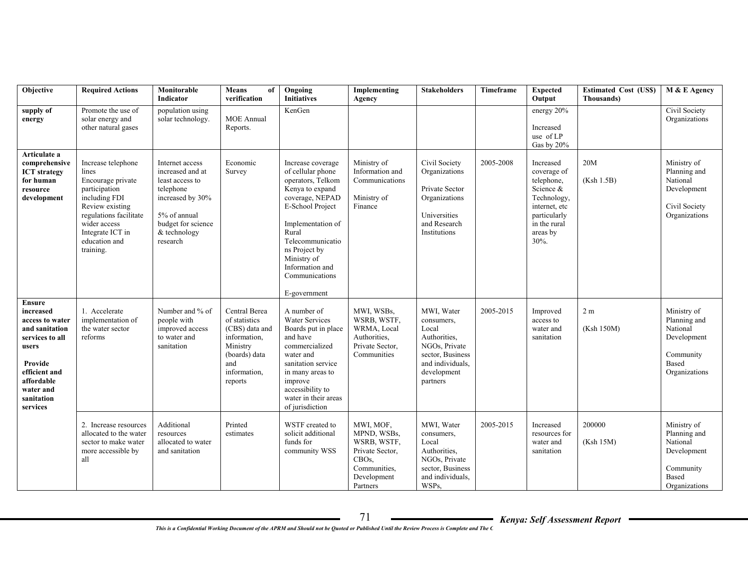| Objective                                                                                                                                                                    | <b>Required Actions</b>                                                                                                                                                                           | Monitorable<br>Indicator                                                                                                                                  | <b>Means</b><br>of<br>verification                                                                                              | Ongoing<br><b>Initiatives</b>                                                                                                                                                                                                                                | Implementing<br>Agency                                                                                                    | <b>Stakeholders</b>                                                                                                                   | Timeframe | <b>Expected</b><br>Output                                                                                                               | <b>Estimated Cost (US\$)</b><br><b>Thousands</b> ) | M & E Agency                                                                                  |
|------------------------------------------------------------------------------------------------------------------------------------------------------------------------------|---------------------------------------------------------------------------------------------------------------------------------------------------------------------------------------------------|-----------------------------------------------------------------------------------------------------------------------------------------------------------|---------------------------------------------------------------------------------------------------------------------------------|--------------------------------------------------------------------------------------------------------------------------------------------------------------------------------------------------------------------------------------------------------------|---------------------------------------------------------------------------------------------------------------------------|---------------------------------------------------------------------------------------------------------------------------------------|-----------|-----------------------------------------------------------------------------------------------------------------------------------------|----------------------------------------------------|-----------------------------------------------------------------------------------------------|
| supply of<br>energy                                                                                                                                                          | Promote the use of<br>solar energy and<br>other natural gases                                                                                                                                     | population using<br>solar technology.                                                                                                                     | <b>MOE</b> Annual<br>Reports.                                                                                                   | KenGen                                                                                                                                                                                                                                                       |                                                                                                                           |                                                                                                                                       |           | energy 20%<br>Increased<br>use of LP<br>Gas by 20%                                                                                      |                                                    | Civil Society<br>Organizations                                                                |
| Articulate a<br>comprehensive<br><b>ICT</b> strategy<br>for human<br>resource<br>development                                                                                 | Increase telephone<br>lines<br>Encourage private<br>participation<br>including FDI<br>Review existing<br>regulations facilitate<br>wider access<br>Integrate ICT in<br>education and<br>training. | Internet access<br>increased and at<br>least access to<br>telephone<br>increased by 30%<br>5% of annual<br>budget for science<br>& technology<br>research | Economic<br>Survey                                                                                                              | Increase coverage<br>of cellular phone<br>operators, Telkom<br>Kenya to expand<br>coverage, NEPAD<br>E-School Project<br>Implementation of<br>Rural<br>Telecommunicatio<br>ns Project by<br>Ministry of<br>Information and<br>Communications<br>E-government | Ministry of<br>Information and<br>Communications<br>Ministry of<br>Finance                                                | Civil Society<br>Organizations<br>Private Sector<br>Organizations<br>Universities<br>and Research<br>Institutions                     | 2005-2008 | Increased<br>coverage of<br>telephone,<br>Science &<br>Technology,<br>internet, etc<br>particularly<br>in the rural<br>areas by<br>30%. | 20M<br>(Ksh 1.5B)                                  | Ministry of<br>Planning and<br>National<br>Development<br>Civil Society<br>Organizations      |
| <b>Ensure</b><br>increased<br>access to water<br>and sanitation<br>services to all<br>users<br>Provide<br>efficient and<br>affordable<br>water and<br>sanitation<br>services | 1. Accelerate<br>implementation of<br>the water sector<br>reforms                                                                                                                                 | Number and % of<br>people with<br>improved access<br>to water and<br>sanitation                                                                           | Central Berea<br>of statistics<br>(CBS) data and<br>information.<br>Ministry<br>(boards) data<br>and<br>information,<br>reports | A number of<br><b>Water Services</b><br>Boards put in place<br>and have<br>commercialized<br>water and<br>sanitation service<br>in many areas to<br>improve<br>accessibility to<br>water in their areas<br>of jurisdiction                                   | MWI, WSBs,<br>WSRB, WSTF,<br>WRMA, Local<br>Authorities,<br>Private Sector,<br>Communities                                | MWI, Water<br>consumers,<br>Local<br>Authorities,<br>NGOs, Private<br>sector, Business<br>and individuals.<br>development<br>partners | 2005-2015 | Improved<br>access to<br>water and<br>sanitation                                                                                        | 2 <sub>m</sub><br>(Ksh 150M)                       | Ministry of<br>Planning and<br>National<br>Development<br>Community<br>Based<br>Organizations |
|                                                                                                                                                                              | 2. Increase resources<br>allocated to the water<br>sector to make water<br>more accessible by<br>all                                                                                              | Additional<br>resources<br>allocated to water<br>and sanitation                                                                                           | Printed<br>estimates                                                                                                            | WSTF created to<br>solicit additional<br>funds for<br>community WSS                                                                                                                                                                                          | MWI, MOF,<br>MPND, WSBs,<br>WSRB, WSTF,<br>Private Sector,<br>CBO <sub>s</sub><br>Communities,<br>Development<br>Partners | MWI, Water<br>consumers,<br>Local<br>Authorities,<br>NGOs, Private<br>sector, Business<br>and individuals.<br>WSPs,                   | 2005-2015 | Increased<br>resources for<br>water and<br>sanitation                                                                                   | 200000<br>(Ksh 15M)                                | Ministry of<br>Planning and<br>National<br>Development<br>Community<br>Based<br>Organizations |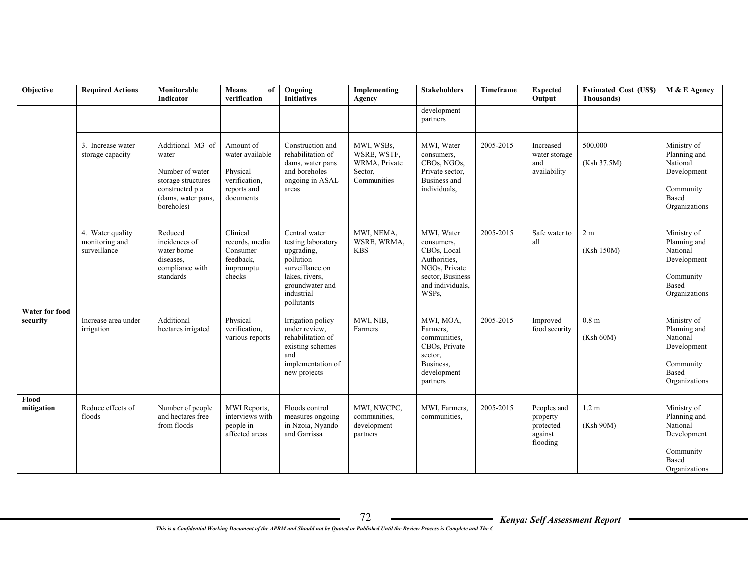| Objective                         | <b>Required Actions</b>                            | Monitorable<br>Indicator                                                                                                  | <b>Means</b><br>of<br>verification                                                    | Ongoing<br><b>Initiatives</b>                                                                                                                      | Implementing<br>Agency                                               | <b>Stakeholders</b>                                                                                                       | Timeframe | <b>Expected</b><br>Output                                   | <b>Estimated Cost (US\$)</b><br>Thousands) | M & E Agency                                                                                         |
|-----------------------------------|----------------------------------------------------|---------------------------------------------------------------------------------------------------------------------------|---------------------------------------------------------------------------------------|----------------------------------------------------------------------------------------------------------------------------------------------------|----------------------------------------------------------------------|---------------------------------------------------------------------------------------------------------------------------|-----------|-------------------------------------------------------------|--------------------------------------------|------------------------------------------------------------------------------------------------------|
|                                   |                                                    |                                                                                                                           |                                                                                       |                                                                                                                                                    |                                                                      | development<br>partners                                                                                                   |           |                                                             |                                            |                                                                                                      |
|                                   | 3. Increase water<br>storage capacity              | Additional M3 of<br>water<br>Number of water<br>storage structures<br>constructed p.a<br>(dams, water pans,<br>boreholes) | Amount of<br>water available<br>Physical<br>verification.<br>reports and<br>documents | Construction and<br>rehabilitation of<br>dams, water pans<br>and boreholes<br>ongoing in ASAL<br>areas                                             | MWI, WSBs,<br>WSRB, WSTF,<br>WRMA, Private<br>Sector,<br>Communities | MWI. Water<br>consumers,<br>CBOs, NGOs,<br>Private sector,<br>Business and<br>individuals,                                | 2005-2015 | Increased<br>water storage<br>and<br>availability           | 500,000<br>(Ksh 37.5M)                     | Ministry of<br>Planning and<br>National<br>Development<br>Community<br><b>Based</b><br>Organizations |
|                                   | 4. Water quality<br>monitoring and<br>surveillance | Reduced<br>incidences of<br>water borne<br>diseases.<br>compliance with<br>standards                                      | Clinical<br>records, media<br>Consumer<br>feedback.<br>impromptu<br>checks            | Central water<br>testing laboratory<br>upgrading,<br>pollution<br>surveillance on<br>lakes, rivers,<br>groundwater and<br>industrial<br>pollutants | MWI, NEMA,<br>WSRB, WRMA,<br><b>KBS</b>                              | MWI, Water<br>consumers,<br>CBOs, Local<br>Authorities,<br>NGOs, Private<br>sector, Business<br>and individuals.<br>WSPs, | 2005-2015 | Safe water to<br>all                                        | 2 <sub>m</sub><br>(Ksh 150M)               | Ministry of<br>Planning and<br>National<br>Development<br>Community<br>Based<br>Organizations        |
| <b>Water for food</b><br>security | Increase area under<br>irrigation                  | Additional<br>hectares irrigated                                                                                          | Physical<br>verification,<br>various reports                                          | Irrigation policy<br>under review.<br>rehabilitation of<br>existing schemes<br>and<br>implementation of<br>new projects                            | MWI, NIB,<br>Farmers                                                 | MWI, MOA,<br>Farmers.<br>communities.<br>CBOs, Private<br>sector,<br>Business.<br>development<br>partners                 | 2005-2015 | Improved<br>food security                                   | 0.8 <sub>m</sub><br>(Ksh 60M)              | Ministry of<br>Planning and<br>National<br>Development<br>Community<br>Based<br>Organizations        |
| Flood<br>mitigation               | Reduce effects of<br>floods                        | Number of people<br>and hectares free<br>from floods                                                                      | MWI Reports,<br>interviews with<br>people in<br>affected areas                        | Floods control<br>measures ongoing<br>in Nzoia, Nyando<br>and Garrissa                                                                             | MWI, NWCPC,<br>communities,<br>development<br>partners               | MWI, Farmers,<br>communities.                                                                                             | 2005-2015 | Peoples and<br>property<br>protected<br>against<br>flooding | 1.2 <sub>m</sub><br>(Ksh 90M)              | Ministry of<br>Planning and<br>National<br>Development<br>Community<br>Based<br>Organizations        |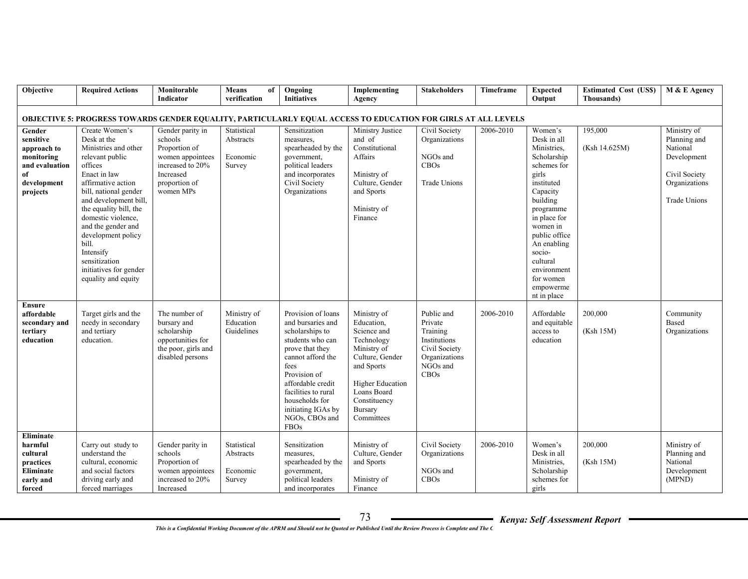| Objective                                                                                                     | <b>Required Actions</b>                                                                                                                                                                                                                                                                                                                                         | Monitorable                                                                                                                     | Means<br>of                                    | Ongoing                                                                                                                                                                                                                                                      | Implementing                                                                                                                                                                              | <b>Stakeholders</b>                                                                                            | Timeframe | <b>Expected</b>                                                                                                                                                                                                                                                           | <b>Estimated Cost (US\$)</b> | M & E Agency                                                                                             |
|---------------------------------------------------------------------------------------------------------------|-----------------------------------------------------------------------------------------------------------------------------------------------------------------------------------------------------------------------------------------------------------------------------------------------------------------------------------------------------------------|---------------------------------------------------------------------------------------------------------------------------------|------------------------------------------------|--------------------------------------------------------------------------------------------------------------------------------------------------------------------------------------------------------------------------------------------------------------|-------------------------------------------------------------------------------------------------------------------------------------------------------------------------------------------|----------------------------------------------------------------------------------------------------------------|-----------|---------------------------------------------------------------------------------------------------------------------------------------------------------------------------------------------------------------------------------------------------------------------------|------------------------------|----------------------------------------------------------------------------------------------------------|
|                                                                                                               |                                                                                                                                                                                                                                                                                                                                                                 | Indicator                                                                                                                       | verification                                   | <b>Initiatives</b>                                                                                                                                                                                                                                           | Agency                                                                                                                                                                                    |                                                                                                                |           | Output                                                                                                                                                                                                                                                                    | Thousands)                   |                                                                                                          |
| OBJECTIVE 5: PROGRESS TOWARDS GENDER EQUALITY, PARTICULARLY EQUAL ACCESS TO EDUCATION FOR GIRLS AT ALL LEVELS |                                                                                                                                                                                                                                                                                                                                                                 |                                                                                                                                 |                                                |                                                                                                                                                                                                                                                              |                                                                                                                                                                                           |                                                                                                                |           |                                                                                                                                                                                                                                                                           |                              |                                                                                                          |
| Gender<br>sensitive<br>approach to<br>monitoring<br>and evaluation<br>of<br>development<br>projects           | Create Women's<br>Desk at the<br>Ministries and other<br>relevant public<br>offices<br>Enact in law<br>affirmative action<br>bill, national gender<br>and development bill,<br>the equality bill, the<br>domestic violence,<br>and the gender and<br>development policy<br>bill.<br>Intensify<br>sensitization<br>initiatives for gender<br>equality and equity | Gender parity in<br>schools<br>Proportion of<br>women appointees<br>increased to 20%<br>Increased<br>proportion of<br>women MPs | Statistical<br>Abstracts<br>Economic<br>Survey | Sensitization<br>measures,<br>spearheaded by the<br>government,<br>political leaders<br>and incorporates<br>Civil Society<br>Organizations                                                                                                                   | Ministry Justice<br>and of<br>Constitutional<br>Affairs<br>Ministry of<br>Culture, Gender<br>and Sports<br>Ministry of<br>Finance                                                         | Civil Society<br>Organizations<br>NGOs and<br>CBOs<br><b>Trade Unions</b>                                      | 2006-2010 | Women's<br>Desk in all<br>Ministries.<br>Scholarship<br>schemes for<br>girls<br>instituted<br>Capacity<br>building<br>programme<br>in place for<br>women in<br>public office<br>An enabling<br>socio-<br>cultural<br>environment<br>for women<br>empowerme<br>nt in place | 195,000<br>(Ksh 14.625M)     | Ministry of<br>Planning and<br>National<br>Development<br>Civil Society<br>Organizations<br>Trade Unions |
| <b>Ensure</b><br>affordable<br>secondary and<br>tertiary<br>education                                         | Target girls and the<br>needy in secondary<br>and tertiary<br>education.                                                                                                                                                                                                                                                                                        | The number of<br>bursary and<br>scholarship<br>opportunities for<br>the poor, girls and<br>disabled persons                     | Ministry of<br>Education<br>Guidelines         | Provision of loans<br>and bursaries and<br>scholarships to<br>students who can<br>prove that they<br>cannot afford the<br>fees<br>Provision of<br>affordable credit<br>facilities to rural<br>households for<br>initiating IGAs by<br>NGOs, CBOs and<br>FBOs | Ministry of<br>Education,<br>Science and<br>Technology<br>Ministry of<br>Culture, Gender<br>and Sports<br><b>Higher Education</b><br>Loans Board<br>Constituency<br>Bursary<br>Committees | Public and<br>Private<br>Training<br>Institutions<br>Civil Society<br>Organizations<br>NGOs and<br><b>CBOs</b> | 2006-2010 | Affordable<br>and equitable<br>access to<br>education                                                                                                                                                                                                                     | 200,000<br>(Ksh 15M)         | Community<br>Based<br>Organizations                                                                      |
| Eliminate<br>harmful<br>cultural<br>practices<br>Eliminate<br>early and<br>forced                             | Carry out study to<br>understand the<br>cultural, economic<br>and social factors<br>driving early and<br>forced marriages                                                                                                                                                                                                                                       | Gender parity in<br>schools<br>Proportion of<br>women appointees<br>increased to 20%<br>Increased                               | Statistical<br>Abstracts<br>Economic<br>Survey | Sensitization<br>measures,<br>spearheaded by the<br>government,<br>political leaders<br>and incorporates                                                                                                                                                     | Ministry of<br>Culture, Gender<br>and Sports<br>Ministry of<br>Finance                                                                                                                    | Civil Society<br>Organizations<br>NGOs and<br>CBOs                                                             | 2006-2010 | Women's<br>Desk in all<br>Ministries,<br>Scholarship<br>schemes for<br>girls                                                                                                                                                                                              | 200,000<br>(Ksh 15M)         | Ministry of<br>Planning and<br>National<br>Development<br>(MPND)                                         |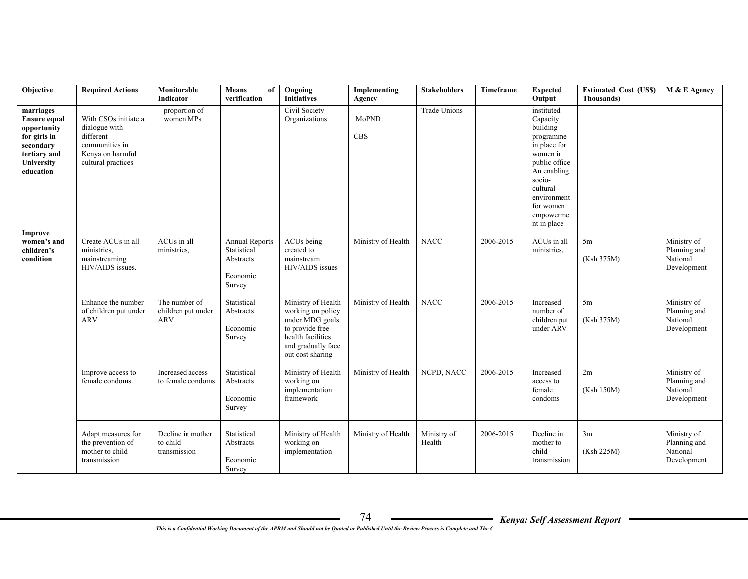| Objective                                                                                                               | <b>Required Actions</b>                                                                                        | Monitorable<br>Indicator                          | <b>Means</b><br>of<br>verification                                      | Ongoing<br><b>Initiatives</b>                                                                                                                | Implementing<br>Agency | <b>Stakeholders</b>   | Timeframe | <b>Expected</b><br>Output                                                                                                                                                                 | <b>Estimated Cost (US\$)</b><br>Thousands) | M & E Agency                                           |
|-------------------------------------------------------------------------------------------------------------------------|----------------------------------------------------------------------------------------------------------------|---------------------------------------------------|-------------------------------------------------------------------------|----------------------------------------------------------------------------------------------------------------------------------------------|------------------------|-----------------------|-----------|-------------------------------------------------------------------------------------------------------------------------------------------------------------------------------------------|--------------------------------------------|--------------------------------------------------------|
| marriages<br><b>Ensure equal</b><br>opportunity<br>for girls in<br>secondary<br>tertiary and<br>University<br>education | With CSOs initiate a<br>dialogue with<br>different<br>communities in<br>Kenya on harmful<br>cultural practices | proportion of<br>women MPs                        |                                                                         | Civil Society<br>Organizations                                                                                                               | MoPND<br>CBS           | <b>Trade Unions</b>   |           | instituted<br>Capacity<br>building<br>programme<br>in place for<br>women in<br>public office<br>An enabling<br>socio-<br>cultural<br>environment<br>for women<br>empowerme<br>nt in place |                                            |                                                        |
| Improve<br>women's and<br>children's<br>condition                                                                       | Create ACUs in all<br>ministries,<br>mainstreaming<br>HIV/AIDS issues.                                         | ACUs in all<br>ministries,                        | <b>Annual Reports</b><br>Statistical<br>Abstracts<br>Economic<br>Survey | ACU <sub>s</sub> being<br>created to<br>mainstream<br>HIV/AIDS issues                                                                        | Ministry of Health     | <b>NACC</b>           | 2006-2015 | ACUs in all<br>ministries,                                                                                                                                                                | 5m<br>(Ksh 375M)                           | Ministry of<br>Planning and<br>National<br>Development |
|                                                                                                                         | Enhance the number<br>of children put under<br><b>ARV</b>                                                      | The number of<br>children put under<br><b>ARV</b> | Statistical<br>Abstracts<br>Economic<br>Survey                          | Ministry of Health<br>working on policy<br>under MDG goals<br>to provide free<br>health facilities<br>and gradually face<br>out cost sharing | Ministry of Health     | <b>NACC</b>           | 2006-2015 | Increased<br>number of<br>children put<br>under ARV                                                                                                                                       | 5m<br>(Ksh 375M)                           | Ministry of<br>Planning and<br>National<br>Development |
|                                                                                                                         | Improve access to<br>female condoms                                                                            | Increased access<br>to female condoms             | Statistical<br>Abstracts<br>Economic<br>Survey                          | Ministry of Health<br>working on<br>implementation<br>framework                                                                              | Ministry of Health     | NCPD, NACC            | 2006-2015 | Increased<br>access to<br>female<br>condoms                                                                                                                                               | 2m<br>(Ksh 150M)                           | Ministry of<br>Planning and<br>National<br>Development |
|                                                                                                                         | Adapt measures for<br>the prevention of<br>mother to child<br>transmission                                     | Decline in mother<br>to child<br>transmission     | Statistical<br>Abstracts<br>Economic<br>Survey                          | Ministry of Health<br>working on<br>implementation                                                                                           | Ministry of Health     | Ministry of<br>Health | 2006-2015 | Decline in<br>mother to<br>child<br>transmission                                                                                                                                          | 3m<br>(Ksh 225M)                           | Ministry of<br>Planning and<br>National<br>Development |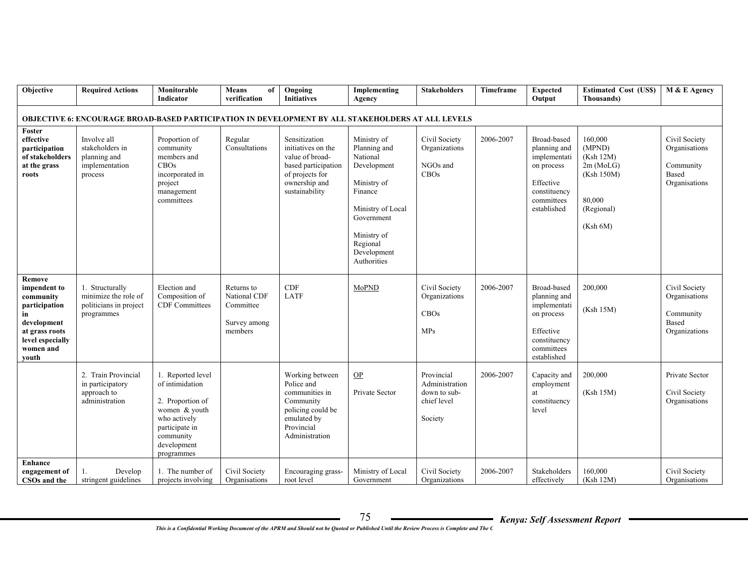| Objective                                                                                                                             | <b>Required Actions</b>                                                         | Monitorable<br>Indicator                                                                                                                              | <b>Means</b><br>of<br>verification                                 | Ongoing<br><b>Initiatives</b>                                                                                                       | Implementing<br>Agency                                                                                                                                                       | <b>Stakeholders</b>                                                    | Timeframe | <b>Expected</b><br>Output                                                                                           | <b>Estimated Cost (US\$)</b><br><b>Thousands</b> )                                            | M & E Agency                                                          |
|---------------------------------------------------------------------------------------------------------------------------------------|---------------------------------------------------------------------------------|-------------------------------------------------------------------------------------------------------------------------------------------------------|--------------------------------------------------------------------|-------------------------------------------------------------------------------------------------------------------------------------|------------------------------------------------------------------------------------------------------------------------------------------------------------------------------|------------------------------------------------------------------------|-----------|---------------------------------------------------------------------------------------------------------------------|-----------------------------------------------------------------------------------------------|-----------------------------------------------------------------------|
| <b>OBJECTIVE 6: ENCOURAGE BROAD-BASED PARTICIPATION IN DEVELOPMENT BY ALL STAKEHOLDERS AT ALL LEVELS</b>                              |                                                                                 |                                                                                                                                                       |                                                                    |                                                                                                                                     |                                                                                                                                                                              |                                                                        |           |                                                                                                                     |                                                                                               |                                                                       |
| Foster<br>effective<br>participation<br>of stakeholders<br>at the grass<br>roots                                                      | Involve all<br>stakeholders in<br>planning and<br>implementation<br>process     | Proportion of<br>community<br>members and<br>CBOs<br>incorporated in<br>project<br>management<br>committees                                           | Regular<br>Consultations                                           | Sensitization<br>initiatives on the<br>value of broad-<br>based participation<br>of projects for<br>ownership and<br>sustainability | Ministry of<br>Planning and<br>National<br>Development<br>Ministry of<br>Finance<br>Ministry of Local<br>Government<br>Ministry of<br>Regional<br>Development<br>Authorities | Civil Society<br>Organizations<br>NGOs and<br>CBOs                     | 2006-2007 | Broad-based<br>planning and<br>implementati<br>on process<br>Effective<br>constituency<br>committees<br>established | 160,000<br>(MPND)<br>(Ksh 12M)<br>2m (MoLG)<br>(Ksh 150M)<br>80,000<br>(Regional)<br>(Ksh 6M) | Civil Society<br>Organisations<br>Community<br>Based<br>Organisations |
| Remove<br>impendent to<br>community<br>participation<br>in<br>development<br>at grass roots<br>level especially<br>women and<br>vouth | 1. Structurally<br>minimize the role of<br>politicians in project<br>programmes | Election and<br>Composition of<br><b>CDF</b> Committees                                                                                               | Returns to<br>National CDF<br>Committee<br>Survey among<br>members | CDF<br><b>LATF</b>                                                                                                                  | MoPND                                                                                                                                                                        | Civil Society<br>Organizations<br>CBOs<br><b>MPs</b>                   | 2006-2007 | Broad-based<br>planning and<br>implementati<br>on process<br>Effective<br>constituency<br>committees<br>established | 200,000<br>(Ksh 15M)                                                                          | Civil Society<br>Organisations<br>Community<br>Based<br>Organizations |
|                                                                                                                                       | 2. Train Provincial<br>in participatory<br>approach to<br>administration        | 1. Reported level<br>of intimidation<br>2. Proportion of<br>women & youth<br>who actively<br>participate in<br>community<br>development<br>programmes |                                                                    | Working between<br>Police and<br>communities in<br>Community<br>policing could be<br>emulated by<br>Provincial<br>Administration    | <b>OP</b><br>Private Sector                                                                                                                                                  | Provincial<br>Administration<br>down to sub-<br>chief level<br>Society | 2006-2007 | Capacity and<br>employment<br>at<br>constituency<br>level                                                           | 200,000<br>(Ksh 15M)                                                                          | Private Sector<br>Civil Society<br>Organisations                      |
| Enhance<br>engagement of<br>CSOs and the                                                                                              | Develop<br>1.<br>stringent guidelines                                           | 1. The number of<br>projects involving                                                                                                                | Civil Society<br>Organisations                                     | Encouraging grass-<br>root level                                                                                                    | Ministry of Local<br>Government                                                                                                                                              | Civil Society<br>Organizations                                         | 2006-2007 | Stakeholders<br>effectively                                                                                         | 160,000<br>(Ksh 12M)                                                                          | Civil Society<br>Organisations                                        |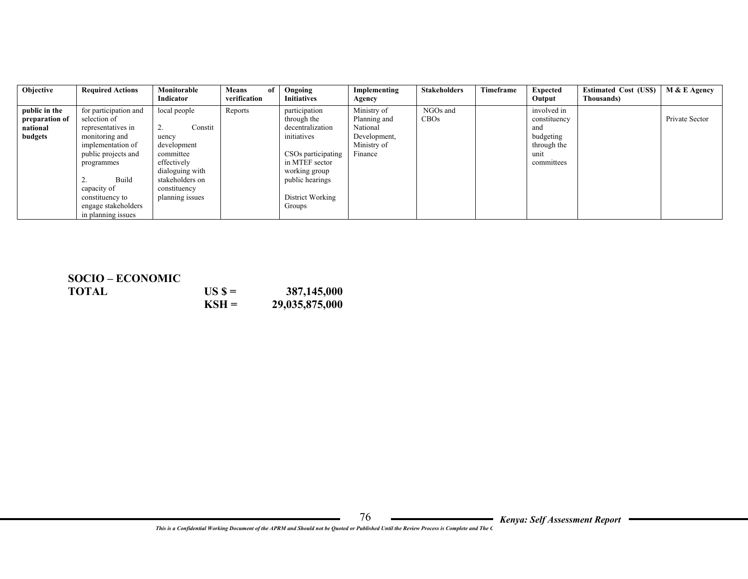| Objective                                              | <b>Required Actions</b>                                                                                                                                                                                                         | Monitorable<br>Indicator                                                                                                                                          | <b>Means</b><br>of<br>verification | Ongoing<br><b>Initiatives</b>                                                                                                                                             | Implementing<br>Agency                                                            | <b>Stakeholders</b> | <b>Timeframe</b> | <b>Expected</b><br>Output                                                            | <b>Estimated Cost (USS)</b><br>Thousands) | M & E Agency   |
|--------------------------------------------------------|---------------------------------------------------------------------------------------------------------------------------------------------------------------------------------------------------------------------------------|-------------------------------------------------------------------------------------------------------------------------------------------------------------------|------------------------------------|---------------------------------------------------------------------------------------------------------------------------------------------------------------------------|-----------------------------------------------------------------------------------|---------------------|------------------|--------------------------------------------------------------------------------------|-------------------------------------------|----------------|
| public in the<br>preparation of<br>national<br>budgets | for participation and<br>selection of<br>representatives in<br>monitoring and<br>implementation of<br>public projects and<br>programmes<br>Build<br>capacity of<br>constituency to<br>engage stakeholders<br>in planning issues | local people<br>Constit<br><b>4.</b><br>uency<br>development<br>committee<br>effectively<br>dialoguing with<br>stakeholders on<br>constituency<br>planning issues | Reports                            | participation<br>through the<br>decentralization<br>initiatives<br>CSOs participating<br>in MTEF sector<br>working group<br>public hearings<br>District Working<br>Groups | Ministry of<br>Planning and<br>National<br>Development,<br>Ministry of<br>Finance | NGOs and<br>CBOs    |                  | involved in<br>constituency<br>and<br>budgeting<br>through the<br>unit<br>committees |                                           | Private Sector |

| <b>SOCIO – ECONOMIC</b> |         |                |
|-------------------------|---------|----------------|
| TOTAL                   | $USS =$ | 387,145,000    |
|                         | $KSH =$ | 29,035,875,000 |